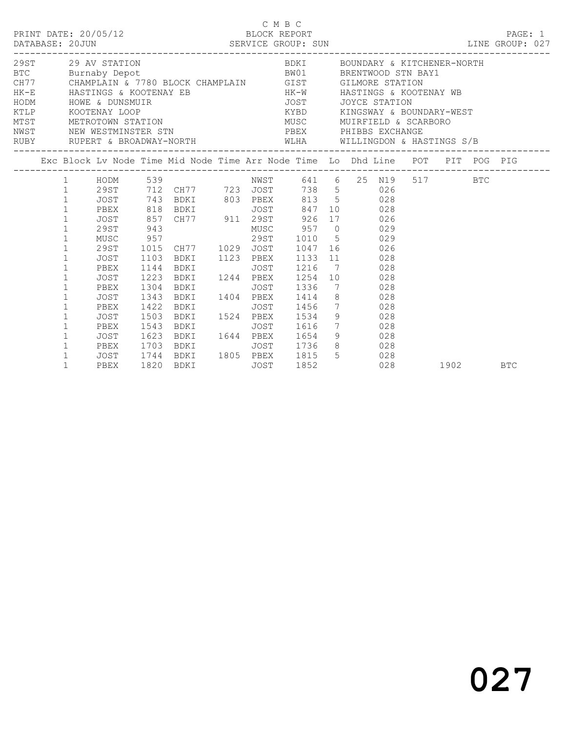|  | DATABASE: 20JUN                                                                                                                                                                                                                                                              | PRINT DATE: 20/05/12                                                              |                                              | SERVICE GROUP: SUN<br>LINE GROUP: 027                                                                                                                                                                                                                                                                                                                                                                                                                                                                                                                                                                             |             | C M B C<br>BLOCK REPORT                         |  |                                                                                                                                                 |          |     | PAGE: 1 |  |
|--|------------------------------------------------------------------------------------------------------------------------------------------------------------------------------------------------------------------------------------------------------------------------------|-----------------------------------------------------------------------------------|----------------------------------------------|-------------------------------------------------------------------------------------------------------------------------------------------------------------------------------------------------------------------------------------------------------------------------------------------------------------------------------------------------------------------------------------------------------------------------------------------------------------------------------------------------------------------------------------------------------------------------------------------------------------------|-------------|-------------------------------------------------|--|-------------------------------------------------------------------------------------------------------------------------------------------------|----------|-----|---------|--|
|  |                                                                                                                                                                                                                                                                              | 29ST 29 AV STATION<br>KTLP KOOTENAY LOOP                                          |                                              | EXECTS AN STATION BUCK CHAMPLAIN BUCK BUNITY AND BUCK CONDENT A RITCHENER-NORTHOLOGY AND BUCK CHAMPLAIN GIST GILMORE STATION HK-E HASTINGS & KOOTENAY EB<br>HODM HOWE A HOW HOW HOW HOW AND MULTIMETRY AND HOW HOW HOW AND MULTI<br>MTST METROTOWN STATION<br>NETROTOWN STATION<br>NEST NEW MENTION<br>NWST NEW WESTMINSTER STN<br>RUBY RUPERT & BROADWAY-NORTH WLHA WILLINGDON & HASTINGS S/B                                                                                                                                                                                                                    |             |                                                 |  | BDKI BOUNDARY & KITCHENER-NORTH<br>KYBD KINGSWAY & BOUNDARY-WEST<br>MUSC MUIRFIELD & SCARBORO<br>PBEX PHIBBS EXCHANGE<br>---------------------- |          |     |         |  |
|  |                                                                                                                                                                                                                                                                              |                                                                                   |                                              | Exc Block Lv Node Time Mid Node Time Arr Node Time Lo Dhd Line POT PIT POG PIG                                                                                                                                                                                                                                                                                                                                                                                                                                                                                                                                    |             |                                                 |  |                                                                                                                                                 |          |     |         |  |
|  | $\mathbf{1}$<br>$\mathbf{1}$<br>$\mathbf{1}$<br>$\mathbf{1}$<br>$\mathbf{1}$<br>$\mathbf{1}$<br>$\mathbf{1}$<br>$\mathbf{1}$<br>$\mathbf{1}$<br>$\mathbf{1}$<br>$\mathbf{1}$<br>$\mathbf{1}$<br>$\mathbf{1}$<br>$\mathbf{1}$<br>$\mathbf{1}$<br>$\mathbf{1}$<br>$\mathbf{1}$ | JOST<br>PBEX<br>JOST<br>PBEX<br>JOST<br>PBEX<br>JOST<br>PBEX<br>JOST 1623<br>PBEX | 1223<br>1304<br>1343<br>1422<br>1503<br>1543 | 1 HODM 539 NWST 641 6 25 N19 517<br>1 29ST 712 CH77 723 JOST 738 5 026<br>JOST 743 BDKI 803 PBEX 813 5 028<br>9951 743 BDKI<br>PBEX 818 BDKI JOST 847 10 028<br>JOST 857 CH77 911 29ST 926 17 026<br>29ST 943 MUSC 957 0 029<br>MUSC 957 29ST 1010 5 029<br>29ST 1015 CH77 1029 JOST 1047 16 026<br>29ST 1015 CH77 1029 JOST 1047 16 026<br>1103 BDKI 1123 PBEX 1133 11 028<br>1144 BDKI<br>BDKI 1244 PBEX<br><b>BDKI</b><br>BDKI 1404 PBEX 1414<br><b>BDKI</b><br>BDKI 1524 PBEX 1534 9 028<br><b>BDKI</b><br>BDKI 1644 PBEX 1654 9 028<br>PBEX 1703 BDKI JOST 1736 8 028<br>JOST 1744 BDKI 1805 PBEX 1815 5 028 | JOST        | JOST 1336<br>JOST 1456 7 028<br>JOST 1616 7 028 |  | 1216 7 028<br>1254 10 028<br>7 028<br>8 028                                                                                                     |          | BTC |         |  |
|  | $\mathbf{1}$                                                                                                                                                                                                                                                                 | PBEX                                                                              |                                              | 1820 BDKI                                                                                                                                                                                                                                                                                                                                                                                                                                                                                                                                                                                                         | <b>JOST</b> | 1852                                            |  | 028                                                                                                                                             | 1902 BTC |     |         |  |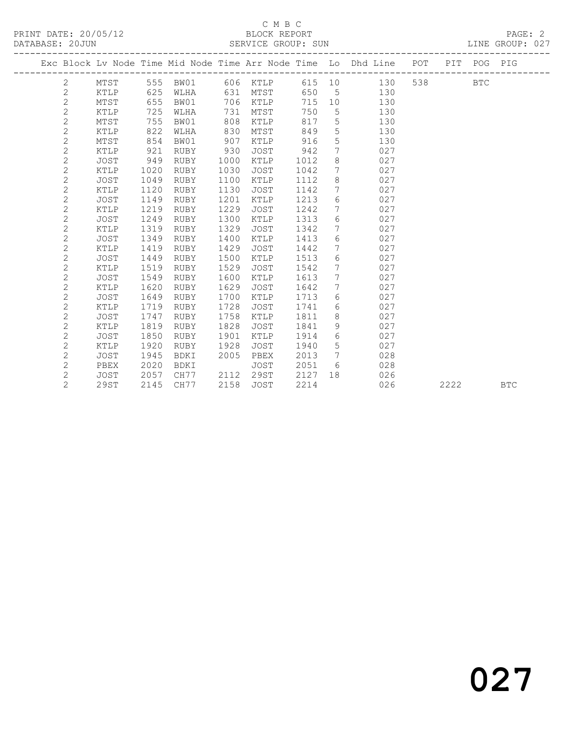### C M B C<br>BLOCK REPORT

|                |             |      |             |      |             |      |                 | Exc Block Lv Node Time Mid Node Time Arr Node Time Lo Dhd Line POT |     |      | PIT POG PIG |            |
|----------------|-------------|------|-------------|------|-------------|------|-----------------|--------------------------------------------------------------------|-----|------|-------------|------------|
| 2              | MTST        | 555  | BW01        |      | 606 KTLP    | 615  | 10              | 130                                                                | 538 |      | <b>BTC</b>  |            |
| $\mathbf{2}$   | KTLP        | 625  | WLHA        | 631  | MTST        | 650  | 5               | 130                                                                |     |      |             |            |
| $\mathbf{2}$   | MTST        | 655  | BW01        | 706  | KTLP        | 715  | 10              | 130                                                                |     |      |             |            |
| $\mathbf{2}$   | KTLP        | 725  | WLHA        | 731  | MTST        | 750  | 5               | 130                                                                |     |      |             |            |
| $\mathbf{2}$   | MTST        | 755  | BW01        | 808  | KTLP        | 817  | $\mathsf S$     | 130                                                                |     |      |             |            |
| $\mathbf{2}$   | KTLP        | 822  | WLHA        | 830  | MTST        | 849  | 5               | 130                                                                |     |      |             |            |
| $\mathbf{2}$   | MTST        | 854  | BW01        | 907  | KTLP        | 916  | 5               | 130                                                                |     |      |             |            |
| $\mathbf{2}$   | KTLP        | 921  | RUBY        | 930  | JOST        | 942  | 7               | 027                                                                |     |      |             |            |
| $\mathbf{2}$   | <b>JOST</b> | 949  | RUBY        | 1000 | KTLP        | 1012 | 8               | 027                                                                |     |      |             |            |
| 2              | KTLP        | 1020 | RUBY        | 1030 | <b>JOST</b> | 1042 | 7               | 027                                                                |     |      |             |            |
| $\mathbf{2}$   | <b>JOST</b> | 1049 | RUBY        | 1100 | KTLP        | 1112 | 8               | 027                                                                |     |      |             |            |
| 2              | KTLP        | 1120 | RUBY        | 1130 | <b>JOST</b> | 1142 | 7               | 027                                                                |     |      |             |            |
| $\mathbf{2}$   | JOST        | 1149 | <b>RUBY</b> | 1201 | KTLP        | 1213 | 6               | 027                                                                |     |      |             |            |
| $\mathbf{2}$   | KTLP        | 1219 | <b>RUBY</b> | 1229 | JOST        | 1242 | $7\phantom{.0}$ | 027                                                                |     |      |             |            |
| $\mathbf{2}$   | JOST        | 1249 | <b>RUBY</b> | 1300 | KTLP        | 1313 | 6               | 027                                                                |     |      |             |            |
| 2              | KTLP        | 1319 | RUBY        | 1329 | JOST        | 1342 | 7               | 027                                                                |     |      |             |            |
| 2              | <b>JOST</b> | 1349 | <b>RUBY</b> | 1400 | KTLP        | 1413 | 6               | 027                                                                |     |      |             |            |
| 2              | KTLP        | 1419 | RUBY        | 1429 | <b>JOST</b> | 1442 | 7               | 027                                                                |     |      |             |            |
| $\mathbf{2}$   | <b>JOST</b> | 1449 | RUBY        | 1500 | KTLP        | 1513 | 6               | 027                                                                |     |      |             |            |
| $\overline{c}$ | KTLP        | 1519 | RUBY        | 1529 | JOST        | 1542 | 7               | 027                                                                |     |      |             |            |
| $\overline{c}$ | <b>JOST</b> | 1549 | <b>RUBY</b> | 1600 | KTLP        | 1613 | 7               | 027                                                                |     |      |             |            |
| 2              | KTLP        | 1620 | RUBY        | 1629 | <b>JOST</b> | 1642 | $7\phantom{.0}$ | 027                                                                |     |      |             |            |
| 2              | <b>JOST</b> | 1649 | RUBY        | 1700 | KTLP        | 1713 | 6               | 027                                                                |     |      |             |            |
| $\mathbf{2}$   | KTLP        | 1719 | RUBY        | 1728 | <b>JOST</b> | 1741 | 6               | 027                                                                |     |      |             |            |
| 2              | <b>JOST</b> | 1747 | <b>RUBY</b> | 1758 | KTLP        | 1811 | 8               | 027                                                                |     |      |             |            |
| 2              | KTLP        | 1819 | RUBY        | 1828 | JOST        | 1841 | 9               | 027                                                                |     |      |             |            |
| $\mathbf{2}$   | JOST        | 1850 | <b>RUBY</b> | 1901 | KTLP        | 1914 | 6               | 027                                                                |     |      |             |            |
| 2              | KTLP        | 1920 | <b>RUBY</b> | 1928 | <b>JOST</b> | 1940 | 5               | 027                                                                |     |      |             |            |
| 2              | <b>JOST</b> | 1945 | <b>BDKI</b> | 2005 | PBEX        | 2013 | $7\phantom{.0}$ | 028                                                                |     |      |             |            |
| 2              | PBEX        | 2020 | BDKI        |      | JOST        | 2051 | 6               | 028                                                                |     |      |             |            |
| 2              | JOST        | 2057 | CH77        | 2112 | <b>29ST</b> | 2127 | 18              | 026                                                                |     |      |             |            |
| $\overline{2}$ | 29ST        | 2145 | CH77        | 2158 | <b>JOST</b> | 2214 |                 | 026                                                                |     | 2222 |             | <b>BTC</b> |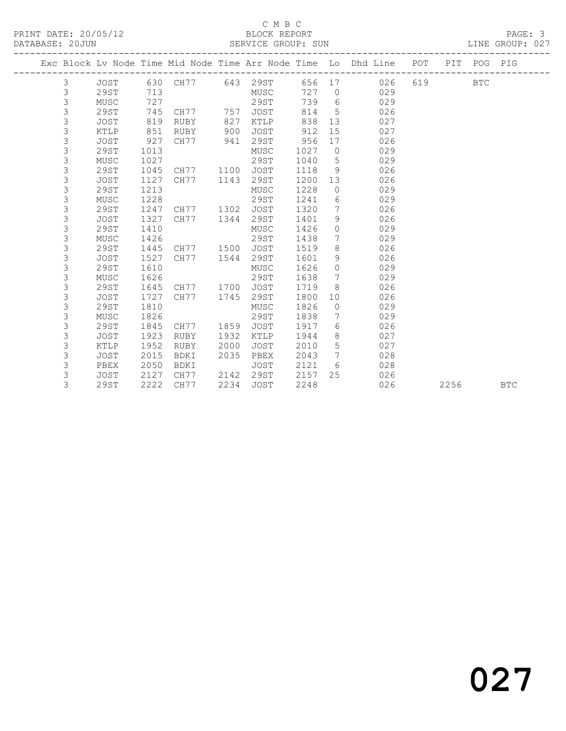#### C M B C<br>BLOCK REPORT

|  |   |             |      |      |      |             |      |                | Exc Block Lv Node Time Mid Node Time Arr Node Time Lo Dhd Line POT |     |      | PIT POG PIG |            |
|--|---|-------------|------|------|------|-------------|------|----------------|--------------------------------------------------------------------|-----|------|-------------|------------|
|  | 3 | JOST        | 630  | CH77 |      | 643 29ST    | 656  | 17             | 026                                                                | 619 |      | <b>BTC</b>  |            |
|  | 3 | 29ST        | 713  |      |      | MUSC        | 727  | $\overline{0}$ | 029                                                                |     |      |             |            |
|  | 3 | MUSC        | 727  |      |      | 29ST        | 739  | 6              | 029                                                                |     |      |             |            |
|  | 3 | 29ST        | 745  | CH77 | 757  | <b>JOST</b> | 814  | 5              | 026                                                                |     |      |             |            |
|  | 3 | <b>JOST</b> | 819  | RUBY | 827  | KTLP        | 838  | 13             | 027                                                                |     |      |             |            |
|  | 3 | KTLP        | 851  | RUBY | 900  | <b>JOST</b> | 912  | 15             | 027                                                                |     |      |             |            |
|  | 3 | <b>JOST</b> | 927  | CH77 | 941  | 29ST        | 956  | 17             | 026                                                                |     |      |             |            |
|  | 3 | 29ST        | 1013 |      |      | MUSC        | 1027 | $\circ$        | 029                                                                |     |      |             |            |
|  | 3 | MUSC        | 1027 |      |      | 29ST        | 1040 | 5              | 029                                                                |     |      |             |            |
|  | 3 | 29ST        | 1045 | CH77 | 1100 | JOST        | 1118 | 9              | 026                                                                |     |      |             |            |
|  | 3 | <b>JOST</b> | 1127 | CH77 | 1143 | 29ST        | 1200 | 13             | 026                                                                |     |      |             |            |
|  | 3 | 29ST        | 1213 |      |      | MUSC        | 1228 | $\circ$        | 029                                                                |     |      |             |            |
|  | 3 | MUSC        | 1228 |      |      | 29ST        | 1241 | 6              | 029                                                                |     |      |             |            |
|  | 3 | 29ST        | 1247 | CH77 | 1302 | JOST        | 1320 | 7              | 026                                                                |     |      |             |            |
|  | 3 | <b>JOST</b> | 1327 | CH77 | 1344 | 29ST        | 1401 | 9              | 026                                                                |     |      |             |            |
|  | 3 | 29ST        | 1410 |      |      | MUSC        | 1426 | $\circ$        | 029                                                                |     |      |             |            |
|  | 3 | MUSC        | 1426 |      |      | 29ST        | 1438 | 7              | 029                                                                |     |      |             |            |
|  | 3 | 29ST        | 1445 | CH77 | 1500 | <b>JOST</b> | 1519 | 8              | 026                                                                |     |      |             |            |
|  | 3 | <b>JOST</b> | 1527 | CH77 | 1544 | 29ST        | 1601 | 9              | 026                                                                |     |      |             |            |
|  | 3 | 29ST        | 1610 |      |      | MUSC        | 1626 | $\circ$        | 029                                                                |     |      |             |            |
|  | 3 | MUSC        | 1626 |      |      | 29ST        | 1638 | 7              | 029                                                                |     |      |             |            |
|  | 3 | 29ST        | 1645 | CH77 | 1700 | JOST        | 1719 | 8              | 026                                                                |     |      |             |            |
|  | 3 | <b>JOST</b> | 1727 | CH77 | 1745 | 29ST        | 1800 | 10             | 026                                                                |     |      |             |            |
|  | 3 | 29ST        | 1810 |      |      | MUSC        | 1826 | $\circ$        | 029                                                                |     |      |             |            |
|  | 3 | MUSC        | 1826 |      |      | 29ST        | 1838 | 7              | 029                                                                |     |      |             |            |
|  | 3 | 29ST        | 1845 | CH77 | 1859 | JOST        | 1917 | 6              | 026                                                                |     |      |             |            |
|  | 3 | JOST        | 1923 | RUBY | 1932 | KTLP        | 1944 | 8              | 027                                                                |     |      |             |            |
|  | 3 | KTLP        | 1952 | RUBY | 2000 | JOST        | 2010 | 5              | 027                                                                |     |      |             |            |
|  | 3 | <b>JOST</b> | 2015 | BDKI | 2035 | PBEX        | 2043 | 7              | 028                                                                |     |      |             |            |
|  | 3 | PBEX        | 2050 | BDKI |      | <b>JOST</b> | 2121 | 6              | 028                                                                |     |      |             |            |
|  | 3 | <b>JOST</b> | 2127 | CH77 | 2142 | 29ST        | 2157 | 25             | 026                                                                |     |      |             |            |
|  | 3 | 29ST        | 2222 | CH77 | 2234 | <b>JOST</b> | 2248 |                | 026                                                                |     | 2256 |             | <b>BTC</b> |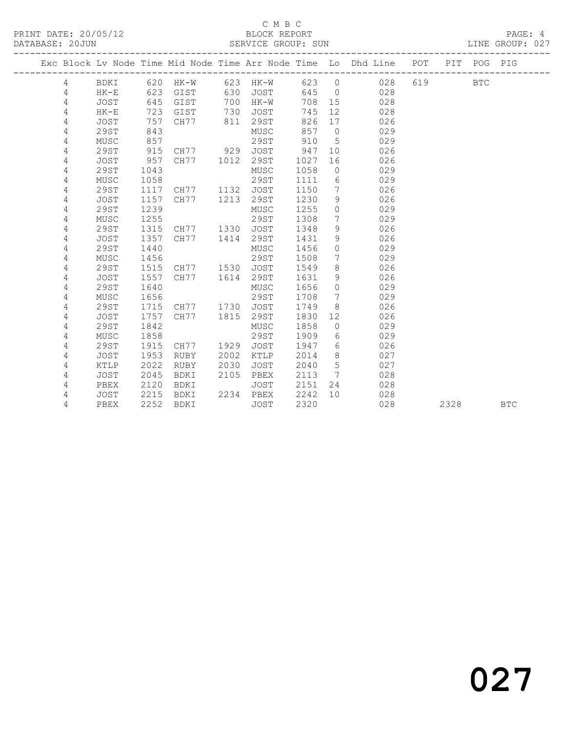### C M B C<br>BLOCK REPORT

|   |             |      | ___________________________________ |      |             |       |                              | Exc Block Lv Node Time Mid Node Time Arr Node Time Lo Dhd Line POT<br>------------------------- |     | PIT  | POG        | PIG        |
|---|-------------|------|-------------------------------------|------|-------------|-------|------------------------------|-------------------------------------------------------------------------------------------------|-----|------|------------|------------|
| 4 | BDKI        | 620  | HK-W 623 HK-W                       |      |             | 623 0 |                              | 028                                                                                             | 619 |      | <b>BTC</b> |            |
| 4 | $HK-E$      | 623  | GIST                                | 630  | JOST        | 645   | $\overline{0}$               | 028                                                                                             |     |      |            |            |
| 4 | JOST        | 645  | GIST                                | 700  | $HK-W$      | 708   | 15                           | 028                                                                                             |     |      |            |            |
| 4 | $HK-E$      | 723  | GIST                                | 730  | JOST        | 745   | 12                           | 028                                                                                             |     |      |            |            |
| 4 | <b>JOST</b> | 757  | CH77                                | 811  | 29ST        | 826   | 17                           | 026                                                                                             |     |      |            |            |
| 4 | 29ST        | 843  |                                     |      | MUSC        | 857   | $\overline{0}$               | 029                                                                                             |     |      |            |            |
| 4 | MUSC        | 857  |                                     |      | 29ST        | 910   | 5                            | 029                                                                                             |     |      |            |            |
| 4 | 29ST        | 915  | CH77 929                            |      | JOST        | 947   | 10 <sup>°</sup>              | 026                                                                                             |     |      |            |            |
| 4 | <b>JOST</b> | 957  | CH77                                | 1012 | 29ST        | 1027  | 16                           | 026                                                                                             |     |      |            |            |
| 4 | 29ST        | 1043 |                                     |      | MUSC        | 1058  | $\circ$                      | 029                                                                                             |     |      |            |            |
| 4 | MUSC        | 1058 |                                     |      | 29ST        | 1111  | 6                            | 029                                                                                             |     |      |            |            |
| 4 | 29ST        | 1117 | CH77                                | 1132 | JOST        | 1150  | 7                            | 026                                                                                             |     |      |            |            |
| 4 | JOST        | 1157 | CH77                                | 1213 | 29ST        | 1230  | 9                            | 026                                                                                             |     |      |            |            |
| 4 | 29ST        | 1239 |                                     |      | MUSC        | 1255  | $\circ$                      | 029                                                                                             |     |      |            |            |
| 4 | MUSC        | 1255 |                                     |      | <b>29ST</b> | 1308  | $7\phantom{.0}$              | 029                                                                                             |     |      |            |            |
| 4 | 29ST        | 1315 | CH77                                | 1330 | <b>JOST</b> | 1348  | 9                            | 026                                                                                             |     |      |            |            |
| 4 | <b>JOST</b> | 1357 | CH77                                | 1414 | 29ST        | 1431  | 9                            | 026                                                                                             |     |      |            |            |
| 4 | 29ST        | 1440 |                                     |      | MUSC        | 1456  | $\circ$                      | 029                                                                                             |     |      |            |            |
| 4 | MUSC        | 1456 |                                     |      | 29ST        | 1508  | 7                            | 029                                                                                             |     |      |            |            |
| 4 | 29ST        | 1515 | CH77                                | 1530 | <b>JOST</b> | 1549  | 8                            | 026                                                                                             |     |      |            |            |
| 4 | <b>JOST</b> | 1557 | CH77                                | 1614 | 29ST        | 1631  | 9                            | 026                                                                                             |     |      |            |            |
| 4 | 29ST        | 1640 |                                     |      | MUSC        | 1656  | $\Omega$                     | 029                                                                                             |     |      |            |            |
| 4 | MUSC        | 1656 |                                     |      | 29ST        | 1708  | $7\phantom{.0}$              | 029                                                                                             |     |      |            |            |
| 4 | 29ST        | 1715 | CH77 1730                           |      | JOST        | 1749  | 8                            | 026                                                                                             |     |      |            |            |
| 4 | <b>JOST</b> | 1757 | CH77                                | 1815 | 29ST        | 1830  | 12                           | 026                                                                                             |     |      |            |            |
| 4 | 29ST        | 1842 |                                     |      | MUSC        | 1858  | $\circ$                      | 029                                                                                             |     |      |            |            |
| 4 | MUSC        | 1858 |                                     |      | 29ST        | 1909  | 6                            | 029                                                                                             |     |      |            |            |
| 4 | 29ST        | 1915 | CH77                                | 1929 | <b>JOST</b> | 1947  | 6                            | 026                                                                                             |     |      |            |            |
| 4 | <b>JOST</b> | 1953 | RUBY                                | 2002 | KTLP        | 2014  | 8                            | 027                                                                                             |     |      |            |            |
| 4 | KTLP        | 2022 | RUBY                                | 2030 | <b>JOST</b> | 2040  | 5                            | 027                                                                                             |     |      |            |            |
| 4 | <b>JOST</b> | 2045 | BDKI                                | 2105 | PBEX        | 2113  | $7\phantom{.0}\phantom{.0}7$ | 028                                                                                             |     |      |            |            |
| 4 | PBEX        | 2120 | BDKI                                |      | JOST        | 2151  | 24                           | 028                                                                                             |     |      |            |            |
| 4 | JOST        | 2215 | BDKI                                | 2234 | PBEX        | 2242  | 10                           | 028                                                                                             |     |      |            |            |
| 4 | PBEX        | 2252 | BDKI                                |      | JOST        | 2320  |                              | 028                                                                                             |     | 2328 |            | <b>BTC</b> |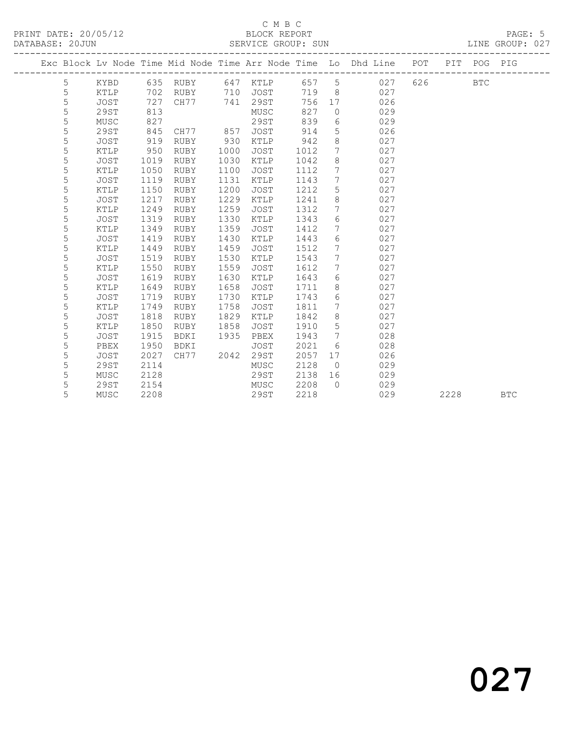### C M B C<br>BLOCK REPORT

|  |        |                     |              |              |      |              |              |                      | Exc Block Lv Node Time Mid Node Time Arr Node Time Lo Dhd Line POT |     |      | PIT POG PIG |            |
|--|--------|---------------------|--------------|--------------|------|--------------|--------------|----------------------|--------------------------------------------------------------------|-----|------|-------------|------------|
|  | 5      | KYBD                |              | 635 RUBY     |      | 647 KTLP     | 657          | $5\overline{)}$      | 027                                                                | 626 |      | <b>BTC</b>  |            |
|  | 5      | <b>KTLP</b>         | 702          | <b>RUBY</b>  | 710  | <b>JOST</b>  | 719          | 8                    | 027                                                                |     |      |             |            |
|  | 5      | <b>JOST</b>         | 727          | CH77         | 741  | 29ST         | 756          | 17                   | 026                                                                |     |      |             |            |
|  | 5      | 29ST                | 813          |              |      | MUSC         | 827          | $\circ$              | 029                                                                |     |      |             |            |
|  | 5      | MUSC                | 827          |              |      | 29ST         | 839          | 6                    | 029                                                                |     |      |             |            |
|  | 5      | 29ST                | 845          | CH77         | 857  | <b>JOST</b>  | 914          | 5                    | 026                                                                |     |      |             |            |
|  | 5      | JOST                | 919          | <b>RUBY</b>  | 930  | KTLP         | 942          | 8                    | 027                                                                |     |      |             |            |
|  | 5      | KTLP                | 950          | RUBY         | 1000 | JOST         | 1012         | 7                    | 027                                                                |     |      |             |            |
|  | 5      | <b>JOST</b>         | 1019         | <b>RUBY</b>  | 1030 | KTLP         | 1042         | 8                    | 027                                                                |     |      |             |            |
|  | 5      | KTLP                | 1050         | <b>RUBY</b>  | 1100 | <b>JOST</b>  | 1112         | 7                    | 027                                                                |     |      |             |            |
|  | 5      | <b>JOST</b>         | 1119         | <b>RUBY</b>  | 1131 | KTLP         | 1143         | 7                    | 027                                                                |     |      |             |            |
|  | 5      | KTLP                | 1150         | <b>RUBY</b>  | 1200 | JOST         | 1212         | 5                    | 027                                                                |     |      |             |            |
|  | 5      | JOST                | 1217         | RUBY         | 1229 | KTLP         | 1241         | $\,8\,$              | 027                                                                |     |      |             |            |
|  | 5      | <b>KTLP</b>         | 1249         | <b>RUBY</b>  | 1259 | JOST         | 1312         | 7                    | 027                                                                |     |      |             |            |
|  | 5      | <b>JOST</b>         | 1319         | <b>RUBY</b>  | 1330 | KTLP         | 1343         | 6                    | 027                                                                |     |      |             |            |
|  | 5      | KTLP                | 1349         | <b>RUBY</b>  | 1359 | <b>JOST</b>  | 1412         | 7                    | 027                                                                |     |      |             |            |
|  | 5      | <b>JOST</b>         | 1419         | <b>RUBY</b>  | 1430 | KTLP         | 1443         | 6                    | 027                                                                |     |      |             |            |
|  | 5      | KTLP                | 1449         | RUBY         | 1459 | JOST         | 1512         | 7                    | 027                                                                |     |      |             |            |
|  | 5      | <b>JOST</b>         | 1519         | <b>RUBY</b>  | 1530 | KTLP         | 1543         | 7                    | 027                                                                |     |      |             |            |
|  | 5      | KTLP                | 1550         | <b>RUBY</b>  | 1559 | JOST         | 1612         | 7                    | 027                                                                |     |      |             |            |
|  | 5      | JOST                | 1619         | <b>RUBY</b>  | 1630 | KTLP         | 1643         | 6                    | 027                                                                |     |      |             |            |
|  | 5      | KTLP                | 1649         | RUBY         | 1658 | <b>JOST</b>  | 1711         | $8\,$                | 027                                                                |     |      |             |            |
|  | 5      | <b>JOST</b>         | 1719         | <b>RUBY</b>  | 1730 | KTLP         | 1743         | $6\,$                | 027                                                                |     |      |             |            |
|  | 5      | <b>KTLP</b>         | 1749         | <b>RUBY</b>  | 1758 | <b>JOST</b>  | 1811         | 7                    | 027                                                                |     |      |             |            |
|  | 5      | JOST                | 1818         | RUBY         | 1829 | KTLP         | 1842         | 8                    | 027                                                                |     |      |             |            |
|  | 5      | KTLP                | 1850         | RUBY         | 1858 | JOST         | 1910         | 5<br>$7\phantom{.0}$ | 027                                                                |     |      |             |            |
|  | 5      | <b>JOST</b>         | 1915         | BDKI         | 1935 | PBEX         | 1943         |                      | 028                                                                |     |      |             |            |
|  | 5<br>5 | PBEX<br><b>JOST</b> | 1950<br>2027 | BDKI<br>CH77 | 2042 | JOST<br>29ST | 2021<br>2057 | 6<br>17              | 028<br>026                                                         |     |      |             |            |
|  | 5      | 29ST                | 2114         |              |      |              | 2128         | $\Omega$             | 029                                                                |     |      |             |            |
|  | 5      | MUSC                | 2128         |              |      | MUSC<br>29ST | 2138         | 16                   | 029                                                                |     |      |             |            |
|  | 5      | 29ST                | 2154         |              |      | MUSC         | 2208         | $\Omega$             | 029                                                                |     |      |             |            |
|  | 5      | MUSC                | 2208         |              |      | <b>29ST</b>  | 2218         |                      | 029                                                                |     | 2228 |             | <b>BTC</b> |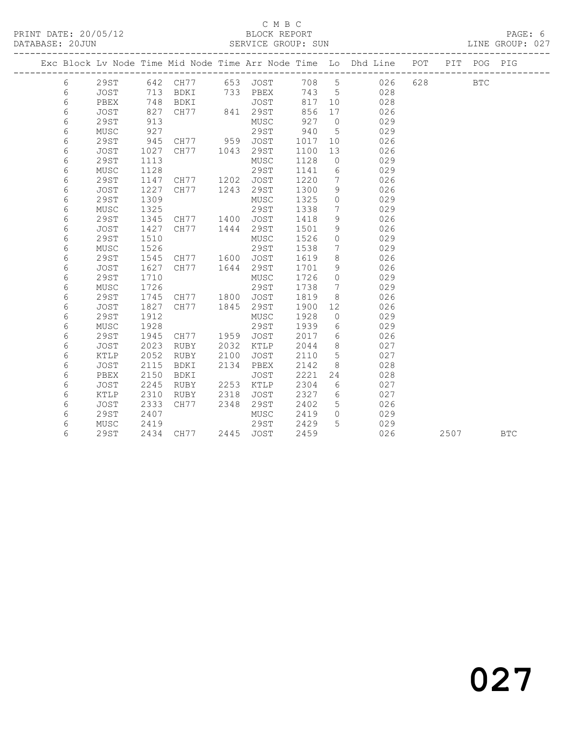#### C M B C<br>BLOCK REPORT SERVICE GROUP: SUN

|   |                 |      |                                  |      |                            |        |                 | Exc Block Lv Node Time Mid Node Time Arr Node Time Lo Dhd Line POT |         | PIT | POG PIG      |            |
|---|-----------------|------|----------------------------------|------|----------------------------|--------|-----------------|--------------------------------------------------------------------|---------|-----|--------------|------------|
| 6 | 29ST            |      |                                  |      |                            |        |                 | 642 CH77 653 JOST 708 5 026                                        | 628 000 |     | $_{\rm BTC}$ |            |
| 6 | JOST            |      | 713 BDKI 733 PBEX                |      |                            | 743 5  |                 | 028                                                                |         |     |              |            |
| 6 | PBEX            | 748  |                                  |      |                            | 817 10 |                 | 028                                                                |         |     |              |            |
| 6 | JOST            | 827  |                                  |      | BDKI JOST<br>CH77 841 29ST | 856    | 17              | 026                                                                |         |     |              |            |
| 6 | 29ST            | 913  |                                  |      | MUSC                       | 927    | $\overline{0}$  | 029                                                                |         |     |              |            |
| 6 | MUSC            | 927  |                                  |      | 29ST 940                   |        | $5^{\circ}$     | 029                                                                |         |     |              |            |
| 6 | 29ST            | 945  | CH77 959 JOST                    |      |                            | 1017   | 10              | 026                                                                |         |     |              |            |
| 6 | JOST            | 1027 | CH77 1043 29ST                   |      |                            | 1100   | 13              | 026                                                                |         |     |              |            |
| 6 | <b>29ST</b>     | 1113 |                                  |      | MUSC                       | 1128   | $\overline{0}$  | 029                                                                |         |     |              |            |
| 6 | MUSC            | 1128 |                                  |      | 29ST                       | 1141   | 6               | 029                                                                |         |     |              |            |
| 6 | <b>29ST</b>     | 1147 | CH77 1202 JOST<br>CH77 1243 29ST |      |                            | 1220   | $\overline{7}$  | 026                                                                |         |     |              |            |
| 6 | JOST            | 1227 |                                  |      |                            | 1300   | 9               | 026                                                                |         |     |              |            |
| 6 | 29ST            | 1309 |                                  |      | MUSC                       | 1325   | $\overline{0}$  | 029                                                                |         |     |              |            |
| 6 | MUSC            | 1325 |                                  |      | 29ST                       | 1338   | $\overline{7}$  | 029                                                                |         |     |              |            |
| 6 | 29ST            | 1345 | CH77 1400                        |      | JOST                       | 1418   | 9               | 026                                                                |         |     |              |            |
| 6 | JOST            | 1427 | CH77 1444                        |      | 29ST                       | 1501   | 9               | 026                                                                |         |     |              |            |
| 6 | 29ST            | 1510 |                                  |      | MUSC                       | 1526   | $\circ$         | 029                                                                |         |     |              |            |
| 6 | MUSC            | 1526 |                                  |      | 29ST                       | 1538   | $\overline{7}$  | 029                                                                |         |     |              |            |
| 6 | <b>29ST</b>     |      | 1545 CH77 1600 JOST              |      |                            | 1619   | 8               | 026                                                                |         |     |              |            |
| 6 | JOST            | 1627 | CH77 1644 29ST                   |      |                            | 1701   | 9               | 026                                                                |         |     |              |            |
| 6 | 29ST            | 1710 |                                  |      | MUSC                       | 1726   | $\overline{0}$  | 029                                                                |         |     |              |            |
| 6 | MUSC            | 1726 |                                  |      | 29ST                       | 1738   | $7\phantom{0}$  | 029                                                                |         |     |              |            |
| 6 | 29ST            |      | 1745 CH77 1800 JOST              |      |                            | 1819   | 8               | 026                                                                |         |     |              |            |
| 6 | JOST            | 1827 | CH77 1845 29ST                   |      |                            | 1900   | 12 <sup>°</sup> | 026                                                                |         |     |              |            |
| 6 | 29ST            | 1912 |                                  |      | MUSC                       | 1928   | $\overline{0}$  | 029                                                                |         |     |              |            |
| 6 | MUSC            | 1928 |                                  |      | 29ST                       | 1939   | 6               | 029                                                                |         |     |              |            |
| 6 | 29ST            | 1945 | CH77 1959 JOST                   |      |                            | 2017   | $6\overline{6}$ | 026                                                                |         |     |              |            |
| 6 | JOST            | 2023 | RUBY                             |      | 2032 KTLP                  | 2044   | 8 <sup>8</sup>  | 027                                                                |         |     |              |            |
| 6 | $\texttt{KTLP}$ | 2052 | RUBY                             | 2100 | JOST                       | 2110   | $5\overline{)}$ | 027                                                                |         |     |              |            |
| 6 | JOST            | 2115 | BDKI                             | 2134 | PBEX                       | 2142   | 8 <sup>8</sup>  | 028                                                                |         |     |              |            |
| 6 | PBEX            | 2150 | BDKI                             |      | JOST                       | 2221   | 24              | 028                                                                |         |     |              |            |
| 6 | JOST            | 2245 | RUBY                             | 2253 | KTLP                       | 2304   | 6               | 027                                                                |         |     |              |            |
| 6 | KTLP            | 2310 | RUBY                             | 2318 | JOST                       | 2327   | 6               | 027                                                                |         |     |              |            |
| 6 | <b>JOST</b>     | 2333 | CH77                             | 2348 | 29ST                       | 2402   | 5 <sup>5</sup>  | 026                                                                |         |     |              |            |
| 6 | 29ST            | 2407 |                                  |      | MUSC                       | 2419   | $\overline{0}$  | 029                                                                |         |     |              |            |
| 6 | MUSC            | 2419 |                                  |      | 29ST                       | 2429   | $5^{\circ}$     | 029                                                                |         |     |              |            |
| 6 | <b>29ST</b>     |      | 2434 CH77 2445 JOST              |      |                            | 2459   |                 | 026                                                                |         |     | 2507         | <b>BTC</b> |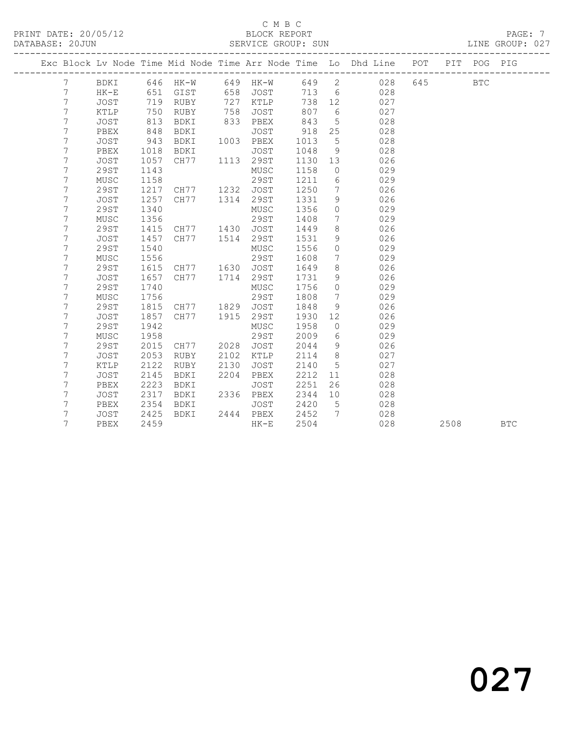### C M B C<br>BLOCK REPORT

|  |                  |                     |              | ____________________________ |      |              |              |                              | Exc Block Lv Node Time Mid Node Time Arr Node Time Lo Dhd Line POT |     | PIT  | POG        | PIG        |
|--|------------------|---------------------|--------------|------------------------------|------|--------------|--------------|------------------------------|--------------------------------------------------------------------|-----|------|------------|------------|
|  | $7\phantom{.0}$  | <b>BDKI</b>         |              | 646 HK-W                     |      | 649 HK-W     |              |                              | 649 2 028                                                          | 645 |      | <b>BTC</b> |            |
|  | 7                | $HK-E$              | 651          | GIST                         | 658  | JOST         | 713          | 6                            | 028                                                                |     |      |            |            |
|  | $\boldsymbol{7}$ | <b>JOST</b>         | 719          | RUBY                         | 727  | KTLP         | 738          | 12                           | 027                                                                |     |      |            |            |
|  | $\overline{7}$   | KTLP                | 750          | RUBY                         | 758  | JOST         | 807          | 6                            | 027                                                                |     |      |            |            |
|  | $\boldsymbol{7}$ | JOST                | 813          | BDKI                         | 833  | PBEX         | 843          | $5\phantom{.0}$              | 028                                                                |     |      |            |            |
|  | $\overline{7}$   | PBEX                | 848<br>943   | BDKI                         |      | JOST         | 918          | 25                           | 028                                                                |     |      |            |            |
|  | 7                | JOST                |              | BDKI                         |      | 1003 PBEX    | 1013         | $5\phantom{.0}$              | 028                                                                |     |      |            |            |
|  | $\boldsymbol{7}$ | PBEX                | 1018         | BDKI                         |      | JOST         | 1048         | 9                            | 028                                                                |     |      |            |            |
|  | 7                | <b>JOST</b>         | 1057         | CH77                         |      | 1113 29ST    | 1130         | 13                           | 026                                                                |     |      |            |            |
|  | $\overline{7}$   | <b>29ST</b>         | 1143         |                              |      | MUSC         | 1158         | $\overline{0}$               | 029                                                                |     |      |            |            |
|  | 7                | MUSC                | 1158         |                              |      | 29ST         | 1211         | 6                            | 029                                                                |     |      |            |            |
|  | 7                | <b>29ST</b>         | 1217         | CH77 1232                    |      | JOST         | 1250         | $7\overline{ }$              | 026                                                                |     |      |            |            |
|  | 7                | <b>JOST</b>         | 1257         | CH77                         | 1314 | 29ST         | 1331         | 9                            | 026                                                                |     |      |            |            |
|  | $\overline{7}$   | 29ST                | 1340         |                              |      | MUSC         | 1356         | $\circ$                      | 029                                                                |     |      |            |            |
|  | $\boldsymbol{7}$ | MUSC                | 1356         |                              |      | <b>29ST</b>  | 1408         | 7                            | 029                                                                |     |      |            |            |
|  | $\overline{7}$   | 29ST                | 1415         | CH77 1430 JOST               |      |              | 1449         | 8                            | 026                                                                |     |      |            |            |
|  | $\boldsymbol{7}$ | JOST                | 1457         | CH77                         |      | 1514 29ST    | 1531         | $\mathcal{G}$                | 026                                                                |     |      |            |            |
|  | 7                | 29ST                | 1540         |                              |      | MUSC         | 1556         | $\circ$                      | 029                                                                |     |      |            |            |
|  | 7                | MUSC                | 1556         |                              |      | 29ST         | 1608         | $7\phantom{.0}$              | 029                                                                |     |      |            |            |
|  | $\overline{7}$   | <b>29ST</b>         | 1615         | CH77                         | 1630 | JOST         | 1649         | 8                            | 026                                                                |     |      |            |            |
|  | 7                | <b>JOST</b>         | 1657         | CH77                         |      | 1714 29ST    | 1731         | 9                            | 026                                                                |     |      |            |            |
|  | $\overline{7}$   | <b>29ST</b>         | 1740         |                              |      | MUSC         | 1756         | $\circ$                      | 029                                                                |     |      |            |            |
|  | 7                | MUSC                | 1756         |                              |      | 29ST         | 1808         | $7\phantom{.0}\phantom{.0}7$ | 029                                                                |     |      |            |            |
|  | 7                | <b>29ST</b>         | 1815         | CH77 1829                    | 1915 | JOST         | 1848         | $\mathcal{G}$                | 026                                                                |     |      |            |            |
|  | 7<br>7           | <b>JOST</b><br>29ST | 1857<br>1942 | CH77                         |      | 29ST         | 1930<br>1958 | 12<br>$\circ$                | 026<br>029                                                         |     |      |            |            |
|  | $\overline{7}$   | MUSC                | 1958         |                              |      | MUSC<br>29ST | 2009         | 6                            | 029                                                                |     |      |            |            |
|  | 7                | 29ST                | 2015         |                              | 2028 |              | 2044         | 9                            | 026                                                                |     |      |            |            |
|  | $\boldsymbol{7}$ | JOST                | 2053         | CH77<br>RUBY                 | 2102 | JOST<br>KTLP | 2114         | 8 <sup>8</sup>               | 027                                                                |     |      |            |            |
|  | 7                | KTLP                | 2122         | RUBY                         | 2130 | <b>JOST</b>  | 2140         | $5\phantom{.0}$              | 027                                                                |     |      |            |            |
|  | 7                | JOST                | 2145         | BDKI                         | 2204 | PBEX         | 2212         | 11                           | 028                                                                |     |      |            |            |
|  | 7                | PBEX                | 2223         | BDKI                         |      | <b>JOST</b>  | 2251         | 26                           | 028                                                                |     |      |            |            |
|  | 7                | JOST                | 2317         | BDKI                         |      | 2336 PBEX    | 2344         | 10                           | 028                                                                |     |      |            |            |
|  | 7                | PBEX                | 2354         | BDKI                         |      | JOST         | 2420         | $5^{\circ}$                  | 028                                                                |     |      |            |            |
|  | 7                | JOST                | 2425         | BDKI                         |      | 2444 PBEX    | 2452         | $7\overline{ }$              | 028                                                                |     |      |            |            |
|  | 7                | PBEX                | 2459         |                              |      | $HK-E$       | 2504         |                              | 028                                                                |     | 2508 |            | <b>BTC</b> |
|  |                  |                     |              |                              |      |              |              |                              |                                                                    |     |      |            |            |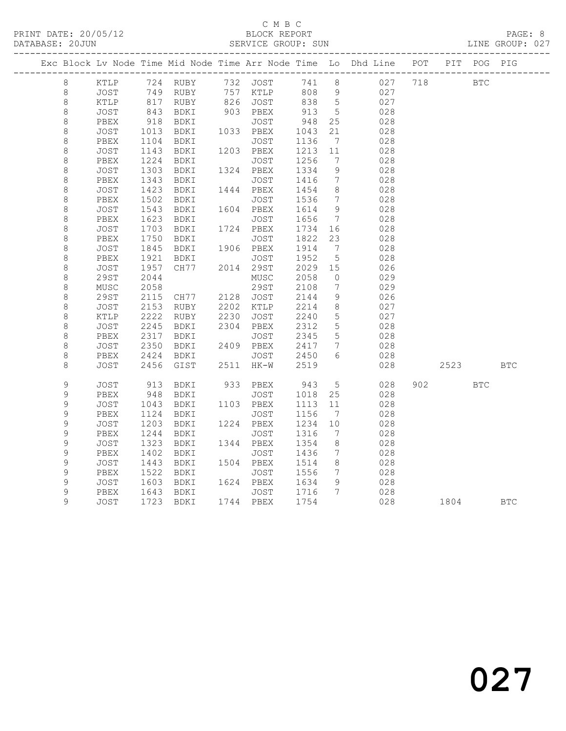#### C M B C<br>BLOCK REPORT

LINE GROUP: 027

|               |              |                                                  |                                  |      |                   |              |                                    | Exc Block Lv Node Time Mid Node Time Arr Node Time Lo Dhd Line POT PIT POG PIG |     |            |            |            |
|---------------|--------------|--------------------------------------------------|----------------------------------|------|-------------------|--------------|------------------------------------|--------------------------------------------------------------------------------|-----|------------|------------|------------|
| 8             | KTLP         |                                                  | 724 RUBY                         |      | 732 JOST          | 741 8        |                                    | 027                                                                            | 718 | <b>BTC</b> |            |            |
| $\,8\,$       | JOST         |                                                  | 749 RUBY                         |      | 757 KTLP          | 808 9        |                                    | 027                                                                            |     |            |            |            |
| $\,8\,$       | KTLP         |                                                  | 817 RUBY                         |      | 826 JOST          | 838          | $5\overline{)}$                    | 027                                                                            |     |            |            |            |
| $\,8\,$       | JOST         | 843<br>918                                       | BDKI                             |      | 903 PBEX          | 913<br>948   | $5^{\circ}$                        | 028                                                                            |     |            |            |            |
| $\,8\,$       | PBEX         |                                                  | BDKI                             |      | JOST              |              | 25                                 | 028                                                                            |     |            |            |            |
| $\,8\,$       | JOST         | 1013                                             | BDKI                             |      | 1033 PBEX         | 1043         | 21                                 | 028                                                                            |     |            |            |            |
| $\,8\,$       | PBEX         | 1104                                             | BDKI                             |      | JOST              | 1136         | $\overline{7}$                     | 028                                                                            |     |            |            |            |
| $\,8\,$       | JOST         | 1143                                             | BDKI                             |      | 1203 PBEX         | 1213         | 11                                 | 028                                                                            |     |            |            |            |
| $\,8\,$       | PBEX         | 1224                                             | BDKI                             |      | JOST              | 1256         | $\overline{7}$                     | 028                                                                            |     |            |            |            |
| $\,8\,$       | JOST         | 1303                                             | BDKI                             |      | 1324 PBEX         | 1334         | 9                                  | 028                                                                            |     |            |            |            |
| $\,8\,$       | PBEX         | 1343                                             | BDKI                             |      | JOST              | 1416         | $7\phantom{.0}$                    | 028                                                                            |     |            |            |            |
| $\,8\,$       | JOST         | $\begin{array}{c}\n1 \\ 1423 \\ 20\n\end{array}$ | BDKI                             |      | 1444 PBEX         | 1454         | 8                                  | 028                                                                            |     |            |            |            |
| $\,8\,$       | PBEX         | 1502                                             | BDKI                             |      | JOST              | 1536         | $7\phantom{.0}$                    | 028                                                                            |     |            |            |            |
| $\,8\,$       | JOST         | 1543                                             | BDKI                             |      | 1604 PBEX         | 1614         | 9                                  | 028                                                                            |     |            |            |            |
| $\,8\,$       | PBEX         | 1623                                             | BDKI                             |      | JOST              | 1656         | 7                                  | 028                                                                            |     |            |            |            |
| $\,8\,$       | <b>JOST</b>  | 1703                                             | BDKI                             |      | 1724 PBEX         | 1734         | 16                                 | 028                                                                            |     |            |            |            |
| $\,8\,$       | PBEX         | 1750                                             | BDKI                             |      | JOST              | 1822         | 23                                 | 028                                                                            |     |            |            |            |
| $\,8\,$       | JOST         | 1845                                             | BDKI                             |      | 1906 PBEX         | 1914         | $\overline{7}$                     | 028                                                                            |     |            |            |            |
| $\,8\,$       | PBEX         | 1921                                             | BDKI                             |      | JOST              | 1952         | $5\overline{)}$                    | 028                                                                            |     |            |            |            |
| $\,8\,$       | JOST         | 1957                                             | CH77 2014 29ST                   |      |                   | 2029 15      |                                    | 026                                                                            |     |            |            |            |
| $\,8\,$       | 29ST         | 2044                                             |                                  |      | MUSC              | 2058         | $\overline{0}$                     | 029                                                                            |     |            |            |            |
| $\,8\,$       | MUSC         | 2058                                             |                                  |      | 29ST              | 2108         | 7                                  | 029                                                                            |     |            |            |            |
| $\,8\,$       | 29ST         | 2115                                             | CH77 2128 JOST<br>RUBY 2202 KTLP |      |                   | 2144         | 9                                  | 026                                                                            |     |            |            |            |
| $\,8\,$       | JOST         | 2153                                             |                                  |      |                   | 2214         | 8 <sup>8</sup>                     | 027                                                                            |     |            |            |            |
| $\,8\,$       | KTLP         | 2222                                             | RUBY                             | 2230 | JOST              | 2240         | $5\phantom{.0}$<br>$5\overline{)}$ | 027                                                                            |     |            |            |            |
| $\,8\,$       | JOST         | 2245                                             | BDKI                             |      | 2304 PBEX         | 2312<br>2345 |                                    | 028                                                                            |     |            |            |            |
| $\,8\,$       | PBEX         | 2317                                             | BDKI                             |      | JOST              |              | 5                                  | 028                                                                            |     |            |            |            |
| $\,8\,$       | JOST         | 2350                                             | BDKI                             |      | 2409 PBEX         | 2417         | $\overline{7}$<br>6                | 028                                                                            |     |            |            |            |
| $\,8\,$<br>8  | PBEX<br>JOST | 2424<br>2456                                     | BDKI<br>GIST                     |      | JOST<br>2511 HK-W | 2450<br>2519 |                                    | 028<br>028                                                                     |     | 2523       |            | <b>BTC</b> |
|               |              |                                                  |                                  |      |                   |              |                                    |                                                                                |     |            |            |            |
| 9             | <b>JOST</b>  | 913                                              | BDKI                             |      | 933 PBEX          | 943          | $5\overline{)}$                    | 028                                                                            | 902 |            | <b>BTC</b> |            |
| 9             | PBEX         | 948                                              | BDKI                             |      | JOST              | 1018         | 25                                 | 028                                                                            |     |            |            |            |
| 9             | JOST         | 1043                                             | BDKI                             |      | 1103 PBEX         | 1113         | 11                                 | 028                                                                            |     |            |            |            |
| $\mathsf 9$   | PBEX         | 1124                                             | BDKI                             |      | JOST              | 1156         | $\overline{7}$                     | 028                                                                            |     |            |            |            |
| 9             | JOST         | 1203                                             | BDKI                             |      | 1224 PBEX         | 1234         | 10                                 | 028                                                                            |     |            |            |            |
| 9             | PBEX         | 1244                                             | BDKI                             |      | JOST              | 1316         | $7\phantom{.0}\phantom{.0}7$       | 028                                                                            |     |            |            |            |
| 9             | JOST         | 1323                                             | BDKI                             |      | 1344 PBEX         | 1354         | 8 <sup>8</sup>                     | 028                                                                            |     |            |            |            |
| 9             | PBEX         | 1402                                             | BDKI                             |      | JOST              | 1436         | $\overline{7}$                     | 028                                                                            |     |            |            |            |
| 9             | JOST         | 1443                                             | BDKI                             |      | 1504 PBEX         | 1514         | 8                                  | 028                                                                            |     |            |            |            |
| 9             | PBEX         | 1522                                             | BDKI                             |      | JOST              | 1556         | $\overline{7}$                     | 028                                                                            |     |            |            |            |
| 9             | <b>JOST</b>  | 1603<br>1643                                     | BDKI                             |      | 1624 PBEX         | 1634         | - 9                                | 028                                                                            |     |            |            |            |
| $\mathcal{G}$ | PBEX         |                                                  | BDKI                             |      | JOST              | 1716         | $\overline{7}$                     | 028                                                                            |     |            |            |            |
| 9             | JOST         |                                                  | 1723 BDKI                        |      | 1744 PBEX         | 1754         |                                    | 028                                                                            |     | 1804       |            | <b>BTC</b> |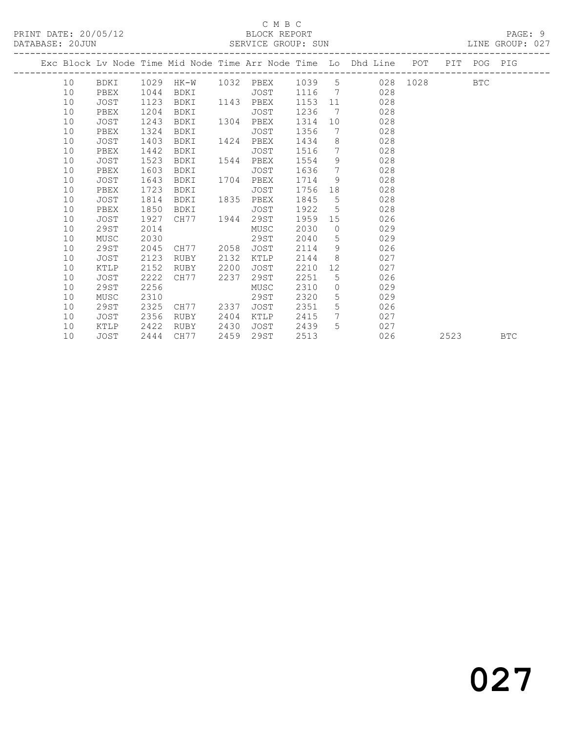#### C M B C<br>BLOCK REPORT

LINE GROUP: 027

|  |    |             |      |                |      |      |         |                 | Exc Block Lv Node Time Mid Node Time Arr Node Time Lo Dhd Line POT |      | PIT POG PIG |            |
|--|----|-------------|------|----------------|------|------|---------|-----------------|--------------------------------------------------------------------|------|-------------|------------|
|  | 10 |             |      |                |      |      |         |                 | BDKI 1029 HK-W 1032 PBEX 1039 5 028 1028                           |      | <b>BTC</b>  |            |
|  | 10 | PBEX        | 1044 | BDKI           |      | JOST |         |                 | 1116 7 028                                                         |      |             |            |
|  | 10 | JOST        | 1123 | BDKI 1143 PBEX |      |      | 1153 11 |                 | 028                                                                |      |             |            |
|  | 10 | PBEX        | 1204 | BDKI           |      | JOST | 1236    | 7               | 028                                                                |      |             |            |
|  | 10 | <b>JOST</b> | 1243 | BDKI           | 1304 | PBEX | 1314    |                 | 028<br>10                                                          |      |             |            |
|  | 10 | PBEX        | 1324 | BDKI           |      | JOST | 1356    | $7\overline{ }$ | 028                                                                |      |             |            |
|  | 10 | JOST        | 1403 | BDKI           | 1424 | PBEX | 1434    |                 | $8 \overline{)}$<br>028                                            |      |             |            |
|  | 10 | PBEX        | 1442 | BDKI           |      | JOST | 1516    | $7\overline{ }$ | 028                                                                |      |             |            |
|  | 10 | <b>JOST</b> | 1523 | BDKI           | 1544 | PBEX | 1554    | 9               | 028                                                                |      |             |            |
|  | 10 | PBEX        | 1603 | BDKI           |      | JOST | 1636    | $7\overline{ }$ | 028                                                                |      |             |            |
|  | 10 | JOST        | 1643 | BDKI           | 1704 | PBEX | 1714    |                 | 9<br>028                                                           |      |             |            |
|  | 10 | PBEX        | 1723 | BDKI           |      | JOST | 1756    | 18              | 028                                                                |      |             |            |
|  | 10 | JOST        | 1814 | BDKI           | 1835 | PBEX | 1845    | 5               | 028                                                                |      |             |            |
|  | 10 | PBEX        | 1850 | BDKI           |      | JOST | 1922    | $5^{\circ}$     | 028                                                                |      |             |            |
|  | 10 | JOST        | 1927 | CH77 1944      |      | 29ST | 1959    |                 | 15<br>026                                                          |      |             |            |
|  | 10 | 29ST        | 2014 |                |      | MUSC | 2030    | $\bigcirc$      | 029                                                                |      |             |            |
|  | 10 | MUSC        | 2030 |                |      | 29ST | 2040    | 5               | 029                                                                |      |             |            |
|  | 10 | 29ST        | 2045 | CH77 2058      |      | JOST | 2114    | 9               | 026                                                                |      |             |            |
|  | 10 | JOST        | 2123 | RUBY           | 2132 | KTLP | 2144    |                 | 8<br>027                                                           |      |             |            |
|  | 10 | KTLP        | 2152 | RUBY           | 2200 | JOST | 2210    | 12              | 027                                                                |      |             |            |
|  | 10 | <b>JOST</b> | 2222 | CH77           | 2237 | 29ST | 2251    | 5               | 026                                                                |      |             |            |
|  | 10 | 29ST        | 2256 |                |      | MUSC | 2310    | $\overline{0}$  | 029                                                                |      |             |            |
|  | 10 | MUSC        | 2310 |                |      | 29ST | 2320    |                 | $5^{\circ}$<br>029                                                 |      |             |            |
|  | 10 | 29ST        | 2325 | CH77           | 2337 | JOST | 2351    | $5^{\circ}$     | 026                                                                |      |             |            |
|  | 10 | JOST        | 2356 | RUBY           | 2404 | KTLP | 2415    | 7               | 027                                                                |      |             |            |
|  | 10 | KTLP        | 2422 | RUBY           | 2430 | JOST | 2439    | 5 <sup>5</sup>  | 027                                                                |      |             |            |
|  | 10 | JOST        | 2444 | CH77           | 2459 | 29ST | 2513    |                 | 026                                                                | 2523 |             | <b>BTC</b> |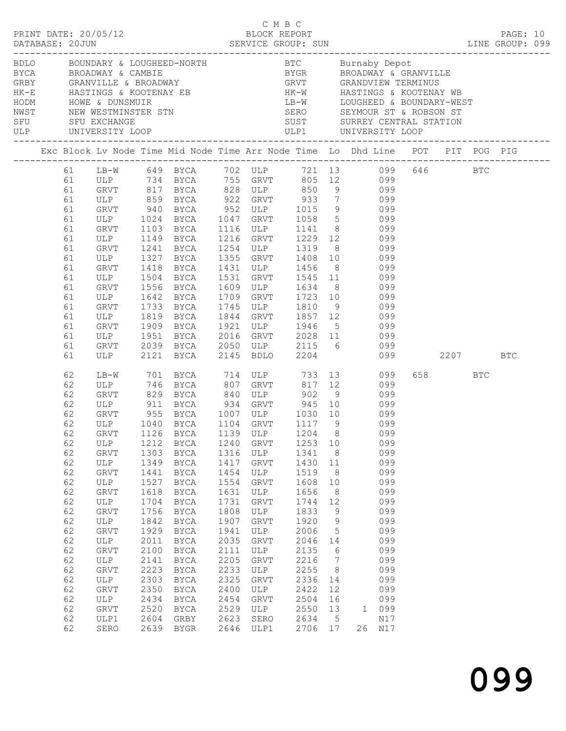|                                                                                                                                                                |                                                                                                                                                                        |                                                                                                                                                      | BDLO BOUNDARY & LOUGHEED-NORTH BTC Burnaby Depot<br>BYCA BROADWAY & CAMBIE<br>GRBY GRANVILLE & BROADWAY GRVT GRANDVIEW TERMINUS<br>HK-E HASTINGS & KOOTENAY EB HK-W HASTINGS & KOOTENAY WB<br>HODM HOWE & DUNSMUIR<br>NWST NEW WESTMINST                                                                                                                                          |                                                                                                                                                              |                                                                                                                                                     |                                                                                                                                                                    |                                                                                                                                                                             |                                                                                                                                                                                                                                                                                               |         |            |  |
|----------------------------------------------------------------------------------------------------------------------------------------------------------------|------------------------------------------------------------------------------------------------------------------------------------------------------------------------|------------------------------------------------------------------------------------------------------------------------------------------------------|-----------------------------------------------------------------------------------------------------------------------------------------------------------------------------------------------------------------------------------------------------------------------------------------------------------------------------------------------------------------------------------|--------------------------------------------------------------------------------------------------------------------------------------------------------------|-----------------------------------------------------------------------------------------------------------------------------------------------------|--------------------------------------------------------------------------------------------------------------------------------------------------------------------|-----------------------------------------------------------------------------------------------------------------------------------------------------------------------------|-----------------------------------------------------------------------------------------------------------------------------------------------------------------------------------------------------------------------------------------------------------------------------------------------|---------|------------|--|
|                                                                                                                                                                |                                                                                                                                                                        |                                                                                                                                                      | Exc Block Lv Node Time Mid Node Time Arr Node Time Lo Dhd Line POT PIT POG PIG                                                                                                                                                                                                                                                                                                    |                                                                                                                                                              |                                                                                                                                                     |                                                                                                                                                                    |                                                                                                                                                                             |                                                                                                                                                                                                                                                                                               |         |            |  |
| 61<br>61<br>61<br>61<br>61<br>61<br>61<br>61<br>61<br>61<br>61<br>61<br>61<br>61<br>61<br>61<br>61<br>61                                                       | GRVT 1103<br>ULP<br>GRVT<br>ULP<br>GRVT<br>ULP<br>GRVT<br>ULP<br>GRVT<br>ULP<br>GRVT<br>ULP<br>GRVT<br>ULP                                                             | 1241<br>1327<br>1418<br>1504<br>1556<br>1642<br>1733<br>1819<br>1909<br>1951<br>1951                                                                 | 61 LB-W 649 BYCA 702 ULP 721 13 099 646 BTC<br>61 ULP 734 BYCA 755 GRVT 805 12 099<br>GRVT 817 BYCA 828 ULP 850<br>ULP 859 BYCA 922 GRVT 933 7 099<br>GRVT 940 BYCA 952 ULP 1015 9 099<br>ULP 1024 BYCA 1047 GRVT 1058 5 099<br>BYCA<br>1149 BYCA<br>BYCA<br>BYCA<br>BYCA<br><b>BYCA</b><br>BYCA<br><b>BYCA</b><br>BYCA<br><b>BYCA</b><br>BYCA<br>BYCA<br>2039 BYCA<br>2121 BYCA  | 1531<br>1709<br>1745<br>1844<br>1921<br>2145                                                                                                                 | 1216 GRVT<br>1355 GRVT<br>1609 ULP 1634 8<br>1709 GRVT 1723 10<br>ULP<br>ULP<br><b>BDLO</b>                                                         |                                                                                                                                                                    |                                                                                                                                                                             | $9$ 099<br>1116 ULP 1141 8 099<br>1229 12 099<br>1254 ULP 1319 8 099<br>1355 GRVT 1408 10 099<br>1431 ULP 1456 8 099<br>GRVT 1545 11 099<br>1634 8 099<br>1723 10 099<br>099<br>1810 9 099<br>GRVT 1857 12 099<br>1946 5 099<br>2016 GRVT 2028 11 099<br>2050 ULP 2115 6 099<br>2204 099 2207 |         | <b>BTC</b> |  |
| 62<br>62<br>62<br>62<br>62<br>62<br>62<br>62<br>62<br>62<br>62<br>62<br>62<br>62<br>62<br>62<br>62<br>62<br>62<br>62<br>62<br>62<br>62<br>62<br>62<br>62<br>62 | GRVT<br>ULP 911<br>ULP<br>GRVT<br>ULP<br>GRVT<br>ULP<br>GRVT<br>ULP<br>GRVT<br>ULP<br>GRVT<br>ULP<br>GRVT<br>ULP<br>GRVT<br>ULP<br>GRVT<br>ULP<br>GRVT<br>ULP1<br>SERO | 1212<br>1303<br>1349<br>1441<br>1527<br>1618<br>1704<br>1756<br>1842<br>1929<br>2011<br>2100<br>2141<br>2223<br>2303<br>2350<br>2434<br>2520<br>2604 | LB-W 701 BYCA 714 ULP 733 13 099<br>ULP 746 BYCA 807 GRVT 817 12 099<br>829 BYCA 840 ULP 902 9 099<br>GRVT 955 BYCA 1007 ULP 1030 10<br>ULP 1040 BYCA 1104 GRVT 1117 9<br>GRVT 1126 BYCA 1139 ULP 1204 8 099<br>BYCA<br>BYCA<br>BYCA<br>BYCA<br>BYCA<br>BYCA<br>BYCA<br>BYCA<br>BYCA<br>BYCA<br>BYCA<br>BYCA<br>BYCA<br>BYCA<br>BYCA<br>BYCA<br>BYCA<br>BYCA<br>GRBY<br>2639 BYGR | 1240<br>1316<br>1417<br>1454<br>1554<br>1631<br>1731<br>1808<br>1907<br>1941<br>2035<br>2111<br>2205<br>2233<br>2325<br>2400<br>2454<br>2529<br>2623<br>2646 | GRVT<br>ULP<br>GRVT<br>ULP<br>GRVT<br>ULP<br>GRVT<br>ULP<br>GRVT<br>ULP<br>GRVT<br>ULP<br>GRVT<br>ULP<br>GRVT<br>ULP<br>GRVT<br>ULP<br>SERO<br>ULP1 | 1253 10<br>1341<br>1430<br>1519<br>1608<br>1656<br>1744<br>1833<br>1920<br>2006<br>2046<br>2135<br>2216<br>2255<br>2336<br>2422<br>2504<br>2550<br>2634<br>2706 17 | 8 <sup>8</sup><br>11<br>8 <sup>8</sup><br>10<br>8<br>12<br>9<br>9<br>$5^{\circ}$<br>14<br>$6\overline{6}$<br>$\overline{7}$<br>8<br>14<br>12<br>16<br>13<br>$5\overline{)}$ | $817 \quad 12$<br>BYCA 934 GRVT 945 10 099<br>099<br>099<br>099<br>099<br>099<br>099<br>099<br>099<br>099<br>099<br>099<br>099<br>099<br>099<br>099<br>099<br>099<br>099<br>099<br>1 099<br>N17<br>26 N17                                                                                     | 658 BTC |            |  |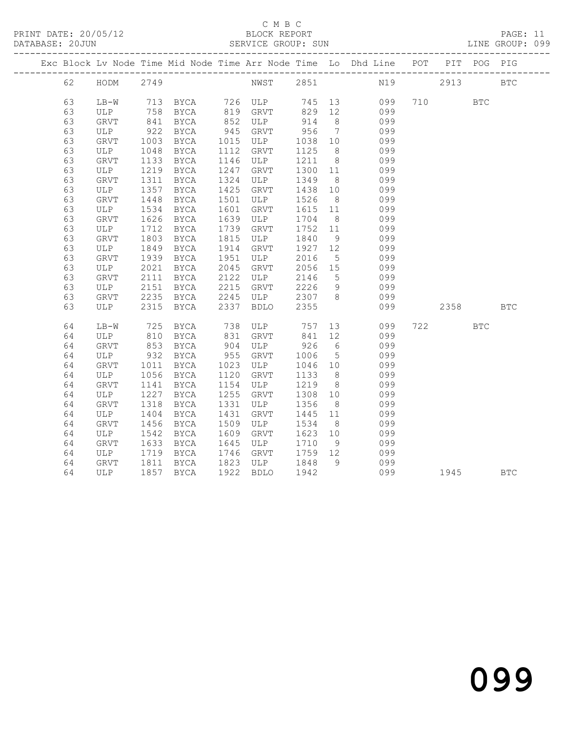#### C M B C<br>BLOCK REPORT

DATABASE: 2010

|  | DAIADAOL. ZUUUN |      |      |      |      | OLINATOL GROOF. SON |        |                |                                                                    |             |             | UINL UNUUL. UJJ |
|--|-----------------|------|------|------|------|---------------------|--------|----------------|--------------------------------------------------------------------|-------------|-------------|-----------------|
|  |                 |      |      |      |      |                     |        |                | Exc Block Lv Node Time Mid Node Time Arr Node Time Lo Dhd Line POT |             | PIT POG PIG |                 |
|  | 62              | HODM |      |      |      |                     |        |                |                                                                    | 2913 — 2013 |             | <b>BTC</b>      |
|  | 63              | LB-W | 713  | BYCA |      | 726 ULP             |        |                | 745 13<br>099                                                      | 710 BTC     |             |                 |
|  | 63              | ULP  | 758  | BYCA | 819  | GRVT                | 829    | 12             | 099                                                                |             |             |                 |
|  | 63              | GRVT | 841  | BYCA | 852  | ULP                 | 914    | 8 <sup>8</sup> | 099                                                                |             |             |                 |
|  | 63              | ULP  | 922  | BYCA | 945  | GRVT                | 956    | $\overline{7}$ | 099                                                                |             |             |                 |
|  | 63              | GRVT | 1003 | BYCA | 1015 | ULP                 | 1038   | 10             | 099                                                                |             |             |                 |
|  | 63              | ULP  | 1048 | BYCA | 1112 | GRVT                | 1125   | -8             | 099                                                                |             |             |                 |
|  | 63              | GRVT | 1133 | BYCA | 1146 | ULP                 | 1211   | 8 <sup>8</sup> | 099                                                                |             |             |                 |
|  | 63              | ULP  | 1219 | BYCA | 1247 | GRVT                | 1300   | 11             | 099                                                                |             |             |                 |
|  | 63              | GRVT | 1311 | BYCA | 1324 | ULP                 | 1349   | 8 <sup>8</sup> | 099                                                                |             |             |                 |
|  | 63              | ULP  | 1357 | BYCA | 1425 | GRVT                | 1438   | 10             | 099                                                                |             |             |                 |
|  | 63              | GRVT | 1448 | BYCA | 1501 | ULP                 | 1526   | 8 <sup>8</sup> | 099                                                                |             |             |                 |
|  | 63              | ULP  | 1534 | BYCA | 1601 | GRVT                | 1615   | 11             | 099                                                                |             |             |                 |
|  | 63              | GRVT | 1626 | BYCA | 1639 | ULP                 | 1704   | 8 <sup>8</sup> | 099                                                                |             |             |                 |
|  | 63              | ULP  | 1712 | BYCA | 1739 | GRVT                | 1752   | 11             | 099                                                                |             |             |                 |
|  | 63              | GRVT | 1803 | BYCA | 1815 | ULP                 | 1840   | 9              | 099                                                                |             |             |                 |
|  | 63              | ULP  | 1849 | BYCA | 1914 | GRVT                | 1927   | 12             | 099                                                                |             |             |                 |
|  | 63              | GRVT | 1939 | BYCA | 1951 | ULP                 | 2016 5 |                | 099                                                                |             |             |                 |
|  |                 |      |      |      |      |                     |        |                |                                                                    |             |             |                 |

| ಀಀ | セハハエ        | エフコフ | DICA        | エフフエ | リロピ         | ZUIU | J  | Uシン |     |      |      |            |
|----|-------------|------|-------------|------|-------------|------|----|-----|-----|------|------|------------|
| 63 | <b>ULP</b>  | 2021 | <b>BYCA</b> | 2045 | GRVT        | 2056 | 15 | 099 |     |      |      |            |
| 63 | GRVT        | 2111 | <b>BYCA</b> | 2122 | ULP         | 2146 | 5  | 099 |     |      |      |            |
| 63 | <b>ULP</b>  | 2151 | <b>BYCA</b> | 2215 | <b>GRVT</b> | 2226 | 9  | 099 |     |      |      |            |
| 63 | <b>GRVT</b> | 2235 | <b>BYCA</b> | 2245 | ULP         | 2307 | 8  | 099 |     |      |      |            |
| 63 | ULP         | 2315 | <b>BYCA</b> | 2337 | <b>BDLO</b> | 2355 |    | 099 |     | 2358 |      | <b>BTC</b> |
| 64 | $LB-W$      | 725  | <b>BYCA</b> | 738  | ULP         | 757  | 13 | 099 | 722 |      | BTC. |            |
| 64 | <b>ULP</b>  | 810  | <b>BYCA</b> | 831  | GRVT        | 841  | 12 | 099 |     |      |      |            |
| 64 | <b>GRVT</b> | 853  | <b>BYCA</b> | 904  | ULP         | 926  | 6  | 099 |     |      |      |            |
| 64 | ULP         | 932  | <b>BYCA</b> | 955  | <b>GRVT</b> | 1006 | 5  | 099 |     |      |      |            |
| 64 | GRVT        | 1011 | <b>BYCA</b> | 1023 | <b>ULP</b>  | 1046 | 10 | 099 |     |      |      |            |
| 64 | ULP         | 1056 | <b>BYCA</b> | 1120 | GRVT        | 1133 | 8  | 099 |     |      |      |            |
| 64 | <b>GRVT</b> | 1141 | <b>BYCA</b> | 1154 | ULP         | 1219 | 8  | 099 |     |      |      |            |
| 64 | ULP         | 1227 | <b>BYCA</b> | 1255 | <b>GRVT</b> | 1308 | 10 | 099 |     |      |      |            |
| 64 | <b>GRVT</b> | 1318 | <b>BYCA</b> | 1331 | ULP         | 1356 | 8  | 099 |     |      |      |            |
| 64 | ULP         | 1404 | <b>BYCA</b> | 1431 | <b>GRVT</b> | 1445 | 11 | 099 |     |      |      |            |
| 64 | GRVT        | 1456 | <b>BYCA</b> | 1509 | <b>ULP</b>  | 1534 | 8  | 099 |     |      |      |            |
| 64 | ULP         | 1542 | <b>BYCA</b> | 1609 | GRVT        | 1623 | 10 | 099 |     |      |      |            |
| 64 | <b>GRVT</b> | 1633 | <b>BYCA</b> | 1645 | ULP         | 1710 | 9  | 099 |     |      |      |            |
| 64 | <b>ULP</b>  | 1719 | <b>BYCA</b> | 1746 | <b>GRVT</b> | 1759 | 12 | 099 |     |      |      |            |
| 64 | GRVT        | 1811 | <b>BYCA</b> | 1823 | ULP         | 1848 | 9  | 099 |     |      |      |            |
| 64 | <b>ULP</b>  | 1857 | <b>BYCA</b> | 1922 | <b>BDLO</b> | 1942 |    | 099 |     | 1945 |      | <b>BTC</b> |
|    |             |      |             |      |             |      |    |     |     |      |      |            |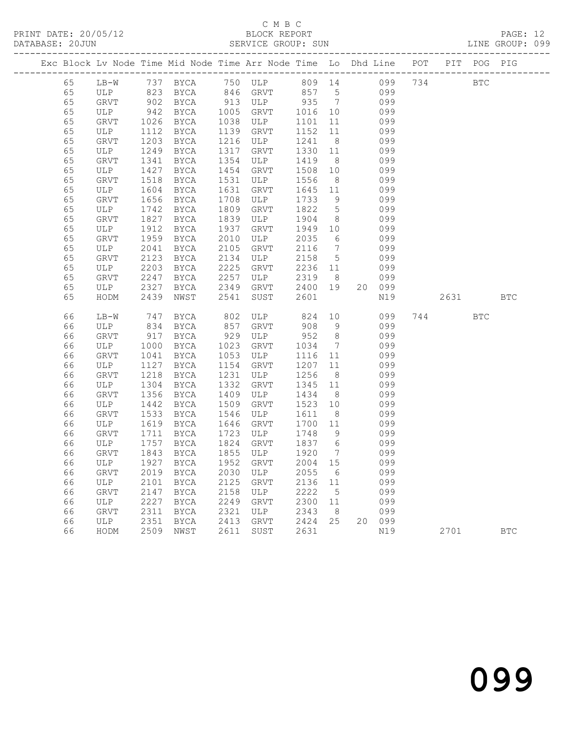### C M B C<br>BLOCK REPORT

PAGE: 12<br>LINE GROUP: 099

|  |          |             |              |                       |              | Exc Block Lv Node Time Mid Node Time Arr Node Time Lo Dhd Line POT PIT POG PIG |                |                       |            |      |            |            |
|--|----------|-------------|--------------|-----------------------|--------------|--------------------------------------------------------------------------------|----------------|-----------------------|------------|------|------------|------------|
|  | 65       |             |              |                       |              | LB-W 737 BYCA 750 ULP 809 14 099 734 BTC                                       |                |                       |            |      |            |            |
|  | 65       |             |              | ULP 823 BYCA 846 GRVT |              |                                                                                | 857 5          |                       | 099        |      |            |            |
|  | 65       | GRVT        | 902          | BYCA                  |              | 913 ULP                                                                        | 935 7          |                       | 099        |      |            |            |
|  | 65       | ULP         | 942          | BYCA                  | 1005         | GRVT                                                                           | 1016           | 10                    | 099        |      |            |            |
|  | 65       | GRVT        | 1026         | <b>BYCA</b>           | 1038         | ULP                                                                            | 1101           | 11                    | 099        |      |            |            |
|  | 65       | ULP         | 1112         | <b>BYCA</b>           | 1139         | GRVT                                                                           | 1152           | 11                    | 099        |      |            |            |
|  | 65       | GRVT        | 1203         | BYCA                  | 1216         | ULP                                                                            | 1241           | 8 <sup>8</sup>        | 099        |      |            |            |
|  | 65       | ULP         | 1249         | BYCA                  | 1317         | GRVT                                                                           | 1330           | 11                    | 099        |      |            |            |
|  | 65       | GRVT        | 1341         | BYCA                  | 1354         | ULP                                                                            | 1419           | 8 <sup>8</sup>        | 099        |      |            |            |
|  | 65       | ULP         | 1427         | BYCA                  | 1454         | GRVT                                                                           | 1508 10        |                       | 099        |      |            |            |
|  | 65       | GRVT        | 1518         | BYCA                  | 1531         | ULP                                                                            | 1556           | 8 <sup>8</sup>        | 099        |      |            |            |
|  | 65       | ULP         | 1604         | BYCA                  | 1631         | GRVT                                                                           | 1645           | 11                    | 099        |      |            |            |
|  | 65       | GRVT        | 1656         | BYCA                  | 1708         | ULP                                                                            | 1733           | 9                     | 099        |      |            |            |
|  | 65       | ULP         | 1742         | BYCA                  | 1809         | GRVT                                                                           | 1822           | $5\overline{)}$       | 099        |      |            |            |
|  | 65       | GRVT        | 1827         | BYCA                  | 1839         | ULP                                                                            | 1904           | 8 <sup>8</sup>        | 099        |      |            |            |
|  | 65<br>65 | ULP         | 1912<br>1959 | BYCA                  | 1937<br>2010 | GRVT<br>ULP                                                                    | 1949<br>2035   | 10<br>$6\overline{6}$ | 099<br>099 |      |            |            |
|  | 65       | GRVT<br>ULP | 2041         | BYCA<br>BYCA          | 2105         | GRVT                                                                           | 2116           | $\overline{7}$        | 099        |      |            |            |
|  | 65       | GRVT        | 2123         | BYCA                  | 2134         | ULP                                                                            | 2158           | $5^{\circ}$           | 099        |      |            |            |
|  | 65       | ULP         | 2203         | BYCA                  | 2225         | GRVT                                                                           | 2236 11        |                       | 099        |      |            |            |
|  | 65       | GRVT        | 2247         | BYCA                  | 2257         | ULP                                                                            | 2319           | 8 <sup>8</sup>        | 099        |      |            |            |
|  | 65       | ULP         | 2327         | BYCA                  | 2349         | GRVT                                                                           | 2400 19        |                       | 20 099     |      |            |            |
|  | 65       | HODM        | 2439         | NWST                  | 2541         | SUST                                                                           | 2601           |                       | N19        | 2631 |            | <b>BTC</b> |
|  |          |             |              |                       |              |                                                                                |                |                       |            |      |            |            |
|  | 66       | $LB-W$      | 747          | BYCA                  | 802          | ULP                                                                            | 824            | 10                    | 099        | 744  | <b>BTC</b> |            |
|  | 66       | ULP         | 834          | BYCA                  | 857          | GRVT                                                                           | 908 9          |                       | 099        |      |            |            |
|  | 66       | GRVT        | 917          | BYCA                  | 929          | ULP                                                                            | 952            | 8 <sup>8</sup>        | 099        |      |            |            |
|  | 66       | ULP         | 1000         | <b>BYCA</b>           | 1023         | GRVT                                                                           | 1034           | $7\overline{ }$       | 099        |      |            |            |
|  | 66       | GRVT        | 1041         | BYCA                  | 1053         | ULP                                                                            | 1116           | 11                    | 099        |      |            |            |
|  | 66       | ULP         | 1127         | BYCA                  | 1154         | GRVT                                                                           | 1207 11        |                       | 099        |      |            |            |
|  | 66       | GRVT        | 1218         | BYCA                  | 1231         | ULP                                                                            | 1256           | 8 <sup>8</sup>        | 099        |      |            |            |
|  | 66       | ULP         | 1304         | BYCA                  | 1332         | GRVT                                                                           | 1345 11        |                       | 099        |      |            |            |
|  | 66       | GRVT        | 1356         | BYCA                  | 1409         | ULP                                                                            | 1434           | 8 <sup>8</sup>        | 099        |      |            |            |
|  | 66       | ULP         | 1442         | BYCA                  | 1509         | GRVT                                                                           | 1523 10        |                       | 099        |      |            |            |
|  | 66       | GRVT        | 1533         | BYCA                  | 1546         | ULP                                                                            | 1611           | 8 <sup>8</sup>        | 099        |      |            |            |
|  | 66       | ULP         | 1619         | BYCA                  | 1646         | GRVT                                                                           | 1700 11        |                       | 099        |      |            |            |
|  | 66<br>66 | GRVT<br>ULP | 1711<br>1757 | BYCA                  | 1723<br>1824 | ULP<br>GRVT                                                                    | 1748<br>1837 6 | 9                     | 099<br>099 |      |            |            |
|  | 66       | GRVT        | 1843         | BYCA<br><b>BYCA</b>   | 1855         | ULP                                                                            | 1920           | $\overline{7}$        | 099        |      |            |            |
|  | 66       |             |              |                       |              | ULP 1927 BYCA 1952 GRVT 2004 15                                                |                |                       | 099        |      |            |            |
|  | 66       | GRVT        |              | 2019 BYCA             | 2030         | ULP                                                                            | 2055           | - 6                   | 099        |      |            |            |
|  | 66       | ULP         | 2101         | BYCA                  | 2125         | GRVT                                                                           | 2136 11        |                       | 099        |      |            |            |
|  | 66       | GRVT        | 2147         | BYCA                  | 2158         | ULP                                                                            | 2222           | $5\phantom{.0}$       | 099        |      |            |            |
|  | 66       | ULP         | 2227         | <b>BYCA</b>           | 2249         | GRVT                                                                           | 2300           | 11                    | 099        |      |            |            |
|  | 66       | GRVT        | 2311         | <b>BYCA</b>           | 2321         | ULP                                                                            | 2343           | 8                     | 099        |      |            |            |
|  | 66       | ULP         | 2351         | BYCA                  | 2413         | GRVT                                                                           | 2424           | 25                    | 20 099     |      |            |            |
|  | 66       | HODM        | 2509         | NWST                  | 2611         | SUST                                                                           | 2631           |                       | N19        | 2701 |            | <b>BTC</b> |
|  |          |             |              |                       |              |                                                                                |                |                       |            |      |            |            |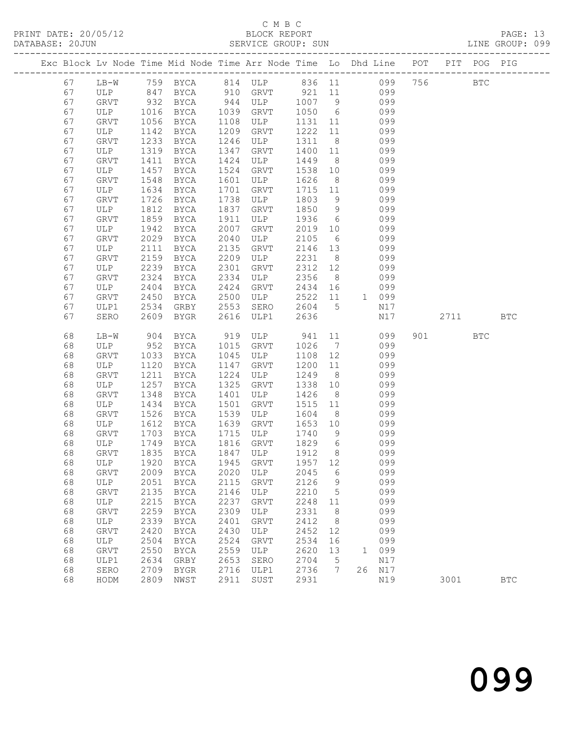PRINT DATE: 20/05/12 BLOCK REPORT BLOCK PRINT PAGE: 13 DATABASE: 20JUN

### C M B C<br>BLOCK REPORT

|  | DATABASE: 20JUN |             |      |             |      | SERVICE GROUP: SUN |      |               |                                                                |     |             | LINE GROUP: 099 |  |
|--|-----------------|-------------|------|-------------|------|--------------------|------|---------------|----------------------------------------------------------------|-----|-------------|-----------------|--|
|  |                 |             |      |             |      |                    |      |               | Exc Block Lv Node Time Mid Node Time Arr Node Time Lo Dhd Line | POT | PIT POG PIG |                 |  |
|  | 67              | LB-W        |      | 759 BYCA    |      | 814 ULP            |      |               | 836 11<br>099                                                  |     | BTC         |                 |  |
|  | 67              | ULP         | 847  | BYCA        | 910  | GRVT               | 921  | 11            | 099                                                            |     |             |                 |  |
|  | 67              | GRVT        | 932  | BYCA        | 944  | ULP                | 1007 | -9            | 099                                                            |     |             |                 |  |
|  | 67              | ULP         | 1016 | BYCA        | 1039 | GRVT               | 1050 | 6             | 099                                                            |     |             |                 |  |
|  | 67              | GRVT        | 1056 | <b>BYCA</b> | 1108 | ULP                | 1131 | 11            | 099                                                            |     |             |                 |  |
|  | 67              | ULP         | 1142 | BYCA        | 1209 | GRVT               | 1222 | - 11          | 099                                                            |     |             |                 |  |
|  | 67              | GRVT        | 1233 | BYCA        | 1246 | ULP                | 1311 | - 8           | 099                                                            |     |             |                 |  |
|  | 67              | ULP         | 1319 | BYCA        | 1347 | GRVT               | 1400 | 11            | 099                                                            |     |             |                 |  |
|  | 67              | GRVT        | 1411 | BYCA        | 1424 | ULP                | 1449 | 8             | 099                                                            |     |             |                 |  |
|  | 67              | ULP         | 1457 | <b>BYCA</b> | 1524 | GRVT               | 1538 | 10            | 099                                                            |     |             |                 |  |
|  | 67              | GRVT        | 1548 | BYCA        | 1601 | ULP                | 1626 | -8            | 099                                                            |     |             |                 |  |
|  | 67              | ULP         | 1634 | BYCA        | 1701 | GRVT               | 1715 | 11            | 099                                                            |     |             |                 |  |
|  | 67              | GRVT        | 1726 | BYCA        | 1738 | ULP                | 1803 | 9             | 099                                                            |     |             |                 |  |
|  | 67              | ULP         | 1812 | BYCA        | 1837 | GRVT               | 1850 | 9             | 099                                                            |     |             |                 |  |
|  | 67              | GRVT        | 1859 | BYCA        | 1911 | ULP                | 1936 | 6             | 099                                                            |     |             |                 |  |
|  | 67              | ULP         | 1942 | BYCA        | 2007 | GRVT               | 2019 | 10            | 099                                                            |     |             |                 |  |
|  | 67              | <b>GRVT</b> |      | $2029$ BYCA | 2040 | IJI.P              | 2105 | $6 \sqrt{25}$ | 099                                                            |     |             |                 |  |

| 67 | GRVT         | 2029 | BYCA        | 2040 | ULP         | 2105 | 6  |              | 099 |     |      |            |            |
|----|--------------|------|-------------|------|-------------|------|----|--------------|-----|-----|------|------------|------------|
| 67 | ULP          | 2111 | <b>BYCA</b> | 2135 | <b>GRVT</b> | 2146 | 13 |              | 099 |     |      |            |            |
| 67 | <b>GRVT</b>  | 2159 | <b>BYCA</b> | 2209 | ULP         | 2231 | 8  |              | 099 |     |      |            |            |
| 67 | ULP          | 2239 | <b>BYCA</b> | 2301 | GRVT        | 2312 | 12 |              | 099 |     |      |            |            |
| 67 | <b>GRVT</b>  | 2324 | <b>BYCA</b> | 2334 | ULP         | 2356 | 8  |              | 099 |     |      |            |            |
| 67 | ULP          | 2404 | <b>BYCA</b> | 2424 | <b>GRVT</b> | 2434 | 16 |              | 099 |     |      |            |            |
| 67 | <b>GRVT</b>  | 2450 | <b>BYCA</b> | 2500 | ULP         | 2522 | 11 | $\mathbf{1}$ | 099 |     |      |            |            |
| 67 | ULP1         | 2534 | GRBY        | 2553 | SERO        | 2604 | 5  |              | N17 |     |      |            |            |
| 67 | SERO         | 2609 | BYGR        | 2616 | ULP1        | 2636 |    |              | N17 |     | 2711 |            | <b>BTC</b> |
| 68 | $LB-W$       | 904  | <b>BYCA</b> | 919  | ULP         | 941  | 11 |              | 099 | 901 |      | <b>BTC</b> |            |
| 68 | ULP          | 952  | BYCA        | 1015 | <b>GRVT</b> | 1026 | 7  |              | 099 |     |      |            |            |
| 68 | GRVT         | 1033 | BYCA        | 1045 | ULP         | 1108 | 12 |              | 099 |     |      |            |            |
| 68 | ULP          | 1120 | BYCA        | 1147 | <b>GRVT</b> | 1200 | 11 |              | 099 |     |      |            |            |
| 68 | <b>GRVT</b>  | 1211 | BYCA        | 1224 | ULP         | 1249 | 8  |              | 099 |     |      |            |            |
| 68 | ULP          | 1257 | <b>BYCA</b> | 1325 | <b>GRVT</b> | 1338 | 10 |              | 099 |     |      |            |            |
| 68 | GRVT         | 1348 | <b>BYCA</b> | 1401 | ULP         | 1426 | 8  |              | 099 |     |      |            |            |
| 68 | ULP          | 1434 | <b>BYCA</b> | 1501 | GRVT        | 1515 | 11 |              | 099 |     |      |            |            |
| 68 | <b>GRVT</b>  | 1526 | <b>BYCA</b> | 1539 | ULP         | 1604 | 8  |              | 099 |     |      |            |            |
| 68 | ULP          | 1612 | BYCA        | 1639 | <b>GRVT</b> | 1653 | 10 |              | 099 |     |      |            |            |
| 68 | <b>GRVT</b>  | 1703 | BYCA        | 1715 | ULP         | 1740 | 9  |              | 099 |     |      |            |            |
| 68 | ULP          | 1749 | <b>BYCA</b> | 1816 | <b>GRVT</b> | 1829 | 6  |              | 099 |     |      |            |            |
| 68 | ${\tt GRVT}$ | 1835 | <b>BYCA</b> | 1847 | ULP         | 1912 | 8  |              | 099 |     |      |            |            |
| 68 | ULP          | 1920 | <b>BYCA</b> | 1945 | <b>GRVT</b> | 1957 | 12 |              | 099 |     |      |            |            |
| 68 | <b>GRVT</b>  | 2009 | BYCA        | 2020 | ULP         | 2045 | 6  |              | 099 |     |      |            |            |
| 68 | ULP          | 2051 | BYCA        | 2115 | <b>GRVT</b> | 2126 | 9  |              | 099 |     |      |            |            |
| 68 | <b>GRVT</b>  | 2135 | BYCA        | 2146 | <b>ULP</b>  | 2210 | 5  |              | 099 |     |      |            |            |
| 68 | ULP          | 2215 | <b>BYCA</b> | 2237 | <b>GRVT</b> | 2248 | 11 |              | 099 |     |      |            |            |
| 68 | GRVT         | 2259 | <b>BYCA</b> | 2309 | ULP         | 2331 | 8  |              | 099 |     |      |            |            |
| 68 | <b>ULP</b>   | 2339 | <b>BYCA</b> | 2401 | GRVT        | 2412 | 8  |              | 099 |     |      |            |            |
| 68 | ${\tt GRVT}$ | 2420 | <b>BYCA</b> | 2430 | ULP         | 2452 | 12 |              | 099 |     |      |            |            |
| 68 | ULP          | 2504 | BYCA        | 2524 | GRVT        | 2534 | 16 |              | 099 |     |      |            |            |
| 68 | <b>GRVT</b>  | 2550 | <b>BYCA</b> | 2559 | ULP         | 2620 | 13 | $\mathbf{1}$ | 099 |     |      |            |            |
| 68 | ULP1         | 2634 | GRBY        | 2653 | SERO        | 2704 | 5  |              | N17 |     |      |            |            |
| 68 | SERO         | 2709 | <b>BYGR</b> | 2716 | ULP1        | 2736 | 7  | 26           | N17 |     |      |            |            |
| 68 | HODM         | 2809 | NWST        | 2911 | SUST        | 2931 |    |              | N19 |     | 3001 |            | <b>BTC</b> |
|    |              |      |             |      |             |      |    |              |     |     |      |            |            |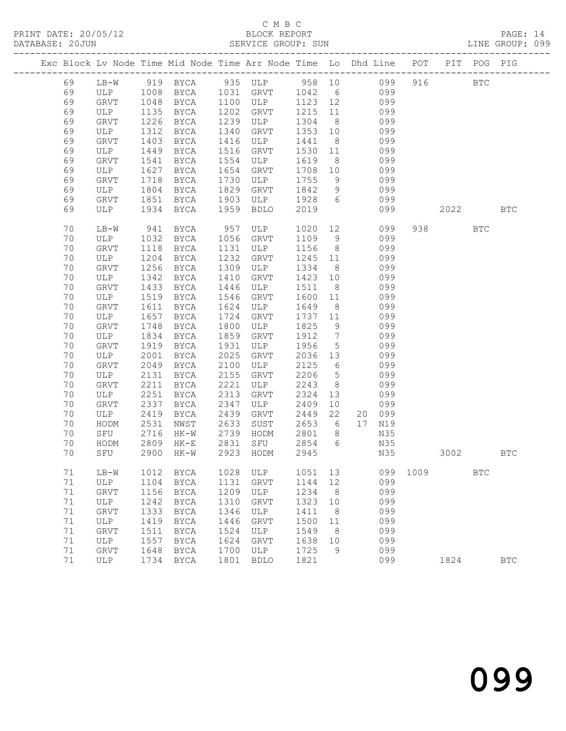## C M B C<br>BLOCK REPORT

PAGE: 14<br>LINE GROUP: 099

|  |    |             |      |             |      | Exc Block Lv Node Time Mid Node Time Arr Node Time Lo Dhd Line POT     |         |                 |     |        |      |      | PIT POG PIG |              |
|--|----|-------------|------|-------------|------|------------------------------------------------------------------------|---------|-----------------|-----|--------|------|------|-------------|--------------|
|  | 69 |             |      |             |      | LB-W 919 BYCA 935 ULP 958 10 099<br>ULP 1008 BYCA 1031 GRVT 1042 6 099 |         |                 |     |        | 916  |      | <b>BTC</b>  |              |
|  | 69 |             |      |             |      |                                                                        |         |                 |     |        |      |      |             |              |
|  | 69 | GRVT        | 1048 | BYCA        |      | 1100 ULP                                                               | 1123 12 |                 | 099 |        |      |      |             |              |
|  | 69 | ULP         | 1135 | BYCA        | 1202 | GRVT                                                                   | 1215 11 |                 | 099 |        |      |      |             |              |
|  | 69 | GRVT        | 1226 | BYCA        | 1239 | ULP                                                                    | 1304    | 8 <sup>8</sup>  |     | 099    |      |      |             |              |
|  | 69 | ULP         | 1312 | BYCA        | 1340 | GRVT                                                                   | 1353    | 10              |     | 099    |      |      |             |              |
|  | 69 | GRVT        | 1403 | BYCA        | 1416 | ULP                                                                    | 1441    | 8 <sup>8</sup>  |     | 099    |      |      |             |              |
|  | 69 | ULP         | 1449 | BYCA        | 1516 | GRVT                                                                   | 1530    | 11              |     | 099    |      |      |             |              |
|  | 69 | <b>GRVT</b> | 1541 | BYCA        | 1554 | ULP                                                                    | 1619    | 8 <sup>8</sup>  |     | 099    |      |      |             |              |
|  | 69 | ULP         | 1627 | BYCA        | 1654 | <b>GRVT</b>                                                            | 1708 10 |                 |     | 099    |      |      |             |              |
|  | 69 | GRVT        | 1718 | BYCA        | 1730 | ULP                                                                    | 1755    | 9               |     | 099    |      |      |             |              |
|  | 69 | ULP         | 1804 | BYCA        | 1829 | GRVT                                                                   | 1842    | 9               | 099 |        |      |      |             |              |
|  | 69 | GRVT        | 1851 | BYCA        | 1903 | ULP                                                                    | 1928    | 6               |     | 099    |      |      |             |              |
|  | 69 | ULP         | 1934 | BYCA        | 1959 | <b>BDLO</b>                                                            | 2019    |                 |     | 099    |      | 2022 |             | <b>BTC</b>   |
|  |    |             |      |             |      |                                                                        |         |                 |     |        |      |      |             |              |
|  | 70 | $LB-W$      | 941  | BYCA        | 957  | ULP                                                                    | 1020    |                 | 12  | 099    |      |      | BTC         |              |
|  | 70 | ULP         | 1032 | BYCA        | 1056 | GRVT                                                                   | 1109    | 9               |     | 099    |      |      |             |              |
|  | 70 | <b>GRVT</b> | 1118 | BYCA        | 1131 | ULP                                                                    | 1156    | 8 <sup>8</sup>  |     | 099    |      |      |             |              |
|  | 70 | ULP         | 1204 | BYCA        | 1232 | <b>GRVT</b>                                                            | 1245 11 |                 |     | 099    |      |      |             |              |
|  | 70 | GRVT        | 1256 | BYCA        | 1309 | ULP                                                                    | 1334    | 8 <sup>8</sup>  |     | 099    |      |      |             |              |
|  | 70 | ULP         | 1342 | BYCA        | 1410 | GRVT                                                                   | 1423    | 10              |     | 099    |      |      |             |              |
|  | 70 | GRVT        | 1433 | BYCA        | 1446 | ULP                                                                    | 1511    | 8 <sup>8</sup>  |     | 099    |      |      |             |              |
|  | 70 | ULP         | 1519 | BYCA        | 1546 | GRVT                                                                   | 1600    | 11              |     | 099    |      |      |             |              |
|  | 70 | GRVT        | 1611 | BYCA        | 1624 | ULP                                                                    | 1649    | 8 <sup>8</sup>  | 099 |        |      |      |             |              |
|  | 70 | ULP         | 1657 | BYCA        | 1724 | GRVT                                                                   | 1737    | 11              |     | 099    |      |      |             |              |
|  | 70 | GRVT        | 1748 | BYCA        | 1800 | ULP                                                                    | 1825    | 9               |     | 099    |      |      |             |              |
|  | 70 | ULP         | 1834 | BYCA        | 1859 | GRVT                                                                   | 1912    | $\overline{7}$  |     | 099    |      |      |             |              |
|  | 70 | GRVT        | 1919 | BYCA        | 1931 | ULP                                                                    | 1956    | $5\overline{)}$ |     | 099    |      |      |             |              |
|  | 70 | ULP         | 2001 | BYCA        | 2025 | GRVT                                                                   | 2036 13 |                 |     | 099    |      |      |             |              |
|  | 70 | GRVT        | 2049 | BYCA        | 2100 | ULP                                                                    | 2125    | 6               |     | 099    |      |      |             |              |
|  | 70 | ULP         | 2131 | BYCA        | 2155 | GRVT                                                                   | 2206    | $5\overline{)}$ |     | 099    |      |      |             |              |
|  | 70 | GRVT        | 2211 | BYCA        | 2221 | ULP                                                                    | 2243    | 8 <sup>8</sup>  |     | 099    |      |      |             |              |
|  | 70 | ULP         | 2251 | BYCA        | 2313 | GRVT                                                                   | 2324    | 13              |     | 099    |      |      |             |              |
|  | 70 | <b>GRVT</b> | 2337 | BYCA        | 2347 | ULP                                                                    | 2409    | 10              |     | 099    |      |      |             |              |
|  | 70 | ULP         | 2419 | BYCA        | 2439 | GRVT                                                                   | 2449    | 22              |     | 20 099 |      |      |             |              |
|  | 70 | HODM        | 2531 | NWST        | 2633 | SUST                                                                   | 2653    | 6               |     | 17 N19 |      |      |             |              |
|  | 70 | SFU         | 2716 | HK-W        | 2739 | HODM                                                                   | 2801    | 8 <sup>8</sup>  |     | N35    |      |      |             |              |
|  | 70 | HODM        | 2809 | HK-E        | 2831 | SFU                                                                    | 2854    | 6               |     | N35    |      |      |             |              |
|  | 70 | SFU         | 2900 | HK-W        |      | 2923 HODM                                                              | 2945    |                 |     | N35    |      | 3002 |             | BTC          |
|  | 71 | $LB-W$      | 1012 | BYCA        | 1028 | ULP                                                                    | 1051    | 13              |     | 099    | 1009 |      | <b>BTC</b>  |              |
|  | 71 | ULP         | 1104 | BYCA        | 1131 | GRVT                                                                   | 1144    | 12              |     | 099    |      |      |             |              |
|  | 71 | <b>GRVT</b> | 1156 | BYCA        | 1209 | ULP                                                                    | 1234    | 8               |     | 099    |      |      |             |              |
|  | 71 | ULP         | 1242 | BYCA        | 1310 | GRVT                                                                   | 1323    | 10              |     | 099    |      |      |             |              |
|  | 71 | <b>GRVT</b> | 1333 | <b>BYCA</b> | 1346 | ULP                                                                    | 1411    | 8               |     | 099    |      |      |             |              |
|  | 71 | ULP         | 1419 | BYCA        | 1446 | GRVT                                                                   | 1500    | 11              |     | 099    |      |      |             |              |
|  | 71 | <b>GRVT</b> | 1511 | <b>BYCA</b> | 1524 | ULP                                                                    | 1549    | 8               |     | 099    |      |      |             |              |
|  | 71 | ULP         | 1557 | BYCA        | 1624 | GRVT                                                                   | 1638    | 10              |     | 099    |      |      |             |              |
|  | 71 | GRVT        | 1648 | <b>BYCA</b> | 1700 | ULP                                                                    | 1725    | 9               |     | 099    |      |      |             |              |
|  | 71 | ULP         | 1734 | BYCA        | 1801 | <b>BDLO</b>                                                            | 1821    |                 |     | 099    |      | 1824 |             | $_{\rm BTC}$ |
|  |    |             |      |             |      |                                                                        |         |                 |     |        |      |      |             |              |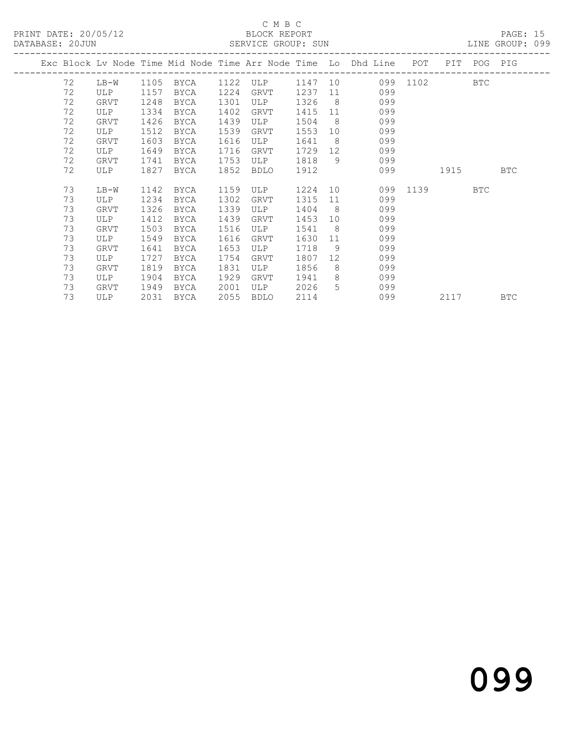#### C M B C<br>BLOCK REPORT

| DATABASE: 20JUN |           |             |      |                    |      |      |         |                 | SERVICE GROUP: SUN                                                             |          |            | LINE GROUP: 099 |  |
|-----------------|-----------|-------------|------|--------------------|------|------|---------|-----------------|--------------------------------------------------------------------------------|----------|------------|-----------------|--|
|                 |           |             |      |                    |      |      |         |                 | Exc Block Lv Node Time Mid Node Time Arr Node Time Lo Dhd Line POT PIT POG PIG |          |            |                 |  |
|                 | $72$ LB-W |             |      | 1105 BYCA 1122 ULP |      |      |         |                 | 1147 10 099 1102                                                               |          | <b>BTC</b> |                 |  |
|                 | 72        | ULP         | 1157 | BYCA               | 1224 | GRVT | 1237    |                 | 11 \,<br>099                                                                   |          |            |                 |  |
|                 | 72        | GRVT        | 1248 | BYCA               | 1301 | ULP  | 1326    |                 | 8 <sup>8</sup><br>099                                                          |          |            |                 |  |
|                 | 72        | ULP         | 1334 | BYCA               | 1402 | GRVT | 1415    |                 | 11 — 1<br>099                                                                  |          |            |                 |  |
|                 | 72        | GRVT        | 1426 | BYCA               | 1439 | ULP  | 1504    | 8 <sup>8</sup>  | 099                                                                            |          |            |                 |  |
|                 | 72        | ULP         | 1512 | BYCA               | 1539 | GRVT | 1553    | 10              | 099                                                                            |          |            |                 |  |
|                 | 72        | GRVT        | 1603 | BYCA               | 1616 | ULP  | 1641    |                 | 8 <sup>8</sup><br>099                                                          |          |            |                 |  |
|                 | 72        | ULP         | 1649 | BYCA               | 1716 | GRVT | 1729 12 |                 | 099                                                                            |          |            |                 |  |
|                 | 72        | <b>GRVT</b> | 1741 | BYCA               | 1753 | ULP  | 1818    | 9               | 099                                                                            |          |            |                 |  |
|                 | 72        | ULP         | 1827 | BYCA               | 1852 | BDLO | 1912    |                 | 099                                                                            | 1915     |            | BTC             |  |
|                 | 73        | LB-W        | 1142 | BYCA               | 1159 | ULP  | 1224 10 |                 |                                                                                | 099 1139 | <b>BTC</b> |                 |  |
|                 | 73        | ULP         | 1234 | BYCA               | 1302 | GRVT | 1315    |                 | 11<br>099                                                                      |          |            |                 |  |
|                 | 73        | <b>GRVT</b> | 1326 | BYCA               | 1339 | ULP  | 1404    | 8 <sup>1</sup>  | 099                                                                            |          |            |                 |  |
|                 | 73        | ULP         | 1412 | BYCA               | 1439 | GRVT | 1453    | 10              | 099                                                                            |          |            |                 |  |
|                 | 73        | GRVT        | 1503 | BYCA               | 1516 | ULP  | 1541    | 8 <sup>8</sup>  | 099                                                                            |          |            |                 |  |
|                 | 73        | ULP         | 1549 | BYCA               | 1616 | GRVT | 1630    | 11              | 099                                                                            |          |            |                 |  |
|                 | 73        | GRVT        | 1641 | BYCA               | 1653 | ULP  | 1718    | 9               | 099                                                                            |          |            |                 |  |
|                 | 73        | ULP         | 1727 | <b>BYCA</b>        | 1754 | GRVT | 1807    | 12 <sup>°</sup> | 099                                                                            |          |            |                 |  |
|                 | 73        | GRVT        | 1819 | BYCA               | 1831 | ULP  | 1856    | 8               | 099                                                                            |          |            |                 |  |
|                 | 73        | ULP         | 1904 | BYCA               | 1929 | GRVT | 1941    |                 | $8 - 8$<br>099                                                                 |          |            |                 |  |
|                 | 73        | GRVT        | 1949 | BYCA               | 2001 | ULP  | 2026    |                 | $5 \quad \overline{\phantom{1}}$<br>099                                        |          |            |                 |  |
|                 | 73        | ULP         | 2031 | BYCA               | 2055 | BDLO | 2114    |                 | 099                                                                            | 2117     |            | <b>BTC</b>      |  |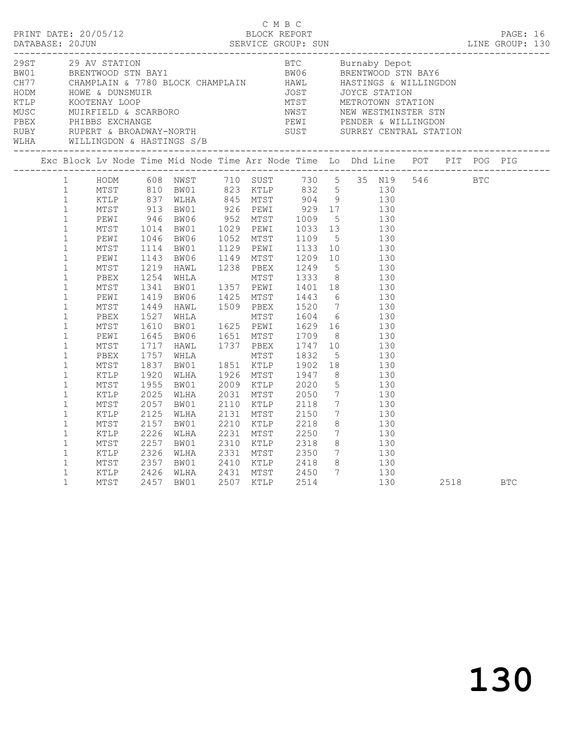| C M B C<br>PRINT DATE: 20/05/12<br>DATABASE: 20JUN SERVICE GROUP: SUN SERVICE SUN LINE GROUP: 130 |                                                                             |                                      |                                      |                                                                                       |           | C M B C                                                |  |                                                                                                                                                                                 |  |      |            |  |
|---------------------------------------------------------------------------------------------------|-----------------------------------------------------------------------------|--------------------------------------|--------------------------------------|---------------------------------------------------------------------------------------|-----------|--------------------------------------------------------|--|---------------------------------------------------------------------------------------------------------------------------------------------------------------------------------|--|------|------------|--|
|                                                                                                   |                                                                             |                                      |                                      |                                                                                       |           |                                                        |  |                                                                                                                                                                                 |  |      |            |  |
|                                                                                                   |                                                                             |                                      |                                      | Exc Block Lv Node Time Mid Node Time Arr Node Time Lo Dhd Line POT PIT POG PIG        |           |                                                        |  |                                                                                                                                                                                 |  |      |            |  |
|                                                                                                   |                                                                             |                                      |                                      | 1 HODM 608 NWST 710 SUST 730 5 35 N19 546 BTC                                         |           |                                                        |  |                                                                                                                                                                                 |  |      |            |  |
|                                                                                                   | $\mathbf{1}$<br>$\mathbf 1$<br>$\mathbf{1}$<br>$\mathbf{1}$<br>$\mathbf{1}$ | MTST<br>KTLP<br>MTST<br>KTLP<br>MTST | 2057<br>2125<br>2157<br>2226<br>2257 | BW01<br>WLHA<br>BW01<br>WLHA<br>BW01                                                  | 2131 MTST | 2110 KTLP 2118<br>2150<br>---- -----<br>2210 KTLP 2218 |  | 7 130<br>$\begin{array}{ccc} 7 & \hspace{1.5cm} 130 \\ 8 & \hspace{1.5cm} 130 \end{array}$<br>$\begin{array}{ccc} 7 & \hspace{1.5cm} 130 \\ 8 & \hspace{1.5cm} 130 \end{array}$ |  |      |            |  |
|                                                                                                   | $\mathbf{1}$<br>$\mathbf{1}$<br>$\mathbf{1}$<br>$\mathbf{1}$                | KTLP<br>MTST<br>KTLP<br>MTST         | 2326<br>2357<br>2426                 | 130<br>2350 7 130<br>2426 WLHA 2431 MTST 2450 7 130<br>2457 BW01 2507 KTLP 2450 7 130 |           |                                                        |  |                                                                                                                                                                                 |  | 2518 | <b>BTC</b> |  |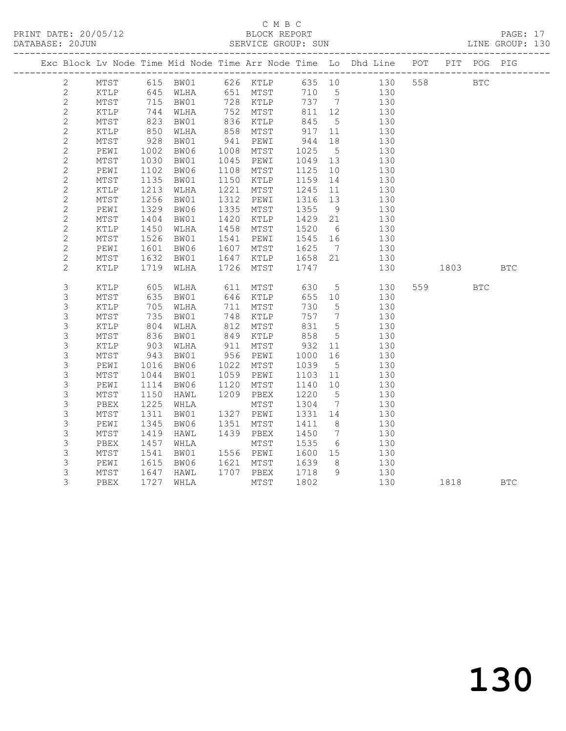## C M B C<br>BLOCK REPORT

PAGE: 17<br>LINE GROUP: 130

|                |                 |                          |           |      |                     |             |                 | Exc Block Lv Node Time Mid Node Time Arr Node Time Lo Dhd Line POT PIT POG PIG |          |            |            |
|----------------|-----------------|--------------------------|-----------|------|---------------------|-------------|-----------------|--------------------------------------------------------------------------------|----------|------------|------------|
| $\mathbf{2}$   |                 |                          |           |      |                     |             |                 |                                                                                |          | <b>BTC</b> |            |
| 2              |                 |                          |           |      |                     |             |                 | MTST 615 BW01 626 KTLP 635 10 130 558<br>KTLP 645 WLHA 651 MTST 710 5 130      |          |            |            |
| $\overline{c}$ | MTST            | $\frac{715}{744}$<br>823 |           |      | BW01 728 KTLP       |             |                 | 737 7 130                                                                      |          |            |            |
| $\sqrt{2}$     | KTLP            |                          | WLHA      |      | 752 MTST            | 811 12      |                 | 130                                                                            |          |            |            |
| $\sqrt{2}$     | MTST            |                          | BW01      |      | $132$ -<br>836 KTLP | 845         | 5 <sup>5</sup>  | 130                                                                            |          |            |            |
| $\overline{c}$ | KTLP            | 850                      | WLHA      | 858  | MTST                | 917         | 11              | 130                                                                            |          |            |            |
| $\mathbf{2}$   | MTST            | 928                      | BW01      | 941  | PEWI                |             | 18              | 130                                                                            |          |            |            |
| $\mathbf{2}$   | PEWI            | 1002                     | BW06      | 1008 | MTST                | 944<br>1025 | $5\overline{)}$ | 130                                                                            |          |            |            |
| $\mathbf{2}$   | MTST            | 1030                     | BW01      | 1045 | PEWI                | 1049        | 13              | 130                                                                            |          |            |            |
| $\sqrt{2}$     | PEWI            | 1102                     | BW06      | 1108 | MTST                | 1125        | 10              | 130                                                                            |          |            |            |
| $\mathbf{2}$   | $\mathtt{MTST}$ | 1135                     | BW01      | 1150 | KTLP                | 1159        | 14              | 130                                                                            |          |            |            |
| $\mathbf{2}$   | KTLP            | 1213                     | WLHA      | 1221 | MTST                | 1245        | 11              | 130                                                                            |          |            |            |
| $\sqrt{2}$     | MTST            | 1256                     | BW01      | 1312 | PEWI                | 1316 13     |                 | 130                                                                            |          |            |            |
| $\mathbf{2}$   | PEWI            | 1329                     | BW06      | 1335 | MTST                | 1355        | 9               | 130                                                                            |          |            |            |
| $\mathbf{2}$   | MTST            | 1404                     | BW01      | 1420 | KTLP                | 1429        | 21              | 130                                                                            |          |            |            |
| $\mathbf{2}$   | KTLP            | 1450                     | WLHA      | 1458 | MTST                | 1520        | $6\overline{6}$ | 130                                                                            |          |            |            |
| $\mathbf{2}$   | MTST            | 1526                     | BW01      | 1541 | PEWI                | 1545 16     |                 | 130                                                                            |          |            |            |
| $\mathbf{2}$   | PEWI            |                          | BW06      | 1607 | MTST                | 1625        | $7\overline{)}$ | 130                                                                            |          |            |            |
| $\mathbf{2}$   | $\mathtt{MTST}$ | $100$<br>1632<br>1719    | BW01      | 1647 | KTLP                | 1658 21     |                 | 130                                                                            |          |            |            |
| $\overline{2}$ | KTLP            |                          | 1719 WLHA | 1726 | MTST                | 1747        |                 | 130                                                                            | 1803 BTC |            |            |
|                |                 |                          |           |      |                     |             |                 |                                                                                |          |            |            |
| $\mathsf S$    | $\texttt{KTLP}$ | 605                      | WLHA      |      | 611 MTST            | 630         |                 | $5 - 5$<br>130                                                                 | 559 35   | <b>BTC</b> |            |
| 3              | MTST            | 635                      | BW01      |      | 646 KTLP            | 655 10      |                 | 130                                                                            |          |            |            |
| 3              | KTLP            | 705                      | WLHA      | 711  | MTST                | 730         | $5\overline{)}$ | 130                                                                            |          |            |            |
| $\mathsf S$    | $\mathtt{MTST}$ | 735                      | BW01      | 748  | KTLP                | 757         | $7\overline{ }$ | 130                                                                            |          |            |            |
| $\mathsf S$    | KTLP            | 804                      | WLHA      | 812  | MTST                | 831         | $5^{\circ}$     | 130                                                                            |          |            |            |
| 3              | $\mathtt{MTST}$ | 836<br>903               | BW01      | 849  | KTLP                | 858<br>932  | 5 <sup>5</sup>  | 130                                                                            |          |            |            |
| $\mathsf S$    | KTLP            |                          | WLHA      | 911  | MTST                |             | 11              | 130                                                                            |          |            |            |
| $\mathsf S$    | MTST            | 943                      | BW01      |      | 956 PEWI            | 1000        | 16              | 130                                                                            |          |            |            |
| $\mathsf 3$    | PEWI            | 1016                     | BW06      | 1022 | MTST                | 1039        | $5\overline{)}$ | 130                                                                            |          |            |            |
| $\mathsf S$    | MTST            | 1044                     | BW01      | 1059 | PEWI                | 1103 11     |                 | 130                                                                            |          |            |            |
| $\mathsf S$    | PEWI            | 1114                     | BW06      | 1120 | MTST                | 1140        | 10              | 130                                                                            |          |            |            |
| $\mathsf S$    | MTST            | 1150                     | HAWL      | 1209 | PBEX                | 1220        | $5\overline{)}$ | 130                                                                            |          |            |            |
| $\mathsf S$    | PBEX            | 1225                     | WHLA      |      | MTST                | 1304        | $\overline{7}$  | 130                                                                            |          |            |            |
| $\mathsf S$    | MTST            | 1311                     | BW01      |      | 1327 PEWI           | 1331 14     |                 | 130                                                                            |          |            |            |
| 3              | PEWI            | 1345                     | BW06      | 1351 | MTST                | 1411        | 8 <sup>8</sup>  | 130                                                                            |          |            |            |
| 3              | MTST            | 1419                     | HAWL      |      | 1439 PBEX           | 1450        | $7\overline{ }$ | 130                                                                            |          |            |            |
| $\mathsf S$    | PBEX            | 1457                     | WHLA      |      | MTST                | 1535        | $6\overline{6}$ | 130                                                                            |          |            |            |
| 3              | $\mathtt{MTST}$ | 1541                     | BW01      |      | 1556 PEWI           | 1600 15     |                 | 130                                                                            |          |            |            |
| $\mathsf 3$    | PEWI            | 1615                     | BW06      |      | 1621 MTST           | 1639        | 8 <sup>8</sup>  | 130                                                                            |          |            |            |
| 3              | $\mathtt{MTST}$ | 1647                     | HAWL      |      | 1707 PBEX           | 1718        | 9               | 130                                                                            |          |            |            |
| 3              | PBEX            | 1727                     | WHLA      |      | MTST                | 1802        |                 | 130                                                                            | 1818     |            | <b>BTC</b> |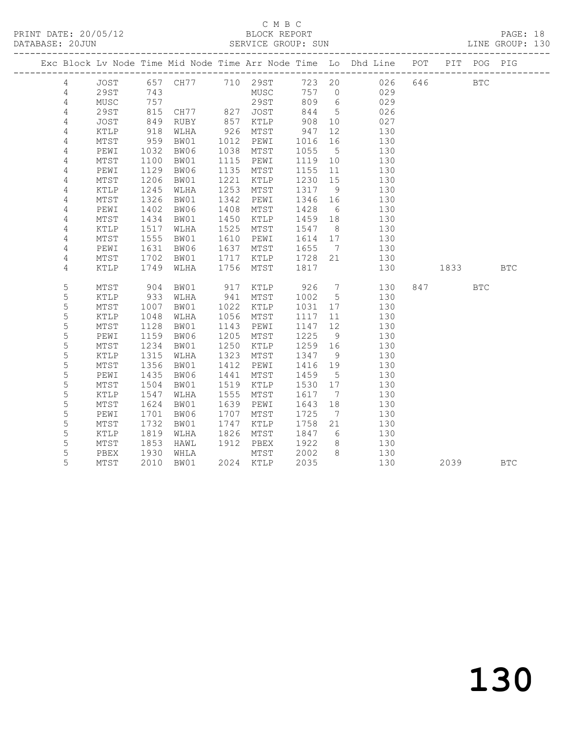## C M B C<br>BLOCK REPORT

PAGE: 18<br>LINE GROUP: 130

|                |                 |            |                                                               |      |              |            |                 | Exc Block Lv Node Time Mid Node Time Arr Node Time Lo Dhd Line POT PIT POG PIG |         |            |            |
|----------------|-----------------|------------|---------------------------------------------------------------|------|--------------|------------|-----------------|--------------------------------------------------------------------------------|---------|------------|------------|
| $\overline{4}$ |                 |            |                                                               |      |              |            |                 | JOST 657 CH77 710 29ST 723 20 026                                              | 646 BTC |            |            |
| 4              | 29ST            | 743        |                                                               |      | MUSC         |            |                 | 757 0 029                                                                      |         |            |            |
| 4              | MUSC            | 757        |                                                               |      | 29ST         | 809 6      |                 | 029                                                                            |         |            |            |
| 4              | 29ST            | 815<br>849 | CH77            827     JOST<br>RUBY             857     KTLP |      |              | 844<br>908 | $5\overline{)}$ | 026                                                                            |         |            |            |
| $\sqrt{4}$     | JOST            |            |                                                               |      |              |            | 10              | 027                                                                            |         |            |            |
| 4              | KTLP            | 918        | WLHA                                                          |      | 926 MTST     | 947        | 12              | 130                                                                            |         |            |            |
| 4              | MTST            | 959        | BW01                                                          |      | 1012 PEWI    | 1016       | 16              | 130                                                                            |         |            |            |
| 4              | PEWI            | 1032       | BW06                                                          |      | 1038 MTST    | 1055 5     |                 | 130                                                                            |         |            |            |
| 4              | MTST            | 1100       | BW01                                                          |      | 1115 PEWI    | 1119 10    |                 | 130                                                                            |         |            |            |
| 4              | PEWI            | 1129       | BW06                                                          | 1135 | MTST         | 1155 11    |                 | 130                                                                            |         |            |            |
| 4              | MTST            | 1206       | BW01                                                          | 1221 | KTLP         | 1230 15    |                 | 130                                                                            |         |            |            |
| 4              | KTLP            | 1245       | WLHA                                                          | 1253 | MTST         | 1317 9     |                 | 130                                                                            |         |            |            |
| 4              | $\mathtt{MTST}$ | 1326       | BW01                                                          | 1342 | PEWI         | 1346 16    |                 | 130                                                                            |         |            |            |
| 4              | PEWI            | 1402       | BW06                                                          | 1408 | MTST         | 1428       | 6               | 130                                                                            |         |            |            |
| 4              | MTST            | 1434       | BW01                                                          | 1450 | KTLP         | 1459 18    |                 | 130                                                                            |         |            |            |
| 4              | KTLP            | 1517       | WLHA                                                          | 1525 | MTST         | 1547 8     |                 | 130                                                                            |         |            |            |
| 4              | MTST            | 1555       | BW01                                                          | 1610 | PEWI         | 1614 17    |                 | 130                                                                            |         |            |            |
| 4              | PEWI            | 1631       | BW06                                                          | 1637 | MTST         | 1655 7     |                 | 130                                                                            |         |            |            |
| 4              | $\mathtt{MTST}$ | 1702       | BW01                                                          | 1717 | KTLP 1728 21 |            |                 | 130                                                                            |         |            |            |
| 4              | KTLP            | 1749       | WLHA                                                          | 1756 | MTST         | 1817       |                 | 130                                                                            | 1833    |            | <b>BTC</b> |
| 5              | MTST            | 904        | BW01                                                          | 917  | KTLP         |            |                 | 926 7<br>130                                                                   | 847     | <b>BTC</b> |            |
| 5              | KTLP            | 933        | WLHA                                                          | 941  | MTST         | 1002 5     |                 | 130                                                                            |         |            |            |
| $\mathsf S$    | MTST            | 1007       | BW01                                                          |      | 1022 KTLP    | 1031       | 17              | 130                                                                            |         |            |            |
| 5              | KTLP            | 1048       | WLHA                                                          | 1056 | MTST         | 1117       | 11              | 130                                                                            |         |            |            |
| 5              | MTST            | 1128       | BW01                                                          | 1143 | PEWI         | 1147 12    |                 | 130                                                                            |         |            |            |
| 5              | PEWI            | 1159       | BW06                                                          | 1205 | MTST         | 1225       | 9               | 130                                                                            |         |            |            |
| 5              | MTST            | 1234       | BW01                                                          | 1250 | KTLP         | 1259 16    |                 | 130                                                                            |         |            |            |
| 5              | KTLP            | 1315       | WLHA                                                          | 1323 | MTST         | 1347       | 9               | 130                                                                            |         |            |            |
| 5              | MTST            | 1356       | BW01                                                          | 1412 | PEWI         | 1416 19    |                 | 130                                                                            |         |            |            |
| 5              | PEWI            | 1435       | BW06                                                          | 1441 | MTST         | 1459       | $5^{\circ}$     | 130                                                                            |         |            |            |
| 5              | $\mathtt{MTST}$ | 1504       | BW01                                                          | 1519 | KTLP         | 1530 17    |                 | 130                                                                            |         |            |            |
| 5              | KTLP            | 1547       | WLHA                                                          | 1555 | MTST         | 1617 7     |                 | 130                                                                            |         |            |            |
| 5              | MTST            | 1624       | BW01                                                          | 1639 | PEWI         | 1643       | 18              | 130                                                                            |         |            |            |
| 5              | PEWI            | 1701       | BW06                                                          | 1707 | MTST         | 1725       | $7\overline{ }$ | 130                                                                            |         |            |            |
| 5              | $\mathtt{MTST}$ | 1732       | BW01                                                          | 1747 | KTLP         | 1758 21    |                 | 130                                                                            |         |            |            |
| 5              | KTLP            | 1819       | WLHA                                                          | 1826 | MTST         | 1847       | 6               | 130                                                                            |         |            |            |
| 5              | MTST            | 1853       | HAWL                                                          |      | 1912 PBEX    | 1922       | 8 <sup>8</sup>  | 130                                                                            |         |            |            |
| 5              | PBEX            | 1930       | WHLA                                                          |      | MTST         | 2002       | 8 <sup>8</sup>  | 130                                                                            |         |            |            |
| 5              | MTST            | 2010       | BW01                                                          |      | 2024 KTLP    | 2035       |                 | 130                                                                            | 2039    |            | <b>BTC</b> |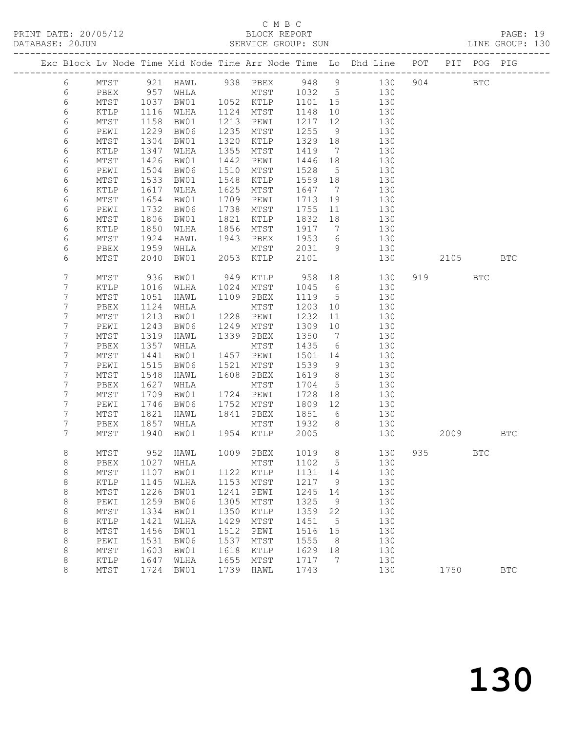### C M B C<br>BLOCK REPORT

| DATABASE: 20JUN |            | ------------------- |                      |              |      | SERVICE GROUP: SUN |                 |                |                                                                                |          |                                                                                                                     | LINE GROUP: 130 |  |
|-----------------|------------|---------------------|----------------------|--------------|------|--------------------|-----------------|----------------|--------------------------------------------------------------------------------|----------|---------------------------------------------------------------------------------------------------------------------|-----------------|--|
|                 |            |                     |                      |              |      |                    |                 |                | Exc Block Lv Node Time Mid Node Time Arr Node Time Lo Dhd Line POT PIT POG PIG |          |                                                                                                                     |                 |  |
|                 | 6          |                     |                      |              |      |                    |                 |                | MTST 921 HAWL 938 PBEX 948 9 130 904 BTC                                       |          |                                                                                                                     |                 |  |
|                 | 6          | PBEX                |                      |              |      |                    |                 |                | 957 WHLA MTST 1032 5 130                                                       |          |                                                                                                                     |                 |  |
|                 | 6          | MTST                | 1037<br>1116<br>1158 |              |      |                    |                 |                | BW01 1052 KTLP 1101 15 130                                                     |          |                                                                                                                     |                 |  |
|                 | $\epsilon$ | KTLP                |                      | WLHA         |      | 1124 MTST          | 1148 10         |                | 130                                                                            |          |                                                                                                                     |                 |  |
|                 | 6          | MTST                |                      | BW01         |      | 1213 PEWI          | 1217            |                | $12$<br>130                                                                    |          |                                                                                                                     |                 |  |
|                 | 6          | PEWI                | 1229                 | BW06         |      | 1235 MTST          | 1255            |                | 9 130                                                                          |          |                                                                                                                     |                 |  |
|                 | 6          | MTST                | 1304                 | BW01         |      | 1320 KTLP          | 1329 18         |                | 130                                                                            |          |                                                                                                                     |                 |  |
|                 | 6          | KTLP                | 1347                 | WLHA         |      | 1355 MTST          | 1419 7          |                | 130                                                                            |          |                                                                                                                     |                 |  |
|                 | 6          | MTST                | 1426                 | BW01         | 1442 | PEWI               | 1446 18         |                | 130                                                                            |          |                                                                                                                     |                 |  |
|                 | 6          | PEWI                | 1504                 | BW06         | 1510 | MTST               | 1528            | 5 <sup>5</sup> | 130                                                                            |          |                                                                                                                     |                 |  |
|                 | 6          | MTST                | 1533                 | BW01         | 1548 | KTLP               | 1559 18         |                | 130                                                                            |          |                                                                                                                     |                 |  |
|                 | 6          | KTLP                | 1617                 | WLHA         | 1625 | MTST               | 1647 7          |                | 130                                                                            |          |                                                                                                                     |                 |  |
|                 | 6          | MTST                | 1654                 | BW01         |      | 1709 PEWI          | 1713            | 19             | 130                                                                            |          |                                                                                                                     |                 |  |
|                 | 6          | PEWI                | 1732                 | BW06         |      | 1738 MTST          |                 |                | 1755 11 130                                                                    |          |                                                                                                                     |                 |  |
|                 | 6          | MTST                | 1806                 | BW01         | 1821 | KTLP               | 1832            | 18             | 130                                                                            |          |                                                                                                                     |                 |  |
|                 | 6          | KTLP                | 1850<br>1924         | WLHA         |      | 1856 MTST          | 1917 7          |                | 130                                                                            |          |                                                                                                                     |                 |  |
|                 | 6          | MTST                |                      | HAWL         |      | 1943 PBEX          | $1953$ 6        |                | 130                                                                            |          |                                                                                                                     |                 |  |
|                 | 6          | PBEX                | 1959                 | WHLA         |      |                    |                 |                | MTST 2031 9 130                                                                |          |                                                                                                                     |                 |  |
|                 | 6          | MTST                | 2040                 |              |      | BW01 2053 KTLP     | 2101            |                | 130                                                                            |          | 2105 BTC                                                                                                            |                 |  |
|                 | 7          | MTST                | 936                  | BW01         |      | 949 KTLP 958 18    |                 |                | 130                                                                            | 919 — 19 | <b>BTC</b>                                                                                                          |                 |  |
|                 | 7          | KTLP                | 1016                 | WLHA         |      | 1024 MTST          | 1045 6          |                | 130                                                                            |          |                                                                                                                     |                 |  |
|                 | 7          | MTST                | 1051                 | HAWL         |      | 1109 PBEX          | 1119 5          |                | 130                                                                            |          |                                                                                                                     |                 |  |
|                 | 7          | PBEX                | 1124                 | WHLA         |      | MTST               | 1203            | 10             | 130                                                                            |          |                                                                                                                     |                 |  |
|                 | 7          | MTST                | 1213                 | BW01         |      | 1228 PEWI          | 1232            | 11             | 130<br>130                                                                     |          |                                                                                                                     |                 |  |
|                 | 7          | PEWI                | 1243                 | BW06         |      | 1249 MTST          | 1309 10         |                |                                                                                |          |                                                                                                                     |                 |  |
|                 | 7          | MTST                | 1319                 | HAWL         |      | 1339 PBEX          |                 |                | 1350 7 130                                                                     |          |                                                                                                                     |                 |  |
|                 | 7<br>7     | PBEX                | 1357<br>1441         | WHLA         |      | MTST<br>1457 PEWI  | 1435<br>1501 14 | 6              | 130<br>130                                                                     |          |                                                                                                                     |                 |  |
|                 | 7          | MTST                | 1515                 | BW01         |      | 1521 MTST          | 1539            |                | $\frac{1}{130}$                                                                |          |                                                                                                                     |                 |  |
|                 | 7          | PEWI<br>MTST        | 1548                 | BW06<br>HAWL |      | 1608 PBEX          | 1619 8          | 9              | 130                                                                            |          |                                                                                                                     |                 |  |
|                 | 7          | PBEX                | 1627                 | WHLA         |      | MTST               | 1704 5          |                | 130                                                                            |          |                                                                                                                     |                 |  |
|                 | 7          | MTST                | 1709                 | BW01         |      | 1724 PEWI          | 1728 18         |                | 130                                                                            |          |                                                                                                                     |                 |  |
|                 | 7          | PEWI                | 1746                 | BW06         |      | 1752 MTST          | 1809 12         |                | 130                                                                            |          |                                                                                                                     |                 |  |
|                 | 7          | MTST                | 1821                 | HAWL         |      | 1841 PBEX          |                 |                | 1851 6 130                                                                     |          |                                                                                                                     |                 |  |
|                 | 7          | PBEX                | 1857                 | WHLA         |      |                    |                 |                | MTST 1932 8 130                                                                |          |                                                                                                                     |                 |  |
|                 | 7          | MTST                | 1940                 |              |      | BW01 1954 KTLP     | 2005            |                | 130                                                                            |          | 2009 — 2009 — 2009 — 2009 — 2009 — 2009 — 2009 — 2009 — 2009 — 2009 — 2009 — 2009 — 2009 — 2009 — 2009 — 2009 — 200 | BTC             |  |
|                 | 8          | MTST                |                      |              |      |                    |                 |                | 952 HAWL 1009 PBEX 1019 8 130                                                  | 935 1990 | BTC                                                                                                                 |                 |  |
|                 | 8          | PBEX                | 1027                 | WHLA         |      | MTST               | 1102            | $5^{\circ}$    | 130                                                                            |          |                                                                                                                     |                 |  |
|                 | $\,8\,$    | MTST                | 1107                 | BW01         | 1122 | KTLP               | 1131            | 14             | 130                                                                            |          |                                                                                                                     |                 |  |
|                 | $\,8\,$    | KTLP                | 1145                 | WLHA         | 1153 | MTST               | 1217            | - 9            | 130                                                                            |          |                                                                                                                     |                 |  |
|                 | 8          | MTST                | 1226                 | BW01         | 1241 | PEWI               | 1245            | 14             | 130                                                                            |          |                                                                                                                     |                 |  |
|                 | $\,8\,$    | PEWI                | 1259                 | BW06         | 1305 | MTST               | 1325            | - 9            | 130                                                                            |          |                                                                                                                     |                 |  |
|                 | $\,8\,$    | MTST                | 1334                 | BW01         | 1350 | KTLP               | 1359            | 22             | 130                                                                            |          |                                                                                                                     |                 |  |
|                 | $\,8\,$    | KTLP                | 1421                 | WLHA         | 1429 | MTST               | 1451            | $5^{\circ}$    | 130                                                                            |          |                                                                                                                     |                 |  |
|                 | 8          | MTST                | 1456                 | BW01         | 1512 | PEWI               | 1516            | 15             | 130                                                                            |          |                                                                                                                     |                 |  |
|                 | 8          | PEWI                | 1531                 | BW06         | 1537 | MTST               | 1555            | 8 <sup>8</sup> | 130                                                                            |          |                                                                                                                     |                 |  |
|                 | 8          | MTST                | 1603                 | BW01         | 1618 | KTLP               | 1629            | 18             | 130                                                                            |          |                                                                                                                     |                 |  |
|                 | 8          | KTLP                | 1647                 | WLHA         | 1655 | MTST               | 1717            | $\overline{7}$ | 130                                                                            |          |                                                                                                                     |                 |  |
|                 | 8          | MTST                | 1724                 | BW01         | 1739 | HAWL               | 1743            |                | 130                                                                            | 1750     |                                                                                                                     | <b>BTC</b>      |  |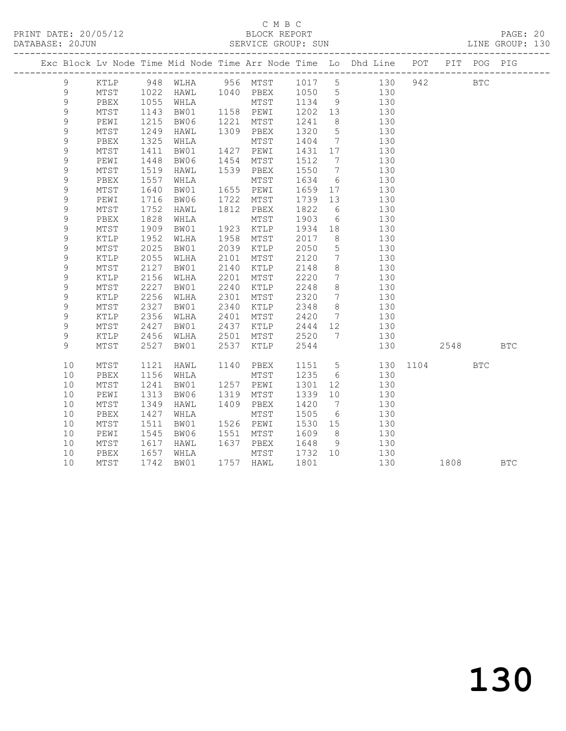#### C M B C<br>BLOCK REPORT SERVICE GROUP: SUN

|             |                 |      |           |      |           |         |                 | Exc Block Lv Node Time Mid Node Time Arr Node Time Lo Dhd Line POT |              | PIT      | POG PIG    |  |
|-------------|-----------------|------|-----------|------|-----------|---------|-----------------|--------------------------------------------------------------------|--------------|----------|------------|--|
| 9           | KTLP            |      | 948 WLHA  |      |           |         |                 | 956 MTST 1017 5 130                                                |              | 942      | <b>BTC</b> |  |
| 9           | MTST            | 1022 | HAWL      |      | 1040 PBEX | 1050 5  |                 | 130                                                                |              |          |            |  |
| $\mathsf 9$ | PBEX            | 1055 | WHLA      |      | MTST      | 1134 9  |                 | 130                                                                |              |          |            |  |
| $\mathsf 9$ | $\mathtt{MTST}$ | 1143 | BW01      |      | 1158 PEWI | 1202 13 |                 | 130                                                                |              |          |            |  |
| 9           | PEWI            | 1215 | BW06      | 1221 | MTST      | 1241    | 8 <sup>8</sup>  | 130                                                                |              |          |            |  |
| 9           | MTST            | 1249 | HAWL      | 1309 | PBEX      | 1320    | $5\overline{)}$ | 130                                                                |              |          |            |  |
| 9           | PBEX            | 1325 | WHLA      |      | MTST      | 1404    | $7\overline{ }$ | 130                                                                |              |          |            |  |
| 9           | MTST            | 1411 | BW01      |      | 1427 PEWI | 1431 17 |                 | 130                                                                |              |          |            |  |
| 9           | PEWI            | 1448 | BW06      | 1454 | MTST      | 1512 7  |                 | 130                                                                |              |          |            |  |
| $\mathsf 9$ | $\mathtt{MTST}$ | 1519 | HAWL      | 1539 | PBEX      | 1550    | $\overline{7}$  | 130                                                                |              |          |            |  |
| 9           | PBEX            | 1557 | WHLA      |      | MTST      | 1634    | $6\overline{6}$ | 130                                                                |              |          |            |  |
| 9           | $\mathtt{MTST}$ | 1640 | BW01      | 1655 | PEWI      | 1659    | 17              | 130                                                                |              |          |            |  |
| 9           | PEWI            | 1716 | BW06      | 1722 | MTST      | 1739    | 13              | 130                                                                |              |          |            |  |
| 9           | MTST            | 1752 | HAWL      | 1812 | PBEX      | 1822    | 6               | 130                                                                |              |          |            |  |
| 9           | PBEX            | 1828 | WHLA      |      | MTST      | 1903    | 6               | 130                                                                |              |          |            |  |
| $\mathsf 9$ | MTST            | 1909 | BW01      | 1923 | KTLP      | 1934 18 |                 | 130                                                                |              |          |            |  |
| 9           | KTLP            | 1952 | WLHA      | 1958 | MTST      | 2017    | 8 <sup>8</sup>  | 130                                                                |              |          |            |  |
| 9           | MTST            | 2025 | BW01      | 2039 | KTLP      | 2050    | $5\overline{)}$ | 130                                                                |              |          |            |  |
| 9           | KTLP            | 2055 | WLHA      | 2101 | MTST      | 2120    | $\overline{7}$  | 130                                                                |              |          |            |  |
| 9           | MTST            | 2127 | BW01      | 2140 | KTLP      | 2148    | 8 <sup>8</sup>  | 130                                                                |              |          |            |  |
| $\mathsf 9$ | KTLP            | 2156 | WLHA      | 2201 | MTST      | 2220    | $\overline{7}$  | 130                                                                |              |          |            |  |
| $\mathsf 9$ | MTST            | 2227 | BW01      | 2240 | KTLP      | 2248    | 8 <sup>8</sup>  | 130                                                                |              |          |            |  |
| 9           | KTLP            | 2256 | WLHA      | 2301 | MTST      | 2320    | $7\overline{ }$ | 130                                                                |              |          |            |  |
| 9           | $\mathtt{MTST}$ | 2327 | BW01      | 2340 | KTLP      | 2348    | 8 <sup>8</sup>  | 130                                                                |              |          |            |  |
| 9           | KTLP            | 2356 | WLHA      | 2401 | MTST      | 2420    | $7\overline{ }$ | 130                                                                |              |          |            |  |
| 9           | $\mathtt{MTST}$ | 2427 | BW01      | 2437 | KTLP      | 2444 12 |                 | 130                                                                |              |          |            |  |
| 9           | KTLP            | 2456 | WLHA      | 2501 | MTST      | 2520 7  |                 | 130                                                                |              |          |            |  |
| 9           | MTST            | 2527 | BW01      | 2537 | KTLP      | 2544    |                 | 130                                                                |              | 2548 BTC |            |  |
| 10          | MTST            | 1121 | HAWL      | 1140 | PBEX      |         |                 | 1151 5                                                             | 130 1104 BTC |          |            |  |
| 10          | PBEX            | 1156 | WHLA      |      | MTST      | 1235    | 6               | 130                                                                |              |          |            |  |
| 10          | MTST            | 1241 | BW01      |      | 1257 PEWI | 1301    | 12              | 130                                                                |              |          |            |  |
| 10          | PEWI            | 1313 | BW06      | 1319 | MTST      | 1339    | 10              | 130                                                                |              |          |            |  |
| 10          | MTST            | 1349 | HAWL      | 1409 | PBEX      | 1420    | $\overline{7}$  | 130                                                                |              |          |            |  |
| 10          | PBEX            | 1427 | WHLA      |      | MTST      | 1505    | 6               | 130                                                                |              |          |            |  |
| 10          | MTST            | 1511 | BW01      |      | 1526 PEWI | 1530 15 |                 | 130                                                                |              |          |            |  |
| 10          | PEWI            | 1545 | BW06      |      | 1551 MTST | 1609    | 8 <sup>8</sup>  | 130                                                                |              |          |            |  |
| 10          | MTST            |      | 1617 HAWL | 1637 | PBEX      | 1648    | 9               | 130                                                                |              |          |            |  |

10 MTST 1742 BW01 1757 HAWL 1801 130 1808 BTC

10 PBEX 1657 WHLA MTST 1732 10 130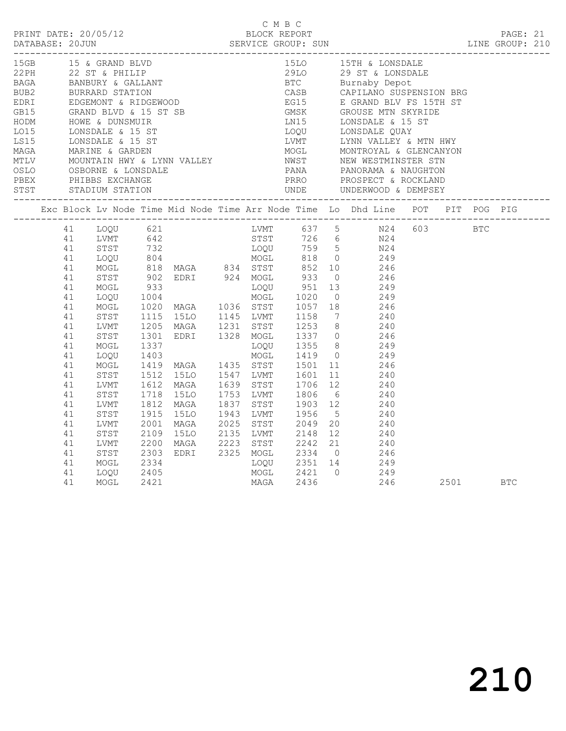| 15LO 15TH & LONSDALE<br>15GB 15 & GRAND BLVD<br>Exc Block Lv Node Time Mid Node Time Arr Node Time Lo Dhd Line POT PIT POG PIG<br>ACCOR IN NOGL 1000 1140 MACA<br>1 LOQU 621<br>1 LOQU 621<br>1 LOQU 620<br>1 LOQU 604<br>1 MACA<br>1 MACA<br>1 MACA<br>1 MACA<br>1 MACA<br>1 MACA<br>1 MACA<br>1 MACA<br>1 MACA<br>1 MACA<br>1 MACA<br>1 MACA<br>1 MACA<br>1 MACA<br>1 MACA<br>1 MACA<br>1 MACA<br>1 MACA<br><br>2001 MAGA 2025 STST 2049 20<br>2109 15LO 2135 LVMT 2148 12 240<br>2200 MAGA 2223 STST 2242 21 240<br>2303 EDRI 2325 MOGL 2334 0 246<br>2334 LOQU 2351 14 249<br>41<br>LVMT<br>41<br>STST<br>41<br>LVMT<br>41<br>STST<br>41<br>MOGL |  |  |  | C M B C |  | PRINT DATE: 20/05/12<br>BLOCK REPORT BLOCK PERT<br>DATABASE: 20JUN SERVICE GROUP: SUN LINE GROUP: 210 |  |  |  |
|------------------------------------------------------------------------------------------------------------------------------------------------------------------------------------------------------------------------------------------------------------------------------------------------------------------------------------------------------------------------------------------------------------------------------------------------------------------------------------------------------------------------------------------------------------------------------------------------------------------------------------------------------|--|--|--|---------|--|-------------------------------------------------------------------------------------------------------|--|--|--|
|                                                                                                                                                                                                                                                                                                                                                                                                                                                                                                                                                                                                                                                      |  |  |  |         |  |                                                                                                       |  |  |  |
|                                                                                                                                                                                                                                                                                                                                                                                                                                                                                                                                                                                                                                                      |  |  |  |         |  |                                                                                                       |  |  |  |
| MOGL 2421 0 249<br>MAGA 2436 246<br>41<br>LOQU<br>MOGL<br>2405<br>246 2501 BTC<br>41<br>2421                                                                                                                                                                                                                                                                                                                                                                                                                                                                                                                                                         |  |  |  |         |  |                                                                                                       |  |  |  |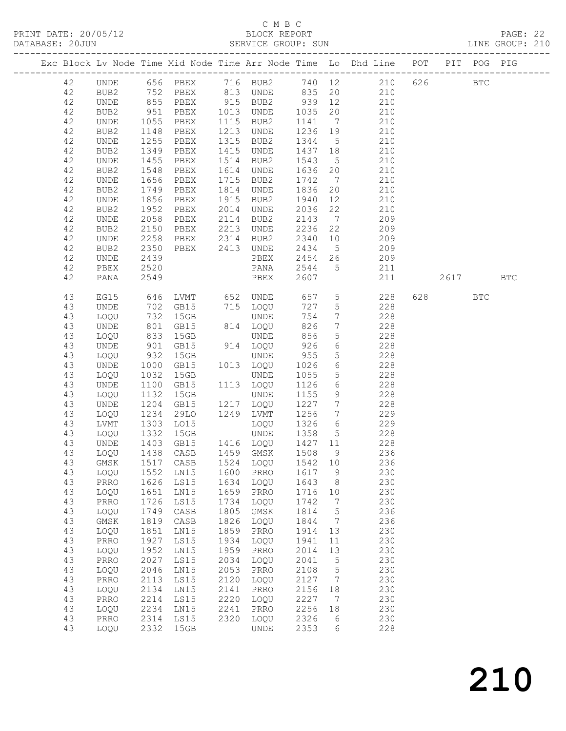#### C M B C<br>BLOCK REPORT SERVICE GROUP: SUN

|          |              |                            |                             |              |                        |              |                 | Exc Block Lv Node Time Mid Node Time Arr Node Time Lo Dhd Line POT PIT POG PIG |          |              |  |
|----------|--------------|----------------------------|-----------------------------|--------------|------------------------|--------------|-----------------|--------------------------------------------------------------------------------|----------|--------------|--|
| 42       |              |                            |                             |              |                        |              |                 | UNDE 656 PBEX 716 BUB2 740 12 210 626                                          |          | $_{\rm BTC}$ |  |
| 42       | BUB2         |                            |                             |              |                        |              |                 | 752 PBEX 813 UNDE 835 20 210                                                   |          |              |  |
| 42       | UNDE         |                            | PBEX                        |              | 915 BUB2               |              |                 |                                                                                |          |              |  |
| 42       | BUB2         | 855<br>951                 | PBEX                        |              | 1013 UNDE              |              |                 | 939 12 210<br>1035 20 210                                                      |          |              |  |
| 42       | UNDE         | 1055                       | PBEX                        |              | 1115 BUB2              | 1141         |                 | 7 210                                                                          |          |              |  |
| 42       | BUB2         | 1148                       | PBEX                        | 1213         | UNDE                   | 1236         |                 | 19 210                                                                         |          |              |  |
| 42       | UNDE         | 1255                       | PBEX                        | 1315         | BUB2                   | 1344         | 5 <sup>5</sup>  |                                                                                |          |              |  |
| 42       | BUB2         | 1349                       | PBEX                        | 1415         | UNDE                   | 1437         | 18              | $\frac{210}{210}$                                                              |          |              |  |
| 42       | UNDE         | 1455                       | PBEX                        | 1514         | BUB2                   | 1543         |                 | 5 210                                                                          |          |              |  |
| 42       | BUB2         | 1548                       | PBEX                        | 1614         | UNDE                   | 1636         |                 | 20 210                                                                         |          |              |  |
| 42       | UNDE         | 1656                       | PBEX                        | 1715         | BUB2                   | 1742         | $7\overline{ }$ | 210                                                                            |          |              |  |
| 42       | BUB2         | 1749                       | PBEX                        | 1814         | UNDE                   | 1836         | 20              | $\frac{1}{210}$                                                                |          |              |  |
| 42       | UNDE         | 1856                       | PBEX                        | 1915         | BUB2                   | 1940         | 12              | 210                                                                            |          |              |  |
| 42       | BUB2         | 1952                       | PBEX                        | 2014         | UNDE                   | 2036         | 22              | 210                                                                            |          |              |  |
| 42       | UNDE         | 2058                       | PBEX                        | 2114         | BUB2                   | 2143         | $7\overline{ }$ | 209                                                                            |          |              |  |
| 42       | BUB2         | 2150                       | PBEX                        | 2213         | UNDE                   | 2236         | 22              | $\frac{2}{209}$                                                                |          |              |  |
| 42       | UNDE         | 2258                       | PBEX                        | 2314         | BUB2                   | 2340         |                 | 10 209                                                                         |          |              |  |
| 42       | BUB2         | 2350                       | PBEX 2413 UNDE              |              |                        |              |                 | 2434 5 209                                                                     |          |              |  |
| 42       | UNDE         | 2439                       |                             |              | PBEX                   |              |                 | 2454 26 209                                                                    |          |              |  |
| 42       | PBEX         | 2520                       |                             |              | PANA                   | 2544 5       |                 | $\frac{209}{211}$                                                              |          |              |  |
| 42       | PANA         | 2549                       |                             |              | PBEX                   | 2607         |                 | 211                                                                            | 2617 BTC |              |  |
|          |              |                            |                             |              |                        |              |                 |                                                                                |          |              |  |
| 43       | EG15         | 646<br>$\frac{0.46}{7.02}$ | LVMT 652 UNDE               |              |                        | 657          |                 | $5 \t 228$                                                                     | 628 8    | <b>BTC</b>   |  |
| 43       | UNDE         |                            | GB15                        |              | 715 LOQU               | 727          | 5 <sup>5</sup>  | $\frac{228}{228}$                                                              |          |              |  |
| 43       | LOQU         |                            | 15GB                        |              | UNDE                   | 754          | $7\overline{ }$ |                                                                                |          |              |  |
| 43       | UNDE         | 801                        | GB15                        |              | 814 LOQU               | 826          |                 | 7 228                                                                          |          |              |  |
| 43       | LOQU         | 833                        | 15GB                        |              | UNDE                   | 856          | 5 <sup>5</sup>  | 228                                                                            |          |              |  |
| 43       | UNDE         | 901<br>932                 | GB15                        |              | 914 LOQU               | 926          | $6\overline{}$  | $228$<br>$228$                                                                 |          |              |  |
| 43       | LOQU         |                            | 15GB                        |              | UNDE                   | 955          | $5\overline{)}$ |                                                                                |          |              |  |
| 43       | UNDE         | 1000                       | GB15                        |              | 1013 LOQU              |              |                 | 1026 6 228                                                                     |          |              |  |
| 43       | LOQU         | 1032                       | 15GB                        |              | UNDE                   | 1055         |                 | 5 228                                                                          |          |              |  |
| 43       | UNDE         | 1100                       | GB15                        |              | 1113 LOQU              | 1126         | $6\overline{}$  | 228<br>228                                                                     |          |              |  |
| 43       | LOQU         | 1132                       | 15GB                        |              | UNDE                   | 1155         | 9               |                                                                                |          |              |  |
| 43       | UNDE         | 1204                       | GB15                        |              | 1217 LOQU              | 1227         | $7\overline{ }$ | 228                                                                            |          |              |  |
| 43       | LOQU         | 1234                       | 29LO                        |              | 1249 LVMT              | 1256         |                 | 7 229                                                                          |          |              |  |
| 43       | LVMT         | 1303<br>1332               | L015                        |              | LOQU<br>UNDE           | 1326         |                 | $\begin{array}{ccc} 6 & 229 \\ 5 & 228 \end{array}$                            |          |              |  |
| 43       | LOQU         | 1403                       | 15GB                        |              | GB15 1416 LOQU 1427 11 | 1358         | 5 <sup>5</sup>  | 228                                                                            |          |              |  |
| 43       | UNDE         |                            | 1438 CASB                   |              |                        |              | 9               |                                                                                |          |              |  |
| 43       | LOQU         |                            |                             |              | 1459 GMSK              | 1508         |                 | 236                                                                            |          |              |  |
|          | 43 GMSK      |                            | 1517 CASB 1524 LOQU 1542 10 |              |                        |              |                 | 236                                                                            |          |              |  |
| 43<br>43 | LOQU         | 1552<br>1626               | LN15<br>LS15                | 1600<br>1634 | PRRO<br>LOQU           | 1617<br>1643 | 9               | 230<br>230                                                                     |          |              |  |
|          | PRRO         | 1651                       |                             | 1659         |                        |              | 8               | 230                                                                            |          |              |  |
| 43<br>43 | LOQU<br>PRRO | 1726                       | LN15<br>LS15                | 1734         | PRRO<br>LOQU           | 1716<br>1742 | 10<br>7         | 230                                                                            |          |              |  |
| 43       | LOQU         | 1749                       | CASB                        | 1805         | GMSK                   | 1814         | 5               | 236                                                                            |          |              |  |
| 43       | $\rm{GMSK}$  | 1819                       | CASB                        | 1826         | LOQU                   | 1844         | $7\phantom{.0}$ | 236                                                                            |          |              |  |
| 43       | LOQU         | 1851                       | LN15                        | 1859         | PRRO                   | 1914         | 13              | 230                                                                            |          |              |  |
| 43       | PRRO         | 1927                       | LS15                        | 1934         | LOQU                   | 1941         | 11              | 230                                                                            |          |              |  |
| 43       | LOQU         | 1952                       | LN15                        | 1959         | PRRO                   | 2014         | 13              | 230                                                                            |          |              |  |
| 43       | PRRO         | 2027                       | LS15                        | 2034         | LOQU                   | 2041         | $\mathsf S$     | 230                                                                            |          |              |  |
| 43       | LOQU         | 2046                       | LN15                        | 2053         | PRRO                   | 2108         | 5               | 230                                                                            |          |              |  |
| 43       | PRRO         | 2113                       | LS15                        | 2120         | LOQU                   | 2127         | 7               | 230                                                                            |          |              |  |
| 43       | LOQU         | 2134                       | LN15                        | 2141         | PRRO                   | 2156         | 18              | 230                                                                            |          |              |  |
| 43       | PRRO         | 2214                       | LS15                        | 2220         | LOQU                   | 2227         | $7\phantom{.0}$ | 230                                                                            |          |              |  |
| 43       | LOQU         | 2234                       | LN15                        | 2241         | PRRO                   | 2256         | 18              | 230                                                                            |          |              |  |
| 43       | PRRO         | 2314                       | LS15                        | 2320         | LOQU                   | 2326         | 6               | 230                                                                            |          |              |  |
| 43       | LOQU         | 2332                       | 15GB                        |              | UNDE                   | 2353         | 6               | 228                                                                            |          |              |  |
|          |              |                            |                             |              |                        |              |                 |                                                                                |          |              |  |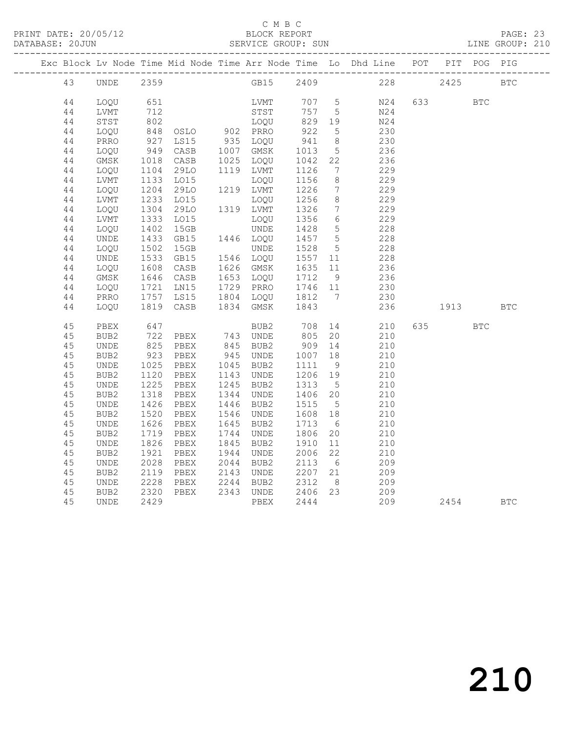#### C M B C<br>BLOCK REPORT

PAGE: 23<br>LINE GROUP: 210

|  |          |                     |              |                   |      |                        |              |                                   | Exc Block Lv Node Time Mid Node Time Arr Node Time Lo Dhd Line POT PIT POG PIG |      |           |            |  |
|--|----------|---------------------|--------------|-------------------|------|------------------------|--------------|-----------------------------------|--------------------------------------------------------------------------------|------|-----------|------------|--|
|  | 43       | UNDE                | 2359         |                   |      | GB15 2409              |              |                                   | 228                                                                            | 2425 |           | <b>BTC</b> |  |
|  | 44       | LOOU                | 651          |                   |      | LVMT                   | 707 5        |                                   | N24                                                                            |      | 633       | <b>BTC</b> |  |
|  | 44       | LVMT                | 712          |                   |      | STST                   | 757          | $5\overline{)}$                   | N24                                                                            |      |           |            |  |
|  | 44       | STST                | 802          |                   |      | LOQU                   | 829 19       |                                   | N24                                                                            |      |           |            |  |
|  | 44       | LOQU                |              | 848 OSLO 902 PRRO |      |                        | 922          | $5^{\circ}$                       | 230                                                                            |      |           |            |  |
|  | 44       | PRRO                | 927          | LS15              |      | 935 LOQU               | 941          | 8 <sup>8</sup>                    | 230                                                                            |      |           |            |  |
|  | 44       | LOQU                | 949          | CASB              |      | 1007 GMSK              | 1013         | $5\overline{)}$                   | 236                                                                            |      |           |            |  |
|  | 44       | GMSK                | 1018         | CASB              |      | 1025 LOQU              | 1042         | 22                                | 236                                                                            |      |           |            |  |
|  | 44       | LOQU                | 1104         | 29LO              |      | 1119 LVMT              | 1126         | $\overline{7}$                    | 229                                                                            |      |           |            |  |
|  | 44       | LVMT                | 1133         | LO15              |      | LOQU                   | 1156         | 8                                 | 229                                                                            |      |           |            |  |
|  | 44       | LOQU                | 1204         | 29LO              |      | 1219 LVMT              | 1226         | $7\phantom{.0}\phantom{.0}7$      | 229                                                                            |      |           |            |  |
|  | 44       | LVMT                | 1233         | LO15<br>29LO      |      | LOQU<br>1319 LVMT      | 1256<br>1326 | 8<br>$7\phantom{.0}\phantom{.0}7$ | 229<br>229                                                                     |      |           |            |  |
|  | 44       | LOQU                | 1304<br>1333 | L015              |      |                        | 1356         | 6                                 | 229                                                                            |      |           |            |  |
|  | 44<br>44 | <b>LVMT</b><br>LOQU | 1402         | 15GB              |      | LOOU<br>UNDE           | 1428         | $5\overline{)}$                   | 228                                                                            |      |           |            |  |
|  | 44       | <b>UNDE</b>         | 1433         | GB15              |      | 1446 LOQU              | 1457 5       |                                   | 228                                                                            |      |           |            |  |
|  | 44       | LOQU                | 1502         | 15GB              |      | UNDE                   | 1528         | $5\overline{)}$                   | 228                                                                            |      |           |            |  |
|  | 44       | UNDE                | 1533         | GB15              |      | 1546 LOQU              | 1557 11      |                                   | 228                                                                            |      |           |            |  |
|  | 44       | LOQU                | 1608         | CASB              |      | 1626 GMSK              | 1635 11      |                                   | 236                                                                            |      |           |            |  |
|  | 44       | GMSK                | 1646         | CASB              |      | 1653 LOQU              | 1712         | 9                                 | 236                                                                            |      |           |            |  |
|  | 44       | LOQU                | 1721         | LNI5              |      | 1729 PRRO              | 1746 11      |                                   | 230                                                                            |      |           |            |  |
|  | 44       | PRRO                | 1757         | LS15              |      | 1804 LOQU 1812 7       |              |                                   | 230                                                                            |      |           |            |  |
|  | 44       | LOQU                |              | 1819 CASB         |      | 1834 GMSK              | 1843         |                                   | 236                                                                            |      | 1913 BTC  |            |  |
|  |          |                     |              |                   |      |                        |              |                                   |                                                                                |      |           |            |  |
|  | 45       | PBEX                | 647          |                   |      | BUB2                   | 708 14       |                                   | 210                                                                            |      | 635 — 100 | <b>BTC</b> |  |
|  | 45       | BUB2                | 722          | PBEX              |      | 743 UNDE               | 805          | 20                                | 210                                                                            |      |           |            |  |
|  | 45       | UNDE                | 825<br>923   | PBEX              |      | 845 BUB2               | 909          | 14                                | 210                                                                            |      |           |            |  |
|  | 45       | BUB2                |              | PBEX              |      | 945 UNDE               | 1007         | 18                                | 210                                                                            |      |           |            |  |
|  | 45       | UNDE                | 1025         | PBEX              |      | 1045 BUB2              | 1111         | 9                                 | 210                                                                            |      |           |            |  |
|  | 45       | BUB2                | 1120         | PBEX              |      | 1143 UNDE              | 1206 19      |                                   | 210                                                                            |      |           |            |  |
|  | 45       | <b>UNDE</b>         | 1225         | PBEX              |      | 1245 BUB2<br>1344 UNDE | 1313         | $5^{\circ}$                       | 210                                                                            |      |           |            |  |
|  | 45<br>45 | BUB2                | 1318<br>1426 | PBEX<br>PBEX      | 1446 |                        | 1406<br>1515 | 20<br>$5^{\circ}$                 | 210<br>210                                                                     |      |           |            |  |
|  | 45       | <b>UNDE</b><br>BUB2 | 1520         | PBEX              | 1546 | BUB2<br>UNDE           | 1608         | 18                                | 210                                                                            |      |           |            |  |
|  | 45       | <b>UNDE</b>         | 1626         | PBEX              | 1645 | BUB2                   | 1713         | 6                                 | 210                                                                            |      |           |            |  |
|  | 45       | BUB2                | 1719         | PBEX              |      | 1744 UNDE              | 1806         | 20                                | 210                                                                            |      |           |            |  |
|  | 45       | UNDE                | 1826         | PBEX              |      | 1845 BUB2              | 1910         | 11                                | 210                                                                            |      |           |            |  |
|  | 45       | BUB2                | 1921         | PBEX              |      | 1944 UNDE              | 2006         | 22                                | 210                                                                            |      |           |            |  |
|  | 45       | <b>UNDE</b>         | 2028         | PBEX              | 2044 | BUB2                   | 2113         | 6                                 | 209                                                                            |      |           |            |  |
|  | 45       | BUB2                | 2119         | PBEX              |      | 2143 UNDE              | 2207 21      |                                   | 209                                                                            |      |           |            |  |
|  | 45       | UNDE                | 2228         | PBEX              |      | 2244 BUB2              | 2312         | 8 <sup>8</sup>                    | 209                                                                            |      |           |            |  |
|  | 45       | BUB2                | 2320         | PBEX              |      | 2343 UNDE              | 2406 23      |                                   | 209                                                                            |      |           |            |  |
|  | 45       | UNDE                | 2429         |                   |      | PBEX                   | 2444         |                                   |                                                                                | 209  | 2454 BTC  |            |  |
|  |          |                     |              |                   |      |                        |              |                                   |                                                                                |      |           |            |  |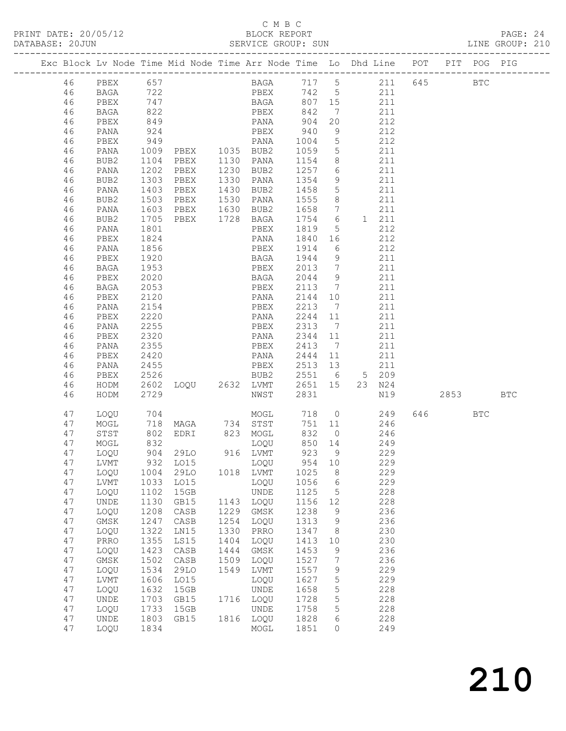#### C M B C<br>BLOCK REPORT

PAGE: 24<br>LINE GROUP: 210

|  |          |                              |              | Exc Block Lv Node Time Mid Node Time Arr Node Time Lo Dhd Line POT |      |                           |                         |                 |     |                                           |        | PIT POG PIG  |            |
|--|----------|------------------------------|--------------|--------------------------------------------------------------------|------|---------------------------|-------------------------|-----------------|-----|-------------------------------------------|--------|--------------|------------|
|  | 46       | PBEX                         | 657          |                                                                    |      | BAGA 717 5 211 645        |                         |                 |     |                                           |        | $_{\rm BTC}$ |            |
|  | 46       | BAGA                         |              |                                                                    |      |                           |                         |                 |     |                                           |        |              |            |
|  | 46       | PBEX                         | 722<br>747   |                                                                    |      | PBEX 742 5<br>BAGA 807 15 |                         |                 |     | $\begin{array}{c} 211 \\ 211 \end{array}$ |        |              |            |
|  | 46       | BAGA                         | 822          |                                                                    |      | PBEX                      | 842                     | $\overline{7}$  |     | 211                                       |        |              |            |
|  | 46       | PBEX                         | 849          |                                                                    |      | PANA 904                  |                         | 20              |     | 212                                       |        |              |            |
|  | 46       | PANA                         |              |                                                                    |      | PBEX                      | 940                     | 9               |     | 212                                       |        |              |            |
|  | 46       | PBEX                         | 924<br>949   |                                                                    |      | PANA                      | 1004                    | $5\overline{)}$ |     | 212                                       |        |              |            |
|  | 46       | PANA                         | 1009         | PBEX 1035 BUB2                                                     |      |                           | 1059                    | $5^{\circ}$     | 211 |                                           |        |              |            |
|  | 46       | BUB2                         | 1104         | PBEX                                                               |      | 1130 PANA                 | 1154                    | 8 <sup>8</sup>  |     | 211                                       |        |              |            |
|  | 46       | PANA                         |              | PBEX                                                               |      | 1230 BUB2                 | 1257                    | $6\overline{6}$ |     | 211                                       |        |              |            |
|  | 46       | BUB2                         | 1202<br>1303 | PBEX                                                               |      | 1330 PANA                 | 1354                    | 9               |     | 211                                       |        |              |            |
|  | 46       | PANA                         | 1403         | PBEX                                                               |      | 1430 BUB2                 | 1458                    | $5\overline{)}$ | 211 |                                           |        |              |            |
|  | 46       | BUB2                         | 1503         | PBEX                                                               |      | 1530 PANA                 | 1555                    | 8 <sup>8</sup>  | 211 |                                           |        |              |            |
|  | 46       | PANA                         | 1603<br>1705 | PBEX 1630 BUB2<br>PBEX 1728 BAGA                                   |      |                           | 1658                    | $\overline{7}$  |     | 211                                       |        |              |            |
|  | 46       | BUB2                         |              |                                                                    |      |                           | 1754 6                  |                 |     | 1 211                                     |        |              |            |
|  | 46       | PANA                         | 1801         |                                                                    |      | PBEX                      | 1819                    | $5\overline{)}$ |     | 212                                       |        |              |            |
|  | 46       | PBEX                         | 1824         |                                                                    |      | PANA                      | 1840 16                 |                 | 212 |                                           |        |              |            |
|  | 46       | PANA                         | 1856         |                                                                    |      | PBEX                      | 1914                    | 6               |     | 212                                       |        |              |            |
|  | 46       | PBEX                         | 1920         |                                                                    |      | BAGA                      | 1944 9                  |                 |     | 211                                       |        |              |            |
|  | 46       | BAGA                         | 1953         |                                                                    |      | PBEX                      | 2013 7                  |                 |     | 211                                       |        |              |            |
|  | 46       | PBEX                         | 2020         |                                                                    |      | BAGA 2044 9               |                         |                 | 211 |                                           |        |              |            |
|  | 46       | BAGA                         | 2053         |                                                                    |      | PBEX                      | 2113                    | $\overline{7}$  |     | 211                                       |        |              |            |
|  | 46       | PBEX                         | 2120         |                                                                    |      | PANA                      | 2144 10                 |                 |     | 211                                       |        |              |            |
|  | 46       | PANA                         | 2154         |                                                                    |      | PBEX                      | 2213                    | $\overline{7}$  |     | 211                                       |        |              |            |
|  | 46       | PBEX                         | 2220         |                                                                    |      | PANA                      | 2244 11                 |                 |     | 211                                       |        |              |            |
|  | 46       | PANA                         | 2255         |                                                                    |      | PBEX                      | 2313 7                  |                 |     | 211                                       |        |              |            |
|  | 46       | PBEX                         | 2320         |                                                                    |      | PANA                      | 2344 11                 |                 |     | 211                                       |        |              |            |
|  | 46       | PANA                         | 2355         |                                                                    |      | PBEX                      | 2413 7                  |                 |     | 211                                       |        |              |            |
|  | 46       | PBEX                         | 2420         |                                                                    |      | PANA                      | 2444 11                 |                 |     | 211                                       |        |              |            |
|  | 46       | PANA                         | 2455         |                                                                    |      | PBEX                      | 2513 13                 |                 |     | 211                                       |        |              |            |
|  | 46<br>46 | PBEX                         | 2526         |                                                                    |      | BUB2<br>LOQU 2632 LVMT    | 2551 6 5 209<br>2651 15 |                 |     |                                           |        |              |            |
|  | 46       | HODM                         | 2602         |                                                                    |      | NWST                      | 2831                    |                 |     | 23 N24<br>N19                             | 2853   |              | <b>BTC</b> |
|  |          | HODM                         | 2729         |                                                                    |      |                           |                         |                 |     |                                           |        |              |            |
|  | 47       | LOQU                         |              |                                                                    |      |                           |                         |                 |     | 249                                       | 646 64 | BTC          |            |
|  | 47       | MOGL                         |              |                                                                    |      |                           |                         |                 |     | 246                                       |        |              |            |
|  | 47       | STST                         |              |                                                                    |      |                           |                         |                 | 246 |                                           |        |              |            |
|  | 47       | MOGL                         | 832          |                                                                    |      | LOOU                      | 850 14                  |                 | 249 |                                           |        |              |            |
|  | 47       | LOQU                         |              | 904 29LO 916 LVMT                                                  |      |                           | 923 9                   |                 |     | 229                                       |        |              |            |
|  |          |                              |              | 47 LVMT 932 LO15                                                   |      | LOQU 954 10               |                         |                 |     | 229                                       |        |              |            |
|  | 47       | LOQU                         | 1004         | 29LO                                                               | 1018 | LVMT                      | 1025                    | 8               |     | 229                                       |        |              |            |
|  | 47       | LVMT                         | 1033         | LO15                                                               |      | LOQU                      | 1056                    | $\sqrt{6}$      |     | 229                                       |        |              |            |
|  | 47       | LOQU                         | 1102         | 15GB                                                               |      | UNDE                      | 1125                    | 5               |     | 228                                       |        |              |            |
|  | 47       | $\ensuremath{\mathsf{UNDE}}$ | 1130         | GB15                                                               | 1143 | LOQU                      | 1156                    | $12$            |     | 228                                       |        |              |            |
|  | 47       | LOQU                         | 1208         | CASB                                                               | 1229 | GMSK                      | 1238                    | 9               |     | 236                                       |        |              |            |
|  | 47       | $\rm{GMSK}$                  | 1247         | CASB                                                               | 1254 | LOQU                      | 1313                    | 9               |     | 236                                       |        |              |            |
|  | 47       | LOQU                         | 1322         | LN15                                                               | 1330 | PRRO                      | 1347                    | 8               |     | 230                                       |        |              |            |
|  | 47       | PRRO                         | 1355         | LS15                                                               | 1404 | LOQU                      | 1413                    | 10              |     | 230                                       |        |              |            |
|  | 47       | LOQU                         | 1423         | CASB                                                               | 1444 | GMSK                      | 1453                    | 9               |     | 236                                       |        |              |            |
|  | 47       | <b>GMSK</b>                  | 1502         | CASB                                                               | 1509 | LOQU                      | 1527                    | 7               |     | 236                                       |        |              |            |
|  | 47       | LOQU                         | 1534         | 29LO                                                               | 1549 | LVMT                      | 1557                    | 9               |     | 229                                       |        |              |            |
|  | 47       | LVMT                         | 1606         | L015                                                               |      | LOQU                      | 1627                    | 5               |     | 229                                       |        |              |            |
|  | 47       | LOQU                         | 1632<br>1703 | 15GB<br>GB15                                                       | 1716 | UNDE                      | 1658<br>1728            | 5               |     | 228<br>228                                |        |              |            |
|  | 47<br>47 | UNDE<br>LOQU                 | 1733         | 15GB                                                               |      | LOQU<br><b>UNDE</b>       | 1758                    | 5<br>5          |     | 228                                       |        |              |            |
|  | 47       | UNDE                         | 1803         | GB15                                                               |      | 1816 LOQU                 | 1828                    | 6               |     | 228                                       |        |              |            |
|  | 47       | LOQU                         | 1834         |                                                                    |      | MOGL                      | 1851                    | $\circ$         |     | 249                                       |        |              |            |
|  |          |                              |              |                                                                    |      |                           |                         |                 |     |                                           |        |              |            |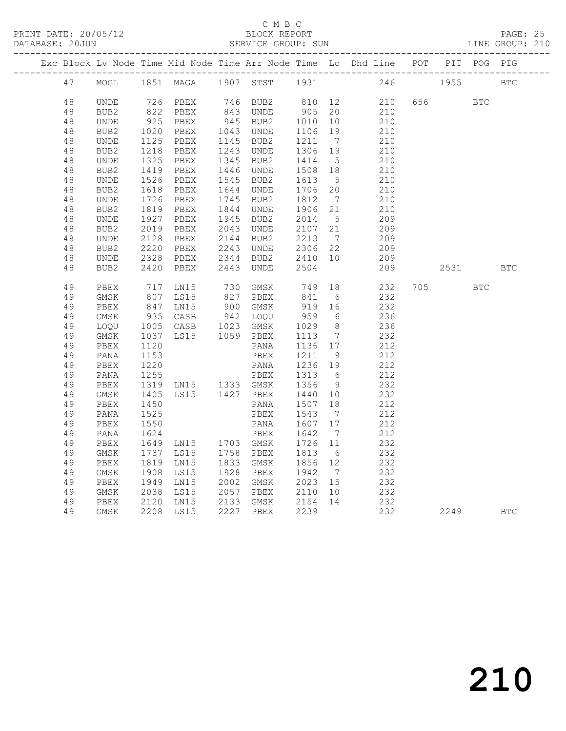PRINT DATE: 20/05/12 BLOCK REPORT PAGE: 25 DATABASE: 20JUN<br>---------------

#### C M B C<br>BLOCK REPORT

|  | DAIABASE; ZUJUN |                  |      |           |      | SLKVICL GKUUF; SUN |      |     |                                                                        |     |      |            | TIME GROOF: 510 |
|--|-----------------|------------------|------|-----------|------|--------------------|------|-----|------------------------------------------------------------------------|-----|------|------------|-----------------|
|  |                 |                  |      |           |      |                    |      |     | Exc Block Lv Node Time Mid Node Time Arr Node Time Lo Dhd Line POT PIT |     |      | POG PIG    |                 |
|  | 47              | MOGL             |      | 1851 MAGA | 1907 |                    |      |     | STST 1931 246                                                          |     | 1955 |            | <b>BTC</b>      |
|  | 48              | UNDE             | 726  | PBEX      | 746  | BUB2               | 810  | 12  | 210                                                                    | 656 |      | <b>BTC</b> |                 |
|  | 48              | BUB2             | 822  | PBEX      | 843  | UNDE               | 905  | 20  | 210                                                                    |     |      |            |                 |
|  | 48              | UNDE             | 925  | PBEX      | 945  | BUB <sub>2</sub>   | 1010 | 10  | 210                                                                    |     |      |            |                 |
|  | 48              | BUB <sub>2</sub> | 1020 | PBEX      | 1043 | <b>UNDE</b>        | 1106 | 19  | 210                                                                    |     |      |            |                 |
|  | 48              | UNDE             | 1125 | PBEX      | 1145 | BUB <sub>2</sub>   | 1211 | 7   | 210                                                                    |     |      |            |                 |
|  | 48              | BUB <sub>2</sub> | 1218 | PBEX      | 1243 | UNDE               | 1306 | 19  | 210                                                                    |     |      |            |                 |
|  | 48              | UNDE             | 1325 | PBEX      | 1345 | BUB <sub>2</sub>   | 1414 | - 5 | 210                                                                    |     |      |            |                 |
|  | 48              | BUB2             | 1419 | PBEX      | 1446 | UNDE               | 1508 | 18  | 210                                                                    |     |      |            |                 |
|  | 48              | UNDE             | 1526 | PBEX      | 1545 | BUB <sub>2</sub>   | 1613 | 5   | 210                                                                    |     |      |            |                 |
|  | 48              | BUB2             | 1618 | PBEX      | 1644 | UNDE               | 1706 | 20  | 210                                                                    |     |      |            |                 |
|  | 48              | UNDE             | 1726 | PBEX      | 1745 | BUB2               | 1812 | 7   | 210                                                                    |     |      |            |                 |
|  | 48              | BUB <sub>2</sub> | 1819 | PBEX      | 1844 | UNDE               | 1906 | 21  | 210                                                                    |     |      |            |                 |
|  | 48              | UNDE             | 1927 | PBEX      | 1945 | BUB2               | 2014 | - 5 | 209                                                                    |     |      |            |                 |
|  | 48              | BUB2             | 2019 | PBEX      | 2043 | UNDE               | 2107 | 21  | 209                                                                    |     |      |            |                 |
|  |                 |                  |      |           |      |                    |      |     |                                                                        |     |      |            |                 |

| 48 | BUB <sub>2</sub> | 2220 | PBEX | 2243 | <b>UNDE</b> | 2306 | 22 | 209 |     |      |            |              |
|----|------------------|------|------|------|-------------|------|----|-----|-----|------|------------|--------------|
| 48 | <b>UNDE</b>      | 2328 | PBEX | 2344 | BUB2        | 2410 | 10 | 209 |     |      |            |              |
| 48 | BUB <sub>2</sub> | 2420 | PBEX | 2443 | <b>UNDE</b> | 2504 |    | 209 |     | 2531 |            | $_{\rm BTC}$ |
|    |                  |      |      |      |             |      |    |     |     |      |            |              |
| 49 | PBEX             | 717  | LN15 | 730  | GMSK        | 749  | 18 | 232 | 705 |      | <b>BTC</b> |              |
| 49 | GMSK             | 807  | LS15 | 827  | PBEX        | 841  | 6  | 232 |     |      |            |              |
| 49 | PBEX             | 847  | LN15 | 900  | GMSK        | 919  | 16 | 232 |     |      |            |              |
| 49 | <b>GMSK</b>      | 935  | CASB | 942  | LOQU        | 959  | 6  | 236 |     |      |            |              |
| 49 | LOQU             | 1005 | CASB | 1023 | GMSK        | 1029 | 8  | 236 |     |      |            |              |
| 49 | GMSK             | 1037 | LS15 | 1059 | PBEX        | 1113 | 7  | 232 |     |      |            |              |
| 49 | PBEX             | 1120 |      |      | PANA        | 1136 | 17 | 212 |     |      |            |              |
| 49 | PANA             | 1153 |      |      | PBEX        | 1211 | 9  | 212 |     |      |            |              |
| 49 | PBEX             | 1220 |      |      | PANA        | 1236 | 19 | 212 |     |      |            |              |
| 49 | PANA             | 1255 |      |      | PBEX        | 1313 | 6  | 212 |     |      |            |              |
| 49 | PBEX             | 1319 | LN15 | 1333 | GMSK        | 1356 | 9  | 232 |     |      |            |              |
| 49 | <b>GMSK</b>      | 1405 | LS15 | 1427 | PBEX        | 1440 | 10 | 232 |     |      |            |              |
| 49 | PBEX             | 1450 |      |      | PANA        | 1507 | 18 | 212 |     |      |            |              |
| 49 | PANA             | 1525 |      |      | PBEX        | 1543 | 7  | 212 |     |      |            |              |
| 49 | PBEX             | 1550 |      |      | PANA        | 1607 | 17 | 212 |     |      |            |              |
| 49 | PANA             | 1624 |      |      | PBEX        | 1642 | 7  | 212 |     |      |            |              |
| 49 | PBEX             | 1649 | LN15 | 1703 | GMSK        | 1726 | 11 | 232 |     |      |            |              |
| 49 | GMSK             | 1737 | LS15 | 1758 | PBEX        | 1813 | 6  | 232 |     |      |            |              |
| 49 | PBEX             | 1819 | LN15 | 1833 | GMSK        | 1856 | 12 | 232 |     |      |            |              |
| 49 | GMSK             | 1908 | LS15 | 1928 | PBEX        | 1942 | 7  | 232 |     |      |            |              |
| 49 | PBEX             | 1949 | LN15 | 2002 | GMSK        | 2023 | 15 | 232 |     |      |            |              |
| 49 | GMSK             | 2038 | LS15 | 2057 | PBEX        | 2110 | 10 | 232 |     |      |            |              |
| 49 | PBEX             | 2120 | LN15 | 2133 | GMSK        | 2154 | 14 | 232 |     |      |            |              |
| 49 | <b>GMSK</b>      | 2208 | LS15 | 2227 | PBEX        | 2239 |    | 232 |     | 2249 |            | <b>BTC</b>   |
|    |                  |      |      |      |             |      |    |     |     |      |            |              |

48 UNDE 2128 PBEX 2144 BUB2 2213 7 209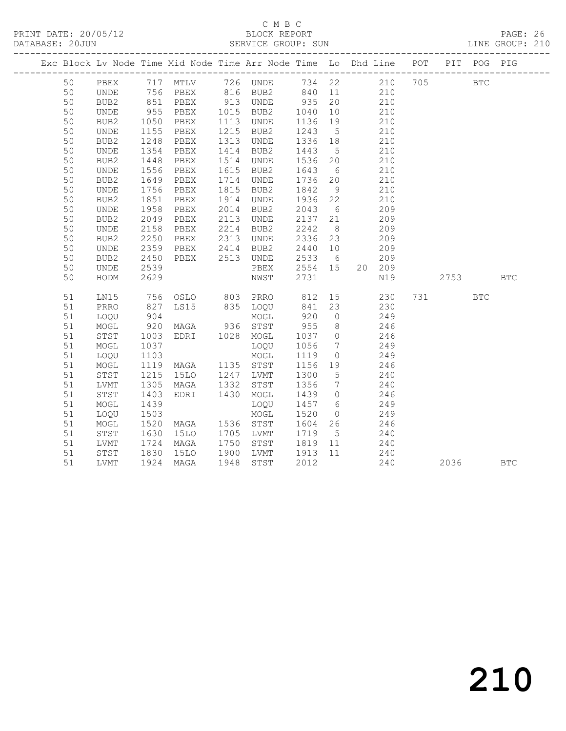## C M B C<br>BLOCK REPORT

PAGE: 26<br>LINE GROUP: 210

|  |    |             |                            |                       |      |                               |         |                 | Exc Block Lv Node Time Mid Node Time Arr Node Time Lo Dhd Line POT PIT POG PIG                                                                             |      |              |            |
|--|----|-------------|----------------------------|-----------------------|------|-------------------------------|---------|-----------------|------------------------------------------------------------------------------------------------------------------------------------------------------------|------|--------------|------------|
|  | 50 |             |                            |                       |      |                               |         |                 | PBEX 717 MTLV 726 UNDE 734 22       210  705<br>UNDE 756 PBEX 816 BUB2 840 11      210<br>BUB2      851  PBEX      913  UNDE      935  20              210 |      | $_{\rm BTC}$ |            |
|  | 50 |             |                            |                       |      |                               |         |                 |                                                                                                                                                            |      |              |            |
|  | 50 |             |                            |                       |      |                               |         |                 |                                                                                                                                                            |      |              |            |
|  | 50 | UNDE        | 955                        | PBEX                  |      | 1015 BUB2                     | 1040    | 10              | 210                                                                                                                                                        |      |              |            |
|  | 50 | BUB2        | 1050<br>1155               | PBEX                  |      | 1113 UNDE                     | 1136    | 19              | 210                                                                                                                                                        |      |              |            |
|  | 50 | UNDE        |                            | PBEX                  | 1215 | BUB2                          | 1243    | $5\overline{)}$ | 210                                                                                                                                                        |      |              |            |
|  | 50 | BUB2        | 1248                       | PBEX                  | 1313 | UNDE                          | 1336 18 |                 | 210                                                                                                                                                        |      |              |            |
|  | 50 | UNDE        | 1354                       | PBEX                  | 1414 | BUB2                          | 1443    | $5\overline{)}$ | 210                                                                                                                                                        |      |              |            |
|  | 50 | BUB2        | 1448<br>1556               | PBEX                  |      | 1514 UNDE                     | 1536 20 |                 | 210                                                                                                                                                        |      |              |            |
|  | 50 | UNDE        |                            | PBEX                  | 1615 | BUB2                          | 1643 6  |                 | 210                                                                                                                                                        |      |              |            |
|  | 50 | BUB2        | 1649                       | PBEX                  | 1714 | UNDE                          | 1736 20 |                 | 210                                                                                                                                                        |      |              |            |
|  | 50 | UNDE        | 1756                       | PBEX                  | 1815 | BUB2                          | 1842    | 9               | 210                                                                                                                                                        |      |              |            |
|  | 50 | BUB2        | 1851                       | PBEX                  |      | 1914 UNDE                     | 1936 22 |                 | 210                                                                                                                                                        |      |              |            |
|  | 50 | UNDE        | ----<br>1958               | PBEX                  |      | 2014 BUB2                     | 2043    | 6               | 209                                                                                                                                                        |      |              |            |
|  | 50 | BUB2        | 2049                       | PBEX                  | 2113 | UNDE                          | 2137 21 |                 | 209                                                                                                                                                        |      |              |            |
|  | 50 | UNDE        | 2158                       | PBEX                  |      | 2214 BUB2                     | 2242    | 8 <sup>8</sup>  | 209                                                                                                                                                        |      |              |            |
|  | 50 | BUB2        | 2250                       | PBEX                  |      | 2313 UNDE                     | 2336 23 |                 | 209                                                                                                                                                        |      |              |            |
|  | 50 | UNDE        | 2359                       | PBEX                  |      | 2414 BUB2                     | 2440 10 |                 | 209                                                                                                                                                        |      |              |            |
|  | 50 | BUB2        | 2450                       | PBEX 2513 UNDE        |      |                               | 2533 6  |                 | 209                                                                                                                                                        |      |              |            |
|  | 50 | UNDE        | 2539                       |                       |      | PBEX                          | 2554 15 |                 | 20 209                                                                                                                                                     |      |              |            |
|  | 50 | HODM        | 2629                       |                       |      | NWST                          | 2731    |                 | N19                                                                                                                                                        | 2753 |              | <b>BTC</b> |
|  | 51 | LN15        |                            | 756 OSLO 803 PRRO 812 |      |                               |         |                 | 15<br>230                                                                                                                                                  |      | <b>BTC</b>   |            |
|  | 51 | PRRO        | 827<br>904                 | LS15                  |      | 835 LOQU 841 23<br>MOGL 920 0 |         |                 | 230                                                                                                                                                        |      |              |            |
|  | 51 | LOQU        |                            |                       |      |                               |         |                 | 249                                                                                                                                                        |      |              |            |
|  | 51 | MOGL        | 920                        | MAGA 936 STST         |      |                               | 955     | 8 <sup>8</sup>  | 246                                                                                                                                                        |      |              |            |
|  | 51 | STST        | 1003                       | EDRI 1028 MOGL        |      |                               |         |                 | 1037 0 246                                                                                                                                                 |      |              |            |
|  | 51 | $\sf{MOGL}$ | 1037<br>$\frac{103}{1103}$ |                       |      | LOQU                          | 1056    | $\frac{1}{7}$   | 249                                                                                                                                                        |      |              |            |
|  | 51 | LOQU        |                            |                       |      | MOGL                          | 1119    | $\overline{0}$  | 249                                                                                                                                                        |      |              |            |
|  | 51 | MOGL        | 1119                       | MAGA 1135 STST        |      |                               | 1156 19 |                 | 246                                                                                                                                                        |      |              |            |
|  | 51 | STST        | 1215                       | 15LO 1247 LVMT        |      |                               | 1300    | $5\overline{)}$ | 240                                                                                                                                                        |      |              |            |
|  | 51 | LVMT        | 1305                       | MAGA                  |      | 1332 STST                     | 1356    | $7\overline{ }$ | 240                                                                                                                                                        |      |              |            |
|  | 51 | STST        | 1403                       | EDRI                  | 1430 | MOGL                          | $14390$ |                 | 246                                                                                                                                                        |      |              |            |
|  | 51 | MOGL        | 1439                       |                       |      | LOQU                          |         |                 | 1457 6 249                                                                                                                                                 |      |              |            |
|  | 51 | LOQU        | 1503                       |                       |      | MOGL                          | 1520    |                 | $0$ 249                                                                                                                                                    |      |              |            |
|  | 51 | MOGL        | 1520<br>1630               | MAGA 1536 STST        |      |                               |         |                 | 1604  26  246<br>1719  5  240                                                                                                                              |      |              |            |
|  | 51 | STST        |                            | <b>15LO</b>           |      | 1705 LVMT                     |         |                 |                                                                                                                                                            |      |              |            |
|  | 51 | LVMT        | 1724                       | MAGA                  |      | 1750 STST 1819 11             |         |                 | 240                                                                                                                                                        |      |              |            |
|  | 51 | STST        | 1830                       | 15LO                  | 1900 | LVMT 1913                     |         | 11              | 240                                                                                                                                                        |      |              |            |
|  | 51 | LVMT        | 1924                       | MAGA                  | 1948 | STST                          | 2012    |                 | 240                                                                                                                                                        | 2036 |              | <b>BTC</b> |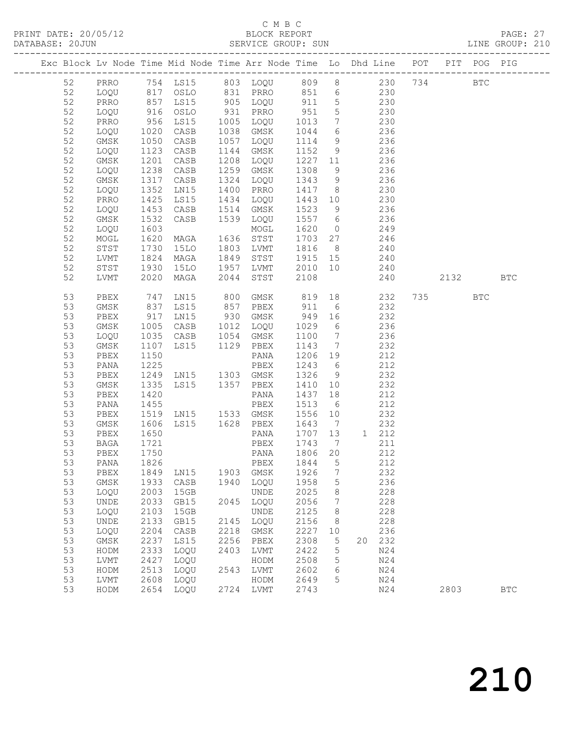PRINT DATE: 20/05/12 BLOCK REPORT<br>DATABASE: 20JUN SERVICE GROUP: SUN

## C M B C<br>BLOCK REPORT

PAGE: 27<br>LINE GROUP: 210

|  |    |              |                   |                |      |              |                                            |                     | Exc Block Lv Node Time Mid Node Time Arr Node Time Lo Dhd Line POT PIT POG PIG |      |            |            |
|--|----|--------------|-------------------|----------------|------|--------------|--------------------------------------------|---------------------|--------------------------------------------------------------------------------|------|------------|------------|
|  | 52 |              |                   |                |      |              |                                            |                     | PRRO 754 LS15 803 LOQU 809 8 230 734                                           |      | BTC        |            |
|  | 52 | LOQU         |                   | 817 OSLO       |      |              |                                            |                     | 831 PRRO 851 6 230                                                             |      |            |            |
|  | 52 | PRRO         |                   | LS15           |      | 905 LOQU     | 911                                        | $5\overline{)}$     | 230                                                                            |      |            |            |
|  | 52 | LOQU         | 857<br>916<br>956 | OSLO           |      | 931 PRRO     | $\begin{array}{c} 951 \\ 1013 \end{array}$ | $5\overline{)}$     | 230                                                                            |      |            |            |
|  | 52 | PRRO         |                   | LS15           |      | 1005 LOQU    | 1013                                       | $7\overline{ }$     | 230                                                                            |      |            |            |
|  | 52 | LOQU         | 1020              | CASB           | 1038 | GMSK         | 1044                                       | 6                   | 236                                                                            |      |            |            |
|  | 52 | GMSK         | 1050              | CASB           | 1057 | LOQU         | 1114                                       | 9                   | 236                                                                            |      |            |            |
|  | 52 | LOQU         | 1123              | CASB           | 1144 | GMSK         | 1152                                       | 9                   | 236                                                                            |      |            |            |
|  | 52 | GMSK         | 1201              | CASB           | 1208 | LOQU         | 1227                                       | 11                  | 236                                                                            |      |            |            |
|  | 52 | LOQU         | 1238              | CASB           | 1259 | GMSK         | 1308                                       | 9                   | 236                                                                            |      |            |            |
|  | 52 |              | 1317              | CASB           | 1324 |              | 1343                                       |                     | 236                                                                            |      |            |            |
|  | 52 | GMSK         |                   | LN15           | 1400 | LOQU<br>PRRO | 1417                                       | 9<br>8 <sup>8</sup> | 230                                                                            |      |            |            |
|  | 52 | LOQU         | 1352              |                |      |              |                                            |                     |                                                                                |      |            |            |
|  |    | PRRO         | 1425              | LS15           | 1434 | LOQU         | 1443 10                                    |                     | 230                                                                            |      |            |            |
|  | 52 | LOQU         | 1453              | CASB           | 1514 | GMSK         | 1523                                       | 9                   | 236                                                                            |      |            |            |
|  | 52 | GMSK         | 1532              | CASB           | 1539 | LOQU         | 1557                                       | 6                   | 236                                                                            |      |            |            |
|  | 52 | LOQU         | 1603              |                |      | MOGL         | 1620                                       | $\overline{0}$      | 249                                                                            |      |            |            |
|  | 52 | MOGL         | 1620              | MAGA           |      | 1636 STST    | 1703                                       | 27                  | 246                                                                            |      |            |            |
|  | 52 | STST         | 1730              | 15LO           | 1803 | LVMT         | 1816                                       | 8 <sup>8</sup>      | 240                                                                            |      |            |            |
|  | 52 | LVMT         | 1824              | MAGA           | 1849 | STST         | 1915 15                                    |                     | 240                                                                            |      |            |            |
|  | 52 | STST         | 1930              | <b>15LO</b>    | 1957 | LVMT         | 2010 10                                    |                     | 240                                                                            |      |            |            |
|  | 52 | LVMT         | 2020              | MAGA           | 2044 | STST         | 2108                                       |                     | 240                                                                            | 2132 |            | <b>BTC</b> |
|  | 53 | PBEX         | 747               | LN15           | 800  | GMSK         | 819                                        | 18                  | 232                                                                            | 735  | <b>BTC</b> |            |
|  | 53 | GMSK         | 837               | LS15           | 857  | PBEX         | 911                                        | 6                   | 232                                                                            |      |            |            |
|  | 53 | PBEX         | 917               | LN15           |      | 930 GMSK     | 949                                        | 16                  | 232                                                                            |      |            |            |
|  | 53 | GMSK         | 1005              | CASB           | 1012 | LOQU         | 1029                                       | $6\overline{6}$     | 236                                                                            |      |            |            |
|  | 53 | LOQU         | 1035              | CASB           | 1054 | GMSK         | 1100                                       | $\overline{7}$      | 236                                                                            |      |            |            |
|  | 53 | GMSK         | 1107              | LS15           |      | 1129 PBEX    | 1143                                       | $\overline{7}$      | 232                                                                            |      |            |            |
|  | 53 | PBEX         | 1150              |                |      | PANA         | 1206                                       | 19                  | 212                                                                            |      |            |            |
|  | 53 | PANA         | 1225              |                |      | PBEX         | 1243                                       | 6                   | 212                                                                            |      |            |            |
|  | 53 | PBEX         | 1249              | LN15 1303 GMSK |      |              | 1326                                       | 9                   | 232                                                                            |      |            |            |
|  | 53 | GMSK         | 1335              | LS15 1357 PBEX |      |              | 1410                                       | 10                  | 232                                                                            |      |            |            |
|  | 53 | PBEX         | 1420              |                |      | PANA         | 1437                                       | 18                  | 212                                                                            |      |            |            |
|  | 53 | PANA         | 1455              |                |      | PBEX         | 1513                                       | 6                   | 212                                                                            |      |            |            |
|  | 53 | PBEX         | 1519              | LN15 1533 GMSK |      |              | 1556                                       | 10                  | 232                                                                            |      |            |            |
|  | 53 | GMSK         | 1606              | LS15 1628 PBEX |      |              | 1643                                       | $\overline{7}$      | 232                                                                            |      |            |            |
|  | 53 | PBEX         | 1650              |                |      | PANA         | 1707                                       | 13                  | 1 212                                                                          |      |            |            |
|  | 53 | BAGA         | 1721              |                |      | PBEX         | 1743                                       | $\overline{7}$      | 211                                                                            |      |            |            |
|  | 53 | PBEX         | 1750              |                |      | PANA         | 1806 20                                    |                     | 212                                                                            |      |            |            |
|  | 53 | PANA         | 1826              |                |      | PBEX         | 1844                                       | 5                   | 212                                                                            |      |            |            |
|  | 53 | ${\tt PBEX}$ | 1849              | LN15           | 1903 | GMSK         | 1926                                       | 7                   | 232                                                                            |      |            |            |
|  | 53 | GMSK         | 1933              | CASB           | 1940 | LOQU         | 1958                                       | 5                   | 236                                                                            |      |            |            |
|  | 53 | LOQU         | 2003              | 15GB           |      | <b>UNDE</b>  | 2025                                       | 8                   | 228                                                                            |      |            |            |
|  | 53 | UNDE         | 2033              | GB15           | 2045 | LOQU         | 2056                                       | 7                   | 228                                                                            |      |            |            |
|  | 53 | LOQU         | 2103              | 15GB           |      | <b>UNDE</b>  | 2125                                       | 8                   | 228                                                                            |      |            |            |
|  | 53 | UNDE         | 2133              | GB15           | 2145 | LOQU         | 2156                                       | 8                   | 228                                                                            |      |            |            |
|  | 53 | LOQU         | 2204              | CASB           | 2218 | GMSK         | 2227                                       | 10                  | 236                                                                            |      |            |            |
|  | 53 | GMSK         | 2237              | LS15           | 2256 | PBEX         | 2308                                       | 5                   | 232<br>20                                                                      |      |            |            |
|  | 53 | HODM         | 2333              | LOQU           | 2403 | LVMT         | 2422                                       | 5                   | N24                                                                            |      |            |            |
|  | 53 | ${\rm LVMT}$ | 2427              | LOQU           |      | HODM         | 2508                                       | 5                   | N24                                                                            |      |            |            |
|  | 53 | HODM         | 2513              | LOQU           | 2543 | LVMT         | 2602                                       | 6                   | N24                                                                            |      |            |            |
|  | 53 | LVMT         | 2608              | LOQU           |      | HODM         | 2649                                       | 5                   | N24                                                                            |      |            |            |
|  | 53 | HODM         | 2654              | LOQU           | 2724 | LVMT         | 2743                                       |                     | N24                                                                            | 2803 |            | <b>BTC</b> |
|  |    |              |                   |                |      |              |                                            |                     |                                                                                |      |            |            |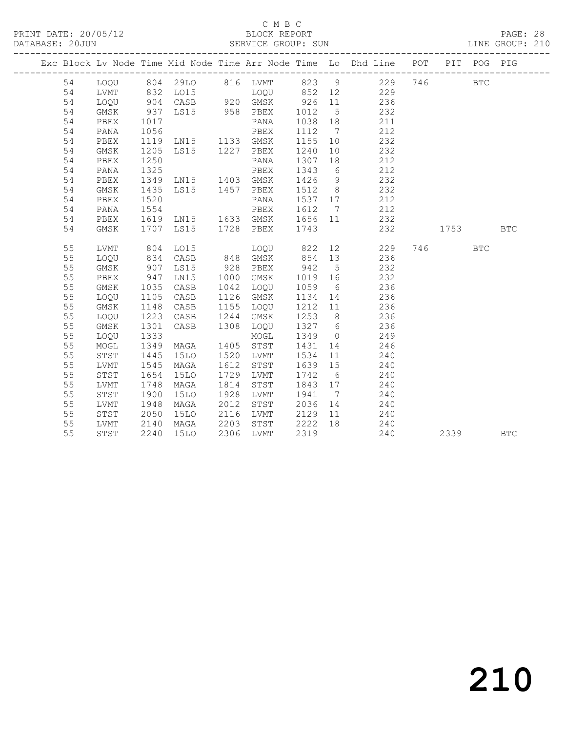#### C M B C<br>BLOCK REPORT

PAGE: 28<br>LINE GROUP: 210

|  |    |      |             |                |      |           |         |                 | Exc Block Lv Node Time Mid Node Time Arr Node Time Lo Dhd Line POT PIT POG PIG |      |            |            |
|--|----|------|-------------|----------------|------|-----------|---------|-----------------|--------------------------------------------------------------------------------|------|------------|------------|
|  | 54 |      |             |                |      |           |         |                 | LOQU 804 29LO 816 LVMT 823 9 229 746                                           |      | <b>BTC</b> |            |
|  | 54 | LVMT | 832         |                |      |           |         |                 |                                                                                |      |            |            |
|  | 54 | LOQU | 904         | CASB 920 GMSK  |      |           |         |                 | 926 11 236                                                                     |      |            |            |
|  | 54 | GMSK | 937         | LS15 958 PBEX  |      |           | 1012    | $5^{\circ}$     | 232                                                                            |      |            |            |
|  | 54 | PBEX | 1017        |                |      | PANA      | 1038    | 18              | 211                                                                            |      |            |            |
|  | 54 | PANA |             |                |      |           | 1112    | $\overline{7}$  | 212                                                                            |      |            |            |
|  | 54 | PBEX |             |                |      |           | 1155    | 10              | 232                                                                            |      |            |            |
|  | 54 | GMSK | 1205        | LS15 1227 PBEX |      |           | 1240    | 10              | 232                                                                            |      |            |            |
|  | 54 | PBEX | 1250        |                |      | PANA      | 1307    | 18              | 212                                                                            |      |            |            |
|  | 54 | PANA | 1325        |                |      | PBEX      | 1343    | 6               | 212                                                                            |      |            |            |
|  | 54 | PBEX | 1349        | LN15 1403 GMSK |      |           | 1426    | 9               | 232                                                                            |      |            |            |
|  | 54 | GMSK | 1435        | LS15 1457 PBEX |      |           | 1512    | 8 <sup>8</sup>  | 232                                                                            |      |            |            |
|  | 54 | PBEX | 1520        |                |      | PANA      | 1537 17 |                 | 212                                                                            |      |            |            |
|  | 54 | PANA | 1554        |                |      | PBEX      | 1612    | $\overline{7}$  | 212                                                                            |      |            |            |
|  | 54 | PBEX | 1619        | LNI5           |      | 1633 GMSK | 1656 11 |                 | 232                                                                            |      |            |            |
|  | 54 | GMSK | 1707        | LS15           |      | 1728 PBEX | 1743    |                 | 232                                                                            | 1753 |            | <b>BTC</b> |
|  |    |      |             |                |      |           |         |                 |                                                                                |      |            |            |
|  | 55 | LVMT | 804         | LO15           |      | LOOU      | 822     |                 | 12 and $\sim$<br>229                                                           | 746  | <b>BTC</b> |            |
|  | 55 | LOQU | 834         | CASB           |      | 848 GMSK  | 854     | 13              | 236                                                                            |      |            |            |
|  | 55 | GMSK | 907         | LS15           | 928  | PBEX      | 942     | $5\overline{)}$ | 232                                                                            |      |            |            |
|  | 55 | PBEX | 947<br>1035 | LN15           | 1000 | GMSK      | 1019    | 16              | 232                                                                            |      |            |            |
|  | 55 | GMSK |             | CASB           | 1042 | LOQU      | 1059    | 6               | 236                                                                            |      |            |            |
|  | 55 | LOQU | 1105        | CASB           | 1126 | GMSK      | 1134    | 14              | 236                                                                            |      |            |            |
|  | 55 | GMSK | 1148        | CASB           | 1155 | LOQU      | 1212 11 |                 | 236                                                                            |      |            |            |
|  | 55 | LOQU | 1223        | CASB           | 1244 | GMSK      | 1253    | 8 <sup>8</sup>  | 236                                                                            |      |            |            |
|  | 55 | GMSK | 1301        | CASB           | 1308 | LOQU      | 1327 6  |                 | 236                                                                            |      |            |            |
|  | 55 | LOQU | 1333        |                |      | MOGL      | 1349    | $\bigcirc$      | 249                                                                            |      |            |            |
|  | 55 | MOGL | 1349        | MAGA           | 1405 | STST      | 1431    | 14              | 246                                                                            |      |            |            |
|  | 55 | STST | 1445        | 15LO           | 1520 | LVMT      | 1534    | 11              | 240                                                                            |      |            |            |
|  | 55 | LVMT | 1545        | MAGA           | 1612 | STST      | 1639    | 15              | 240                                                                            |      |            |            |
|  | 55 | STST | 1654        | <b>15LO</b>    | 1729 | LVMT      | 1742    | 6               | 240                                                                            |      |            |            |
|  | 55 | LVMT | 1748        | MAGA           | 1814 | STST      | 1843 17 |                 | 240                                                                            |      |            |            |
|  | 55 | STST | 1900        | <b>15LO</b>    | 1928 | LVMT      | 1941    | $\overline{7}$  | 240                                                                            |      |            |            |
|  | 55 | LVMT | 1948        | MAGA           | 2012 | STST      | 2036    | 14              | 240                                                                            |      |            |            |
|  | 55 | STST | 2050        | <b>15LO</b>    | 2116 | LVMT      | 2129    | 11              | 240                                                                            |      |            |            |
|  | 55 | LVMT | 2140        | MAGA           | 2203 | STST      | 2222    | 18              | 240                                                                            |      |            |            |
|  | 55 | STST | 2240        | <b>15LO</b>    | 2306 | LVMT      | 2319    |                 | 240                                                                            | 2339 |            | <b>BTC</b> |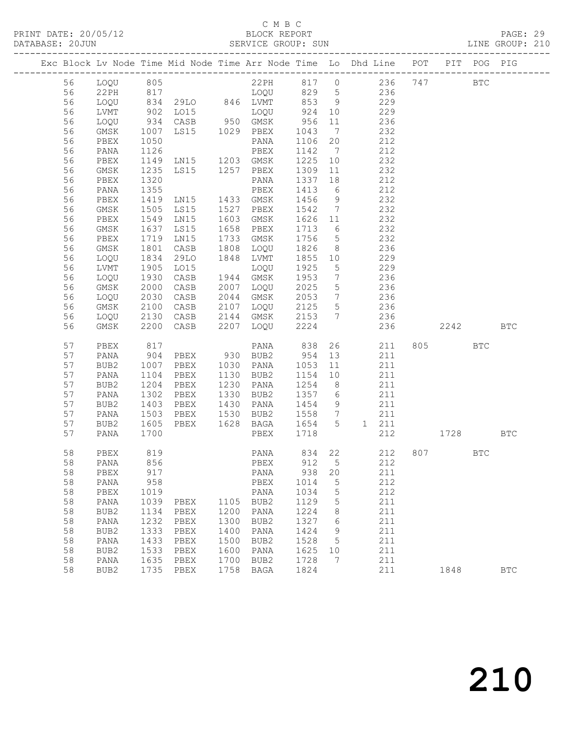#### C M B C<br>BLOCK REPORT

PAGE: 29<br>LINE GROUP: 210

|          |              |              |                                 |              |              |              |                   | Exc Block Lv Node Time Mid Node Time Arr Node Time Lo Dhd Line POT |     |        | PIT POG PIG  |            |
|----------|--------------|--------------|---------------------------------|--------------|--------------|--------------|-------------------|--------------------------------------------------------------------|-----|--------|--------------|------------|
| 56       | LOQU         | 805          |                                 |              | 22PH         | 817 0        |                   | 236                                                                | 747 |        | $_{\rm BTC}$ |            |
| 56       | 22PH         |              |                                 |              | LOQU         | 829          | $5\overline{)}$   | 236                                                                |     |        |              |            |
| 56       | LOQU         |              | 817<br>834 29LO 846<br>902 LO15 |              | 846 LVMT     | 853          | 9                 | 229                                                                |     |        |              |            |
| 56       | LVMT         |              |                                 |              | LOQU         | 924          | 10                | 229                                                                |     |        |              |            |
| 56       | LOQU         | 934          | CASB                            |              | 950 GMSK     | 956          | 11                | 236                                                                |     |        |              |            |
| 56       | GMSK         | 1007         | LS15 1029 PBEX                  |              |              | 1043         | $\overline{7}$    | 232                                                                |     |        |              |            |
| 56       | PBEX         | 1050         |                                 |              | PANA         | 1106         | 20                | 212                                                                |     |        |              |            |
| 56       | PANA         | 1126         |                                 |              | PBEX         | 1142         | $7\overline{ }$   | 212                                                                |     |        |              |            |
| 56       | PBEX         | 1149         | LN15                            | 1203         | GMSK         | 1225         | 10                | 232                                                                |     |        |              |            |
| 56       | GMSK         | 1235         | LS15                            | 1257         | PBEX         | 1309         | 11                | 232                                                                |     |        |              |            |
| 56       | PBEX         | 1320         |                                 |              | PANA         | 1337         | 18                | 212                                                                |     |        |              |            |
| 56       | PANA         | 1355         |                                 |              | PBEX         | 1413         | 6                 | 212                                                                |     |        |              |            |
| 56       | PBEX         | 1419         | LNI5                            |              | 1433 GMSK    | 1456         | 9                 | 232                                                                |     |        |              |            |
| 56       | GMSK         | 1505         | LS15                            | 1527         | PBEX         | 1542         | $\overline{7}$    | 232                                                                |     |        |              |            |
| 56       | PBEX         | 1549         | LN15                            | 1603         | GMSK         | 1626         | 11                | 232                                                                |     |        |              |            |
| 56       | $\rm{GMSK}$  | 1637         | LS15                            | 1658         | PBEX         | 1713         | 6                 | 232                                                                |     |        |              |            |
| 56       | PBEX         | 1719         | LN15                            | 1733         | GMSK         | 1756         | $5\overline{)}$   | 232                                                                |     |        |              |            |
| 56       | GMSK         | 1801         | CASB                            | 1808         | LOQU         | 1826         | 8 <sup>8</sup>    | 236                                                                |     |        |              |            |
| 56       | LOQU         | 1834         | 29LO                            | 1848         | LVMT         | 1855         | 10                | 229                                                                |     |        |              |            |
| 56       | LVMT         | 1905         | LO15                            |              | LOQU         | 1925         | $5\overline{)}$   | 229                                                                |     |        |              |            |
| 56       | LOQU         | 1930         | CASB                            |              | 1944 GMSK    | 1953         | $7\phantom{.0}$   | 236                                                                |     |        |              |            |
| 56       | GMSK         | 2000         | CASB                            | 2007         | LOQU         | 2025         | $5\phantom{.0}$   | 236                                                                |     |        |              |            |
| 56       | LOQU         | 2030         | CASB                            | 2044         | GMSK         | 2053         | $7\phantom{.0}\,$ | 236                                                                |     |        |              |            |
| 56       | GMSK         | 2100         | CASB                            |              | 2107 LOQU    | 2125         | $5\overline{)}$   | 236                                                                |     |        |              |            |
| 56<br>56 | LOQU<br>GMSK | 2130<br>2200 | CASB<br>CASB                    | 2144<br>2207 | GMSK<br>LOQU | 2153<br>2224 | 7                 | 236<br>236                                                         |     | 2242   |              | <b>BTC</b> |
|          |              |              |                                 |              |              |              |                   |                                                                    |     |        |              |            |
| 57       | PBEX         | 817          |                                 |              | PANA         | 838          | 26                | 211                                                                | 805 |        | <b>BTC</b>   |            |
| 57       | PANA         | 904          | PBEX                            |              | 930 BUB2     | 954          | 13                | 211                                                                |     |        |              |            |
| 57       | BUB2         | 1007         | PBEX                            | 1030         | PANA         | 1053         | 11                | 211                                                                |     |        |              |            |
| 57       | PANA         | 1104         | PBEX                            | 1130         | BUB2         | 1154         | 10                | 211                                                                |     |        |              |            |
| 57       | BUB2         | 1204         | PBEX                            | 1230         | PANA         | 1254         | 8                 | 211                                                                |     |        |              |            |
| 57       | PANA         | 1302         | PBEX                            | 1330         | BUB2         | 1357         | $6\overline{6}$   | 211                                                                |     |        |              |            |
| 57       | BUB2         | 1403         | PBEX                            | 1430         | PANA         | 1454         | 9                 | 211                                                                |     |        |              |            |
| 57       | PANA         | 1503         | PBEX                            | 1530         | BUB2         | 1558         | $\overline{7}$    | 211                                                                |     |        |              |            |
| 57       | BUB2         | 1605         | PBEX                            |              | 1628 BAGA    | 1654         | 5                 | 211<br>1                                                           |     |        |              |            |
| 57       | PANA         | 1700         |                                 |              | PBEX         | 1718         |                   | 212                                                                |     | 1728   |              | <b>BTC</b> |
| 58       | PBEX         | 819          |                                 |              | PANA         | 834 22       |                   | 212                                                                |     | 807 80 | <b>BTC</b>   |            |
| 58       | PANA         | 856          |                                 |              | PBEX 912 5   |              |                   | 212                                                                |     |        |              |            |
| 58       | PBEX         | 917          |                                 |              | PANA         | 938          | 20                | 211                                                                |     |        |              |            |
| 58       | PANA         | 958          |                                 |              | PBEX         | 1014         | 5                 | 212                                                                |     |        |              |            |
| 58       | PBEX         | 1019         |                                 |              | PANA         | 1034         | 5                 | 212                                                                |     |        |              |            |
| 58       | PANA         | 1039         | PBEX                            | 1105         | BUB2         | 1129         | 5                 | 211                                                                |     |        |              |            |
| 58       | BUB2         | 1134         | PBEX                            | 1200         | PANA         | 1224         | 8                 | 211                                                                |     |        |              |            |
| 58       | PANA         | 1232         | PBEX                            | 1300         | BUB2         | 1327         | 6                 | 211                                                                |     |        |              |            |
| 58       | BUB2         | 1333         | PBEX                            | 1400         | PANA         | 1424         | 9                 | 211                                                                |     |        |              |            |
| 58       | PANA         | 1433         | PBEX                            | 1500         | BUB2         | 1528         | 5                 | 211                                                                |     |        |              |            |
| 58       | BUB2         | 1533         | PBEX                            | 1600         | PANA         | 1625         | 10                | 211                                                                |     |        |              |            |
| 58       | PANA         | 1635         | PBEX                            | 1700         | BUB2         | 1728         | 7                 | 211                                                                |     |        |              |            |
| 58       | BUB2         | 1735         | PBEX                            | 1758         | <b>BAGA</b>  | 1824         |                   | 211                                                                |     | 1848   |              | <b>BTC</b> |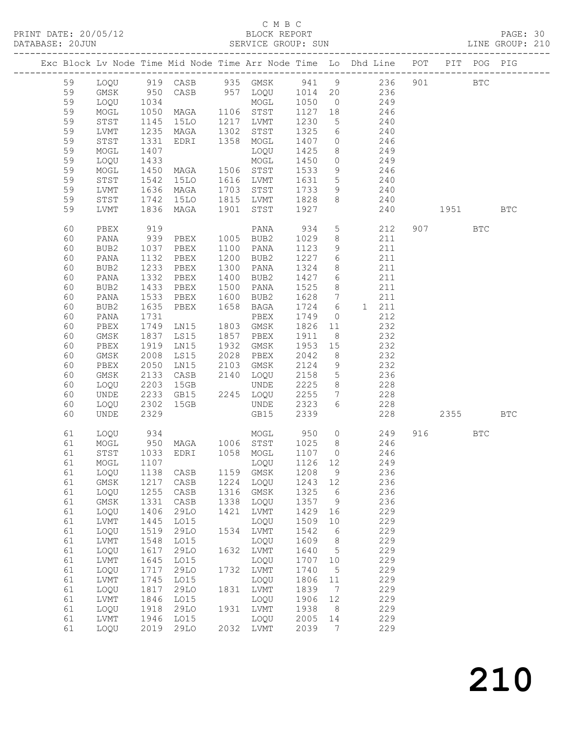PRINT DATE: 20/05/12 BLOCK REPORT<br>DATABASE: 20JUN BATABASE: 2010

#### C M B C<br>BLOCK REPORT

PAGE: 30<br>LINE GROUP: 210

|  |    |      |                  |                 |      | Exc Block Lv Node Time Mid Node Time Arr Node Time Lo Dhd Line POT PIT POG PIG |        |                 |                |     |           |              |            |
|--|----|------|------------------|-----------------|------|--------------------------------------------------------------------------------|--------|-----------------|----------------|-----|-----------|--------------|------------|
|  | 59 |      |                  |                 |      | LOQU 919 CASB 935 GMSK 941 9 236                                               |        |                 |                |     | 901       | $_{\rm BTC}$ |            |
|  | 59 | GMSK | 950              |                 |      | CASB 957 LOQU 1014                                                             |        | 20              | 236            |     |           |              |            |
|  | 59 | LOQU |                  |                 |      | MOGL                                                                           | 1050   | $\overline{0}$  |                | 249 |           |              |            |
|  | 59 | MOGL | 1034<br>1050     | MAGA            |      | 1106 STST                                                                      | 1127   | 18              |                | 246 |           |              |            |
|  | 59 | STST | 1145             | 15LO            |      | 1217 LVMT                                                                      | 1230   | $5\overline{)}$ | 240            |     |           |              |            |
|  | 59 | LVMT | 1235             | MAGA            | 1302 | STST                                                                           | 1325   | 6               |                | 240 |           |              |            |
|  | 59 | STST | 1331             | EDRI            |      | 1358 MOGL                                                                      | 1407   | $\circ$         |                | 246 |           |              |            |
|  | 59 | MOGL | 1407             |                 |      | LOQU                                                                           | 1425   | 8               |                | 249 |           |              |            |
|  | 59 | LOQU | 1433             |                 |      | MOGL                                                                           | 1450   | $\circ$         | 249            |     |           |              |            |
|  | 59 | MOGL | 1450             | MAGA            |      | 1506 STST                                                                      | 1533   | 9               | 246            |     |           |              |            |
|  | 59 | STST |                  | 15LO            |      | 1616 LVMT                                                                      | 1631   | $5\overline{)}$ |                | 240 |           |              |            |
|  | 59 | LVMT | $1542$<br>$1636$ | MAGA            |      | 1703 STST                                                                      | 1733   | 9               |                | 240 |           |              |            |
|  | 59 | STST | 1742             | 15LO            |      | 1815 LVMT                                                                      | 1828   | 8               |                | 240 |           |              |            |
|  | 59 | LVMT | 1836             | MAGA            | 1901 | STST                                                                           | 1927   |                 |                | 240 | 1951 1990 |              | <b>BTC</b> |
|  |    |      |                  |                 |      |                                                                                |        |                 |                |     |           |              |            |
|  | 60 | PBEX | 919              |                 |      | PANA                                                                           | 934    | $5\overline{)}$ |                | 212 | 907       | <b>BTC</b>   |            |
|  | 60 | PANA | 939              | PBEX            |      | 1005 BUB2                                                                      | 1029   | 8               |                | 211 |           |              |            |
|  | 60 | BUB2 | 1037             | PBEX            | 1100 | PANA                                                                           | 1123   | 9               |                | 211 |           |              |            |
|  | 60 | PANA | 1132             | PBEX            | 1200 | BUB2                                                                           | 1227   | 6               |                | 211 |           |              |            |
|  | 60 | BUB2 | 1233             | PBEX            | 1300 | PANA                                                                           | 1324   | 8               |                | 211 |           |              |            |
|  | 60 | PANA | 1332             | PBEX            | 1400 | BUB2                                                                           | 1427   | 6               |                | 211 |           |              |            |
|  | 60 | BUB2 | 1433             | PBEX            | 1500 | PANA                                                                           | 1525   | 8               |                | 211 |           |              |            |
|  | 60 | PANA | 1533             | PBEX            | 1600 | BUB2                                                                           | 1628   | $7\overline{ }$ |                | 211 |           |              |            |
|  | 60 | BUB2 | 1635             | PBEX            | 1658 | <b>BAGA</b>                                                                    | 1724   | 6               | 1 211          |     |           |              |            |
|  | 60 | PANA | 1731             |                 |      | PBEX                                                                           | 1749   | $\circ$         |                | 212 |           |              |            |
|  | 60 | PBEX | 1749             | LN15            | 1803 | GMSK                                                                           | 1826   | 11              |                | 232 |           |              |            |
|  | 60 | GMSK | 1837             | LS15            | 1857 | PBEX                                                                           | 1911   | - 8             |                | 232 |           |              |            |
|  | 60 | PBEX | 1919             | LN15            | 1932 | GMSK                                                                           | 1953   | 15              |                | 232 |           |              |            |
|  | 60 | GMSK | 2008             | LS15            | 2028 | PBEX                                                                           | 2042   | 8               |                | 232 |           |              |            |
|  | 60 | PBEX | 2050             | LN15            | 2103 | GMSK                                                                           | 2124   | 9               |                | 232 |           |              |            |
|  | 60 | GMSK | 2133             | CASB            | 2140 | LOQU                                                                           | 2158   | 5               |                | 236 |           |              |            |
|  | 60 | LOQU | 2203             | 15GB            |      | UNDE                                                                           | 2225   | 8               |                | 228 |           |              |            |
|  | 60 | UNDE | 2233             | GB15            |      | 2245 LOQU                                                                      | 2255   | $7\overline{ }$ |                | 228 |           |              |            |
|  | 60 | LOQU | 2302             | 15GB            |      | UNDE                                                                           | 2323   | 6               |                | 228 |           |              |            |
|  | 60 | UNDE | 2329             |                 |      | GB15                                                                           | 2339   |                 |                | 228 | 2355      |              | <b>BTC</b> |
|  | 61 | LOQU | 934              |                 |      | MOGL 950                                                                       |        |                 | $\overline{0}$ | 249 | 916 — 10  | BTC          |            |
|  | 61 | MOGL |                  |                 |      | 950 MAGA 1006 STST 1025                                                        |        | 8 <sup>8</sup>  | 246            |     |           |              |            |
|  | 61 | STST |                  | 1033 EDRI       |      | 1058 MOGL                                                                      | 1107 0 |                 |                | 246 |           |              |            |
|  | 61 | MOGL | 1107             |                 |      | LOQU 1126 12                                                                   |        |                 |                | 249 |           |              |            |
|  | 61 | LOQU | 1138             | CASB            | 1159 | GMSK                                                                           | 1208   | 9               |                | 236 |           |              |            |
|  | 61 | GMSK | 1217             | CASB            | 1224 | LOQU                                                                           | 1243   | 12              |                | 236 |           |              |            |
|  | 61 | LOQU | 1255             | CASB            | 1316 | GMSK                                                                           | 1325   | 6               |                | 236 |           |              |            |
|  | 61 | GMSK | 1331             | $\mathtt{CASE}$ | 1338 | LOQU                                                                           | 1357   | $\mathsf 9$     |                | 236 |           |              |            |
|  | 61 | LOQU | 1406             | 29LO            | 1421 | LVMT                                                                           | 1429   | 16              |                | 229 |           |              |            |
|  | 61 | LVMT | 1445             | L015            |      | LOQU                                                                           | 1509   | 10              |                | 229 |           |              |            |
|  | 61 | LOQU | 1519             | 29LO            | 1534 | LVMT                                                                           | 1542   | 6               |                | 229 |           |              |            |
|  | 61 | LVMT | 1548             | L015            |      | LOQU                                                                           | 1609   | 8               |                | 229 |           |              |            |
|  | 61 | LOQU | 1617             | 29LO            | 1632 | LVMT                                                                           | 1640   | 5               |                | 229 |           |              |            |
|  | 61 | LVMT | 1645             | LO15            |      | LOQU                                                                           | 1707   | 10              |                | 229 |           |              |            |
|  | 61 | LOQU | 1717             | 29LO            | 1732 | LVMT                                                                           | 1740   | 5               |                | 229 |           |              |            |
|  | 61 | LVMT | 1745             | L015            |      | LOQU                                                                           | 1806   | 11              |                | 229 |           |              |            |
|  | 61 | LOQU | 1817             | 29LO            | 1831 | LVMT                                                                           | 1839   | 7               |                | 229 |           |              |            |
|  | 61 | LVMT | 1846             | L015            |      | LOQU                                                                           | 1906   | 12              |                | 229 |           |              |            |
|  | 61 | LOQU | 1918             | 29LO            | 1931 | <b>LVMT</b>                                                                    | 1938   | 8               |                | 229 |           |              |            |
|  | 61 | LVMT | 1946             | L015            |      | LOQU                                                                           | 2005   | 14              |                | 229 |           |              |            |
|  | 61 | LOQU | 2019             | 29LO            | 2032 | LVMT                                                                           | 2039   | 7               |                | 229 |           |              |            |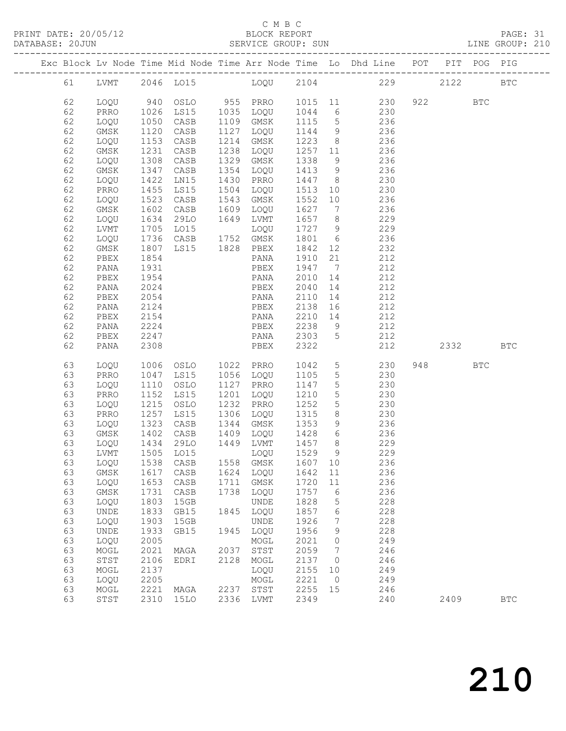#### C M B C<br>BLOCK REPORT

#### PAGE: 31<br>LINE GROUP: 210

|  |          |              |              |                     |      |                   |         |                 | Exc Block Lv Node Time Mid Node Time Arr Node Time Lo Dhd Line POT PIT POG PIG |      |            |                      |
|--|----------|--------------|--------------|---------------------|------|-------------------|---------|-----------------|--------------------------------------------------------------------------------|------|------------|----------------------|
|  | 61       |              |              |                     |      |                   |         |                 | LVMT 2046 LO15 LOQU 2104 229                                                   | 2122 |            | $_{\rm BTC}$         |
|  | 62       | LOQU         |              |                     |      |                   |         |                 | 940 OSLO 955 PRRO 1015 11 230                                                  | 922  | <b>BTC</b> |                      |
|  | 62       | PRRO         | 1026         |                     |      |                   |         |                 | LS15 1035 LOQU 1044 6 230                                                      |      |            |                      |
|  | 62       | LOQU         | 1050<br>1120 | CASB                |      | 1109 GMSK         |         |                 | 1115 5 236                                                                     |      |            |                      |
|  | 62       | GMSK         |              | CASB                |      | 1127 LOQU         | 1144 9  |                 | 236                                                                            |      |            |                      |
|  | 62       | LOQU         | 1153         | CASB                |      | 1214 GMSK         |         |                 | $1223$ 8 236                                                                   |      |            |                      |
|  | 62       | GMSK         | 1231         | CASB                |      | 1238 LOQU         |         |                 | 1257 11 236                                                                    |      |            |                      |
|  | 62       | LOQU         | 1308         | CASB                |      | 1329 GMSK         | 1338    | 9               | 236                                                                            |      |            |                      |
|  | 62       | GMSK         | 1347<br>1422 | CASB                |      | 1354 LOQU         | 1413 9  |                 | $\frac{236}{6}$                                                                |      |            |                      |
|  | 62       | LOQU         |              | LN15                |      | 1430 PRRO         | 1447 8  |                 | 230                                                                            |      |            |                      |
|  | 62       | PRRO         | 1455         | LS15                |      | 1504 LOQU 1513 10 |         |                 | 230                                                                            |      |            |                      |
|  | 62       | LOQU         | 1523         | CASB                |      | 1543 GMSK         | 1552    | 10              | 236                                                                            |      |            |                      |
|  | 62       | GMSK         | 1602<br>1634 | CASB                |      | 1609 LOQU         | 1627 7  |                 | 236                                                                            |      |            |                      |
|  | 62       | LOQU         |              | 29LO                |      | 1649 LVMT         | 1657 8  |                 | 229                                                                            |      |            |                      |
|  | 62       | LVMT         | 1705         | LO15                |      | LOQU              | 1727 9  |                 | 229                                                                            |      |            |                      |
|  | 62       | LOQU         | 1736         | CASB 1752 GMSK      |      |                   | 1801 6  |                 | 236                                                                            |      |            |                      |
|  | 62       | GMSK         | 1807<br>1854 | LS15 1828 PBEX      |      |                   | 1842 12 |                 | 232                                                                            |      |            |                      |
|  | 62       | PBEX         |              |                     |      | PANA              | 1910 21 |                 | 212                                                                            |      |            |                      |
|  | 62       | PANA         | 1931         |                     |      | PBEX              | 1947 7  |                 | 212                                                                            |      |            |                      |
|  | 62       | PBEX         | 1954         |                     |      | PANA              | 2010    | 14              | 212                                                                            |      |            |                      |
|  | 62       | PANA         | 2024         |                     |      | PBEX              | 2040    | 14              | 212                                                                            |      |            |                      |
|  | 62       | PBEX         | 2054         |                     |      | PANA              | 2110    | 14              | 212                                                                            |      |            |                      |
|  | 62       | PANA         | 2124         |                     |      | PBEX              | 2138 16 |                 | 212                                                                            |      |            |                      |
|  | 62       | PBEX         | 2154         |                     |      | PANA              | 2210 14 |                 | 212                                                                            |      |            |                      |
|  | 62       | PANA         | 2224         |                     |      | PBEX              | 2238 9  |                 | 212                                                                            |      |            |                      |
|  | 62       | PBEX         | 2247         |                     |      | PANA 2303 5       |         |                 | 212                                                                            |      |            |                      |
|  | 62       | PANA         | 2308         |                     |      | PBEX              | 2322    |                 | 212                                                                            | 2332 |            | <b>BTC</b>           |
|  | 63       | LOQU         |              | 1006 OSLO 1022 PRRO |      |                   | 1042    | 5 <sup>5</sup>  | 230                                                                            |      | <b>BTC</b> |                      |
|  | 63       | PRRO         | 1047         | LS15                |      | 1056 LOQU         | 1105    | 5 <sup>5</sup>  | 230                                                                            |      |            |                      |
|  | 63       | LOQU         | 1110         | OSLO                |      | 1127 PRRO         | 1147    | $5\overline{)}$ | 230                                                                            |      |            |                      |
|  | 63       | PRRO         | 1152         | LS15                |      | 1201 LOQU         | 1210    | $5\overline{)}$ | 230                                                                            |      |            |                      |
|  | 63       | LOQU         | 1215         | OSLO                |      | 1232 PRRO         | 1252    | 5 <sup>5</sup>  | 230                                                                            |      |            |                      |
|  | 63       | PRRO         | 1257<br>1323 | LS15                |      | 1306 LOQU         | 1315    | 8 <sup>8</sup>  | 230                                                                            |      |            |                      |
|  | 63       | LOQU         | 1402         | CASB<br>CASB        |      | 1344 GMSK         | 1353    | 9               | 236<br>1409 LOQU 1428 6 236                                                    |      |            |                      |
|  | 63<br>63 | GMSK<br>LOQU | 1434         | 29LO                |      | 1449 LVMT         | 1457 8  |                 | 229                                                                            |      |            |                      |
|  | 63       | LVMT         |              | 1505 LO15           |      | LOQU              | 1529 9  |                 | 229                                                                            |      |            |                      |
|  |          |              |              | 63 LOQU 1538 CASB   |      | 1558 GMSK 1607 10 |         |                 | 236                                                                            |      |            |                      |
|  | 63       | GMSK         | 1617         | $\mathtt{CASB}$     | 1624 | LOQU              | 1642    | 11              | 236                                                                            |      |            |                      |
|  | 63       | LOQU         | 1653         | CASB                | 1711 | GMSK              | 1720    | 11              | 236                                                                            |      |            |                      |
|  | 63       | GMSK         | 1731         | CASB                | 1738 | LOQU              | 1757    | 6               | 236                                                                            |      |            |                      |
|  | 63       | LOQU         | 1803         | 15GB                |      | UNDE              | 1828    | 5               | 228                                                                            |      |            |                      |
|  | 63       | UNDE         | 1833         | GB15                | 1845 | LOQU              | 1857    | 6               | 228                                                                            |      |            |                      |
|  | 63       | LOQU         | 1903         | 15GB                |      | <b>UNDE</b>       | 1926    | 7               | 228                                                                            |      |            |                      |
|  | 63       | UNDE         | 1933         | GB15                | 1945 | LOQU              | 1956    | 9               | 228                                                                            |      |            |                      |
|  | 63       | LOQU         | 2005         |                     |      | MOGL              | 2021    | 0               | 249                                                                            |      |            |                      |
|  | 63       | MOGL         | 2021         | MAGA                | 2037 | STST              | 2059    | 7               | 246                                                                            |      |            |                      |
|  | 63       | STST         | 2106         | EDRI                | 2128 | MOGL              | 2137    | $\circ$         | 246                                                                            |      |            |                      |
|  | 63       | MOGL         | 2137         |                     |      | LOQU              | 2155    | 10              | 249                                                                            |      |            |                      |
|  | 63       | LOQU         | 2205         |                     |      | MOGL              | 2221    | $\circ$         | 249                                                                            |      |            |                      |
|  | 63       | MOGL         | 2221         | MAGA                | 2237 | STST              | 2255    | 15              | 246                                                                            |      |            |                      |
|  | 63       | STST         | 2310         | <b>15LO</b>         | 2336 | LVMT              | 2349    |                 | 240                                                                            | 2409 |            | $\operatorname{BTC}$ |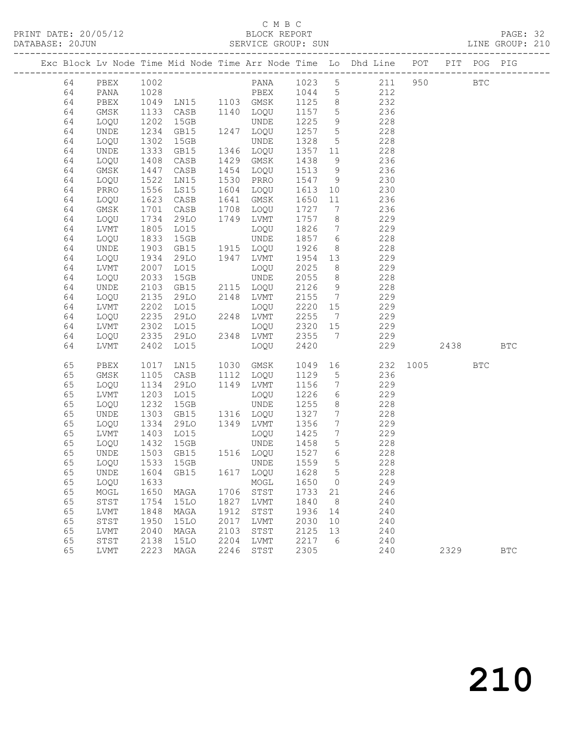#### C M B C<br>BLOCK REPORT

PAGE: 32<br>LINE GROUP: 210

|  |          |              |               |                |      |                               |                 |                              | Exc Block Lv Node Time Mid Node Time Arr Node Time Lo Dhd Line POT |          |          | PIT POG PIG |            |
|--|----------|--------------|---------------|----------------|------|-------------------------------|-----------------|------------------------------|--------------------------------------------------------------------|----------|----------|-------------|------------|
|  | 64       | PBEX         | 1002          |                |      |                               |                 |                              | PANA 1023 5 211 950                                                |          |          | <b>BTC</b>  |            |
|  | 64       | PANA         |               |                |      | PBEX 1044 5                   |                 |                              |                                                                    |          |          |             |            |
|  | 64       | PBEX         |               |                |      |                               |                 | 8 <sup>8</sup>               | 212<br>232                                                         |          |          |             |            |
|  | 64       | GMSK         | 1133          | CASB 1140 LOQU |      |                               | 1157            | 5 <sup>5</sup>               | 236                                                                |          |          |             |            |
|  | 64       | LOQU         | 1202          | 15GB           |      | UNDE                          | 1225            | 9                            | 228                                                                |          |          |             |            |
|  | 64       | UNDE         | 1234          | GB15           |      | 1247 LOQU                     | 1257 5          |                              | 228                                                                |          |          |             |            |
|  | 64       | LOQU         | 1302          | 15GB           |      | UNDE                          | 1328            | 5 <sup>5</sup>               | 228                                                                |          |          |             |            |
|  | 64       | UNDE         | 1333          | GB15           |      | 1346 LOQU                     | 1357 11         |                              | 228                                                                |          |          |             |            |
|  | 64       | LOQU         | 1408          | CASB           |      | 1429 GMSK                     | 1438            | 9                            | 236                                                                |          |          |             |            |
|  | 64       | GMSK         | $14 - 1522$   | CASB           |      | 1454 LOQU                     | 1513            | 9                            | 236                                                                |          |          |             |            |
|  | 64       | LOQU         |               | LN15           |      | 1530 PRRO                     | 1547 9          |                              | 230                                                                |          |          |             |            |
|  | 64       | PRRO         | 1556          | LS15           |      | 1604 LOQU                     | 1613            | 10                           | 230                                                                |          |          |             |            |
|  | 64       | LOQU         | 1623          | CASB           |      | 1641 GMSK                     | 1650            | 11                           | 236                                                                |          |          |             |            |
|  | 64       | GMSK         | 1701<br>1734  | CASB           |      | 1708 LOQU                     | 1727            | $7\overline{ }$              | 236                                                                |          |          |             |            |
|  | 64       | LOQU         |               | 29LO           |      | 1749 LVMT                     | 1757            | 8 <sup>8</sup>               | 229                                                                |          |          |             |            |
|  | 64       | LVMT         | 1805          | LO15           |      | LOQU                          | 1826            | $7\overline{ }$              | 229                                                                |          |          |             |            |
|  | 64       | LOQU         | 1833          | 15GB           |      | UNDE                          | 1857 6          |                              | 228                                                                |          |          |             |            |
|  | 64       | UNDE         | $152$<br>1934 | GB15           |      | 1915 LOQU                     | 1926            | 8 <sup>8</sup>               | 228                                                                |          |          |             |            |
|  | 64       | LOQU         |               | 29LO           |      | 1947 LVMT                     | 1954 13         |                              | 229                                                                |          |          |             |            |
|  | 64       | LVMT         | 2007          | LO15           |      | LOQU                          | 2025            | 8 <sup>8</sup>               | 229                                                                |          |          |             |            |
|  | 64       | LOQU         | 2033          | 15GB           |      | UNDE                          | 2055            | 8 <sup>8</sup>               | 228                                                                |          |          |             |            |
|  | 64       | UNDE         | 2103          | GB15           |      | 2115 LOQU                     | 2126            | 9                            | 228                                                                |          |          |             |            |
|  | 64       | LOQU         | 2135<br>2202  | 29LO           |      | 2148 LVMT                     | 2155            | $7\overline{ }$              | 229                                                                |          |          |             |            |
|  | 64       | LVMT         | 2235          | LO15<br>29LO   |      | LOQU<br>2248 LVMT             | 2220 15<br>2255 | $\overline{7}$               | 229<br>229                                                         |          |          |             |            |
|  | 64       | LOQU         |               | LO15           |      |                               | 2320 15         |                              |                                                                    |          |          |             |            |
|  | 64<br>64 | LVMT         | 2302<br>2335  | 29LO           |      | LOQU<br>2348 LVMT             | 2355            | $7\overline{ }$              | 229<br>229                                                         |          |          |             |            |
|  | 64       | LOQU<br>LVMT | 2402          | LO15           |      | LOQU                          | 2420            |                              | 229                                                                |          | 2438 BTC |             |            |
|  |          |              |               |                |      |                               |                 |                              |                                                                    |          |          |             |            |
|  | 65       | PBEX         | 1017          | LN15           |      | 1030 GMSK                     | 1049            | 16                           |                                                                    | 232 1005 |          | <b>BTC</b>  |            |
|  | 65       | GMSK         | 1105          | CASB           |      | 1112 LOQU                     | 1129            | $5\overline{)}$              | 236                                                                |          |          |             |            |
|  | 65       | LOQU         | 1134          | 29LO           |      | 1149 LVMT                     | 1156            | $7\overline{ }$              | 229                                                                |          |          |             |            |
|  | 65       | LVMT         | 1203          | LO15           |      | LOQU                          | 1226            | 6                            | 229                                                                |          |          |             |            |
|  | 65       | LOQU         | 1232          | 15GB           |      | UNDE                          | 1255            | 8 <sup>8</sup>               | 228                                                                |          |          |             |            |
|  | 65       | UNDE         | 1303<br>1334  | GB15           |      | 1316 LOQU                     | 1327            | $7\phantom{.0}\phantom{.0}7$ | 228                                                                |          |          |             |            |
|  | 65       | LOQU         |               | 29LO           |      | 1349 LVMT                     | 1356            | $7\overline{ }$              | 229                                                                |          |          |             |            |
|  | 65       | LVMT         | 1403          | LO15           |      | LOQU                          | 1425            | $7\overline{ }$              | 229                                                                |          |          |             |            |
|  | 65       | LOQU         | 1432          | 15GB           |      | UNDE                          | 1458            | $5\overline{)}$              | 228                                                                |          |          |             |            |
|  | 65       | UNDE         | 1503          | GB15           |      | 1516 LOQU                     | 1527 6          |                              | 228                                                                |          |          |             |            |
|  |          |              |               |                |      | 65 LOQU 1533 15GB UNDE 1559 5 |                 |                              | 228                                                                |          |          |             |            |
|  | 65       | UNDE         | 1604          | GB15           | 1617 | LOQU                          | 1628            | 5                            | 228                                                                |          |          |             |            |
|  | 65       | LOQU         | 1633          |                |      | MOGL                          | 1650            | $\circ$                      | 249                                                                |          |          |             |            |
|  | 65       | MOGL         | 1650          | MAGA           | 1706 | STST                          | 1733            | 21                           | 246                                                                |          |          |             |            |
|  | 65       | STST         | 1754          | <b>15LO</b>    | 1827 | LVMT                          | 1840            | 8                            | 240                                                                |          |          |             |            |
|  | 65       | LVMT         | 1848          | MAGA           | 1912 | STST                          | 1936            | 14                           | 240                                                                |          |          |             |            |
|  | 65       | STST         | 1950          | <b>15LO</b>    | 2017 | LVMT                          | 2030            | 10                           | 240                                                                |          |          |             |            |
|  | 65       | LVMT         | 2040          | MAGA           | 2103 | STST                          | 2125            | 13                           | 240                                                                |          |          |             |            |
|  | 65       | STST         | 2138          | <b>15LO</b>    | 2204 | LVMT                          | 2217            | 6                            | 240                                                                |          |          |             |            |
|  | 65       | LVMT         | 2223          | MAGA           | 2246 | ${\tt STST}$                  | 2305            |                              | 240                                                                |          | 2329     |             | <b>BTC</b> |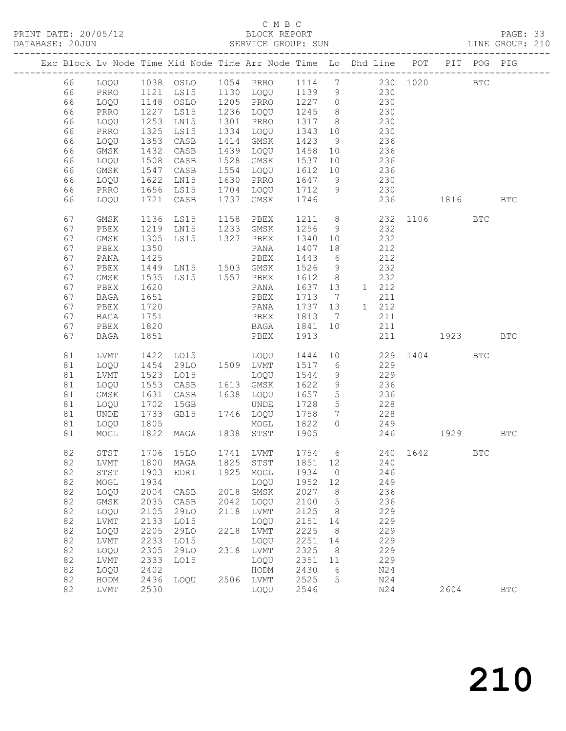## C M B C<br>BLOCK REPORT

PAGE: 33<br>LINE GROUP: 210

|    |              |      |                                  |      | Exc Block Lv Node Time Mid Node Time Arr Node Time Lo Dhd Line POT |        |                 |    |       |          |                                                                                                                                                                                                                                 | PIT POG PIG  |              |
|----|--------------|------|----------------------------------|------|--------------------------------------------------------------------|--------|-----------------|----|-------|----------|---------------------------------------------------------------------------------------------------------------------------------------------------------------------------------------------------------------------------------|--------------|--------------|
| 66 | LOQU         |      |                                  |      |                                                                    |        |                 |    |       | 230 1020 |                                                                                                                                                                                                                                 | $_{\rm BTC}$ |              |
| 66 | PRRO         | 1121 | LS15                             |      | 1130 LOQU                                                          | 1139   | 9               |    | 230   |          |                                                                                                                                                                                                                                 |              |              |
| 66 | LOQU         | 1148 | OSLO                             |      | 1205 PRRO                                                          | 1227 0 |                 |    | 230   |          |                                                                                                                                                                                                                                 |              |              |
| 66 | PRRO         | 1227 | LS15                             |      | 1236 LOQU                                                          | 1245   | 8 <sup>8</sup>  |    | 230   |          |                                                                                                                                                                                                                                 |              |              |
| 66 | LOQU         | 1253 | LN15                             |      | 1301 PRRO                                                          | 1317   | 8 <sup>8</sup>  |    | 230   |          |                                                                                                                                                                                                                                 |              |              |
| 66 | PRRO         | 1325 | LS15                             | 1334 | LOQU                                                               | 1343   | 10              |    | 230   |          |                                                                                                                                                                                                                                 |              |              |
| 66 | LOQU         | 1353 | CASB                             |      | 1414 GMSK                                                          | 1423   | 9               |    | 236   |          |                                                                                                                                                                                                                                 |              |              |
| 66 | GMSK         | 1432 | CASB                             | 1439 | LOQU                                                               | 1458   | 10              |    | 236   |          |                                                                                                                                                                                                                                 |              |              |
|    |              |      |                                  |      |                                                                    |        |                 |    | 236   |          |                                                                                                                                                                                                                                 |              |              |
| 66 | LOQU         | 1508 | CASB                             | 1528 | GMSK                                                               | 1537   | 10              |    |       |          |                                                                                                                                                                                                                                 |              |              |
| 66 | GMSK         | 1547 | CASB                             | 1554 | LOQU                                                               | 1612   | 10              |    | 236   |          |                                                                                                                                                                                                                                 |              |              |
| 66 | LOQU         | 1622 | LN15                             |      | 1630 PRRO                                                          | 1647   | 9               |    | 230   |          |                                                                                                                                                                                                                                 |              |              |
| 66 | PRRO         |      | $1656$ LS15                      |      | 1704 LOQU                                                          | 1712   | 9               |    | 230   |          |                                                                                                                                                                                                                                 |              |              |
| 66 | LOQU         | 1721 | CASB                             | 1737 | GMSK                                                               | 1746   |                 |    | 236   |          | 1816                                                                                                                                                                                                                            |              | <b>BTC</b>   |
| 67 | GMSK         | 1136 | LS15                             |      | 1158 PBEX                                                          | 1211 8 |                 |    |       |          | 232 1106                                                                                                                                                                                                                        | <b>BTC</b>   |              |
| 67 | PBEX         | 1219 | LN15                             |      | 1233 GMSK                                                          | 1256   | 9               |    | 232   |          |                                                                                                                                                                                                                                 |              |              |
| 67 | GMSK         | 1305 | LS15                             | 1327 | PBEX                                                               | 1340   | 10              |    | 232   |          |                                                                                                                                                                                                                                 |              |              |
| 67 | PBEX         | 1350 |                                  |      | PANA                                                               | 1407   | 18              |    | 212   |          |                                                                                                                                                                                                                                 |              |              |
| 67 | PANA         | 1425 |                                  |      | PBEX                                                               | 1443   | 6               |    | 212   |          |                                                                                                                                                                                                                                 |              |              |
| 67 | PBEX         |      | 1425 PBEX<br>1449 LN15 1503 GMSK |      |                                                                    | 1526   | 9               |    | 232   |          |                                                                                                                                                                                                                                 |              |              |
| 67 | GMSK         | 1535 | LS15 1557 PBEX                   |      |                                                                    | 1612   | 8 <sup>8</sup>  |    | 232   |          |                                                                                                                                                                                                                                 |              |              |
| 67 | PBEX         | 1620 |                                  |      | PANA                                                               | 1637   | 13              |    | 1 212 |          |                                                                                                                                                                                                                                 |              |              |
|    |              |      |                                  |      |                                                                    |        |                 |    |       |          |                                                                                                                                                                                                                                 |              |              |
| 67 | BAGA         | 1651 |                                  |      | PBEX                                                               | 1713   | $\overline{7}$  |    | 211   |          |                                                                                                                                                                                                                                 |              |              |
| 67 | PBEX         | 1720 |                                  |      | PANA                                                               | 1737   | 13              |    | 1 212 |          |                                                                                                                                                                                                                                 |              |              |
| 67 | BAGA         | 1751 |                                  |      | PBEX                                                               | 1813   | $\overline{7}$  |    | 211   |          |                                                                                                                                                                                                                                 |              |              |
| 67 | PBEX         | 1820 |                                  |      | BAGA                                                               | 1841   | 10              |    | 211   |          |                                                                                                                                                                                                                                 |              |              |
| 67 | <b>BAGA</b>  | 1851 |                                  |      | PBEX                                                               | 1913   |                 |    | 211   |          | 1923 — 1923 — 1924 — 1925 — 1926 — 1927 — 1928 — 1928 — 1928 — 1928 — 1928 — 1928 — 1928 — 1928 — 1928 — 1928 — 1928 — 1928 — 1928 — 1928 — 1928 — 1928 — 1928 — 1928 — 1928 — 1928 — 1928 — 1928 — 1928 — 1928 — 1928 — 1928 — |              | <b>BTC</b>   |
| 81 | LVMT         | 1422 | LO15                             |      | LOQU                                                               | 1444   |                 | 10 |       |          | 229 1404                                                                                                                                                                                                                        | <b>BTC</b>   |              |
| 81 | LOQU         | 1454 | 29LO                             |      | 1509 LVMT                                                          | 1517   | 6               |    | 229   |          |                                                                                                                                                                                                                                 |              |              |
| 81 | LVMT         | 1523 | LO15                             |      | LOQU                                                               | 1544   | 9               |    | 229   |          |                                                                                                                                                                                                                                 |              |              |
| 81 | LOQU         | 1553 | CASB                             |      | 1613 GMSK                                                          | 1622   | 9               |    | 236   |          |                                                                                                                                                                                                                                 |              |              |
| 81 | GMSK         | 1631 | CASB                             |      | 1638 LOQU                                                          | 1657   | $5\overline{)}$ |    | 236   |          |                                                                                                                                                                                                                                 |              |              |
| 81 | LOQU         | 1702 | 15GB                             |      | UNDE                                                               | 1728   | $5\overline{)}$ |    | 228   |          |                                                                                                                                                                                                                                 |              |              |
| 81 | UNDE         | 1733 | GB15                             |      | 1746 LOQU                                                          | 1758   | $7\phantom{.0}$ |    | 228   |          |                                                                                                                                                                                                                                 |              |              |
| 81 |              | 1805 |                                  |      | MOGL                                                               | 1822   | $\circ$         |    | 249   |          |                                                                                                                                                                                                                                 |              |              |
|    | LOQU         |      |                                  |      | 1838 STST                                                          |        |                 |    |       |          |                                                                                                                                                                                                                                 |              |              |
| 81 | MOGL         | 1822 | MAGA                             |      |                                                                    | 1905   |                 |    | 246   |          | 1929                                                                                                                                                                                                                            |              | <b>BTC</b>   |
| 82 | STST         |      | 1706 15LO                        |      | 1741 LVMT                                                          |        |                 |    |       |          | 1754 6 240 1642                                                                                                                                                                                                                 | <b>BTC</b>   |              |
|    |              |      |                                  |      | 82 LVMT 1800 MAGA 1825 STST 1851 12                                |        |                 |    | 240   |          |                                                                                                                                                                                                                                 |              |              |
| 82 | ${\tt STST}$ | 1903 | EDRI                             | 1925 | MOGL                                                               | 1934   | $\circ$         |    | 246   |          |                                                                                                                                                                                                                                 |              |              |
| 82 | MOGL         | 1934 |                                  |      | LOQU                                                               | 1952   | 12              |    | 249   |          |                                                                                                                                                                                                                                 |              |              |
| 82 | LOQU         | 2004 | CASB                             | 2018 | GMSK                                                               | 2027   | 8               |    | 236   |          |                                                                                                                                                                                                                                 |              |              |
| 82 | GMSK         | 2035 | CASB                             | 2042 | LOQU                                                               | 2100   | 5               |    | 236   |          |                                                                                                                                                                                                                                 |              |              |
| 82 | LOQU         | 2105 | 29LO                             | 2118 | LVMT                                                               | 2125   | 8               |    | 229   |          |                                                                                                                                                                                                                                 |              |              |
| 82 | ${\rm LVMT}$ | 2133 | L015                             |      | LOQU                                                               | 2151   | 14              |    | 229   |          |                                                                                                                                                                                                                                 |              |              |
| 82 | LOQU         | 2205 | 29LO                             | 2218 | LVMT                                                               | 2225   | 8               |    | 229   |          |                                                                                                                                                                                                                                 |              |              |
| 82 | LVMT         | 2233 | LO15                             |      | LOQU                                                               | 2251   | 14              |    | 229   |          |                                                                                                                                                                                                                                 |              |              |
| 82 | LOQU         | 2305 | 29LO                             | 2318 | LVMT                                                               | 2325   | 8               |    | 229   |          |                                                                                                                                                                                                                                 |              |              |
| 82 | LVMT         | 2333 | L015                             |      | LOQU                                                               | 2351   | 11              |    | 229   |          |                                                                                                                                                                                                                                 |              |              |
| 82 |              | 2402 |                                  |      |                                                                    |        |                 |    |       |          |                                                                                                                                                                                                                                 |              |              |
|    | LOQU         |      |                                  |      | HODM                                                               | 2430   | 6               |    | N24   |          |                                                                                                                                                                                                                                 |              |              |
| 82 | HODM         | 2436 | LOQU                             | 2506 | LVMT                                                               | 2525   | 5               |    | N24   |          |                                                                                                                                                                                                                                 |              |              |
| 82 | LVMT         | 2530 |                                  |      | LOQU                                                               | 2546   |                 |    | N24   |          | 2604                                                                                                                                                                                                                            |              | $_{\rm BTC}$ |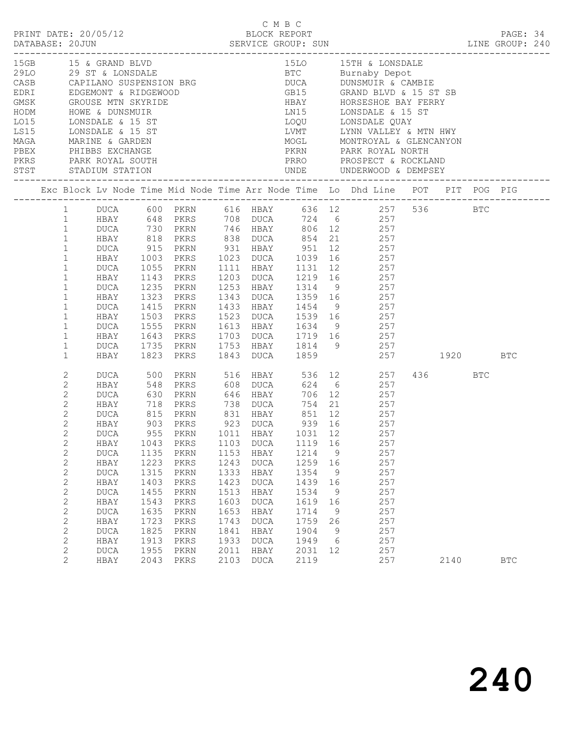|                                                                                                                                                                                                                                                                                       |                                                                                                                                                                                                        |                                                                                                                    |                                                                                                                                                                                         |                                                                                                      | C M B C                                                                                                                                                                       |                                                                                                      |                                                                | C M B C<br>PRINT DATE: 20/05/12<br>DATABASE: 20JUN SERVICE GROUP: SUN SERVICE SUN LINE GROUP: 240                                                                                                                                                                                                                                                                                                                                                                                      |             |            |            |  |
|---------------------------------------------------------------------------------------------------------------------------------------------------------------------------------------------------------------------------------------------------------------------------------------|--------------------------------------------------------------------------------------------------------------------------------------------------------------------------------------------------------|--------------------------------------------------------------------------------------------------------------------|-----------------------------------------------------------------------------------------------------------------------------------------------------------------------------------------|------------------------------------------------------------------------------------------------------|-------------------------------------------------------------------------------------------------------------------------------------------------------------------------------|------------------------------------------------------------------------------------------------------|----------------------------------------------------------------|----------------------------------------------------------------------------------------------------------------------------------------------------------------------------------------------------------------------------------------------------------------------------------------------------------------------------------------------------------------------------------------------------------------------------------------------------------------------------------------|-------------|------------|------------|--|
|                                                                                                                                                                                                                                                                                       |                                                                                                                                                                                                        |                                                                                                                    |                                                                                                                                                                                         |                                                                                                      |                                                                                                                                                                               |                                                                                                      |                                                                | 15GB 15 & GRAND BLVD 15D 15TH & LONSDALE<br>29LO 29 ST & LONSDALE BTC Burnaby Depot<br>CASB CAPILANO SUSPENSION BRG DUCA DUNSMUIR & CAMBIE<br>EDRI EDGEMONT & RIDGEWOOD GB15 GRAND BLVD & 15 ST SB<br>GMSK GROUSE MTN SKYRIDE HBAY HOR<br>MAGA MARINE & GARDEN<br>PEX PHIBBS EXCHANGE PEREX PARK ROYAL SOUTH<br>PERS PARK ROYAL SOUTH<br>STST STADIUM STATION UNDE UNDERWOOD & DEMPSEY<br>THE STADIUM STATION<br>TERRO PROSPECT & ROCKLAND<br>STST STADIUM STATION UNDE<br>TERRO DEMPS |             |            |            |  |
|                                                                                                                                                                                                                                                                                       |                                                                                                                                                                                                        |                                                                                                                    |                                                                                                                                                                                         |                                                                                                      |                                                                                                                                                                               |                                                                                                      |                                                                | Exc Block Lv Node Time Mid Node Time Arr Node Time Lo Dhd Line POT PIT POG PIG                                                                                                                                                                                                                                                                                                                                                                                                         |             |            |            |  |
| 1<br>$\mathbf{1}$<br>$\mathbf{1}$<br>$\mathbf{1}$<br>$\mathbf{1}$<br>$\mathbf{1}$<br>$\mathbf{1}$<br>$\mathbf{1}$<br>$\mathbf{1}$<br>$\mathbf{1}$<br>$\mathbf{1}$<br>$\mathbf{1}$<br>$\mathbf{1}$<br>$\mathbf{1}$                                                                     | DUCA<br>HBAY<br>DUCA<br>HBAY<br>DUCA<br>HBAY<br>DUCA<br>HBAY<br>DUCA<br>HBAY                                                                                                                           | 1055<br>1415<br>1735<br>1823                                                                                       | HBAY 1003 PKRS 1023 DUCA 1039<br>PKRN<br>1143 PKRS<br>1235 PKRN<br>1323 PKRS<br>PKRN<br>1503 PKRS<br>1555 PKRN<br>PKRN<br>PKRS                                                          |                                                                                                      |                                                                                                                                                                               |                                                                                                      |                                                                | 1 DUCA 600 PKRN 616 HBAY 636 12 257 536 BTC<br>1 HBAY 648 PKRS 708 DUCA 724 6 257<br>DUCA 730 PKRN 746 HBAY 806 12 257<br>HBAY 818 PKRS 838 DUCA 854 21 257<br>DUCA 915 PKRN 931 HBAY 951 12 257<br>16 257<br>1111 HBAY 1131 12 257<br>1203 DUCA 1219 16 257<br>1253 HBAY 1314 9 257<br>1343 DUCA 1359 16 257<br>1433 HBAY 1454 9 257<br>1523 DUCA 1539 16 257<br>1613 HBAY 1634 9 257<br>1643 PKRS 1703 DUCA 1719 16 257<br>1753 HBAY 1814 9 257<br>1843 DUCA 1859 257 1920           |             |            | <b>BTC</b> |  |
| 2<br>2<br>$\mathbf{2}$<br>$\mathbf{2}$<br>$\overline{c}$<br>$\overline{2}$<br>$2^{\circ}$<br>$\mathbf{2}$<br>$\mathbf{2}$<br>$\mathbf{2}$<br>$\mathbf{2}$<br>$\mathbf{2}$<br>2<br>$\mathbf{2}$<br>$\mathbf{2}$<br>$\mathbf{2}$<br>$\mathbf{2}$<br>$\mathbf{2}$<br>2<br>$\overline{2}$ | DUCA<br>HBAY<br>DUCA<br>HBAY<br>DUCA<br>HBAY<br><b>DUCA</b><br>HBAY<br><b>DUCA</b><br>HBAY<br><b>DUCA</b><br>HBAY<br><b>DUCA</b><br>HBAY<br>DUCA<br>HBAY<br><b>DUCA</b><br>HBAY<br><b>DUCA</b><br>HBAY | 500<br>548<br>1043<br>1135<br>1223<br>1315<br>1403<br>1455<br>1543<br>1635<br>1723<br>1825<br>1913<br>1955<br>2043 | PKRN<br>PKRS<br>903 PKRS 923 DUCA 939 16<br>955 PKRN 1011 HBAY 1031 12<br>PKRS<br>PKRN<br>PKRS<br>$\mbox{PKRN}$<br>PKRS<br>PKRN<br>PKRS<br>PKRN<br>PKRS<br>PKRN<br>PKRS<br>PKRN<br>PKRS | 1103<br>1153<br>1243<br>1333<br>1423<br>1513<br>1603<br>1653<br>1743<br>1841<br>1933<br>2011<br>2103 | 516 HBAY<br>608 DUCA<br><b>DUCA</b><br>HBAY<br><b>DUCA</b><br>HBAY<br><b>DUCA</b><br>HBAY<br><b>DUCA</b><br>HBAY<br><b>DUCA</b><br>HBAY<br><b>DUCA</b><br>HBAY<br><b>DUCA</b> | 1119<br>1214<br>1259<br>1354<br>1439<br>1534<br>1619<br>1714<br>1759<br>1904<br>1949<br>2031<br>2119 | 16<br>9<br>16<br>9<br>16<br>9<br>16<br>9<br>26<br>9<br>6<br>12 | 536 12 257<br>624 6 257<br>PKRN 646 HBAY 706 12 257<br>PKRS 738 DUCA 754 21 257<br>257<br>257<br>257<br>257<br>257<br>257<br>257<br>257<br>257<br>257<br>257<br>257<br>257<br>257<br>257                                                                                                                                                                                                                                                                                               | 436<br>2140 | <b>BTC</b> | <b>BTC</b> |  |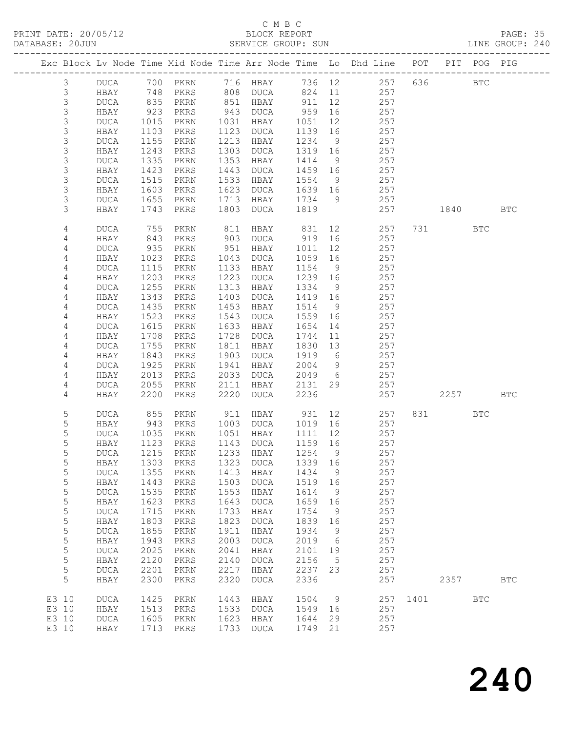#### C M B C<br>BLOCK REPORT

PAGE: 35<br>LINE GROUP: 240

|                |                     |              |                             |              |              |              |           | Exc Block Lv Node Time Mid Node Time Arr Node Time Lo Dhd Line POT |                    |      | PIT POG PIG  |            |
|----------------|---------------------|--------------|-----------------------------|--------------|--------------|--------------|-----------|--------------------------------------------------------------------|--------------------|------|--------------|------------|
| $\mathfrak{Z}$ | DUCA                | 700          | PKRN                        |              | 716 HBAY     | 736 12       |           | 257                                                                | -----------<br>636 |      | $_{\rm BTC}$ |            |
| 3              | HBAY                | 748          | PKRS                        | 808          | DUCA         | 824          | 11        | 257                                                                |                    |      |              |            |
| $\mathsf 3$    | <b>DUCA</b>         | 835          | PKRN                        | 851          | HBAY         | 911          | 12        | 257                                                                |                    |      |              |            |
| 3              | HBAY                | 923          | PKRS                        | 943          | DUCA         | 959          | 16        | 257                                                                |                    |      |              |            |
| 3              | <b>DUCA</b>         | 1015         | PKRN                        | 1031         | HBAY         | 1051         | 12        | 257                                                                |                    |      |              |            |
| 3              | HBAY                | 1103         | PKRS                        | 1123         | DUCA         | 1139         | 16        | 257                                                                |                    |      |              |            |
| $\mathsf S$    | <b>DUCA</b>         | 1155         | PKRN                        | 1213         | HBAY         | 1234         | 9         | 257                                                                |                    |      |              |            |
| $\mathsf S$    | HBAY                | 1243         | PKRS                        | 1303         | DUCA         | 1319         | 16        | 257                                                                |                    |      |              |            |
| $\mathsf 3$    | <b>DUCA</b>         | 1335         | PKRN                        | 1353         | HBAY         | 1414         | - 9       | 257                                                                |                    |      |              |            |
| $\mathsf S$    | HBAY                | 1423         | PKRS                        | 1443         | DUCA         | 1459         | 16        | 257                                                                |                    |      |              |            |
| $\mathsf S$    | <b>DUCA</b>         | 1515         | PKRN                        | 1533         | HBAY         | 1554         | 9         | 257                                                                |                    |      |              |            |
| $\mathsf 3$    | HBAY                | 1603         | PKRS                        | 1623         | DUCA         | 1639         | 16        | 257                                                                |                    |      |              |            |
| 3              | <b>DUCA</b>         | 1655         | PKRN                        | 1713         | HBAY         | 1734         | 9         | 257                                                                |                    |      |              |            |
| 3              | HBAY                | 1743         | PKRS                        | 1803         | DUCA         | 1819         |           | 257                                                                |                    | 1840 |              | <b>BTC</b> |
|                |                     |              |                             |              |              |              |           |                                                                    |                    |      |              |            |
| 4              | <b>DUCA</b>         | 755          | PKRN                        | 811          | HBAY         | 831          | 12        | 257                                                                | 731                |      | <b>BTC</b>   |            |
| 4              | HBAY                | 843          | PKRS                        | 903          | DUCA         | 919          | 16        | 257                                                                |                    |      |              |            |
| 4              | <b>DUCA</b>         | 935          | PKRN                        | 951          | HBAY         | 1011         | 12        | 257                                                                |                    |      |              |            |
| 4              | HBAY                | 1023         | PKRS                        | 1043         | DUCA         | 1059         | 16        | 257                                                                |                    |      |              |            |
| 4              | <b>DUCA</b>         | 1115         | PKRN                        | 1133         | HBAY         | 1154         | 9         | 257                                                                |                    |      |              |            |
| 4              | HBAY                | 1203         | PKRS                        | 1223         | DUCA         | 1239         | 16        | 257                                                                |                    |      |              |            |
| 4              | <b>DUCA</b>         | 1255         | PKRN                        | 1313         | HBAY         | 1334         | - 9       | 257                                                                |                    |      |              |            |
| 4              | HBAY                | 1343         | PKRS                        | 1403         | DUCA         | 1419         | 16        | 257                                                                |                    |      |              |            |
| 4              | <b>DUCA</b>         | 1435         | PKRN                        | 1453         | HBAY         | 1514         | 9         | 257                                                                |                    |      |              |            |
| 4              | HBAY                | 1523         | PKRS                        | 1543         | DUCA         | 1559         | 16        | 257                                                                |                    |      |              |            |
| 4              | <b>DUCA</b>         | 1615         | PKRN                        | 1633         | HBAY         | 1654         | 14        | 257                                                                |                    |      |              |            |
| 4              | HBAY                | 1708         | PKRS                        | 1728         | DUCA         | 1744         | 11        | 257                                                                |                    |      |              |            |
| 4              | <b>DUCA</b>         | 1755         | PKRN                        | 1811         | HBAY         | 1830         | 13        | 257                                                                |                    |      |              |            |
|                |                     |              |                             | 1903         |              |              | 6         | 257                                                                |                    |      |              |            |
| 4<br>4         | HBAY                | 1843         | PKRS                        | 1941         | DUCA         | 1919<br>2004 |           | 257                                                                |                    |      |              |            |
|                | <b>DUCA</b>         | 1925         | PKRN                        |              | HBAY         |              | 9         |                                                                    |                    |      |              |            |
| 4<br>4         | HBAY                | 2013<br>2055 | PKRS                        | 2033<br>2111 | DUCA<br>HBAY | 2049         | - 6<br>29 | 257<br>257                                                         |                    |      |              |            |
| 4              | <b>DUCA</b><br>HBAY | 2200         | PKRN<br>PKRS                | 2220         | DUCA         | 2131<br>2236 |           | 257                                                                |                    | 2257 |              | <b>BTC</b> |
|                |                     |              |                             |              |              |              |           |                                                                    |                    |      |              |            |
| 5              | <b>DUCA</b>         | 855          | PKRN                        | 911          | HBAY         | 931          | 12        | 257                                                                | 831                |      | BTC          |            |
| 5              | HBAY                | 943          | PKRS                        | 1003         | DUCA         | 1019         | 16        | 257                                                                |                    |      |              |            |
| 5              | <b>DUCA</b>         | 1035         | PKRN                        | 1051         | HBAY         | 1111         | 12        | 257                                                                |                    |      |              |            |
| 5              | HBAY                | 1123         | PKRS                        | 1143         | DUCA         | 1159         | 16        | 257                                                                |                    |      |              |            |
| 5              | DUCA                | 1215         | PKRN                        |              | 1233 HBAY    | 1254         | - 9       | 257                                                                |                    |      |              |            |
| 5              | HBAY                |              | 1303 PKRS 1323 DUCA 1339 16 |              |              |              |           | 257                                                                |                    |      |              |            |
| 5              | <b>DUCA</b>         | 1355         | PKRN                        | 1413         | HBAY         | 1434         | 9         | 257                                                                |                    |      |              |            |
| 5              | HBAY                | 1443         | PKRS                        | 1503         | <b>DUCA</b>  | 1519         | 16        | 257                                                                |                    |      |              |            |
| 5              | <b>DUCA</b>         | 1535         | PKRN                        | 1553         | HBAY         | 1614         | 9         | 257                                                                |                    |      |              |            |
| 5              | HBAY                | 1623         | PKRS                        | 1643         | <b>DUCA</b>  | 1659         | 16        | 257                                                                |                    |      |              |            |
| 5              | <b>DUCA</b>         | 1715         | PKRN                        | 1733         | HBAY         | 1754         | 9         | 257                                                                |                    |      |              |            |
| 5              | HBAY                | 1803         | PKRS                        | 1823         | <b>DUCA</b>  | 1839         | 16        | 257                                                                |                    |      |              |            |
| 5              | <b>DUCA</b>         | 1855         | PKRN                        | 1911         | HBAY         | 1934         | 9         | 257                                                                |                    |      |              |            |
| 5              | HBAY                | 1943         | PKRS                        | 2003         | <b>DUCA</b>  | 2019         | 6         | 257                                                                |                    |      |              |            |
| $\mathsf S$    | <b>DUCA</b>         | 2025         | PKRN                        | 2041         | HBAY         | 2101         | 19        | 257                                                                |                    |      |              |            |
| 5              | HBAY                | 2120         | PKRS                        | 2140         | <b>DUCA</b>  | 2156         | 5         | 257                                                                |                    |      |              |            |
| 5              | <b>DUCA</b>         | 2201         | PKRN                        | 2217         | HBAY         | 2237         | 23        | 257                                                                |                    |      |              |            |
| 5              | HBAY                | 2300         | PKRS                        | 2320         | <b>DUCA</b>  | 2336         |           | 257                                                                |                    | 2357 |              | <b>BTC</b> |
|                |                     |              |                             |              |              |              |           |                                                                    |                    |      |              |            |
| E3 10          | <b>DUCA</b>         | 1425         | PKRN                        | 1443         | HBAY         | 1504         | 9         | 257                                                                | 1401               |      | <b>BTC</b>   |            |
| E3 10          | HBAY                | 1513         | PKRS                        | 1533         | DUCA         | 1549         | 16        | 257                                                                |                    |      |              |            |
| E3 10          | <b>DUCA</b>         | 1605         | PKRN                        | 1623         | HBAY         | 1644         | 29        | 257                                                                |                    |      |              |            |
| E3 10          | HBAY                | 1713         | PKRS                        | 1733         | <b>DUCA</b>  | 1749         | 21        | 257                                                                |                    |      |              |            |
|                |                     |              |                             |              |              |              |           |                                                                    |                    |      |              |            |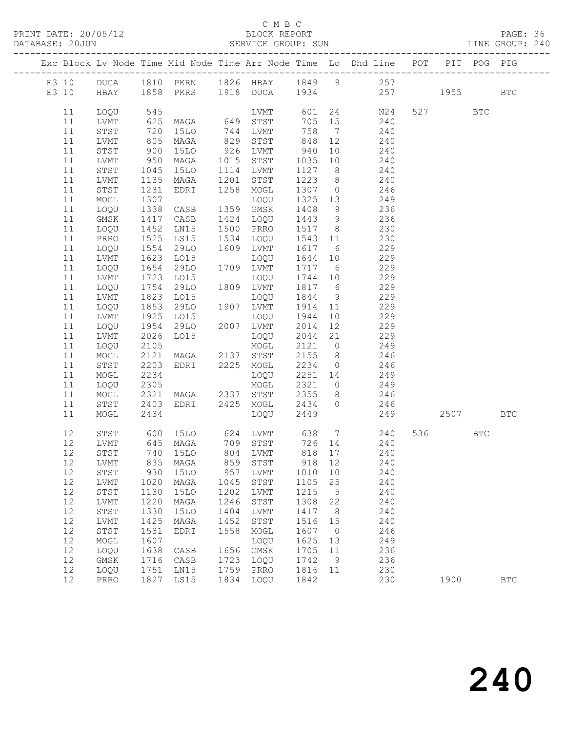#### C M B C<br>BLOCK REPORT

PAGE: 36<br>LINE GROUP: 240

|          |              |                           |                                  |      |              |                 |                | Exc Block Lv Node Time Mid Node Time Arr Node Time Lo Dhd Line POT                            |          | PIT POG PIG |              |
|----------|--------------|---------------------------|----------------------------------|------|--------------|-----------------|----------------|-----------------------------------------------------------------------------------------------|----------|-------------|--------------|
|          |              |                           |                                  |      |              |                 |                |                                                                                               |          |             |              |
|          |              |                           |                                  |      |              |                 |                | E3 10 DUCA 1810 PKRN 1826 HBAY 1849 9 257<br>E3 10 HBAY 1858 PKRS 1918 DUCA 1934 257 1955 BTC |          |             |              |
|          |              |                           |                                  |      |              |                 |                |                                                                                               |          |             |              |
| 11       | LOQU         | 545                       |                                  |      |              |                 |                | LVMT 601 24 N24                                                                               | 527 BTC  |             |              |
| 11       | LVMT         |                           |                                  |      |              | 705 15          |                | 240                                                                                           |          |             |              |
| 11       | STST         |                           |                                  |      |              | 758 7           |                | 240                                                                                           |          |             |              |
| 11       | LVMT         | 625<br>720<br>805         | MAGA                             |      | 829 STST     | 848             | 12             | $240$                                                                                         |          |             |              |
| 11       | STST         | 900                       | 15LO                             |      | 926 LVMT     | 940             |                | 10 240                                                                                        |          |             |              |
| 11       | LVMT         |                           | MAGA                             |      | 1015 STST    | 1035            | 10             | 240                                                                                           |          |             |              |
| 11       | STST         |                           | 15LO                             |      | 1114 LVMT    | 1127 8          |                | 240                                                                                           |          |             |              |
| 11       | LVMT         | $950$<br>$1045$<br>$1135$ | MAGA                             | 1201 | STST         |                 |                | $1223$ 8 240                                                                                  |          |             |              |
| 11       | STST         | 1231                      | EDRI                             |      | 1258 MOGL    |                 |                | 1307 0 246                                                                                    |          |             |              |
| 11       | MOGL         | 1307                      |                                  |      | LOQU         | 1325 13         |                | 249                                                                                           |          |             |              |
| 11       | LOQU         | 1338                      | CASB                             |      | 1359 GMSK    | 1408            | 9              | 236                                                                                           |          |             |              |
| 11       | GMSK         | 1417                      | CASB                             |      | 1424 LOQU    | 1443 9          |                | 236                                                                                           |          |             |              |
| 11       | LOQU         | 1452                      | LN15                             |      | 1500 PRRO    | 1517 8          |                | 230                                                                                           |          |             |              |
| 11       | PRRO         | 1525                      | LS15                             |      | 1534 LOQU    | 1543            | 11             | 230                                                                                           |          |             |              |
| 11       | LOQU         | 1554<br>1623              | 29LO                             |      | 1609 LVMT    | 1617 6          |                | 229                                                                                           |          |             |              |
| 11       | LVMT         |                           | LO15                             |      | LOQU         | 1644 10         |                | 229                                                                                           |          |             |              |
| 11       | LOQU         | 1654                      | 29LO                             |      | 1709 LVMT    | 1717 6          |                | 229                                                                                           |          |             |              |
| 11       | LVMT         | 1723                      | L015                             |      | LOQU         | 1744 10         |                | 229                                                                                           |          |             |              |
| 11       | LOQU         | 1754<br>1823              | 29LO                             |      | 1809 LVMT    | 1817 6          |                | 229                                                                                           |          |             |              |
| 11       | LVMT         |                           | LO15                             |      | LOQU         | 1844            | 9              | $\frac{2}{229}$                                                                               |          |             |              |
| 11       | LOQU         | 1853                      | 29LO                             |      | 1907 LVMT    | 1914 11         |                | 229                                                                                           |          |             |              |
| 11       | LVMT         | 1925                      | LO15                             |      | LOQU         | 1944            | 10             | 229                                                                                           |          |             |              |
| 11       | LOQU         | 1954                      | 29LO 2007 LVMT                   |      |              | 2014            | 12             | 229                                                                                           |          |             |              |
| 11       | LVMT         | 2026                      | LO15                             |      | LOQU         | 2044            | 21             | 229                                                                                           |          |             |              |
| 11       | LOQU         | 2105                      |                                  |      | MOGL         |                 |                | 2121 0 249                                                                                    |          |             |              |
| 11       | MOGL         | 2121                      | MAGA 2137 STST                   |      |              | 2155            | 8 <sup>8</sup> | 246                                                                                           |          |             |              |
| 11<br>11 | STST         | 2203<br>2234              | EDRI 2225 MOGL                   |      |              | 2234<br>2251 14 | $\overline{0}$ | 246<br>249                                                                                    |          |             |              |
| 11       | MOGL<br>LOQU | 2305                      |                                  |      | LOQU<br>MOGL |                 |                | 2321 0 249                                                                                    |          |             |              |
| 11       | MOGL         | 2321                      | MAGA 2337 STST                   |      |              | 2355            |                | 8 246                                                                                         |          |             |              |
| 11       | STST         | 2403                      | EDRI 2425 MOGL                   |      |              | 2434            |                | $0 \qquad \qquad 246$                                                                         |          |             |              |
| 11       | MOGL         | 2434                      |                                  |      | LOQU         | 2449            |                |                                                                                               | 249 2507 |             | BTC          |
|          |              |                           |                                  |      |              |                 |                |                                                                                               |          |             |              |
| 12       | STST         |                           |                                  |      |              |                 |                | 600 15LO 624 LVMT 638 7 240                                                                   | 536 7    | <b>BTC</b>  |              |
| 12       | LVMT         |                           |                                  |      |              |                 |                |                                                                                               |          |             |              |
| 12       | STST         |                           | 645 MAGA<br>740 15LO             |      | 804 LVMT     | 818 17          |                | 240                                                                                           |          |             |              |
|          |              |                           | 12 LVMT 835 MAGA 859 STST 918 12 |      |              |                 |                | 240                                                                                           |          |             |              |
| 12       | STST         | 930                       | 15LO                             | 957  | LVMT         | 1010            | 10             | 240                                                                                           |          |             |              |
| 12       | LVMT         | 1020                      | MAGA                             | 1045 | STST         | 1105            | 25             | 240                                                                                           |          |             |              |
| 12       | STST         | 1130                      | 15LO                             | 1202 | LVMT         | 1215            | 5              | 240                                                                                           |          |             |              |
| 12       | LVMT         | 1220                      | MAGA                             | 1246 | STST         | 1308            | 22             | 240                                                                                           |          |             |              |
| 12       | ${\tt STST}$ | 1330                      | <b>15LO</b>                      | 1404 | LVMT         | 1417            | 8              | 240                                                                                           |          |             |              |
| 12       | LVMT         | 1425                      | MAGA                             | 1452 | STST         | 1516            | 15             | 240                                                                                           |          |             |              |
| 12       | STST         | 1531                      | EDRI                             | 1558 | MOGL         | 1607            | $\overline{0}$ | 246                                                                                           |          |             |              |
| 12       | MOGL         | 1607                      |                                  |      | LOQU         | 1625            | 13             | 249                                                                                           |          |             |              |
| 12       | LOQU         | 1638                      | CASB                             | 1656 | GMSK         | 1705            | 11             | 236                                                                                           |          |             |              |
| 12       | GMSK         | 1716                      | CASB                             | 1723 | LOQU         | 1742            | 9              | 236                                                                                           |          |             |              |
| 12       | LOQU         | 1751                      | LN15                             | 1759 | PRRO         | 1816            | 11             | 230                                                                                           |          |             |              |
| 12       | PRRO         | 1827                      | LS15                             | 1834 | LOQU         | 1842            |                | 230                                                                                           | 1900     |             | $_{\rm BTC}$ |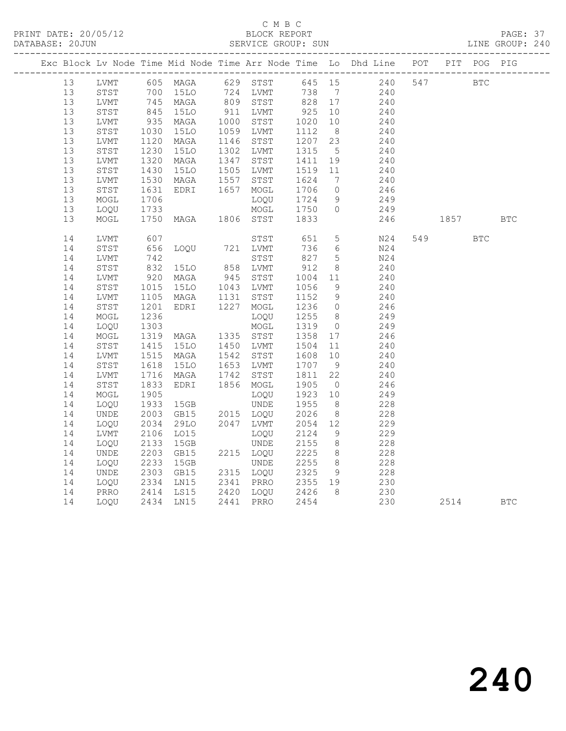#### C M B C<br>BLOCK REPORT

PAGE: 37<br>LINE GROUP: 240

|          |              |                                                                                                           |                                                                                           |      |             |                 |                | Exc Block Lv Node Time Mid Node Time Arr Node Time Lo Dhd Line POT PIT POG PIG |            |            |            |
|----------|--------------|-----------------------------------------------------------------------------------------------------------|-------------------------------------------------------------------------------------------|------|-------------|-----------------|----------------|--------------------------------------------------------------------------------|------------|------------|------------|
| 13       | LVMT         |                                                                                                           |                                                                                           |      |             |                 |                | 605 MAGA 629 STST 645 15 240 547                                               | <b>BTC</b> |            |            |
| 13       | STST         |                                                                                                           | 700 15LO      724   LVMT        738     7<br>745   MAGA        809   STST        828   17 |      |             | 738 7<br>828 17 |                | 240                                                                            |            |            |            |
| 13       | LVMT         |                                                                                                           |                                                                                           |      |             |                 |                | 240                                                                            |            |            |            |
| 13       | STST         | 845<br>935                                                                                                | <b>15LO</b>                                                                               |      | 911 LVMT    | 925             | 10             | 240                                                                            |            |            |            |
| 13       | LVMT         |                                                                                                           | MAGA                                                                                      |      | 1000 STST   | 1020 10         |                | 240                                                                            |            |            |            |
| 13       | STST         | 1030                                                                                                      | 15LO                                                                                      |      | 1059 LVMT   | 1112            | 8 <sup>1</sup> | 240                                                                            |            |            |            |
| 13       | LVMT         | 1120<br>1230                                                                                              | MAGA                                                                                      | 1146 | STST        | 1207 23         |                | 240                                                                            |            |            |            |
| 13       | STST         |                                                                                                           | 15LO                                                                                      |      | 1302 LVMT   | 1315            | $5^{\circ}$    | 240                                                                            |            |            |            |
| 13       | LVMT         | 1320                                                                                                      | MAGA                                                                                      |      | 1347 STST   | 1411            | 19             | 240                                                                            |            |            |            |
| 13       | STST         | 1430                                                                                                      | 15LO                                                                                      |      | 1505 LVMT   | 1519 11         |                | 240                                                                            |            |            |            |
| 13       | LVMT         | 1530                                                                                                      | MAGA                                                                                      | 1557 | STST        | 1624            | $\overline{7}$ | 240                                                                            |            |            |            |
| 13       | STST         | 1631                                                                                                      | EDRI                                                                                      |      | 1657 MOGL   | 1706            | $\overline{0}$ | $246$<br>$249$                                                                 |            |            |            |
| 13       | MOGL         | 1706                                                                                                      |                                                                                           |      | LOOU        | 1724            | 9              |                                                                                |            |            |            |
| 13       | LOQU         | 1733                                                                                                      | MOGL<br>MAGA 1806 STST                                                                    |      |             | 1750            | $\overline{0}$ | 249                                                                            |            |            |            |
| 13       | MOGL         | 1750                                                                                                      |                                                                                           |      |             | 1833            |                | 246                                                                            | 1857 BTC   |            |            |
| 14       | LVMT         | 607                                                                                                       |                                                                                           |      | STST        | 651             | 5 <sup>5</sup> | N24                                                                            | 549        | <b>BTC</b> |            |
| 14       | STST         | 656                                                                                                       | LOQU 721 LVMT                                                                             |      |             | 736             | 6              | N24                                                                            |            |            |            |
| 14       | LVMT         |                                                                                                           |                                                                                           |      | STST        | 827<br>912      | 5 <sup>5</sup> | N24                                                                            |            |            |            |
| 14       | STST         | $\begin{array}{c} \n \stackrel{1}{\cancel{3}} \\ \n 832 \\ \n \stackrel{1}{\cancel{0}} \\ \n \end{array}$ | 15LO 858 LVMT                                                                             |      |             |                 | 8 <sup>8</sup> | 240                                                                            |            |            |            |
| 14       | LVMT         | 920                                                                                                       | MAGA                                                                                      |      | 945 STST    | 1004            | 11             | 240                                                                            |            |            |            |
| 14       | STST         | 1015                                                                                                      | 15LO                                                                                      |      | 1043 LVMT   | 1056            | 9              | 240                                                                            |            |            |            |
| 14       | LVMT         | 1105                                                                                                      | MAGA                                                                                      | 1131 | STST        | 1152            | 9              | 240                                                                            |            |            |            |
| 14       | STST         | 1201                                                                                                      | EDRI                                                                                      |      | 1227 MOGL   | 1236 0          |                | 246                                                                            |            |            |            |
| 14       | MOGL         | 1236                                                                                                      |                                                                                           |      | LOQU        | 1255 8          |                | 249                                                                            |            |            |            |
| 14       | LOQU         | 1303                                                                                                      |                                                                                           |      | MOGL        | 1319            | $\overline{0}$ | 249                                                                            |            |            |            |
| 14       | MOGL         | 1319                                                                                                      | MAGA                                                                                      |      | 1335 STST   | 1358 17         |                | 246                                                                            |            |            |            |
| 14       | STST         | 1415                                                                                                      | 15LO                                                                                      |      | 1450 LVMT   | 1504            | 11             | 240                                                                            |            |            |            |
| 14       | LVMT         | 1515<br>1618                                                                                              | MAGA                                                                                      |      | 1542 STST   | 1608            | 10             | 240                                                                            |            |            |            |
| 14       | STST         |                                                                                                           | 15LO                                                                                      |      | 1653 LVMT   | 1707 9          |                | 240                                                                            |            |            |            |
| 14       | LVMT         | 1716                                                                                                      | MAGA                                                                                      | 1742 | STST        | 1811            | 22             | 240                                                                            |            |            |            |
| 14       | STST         | 1833                                                                                                      | EDRI                                                                                      |      | 1856 MOGL   | 1905            | $\overline{0}$ | 246                                                                            |            |            |            |
| 14       | MOGL         | 1905                                                                                                      |                                                                                           |      | LOOU        | 1923 10         |                | 249                                                                            |            |            |            |
| 14       | LOQU         | 1933<br>2003                                                                                              | 15GB                                                                                      |      | <b>UNDE</b> | 1955            | 8 <sup>8</sup> | 228                                                                            |            |            |            |
| 14       | UNDE         |                                                                                                           | GB15                                                                                      |      | 2015 LOQU   | 2026            | 8 <sup>8</sup> | 228                                                                            |            |            |            |
| 14       | LOQU         | 2034                                                                                                      | 29LO                                                                                      |      | 2047 LVMT   | 2054 12         |                | 229                                                                            |            |            |            |
| 14       | LVMT         | 2106                                                                                                      | L015                                                                                      |      | LOQU        | 2124            | 9              | 229                                                                            |            |            |            |
| 14       | LOQU         | 2133                                                                                                      | 15GB                                                                                      |      | UNDE        | 2155            | 8 <sup>8</sup> | 228                                                                            |            |            |            |
| 14       | UNDE         | 2203<br>2233                                                                                              | GB15                                                                                      |      | 2215 LOQU   | 2225            | 8 <sup>8</sup> | 228                                                                            |            |            |            |
| 14       | LOQU         |                                                                                                           | 15GB                                                                                      |      | UNDE        | 2255 8          |                | 228                                                                            |            |            |            |
| 14       | UNDE         | 2303<br>2334                                                                                              | GB15                                                                                      |      | 2315 LOQU   | 2325            | 9              | 228                                                                            |            |            |            |
| 14<br>14 | LOQU<br>PRRO | 2414                                                                                                      | LN15<br>LS15                                                                              |      | 2341 PRRO   | 2355 19<br>2426 | 8 <sup>8</sup> | 230<br>230                                                                     |            |            |            |
|          |              |                                                                                                           |                                                                                           |      | 2420 LOQU   |                 |                |                                                                                |            |            |            |
| 14       | LOOU         | 2434                                                                                                      | LN15                                                                                      |      | 2441 PRRO   | 2454            |                | 230                                                                            | 2514       |            | <b>BTC</b> |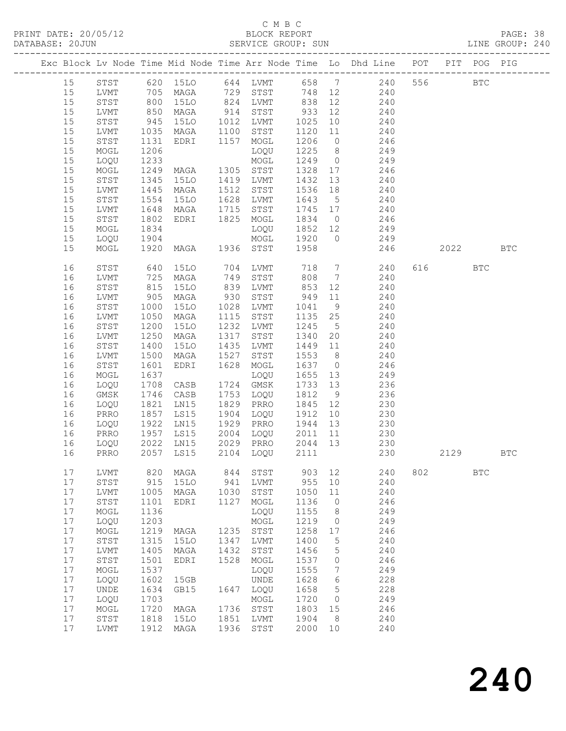## C M B C<br>BLOCK REPORT<br>SERVICE GROUP: SUN

| PRINT DATE: 20/05/12<br>DATABASE: 20JUN |                      |                     |                                          |              |              |            |             |                                                                                                                |     |          |            |                      |  |
|-----------------------------------------|----------------------|---------------------|------------------------------------------|--------------|--------------|------------|-------------|----------------------------------------------------------------------------------------------------------------|-----|----------|------------|----------------------|--|
|                                         |                      |                     |                                          |              |              |            |             | Exc Block Lv Node Time Mid Node Time Arr Node Time Lo Dhd Line POT PIT POG PIG                                 |     |          |            |                      |  |
| 15                                      |                      |                     |                                          |              |              |            |             | 3TST 620 15LO 644 LVMT 658 7 240 556<br>LVMT 705 MAGA 729 STST 748 12 240<br>STST 800 15LO 824 LVMT 838 12 240 |     |          | <b>BTC</b> |                      |  |
| 15                                      |                      |                     |                                          |              |              |            |             |                                                                                                                |     |          |            |                      |  |
| 15                                      |                      |                     |                                          |              |              |            |             |                                                                                                                |     |          |            |                      |  |
| 15                                      | LVMT                 |                     |                                          |              |              |            |             | 850 MAGA 914 STST 933 12 240                                                                                   |     |          |            |                      |  |
| 15                                      | STST                 |                     |                                          |              |              |            |             |                                                                                                                |     |          |            |                      |  |
| 15                                      | LVMT                 | 945<br>1035<br>1131 |                                          |              |              |            |             | 15LO 1012 LVMT 1025 10 240<br>MAGA 1100 STST 1120 11 240<br>EDRI 1157 MOGL 1206 0 246                          |     |          |            |                      |  |
| 15                                      | STST                 |                     |                                          |              |              |            |             |                                                                                                                |     |          |            |                      |  |
| 15                                      | MOGL                 | 1206                |                                          |              |              |            |             | 1225 8 249                                                                                                     |     |          |            |                      |  |
| 15                                      | LOQU                 | 1233                | LOQU<br>MAGA 1305 STST<br>15LO 1419 LVMT |              |              |            |             | 1249 0 249<br>1328 17 246<br>1432 13 240                                                                       |     |          |            |                      |  |
| 15                                      | MOGL                 | 1249<br>1345        |                                          |              |              |            |             |                                                                                                                |     |          |            |                      |  |
| 15                                      | STST                 |                     |                                          |              |              |            |             |                                                                                                                |     |          |            |                      |  |
| 15                                      | LVMT                 | 1445                |                                          |              |              |            |             | MAGA 1512 STST 1536 18 240                                                                                     |     |          |            |                      |  |
| 15                                      | STST                 | 1554                | 15LO                                     |              | 1628 LVMT    |            |             |                                                                                                                |     |          |            |                      |  |
| 15                                      | LVMT                 | 1648<br>1802        |                                          |              |              |            |             |                                                                                                                |     |          |            |                      |  |
| 15                                      | STST                 |                     | MAGA 1715 STST<br>EDRI 1825 MOGL         |              |              |            |             | 1643 5 240<br>1745 17 240<br>1834 0 246                                                                        |     |          |            |                      |  |
| 15                                      | MOGL                 | 1834                |                                          |              | LOQU         |            |             | 1852 12 249                                                                                                    |     |          |            |                      |  |
| 15                                      | LOQU                 |                     |                                          |              |              |            |             | MOGL 1920 0 249                                                                                                |     |          |            |                      |  |
| 15                                      | MOGL                 |                     |                                          |              |              |            |             | 246                                                                                                            |     | 2022 BTC |            |                      |  |
| 16                                      | STST 640             |                     |                                          |              |              |            |             | 15LO 704 LVMT 718 7 240                                                                                        |     | 616 BTC  |            |                      |  |
| 16                                      | LVMT                 |                     |                                          |              |              |            |             | MAGA 749 STST 808 7 240                                                                                        |     |          |            |                      |  |
| 16                                      | STST                 | 725<br>815<br>905   |                                          |              |              |            |             | 15LO 839 LVMT 853 12 240<br>MAGA 930 STST 949 11 240<br>15LO 1028 LVMT 1041 9 240                              |     |          |            |                      |  |
| 16                                      | LVMT                 |                     |                                          |              |              |            |             |                                                                                                                |     |          |            |                      |  |
| 16                                      | STST                 | 1000                |                                          |              |              |            |             |                                                                                                                |     |          |            |                      |  |
| 16                                      | LVMT                 | 1050                | MAGA                                     |              | 1115 STST    |            |             | 1135  25  240                                                                                                  |     |          |            |                      |  |
| 16                                      | STST                 | 1200<br>1250        | 15LO                                     |              | 1232 LVMT    |            |             |                                                                                                                |     |          |            |                      |  |
| 16                                      | LVMT                 |                     | MAGA                                     |              | 1317 STST    |            |             | $\begin{array}{cccc} 1245 & 5 & 240 \\ 1340 & 20 & 240 \\ 1449 & 11 & 240 \end{array}$                         |     |          |            |                      |  |
| 16                                      | STST                 | 1400                | <b>15LO</b>                              |              | 1435 LVMT    |            |             |                                                                                                                |     |          |            |                      |  |
| 16                                      | LVMT                 | 1500                | MAGA                                     | 1527         | STST         |            |             | 1553 8 240                                                                                                     |     |          |            |                      |  |
| 16                                      | STST                 | 1601                | EDRI                                     |              | 1628 MOGL    |            |             | 1637 0 246<br>1655 13 249<br>1733 13 236                                                                       |     |          |            |                      |  |
| 16                                      | MOGL                 | 1637                |                                          |              | LOQU         |            |             |                                                                                                                |     |          |            |                      |  |
| 16                                      | LOQU                 | 1708                | CASB                                     |              | 1724 GMSK    |            |             | 1753 LOQU 1812 9 236                                                                                           |     |          |            |                      |  |
| 16                                      | GMSK                 | 1746                | CASB                                     |              |              |            |             |                                                                                                                |     |          |            |                      |  |
| 16                                      | LOQU                 |                     |                                          |              |              |            |             | 1821 LN15 1829 PRRO 1845 12 230<br>1857 LS15 1904 LOQU 1912 10 230<br>1922 LN15 1929 PRRO 1944 13 230          |     |          |            |                      |  |
| 16                                      | PRRO                 |                     |                                          |              |              |            |             |                                                                                                                |     |          |            |                      |  |
| 16                                      | LOQU                 |                     | 1957 LS15                                |              | 2004 LOQU    |            |             | 2011 11 230                                                                                                    |     |          |            |                      |  |
| 16                                      | PRRO                 |                     |                                          |              |              |            |             |                                                                                                                |     |          |            |                      |  |
| 16                                      | LOQU                 | 2022                | LN15                                     | 2029<br>2104 | PRRO         | 2044       | 13          | 230                                                                                                            |     | 2129     |            | $\operatorname{BTC}$ |  |
| 16                                      | PRRO                 | 2057                | LS15                                     |              | LOQU         | 2111       |             | 230                                                                                                            |     |          |            |                      |  |
| 17<br>17                                | LVMT<br>${\tt STST}$ | 820<br>915          | MAGA<br><b>15LO</b>                      | 844<br>941   | STST<br>LVMT | 903<br>955 | 12<br>10    | 240<br>240                                                                                                     | 802 |          | <b>BTC</b> |                      |  |
| 17                                      | LVMT                 | 1005                | MAGA                                     | 1030         | STST         | 1050       | 11          | 240                                                                                                            |     |          |            |                      |  |
| 17                                      | ${\tt STST}$         | 1101                | EDRI                                     | 1127         | MOGL         | 1136       | $\circ$     | 246                                                                                                            |     |          |            |                      |  |
| 17                                      | MOGL                 | 1136                |                                          |              | LOQU         | 1155       | 8           | 249                                                                                                            |     |          |            |                      |  |
| $17$                                    | LOQU                 | 1203                |                                          |              | MOGL         | 1219       | 0           | 249                                                                                                            |     |          |            |                      |  |
| 17                                      | MOGL                 | 1219                | MAGA                                     | 1235         | STST         | 1258       | 17          | 246                                                                                                            |     |          |            |                      |  |
| $17$                                    | ${\tt STST}$         | 1315                | 15LO                                     | 1347         | LVMT         | 1400       | $\mathsf S$ | 240                                                                                                            |     |          |            |                      |  |
| 17                                      | LVMT                 | 1405                | MAGA                                     | 1432         | STST         | 1456       | 5           | 240                                                                                                            |     |          |            |                      |  |
| 17                                      | STST                 | 1501                | EDRI                                     | 1528         | MOGL         | 1537       | 0           | 246                                                                                                            |     |          |            |                      |  |
| 17                                      | $\sf{MOGL}$          | 1537                |                                          |              | LOQU         | 1555       | 7           | 249                                                                                                            |     |          |            |                      |  |
| 17                                      | LOQU                 | 1602                | 15GB                                     |              | UNDE         | 1628       | 6           | 228                                                                                                            |     |          |            |                      |  |
| 17                                      | UNDE                 | 1634                | GB15                                     | 1647         | LOQU         | 1658       | 5           | 228                                                                                                            |     |          |            |                      |  |
| 17                                      | LOQU                 | 1703                |                                          |              | MOGL         | 1720       | 0           | 249                                                                                                            |     |          |            |                      |  |
| 17                                      | $\sf{MOGL}$          | 1720                | MAGA                                     | 1736         | STST         | 1803       | 15          | 246                                                                                                            |     |          |            |                      |  |
| 17                                      | ${\tt STST}$         | 1818                | 15LO                                     | 1851         | LVMT         | 1904       | 8           | 240                                                                                                            |     |          |            |                      |  |
| 17                                      | LVMT                 | 1912                | MAGA                                     | 1936         | STST         | 2000       | 10          | 240                                                                                                            |     |          |            |                      |  |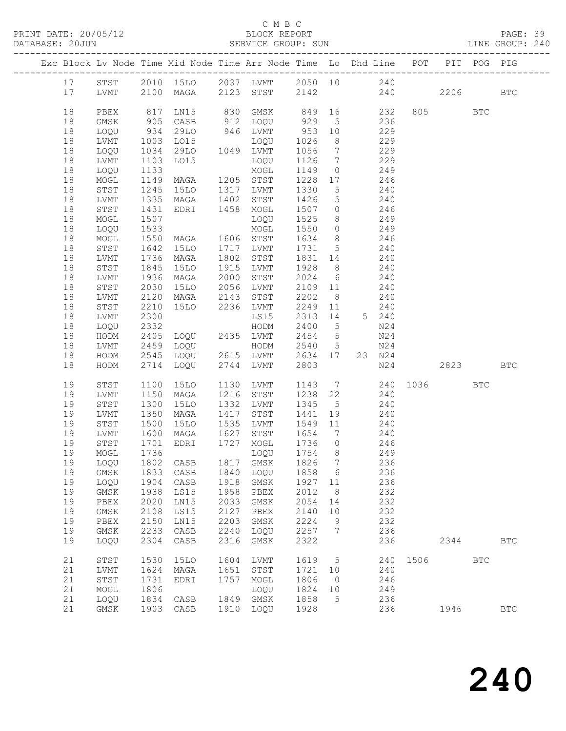#### C M B C<br>BLOCK REPORT

PAGE: 39<br>LINE GROUP: 240

| Exc Block Lv Node Time Mid Node Time Arr Node Time Lo Dhd Line POT PIT POG PIG |                   |                      |                                 |      |                                                    |         |                 |                                                                                                |      |          |            |              |
|--------------------------------------------------------------------------------|-------------------|----------------------|---------------------------------|------|----------------------------------------------------|---------|-----------------|------------------------------------------------------------------------------------------------|------|----------|------------|--------------|
| 17                                                                             | STST              |                      | 2010 15LO 2037 LVMT 2050 10 240 |      |                                                    |         |                 |                                                                                                |      |          |            |              |
| 17                                                                             | LVMT              |                      | 2100 MAGA 2123 STST             |      |                                                    |         |                 | 2142 240                                                                                       |      | 2206     |            | $_{\rm BTC}$ |
| 18                                                                             | PBEX              | 817                  |                                 |      | LN15 830 GMSK 849 16 232                           |         |                 |                                                                                                |      | 805 BTC  |            |              |
| 18                                                                             | GMSK              | 905                  | CASB                            |      | 912 LOQU 929                                       |         |                 | 5 236                                                                                          |      |          |            |              |
| 18                                                                             | LOQU              | 934                  | 29LO                            |      | 946 LVMT                                           | 953 10  |                 | 229                                                                                            |      |          |            |              |
| 18                                                                             | LVMT              |                      | LO15                            |      | LOQU                                               | 1026    | 8 <sup>8</sup>  | 229                                                                                            |      |          |            |              |
| 18                                                                             | LOQU              | 1003<br>1034<br>1034 | 29LO 1049 LVMT                  |      |                                                    | 1056    | $7\overline{ }$ | $\frac{2}{229}$                                                                                |      |          |            |              |
| 18                                                                             | LVMT              | 1103                 | LO15                            |      | LOQU                                               | 1126    | $7\overline{ }$ | 229                                                                                            |      |          |            |              |
| 18                                                                             | LOQU              | 1133                 |                                 |      | MOGL                                               | 1149    | $\overline{0}$  | 249                                                                                            |      |          |            |              |
| 18                                                                             | MOGL              | 1149                 | MAGA 1205 STST                  |      |                                                    | 1228 17 |                 | 246                                                                                            |      |          |            |              |
| 18                                                                             | STST              | 1245                 | 15LO                            |      | 1317 LVMT                                          | 1330    | $5\overline{)}$ | 240                                                                                            |      |          |            |              |
| 18                                                                             | LVMT              | 1335                 | MAGA                            | 1402 | STST                                               | 1426    | $5\overline{)}$ | 240                                                                                            |      |          |            |              |
| 18                                                                             | STST              | 1431                 | EDRI 1458 MOGL                  |      |                                                    |         |                 | 1507 0 246                                                                                     |      |          |            |              |
| 18                                                                             | MOGL              | 1507                 |                                 |      | LOQU                                               | 1525    |                 |                                                                                                |      |          |            |              |
| 18                                                                             | LOQU              | 1533                 |                                 |      | MOGL                                               | 1550    | $\overline{0}$  | $\begin{array}{ccc} 8 & \phantom{00} & \phantom{0} & 249 \\ 0 & \phantom{0} & 249 \end{array}$ |      |          |            |              |
| 18                                                                             | MOGL              | 1550                 | MAGA 1606 STST                  |      |                                                    | 1634    |                 | $8 \overline{)246}$                                                                            |      |          |            |              |
| 18                                                                             | STST              | 1642                 | 15LO                            |      | 1717 LVMT                                          | 1731 5  |                 | 240                                                                                            |      |          |            |              |
| 18                                                                             | LVMT              | 1736                 | MAGA                            |      | 1802 STST                                          | 1831 14 |                 | 240                                                                                            |      |          |            |              |
| 18                                                                             | STST              | 1845                 | 15LO                            |      | 1915 LVMT                                          | 1928 8  |                 | 240                                                                                            |      |          |            |              |
| 18                                                                             | LVMT              | 1936                 | MAGA                            | 2000 | STST                                               | 2024 6  |                 | 240                                                                                            |      |          |            |              |
| 18                                                                             | STST              | 2030                 | 15LO                            |      | 2056 LVMT                                          | 2109 11 |                 | 240                                                                                            |      |          |            |              |
| 18                                                                             | LVMT              | 2120                 | MAGA                            | 2143 | STST                                               | 2202    | 8 <sup>8</sup>  | 240                                                                                            |      |          |            |              |
| 18                                                                             | STST              | 2210                 | 15LO 2236 LVMT                  |      |                                                    | 2249 11 |                 | 240                                                                                            |      |          |            |              |
| 18                                                                             | LVMT              | 2300                 |                                 |      | LS15                                               | 2313 14 |                 | 5 240                                                                                          |      |          |            |              |
| 18                                                                             | LOQU              | 2332                 |                                 |      | HODM                                               | 2400    | $5\overline{)}$ | N24                                                                                            |      |          |            |              |
| 18                                                                             | HODM              | 2405                 | LOQU 2435 LVMT                  |      |                                                    | 2454    | $5\overline{)}$ | N24                                                                                            |      |          |            |              |
| 18                                                                             | LVMT              | 2459                 |                                 |      |                                                    |         |                 | N24                                                                                            |      |          |            |              |
| 18                                                                             | HODM              | 2545                 |                                 |      |                                                    |         |                 | 23 N24                                                                                         |      |          |            |              |
| 18                                                                             | HODM              |                      | 2714 LOQU                       |      | 2744 LVMT                                          | 2803    |                 | N24                                                                                            |      | 2823 BTC |            |              |
| 19                                                                             | STST              | 1100                 | 15LO                            |      | 1130 LVMT                                          |         |                 | $1143$ 7 240 1036 BTC<br>1238 22 240                                                           |      |          |            |              |
| 19                                                                             | LVMT              | 1150                 | MAGA                            |      | 1216 STST                                          | 1238 22 |                 |                                                                                                |      |          |            |              |
| 19                                                                             | STST              | 1300                 | 15LO                            |      | 1332 LVMT                                          | 1345    | 5 <sup>5</sup>  | 240                                                                                            |      |          |            |              |
| 19                                                                             | LVMT              | 1350                 | MAGA                            | 1417 | STST                                               | 1441    | 19              | 240                                                                                            |      |          |            |              |
| 19                                                                             | STST              | 1500                 | 15LO                            |      | 1535 LVMT                                          | 1549 11 |                 | 240                                                                                            |      |          |            |              |
| 19                                                                             | LVMT              | 1600                 | MAGA                            |      | $1533$ $10M_1$ $1543$ $11$<br>$1627$ STST $1654$ 7 |         |                 | 240                                                                                            |      |          |            |              |
| 19                                                                             | STST              | 1701                 | EDRI 1727 MOGL                  |      |                                                    | 1736 0  |                 | 246                                                                                            |      |          |            |              |
| 19                                                                             | MOGL              | 1736                 |                                 |      |                                                    |         |                 | LOQU 1754 8 249                                                                                |      |          |            |              |
|                                                                                | 19 LOQU 1802 CASB |                      |                                 |      | 1817 GMSK 1826 7                                   |         |                 | 236                                                                                            |      |          |            |              |
| 19                                                                             | GMSK              | 1833                 | CASB                            | 1840 | LOQU                                               | 1858    | 6               | 236                                                                                            |      |          |            |              |
| 19                                                                             | LOQU              | 1904                 | CASB                            | 1918 | GMSK                                               | 1927    | 11              | 236                                                                                            |      |          |            |              |
| 19                                                                             | GMSK              | 1938                 | LS15                            | 1958 | ${\tt PBEX}$                                       | 2012    | 8               | 232                                                                                            |      |          |            |              |
| 19                                                                             | PBEX              | 2020                 | LN15                            | 2033 | GMSK                                               | 2054    | 14              | 232                                                                                            |      |          |            |              |
| 19                                                                             | $\rm{GMSK}$       | 2108                 | LS15                            | 2127 | PBEX                                               | 2140    | $10$            | 232                                                                                            |      |          |            |              |
| 19                                                                             | PBEX              | 2150                 | LN15                            | 2203 | GMSK                                               | 2224    | 9               | 232                                                                                            |      |          |            |              |
| 19                                                                             | GMSK              | 2233                 | CASB                            | 2240 | LOQU                                               | 2257    | 7               | 236                                                                                            |      |          |            |              |
| 19                                                                             | LOQU              | 2304                 | CASB                            | 2316 | GMSK                                               | 2322    |                 | 236                                                                                            |      | 2344     |            | <b>BTC</b>   |
| 21                                                                             | STST              | 1530                 | 15LO                            | 1604 | LVMT                                               | 1619    | 5               | 240                                                                                            | 1506 |          | <b>BTC</b> |              |
| 21                                                                             | LVMT              | 1624                 | MAGA                            | 1651 | STST                                               | 1721    | 10              | 240                                                                                            |      |          |            |              |
| 21                                                                             | STST              | 1731                 | EDRI                            | 1757 | MOGL                                               | 1806    | 0               | 246                                                                                            |      |          |            |              |
| 21                                                                             | MOGL              | 1806                 |                                 |      | LOQU                                               | 1824    | 10              | 249                                                                                            |      |          |            |              |
| 21                                                                             | LOQU              | 1834                 | CASB                            | 1849 | GMSK                                               | 1858    | 5               | 236                                                                                            |      |          |            |              |
| 21                                                                             | GMSK              | 1903                 | CASB                            | 1910 | LOQU                                               | 1928    |                 | 236                                                                                            |      | 1946     |            | $_{\rm BTC}$ |
|                                                                                |                   |                      |                                 |      |                                                    |         |                 |                                                                                                |      |          |            |              |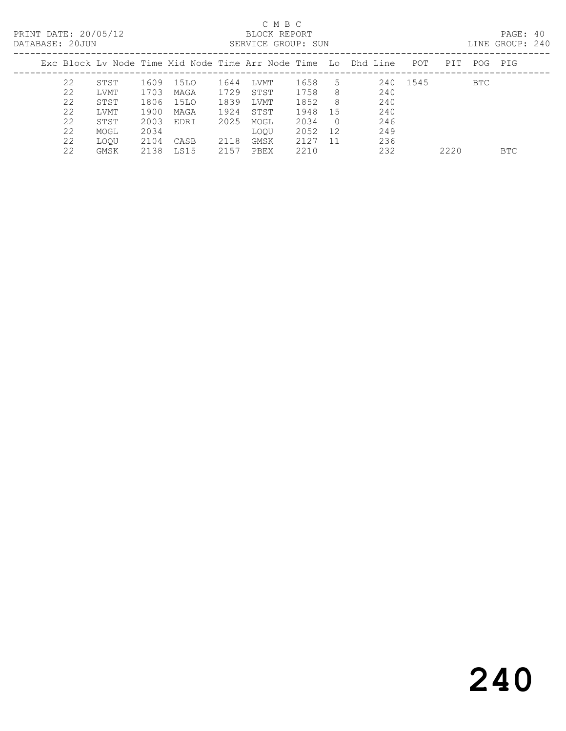### C M B C<br>BLOCK REPORT

PAGE: 40<br>LINE GROUP: 240

| ------------ |                                                                |      |      |      |             |      |          |     |          |      |     |            |
|--------------|----------------------------------------------------------------|------|------|------|-------------|------|----------|-----|----------|------|-----|------------|
|              | Exc Block Ly Node Time Mid Node Time Arr Node Time Lo Dhd Line |      |      |      |             |      |          |     | POT      | PIT  | POG | PIG        |
| 22           | STST                                                           | 1609 | 15LO | 1644 | LVMT        | 1658 | 5        |     | 240 1545 |      | BTC |            |
| 22           | LVMT                                                           | 1703 | MAGA | 1729 | STST        | 1758 | 8        | 240 |          |      |     |            |
| 22           | STST                                                           | 1806 | 15LO | 1839 | LVMT        | 1852 | -8       | 240 |          |      |     |            |
| 22           | LVMT                                                           | 1900 | MAGA | 1924 | STST        | 1948 | -15      | 240 |          |      |     |            |
| 22           | STST                                                           | 2003 | EDRI | 2025 | MOGL        | 2034 | $\Omega$ | 246 |          |      |     |            |
| 22           | MOGL                                                           | 2034 |      |      | <b>LOOU</b> | 2052 | 12       | 249 |          |      |     |            |
| 22           | LOOU                                                           | 2104 | CASB | 2118 | GMSK        | 2127 | -11      | 236 |          |      |     |            |
| 22           | GMSK                                                           | 2138 | LS15 | 2157 | PBEX        | 2210 |          | 232 |          | 2220 |     | <b>BTC</b> |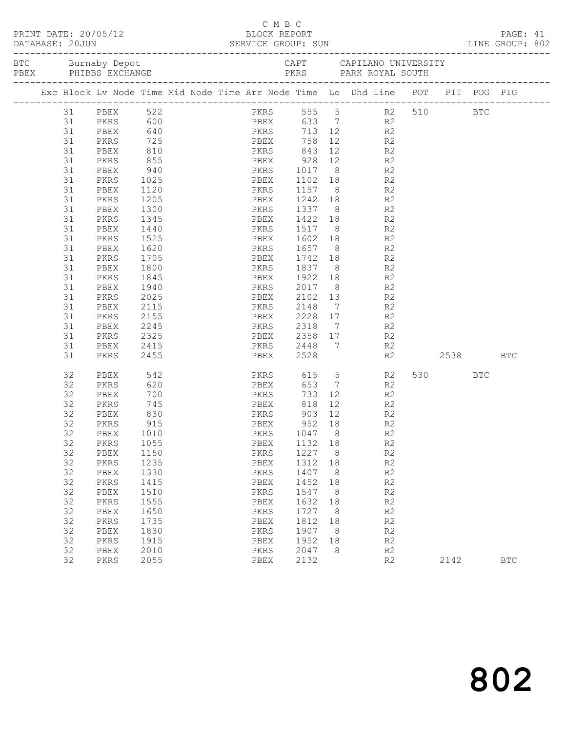| PRINT DATE: 20/05/12<br>BLOCK REPORT BLOCK PERT<br>DATABASE: 20JUN SERVICE GROUP: SUN LINE GROUP: 802 |         |             |      |  |  |  | C M B C              |        |                 |                                                                                                                                                                                                                                                                                                                                                                                                                                    |      |            |            |  |
|-------------------------------------------------------------------------------------------------------|---------|-------------|------|--|--|--|----------------------|--------|-----------------|------------------------------------------------------------------------------------------------------------------------------------------------------------------------------------------------------------------------------------------------------------------------------------------------------------------------------------------------------------------------------------------------------------------------------------|------|------------|------------|--|
|                                                                                                       |         |             |      |  |  |  |                      |        |                 | BTC Burnaby Depot Burnaby CAPT CAPILANO UNIVERSITY<br>PEEX PHIBBS EXCHANGE PKRS PARK ROYAL SOUTH                                                                                                                                                                                                                                                                                                                                   |      |            |            |  |
|                                                                                                       |         |             |      |  |  |  |                      |        |                 | Exc Block Lv Node Time Mid Node Time Arr Node Time Lo Dhd Line POT PIT POG PIG                                                                                                                                                                                                                                                                                                                                                     |      |            |            |  |
|                                                                                                       |         | 31 PBEX 522 |      |  |  |  |                      |        |                 | PKRS 555 5 R2 510 BTC                                                                                                                                                                                                                                                                                                                                                                                                              |      |            |            |  |
|                                                                                                       | 31 PKRS |             |      |  |  |  | 600 PBEX 633 7       |        |                 | R2                                                                                                                                                                                                                                                                                                                                                                                                                                 |      |            |            |  |
|                                                                                                       | 31      | PBEX        | 640  |  |  |  | PKRS<br>PBEX         |        |                 | $713$ 12<br>R2                                                                                                                                                                                                                                                                                                                                                                                                                     |      |            |            |  |
|                                                                                                       | 31      | PKRS        | 725  |  |  |  | PBEX                 | 758    | 12              | R <sub>2</sub>                                                                                                                                                                                                                                                                                                                                                                                                                     |      |            |            |  |
|                                                                                                       | 31      | PBEX        | 810  |  |  |  | PKRS 843             |        |                 | 12<br>R2                                                                                                                                                                                                                                                                                                                                                                                                                           |      |            |            |  |
|                                                                                                       | 31      | PKRS        | 855  |  |  |  | <b>EXERCISE PBEX</b> | 928    |                 | 12 and $\overline{a}$<br>R2                                                                                                                                                                                                                                                                                                                                                                                                        |      |            |            |  |
|                                                                                                       | 31      | PBEX        | 940  |  |  |  | PKRS                 | 1017   |                 | $8 - 8$<br>R2                                                                                                                                                                                                                                                                                                                                                                                                                      |      |            |            |  |
|                                                                                                       | 31      | PKRS        | 1025 |  |  |  | PBEX                 | 1102   |                 | $\begin{array}{ccc} 18 & & \phantom{0} & \phantom{00} & \phantom{00} & \phantom{00} & \phantom{00} & \phantom{00} & \phantom{00} & \phantom{00} & \phantom{00} & \phantom{00} & \phantom{00} & \phantom{00} & \phantom{00} & \phantom{00} & \phantom{00} & \phantom{00} & \phantom{00} & \phantom{00} & \phantom{00} & \phantom{00} & \phantom{00} & \phantom{00} & \phantom{00} & \phantom{00} & \phantom{00} & \phantom{00} & \$ |      |            |            |  |
|                                                                                                       | 31      | PBEX        | 1120 |  |  |  | PKRS                 | 1157   |                 |                                                                                                                                                                                                                                                                                                                                                                                                                                    |      |            |            |  |
|                                                                                                       | 31      | PKRS        | 1205 |  |  |  | PBEX                 | 1242   |                 | 18 18<br>R <sub>2</sub>                                                                                                                                                                                                                                                                                                                                                                                                            |      |            |            |  |
|                                                                                                       | 31      | PBEX        | 1300 |  |  |  | PKRS                 | 1337   |                 | R2<br>8 <sup>1</sup>                                                                                                                                                                                                                                                                                                                                                                                                               |      |            |            |  |
|                                                                                                       | 31      | PKRS        | 1345 |  |  |  | PBEX                 | 1422   |                 | $\begin{array}{ccc} 18 & & \phantom{0}\mathsf{R2} \\ 8 & & \phantom{0}\mathsf{R2} \end{array}$                                                                                                                                                                                                                                                                                                                                     |      |            |            |  |
|                                                                                                       | 31      | PBEX        | 1440 |  |  |  | PKRS                 | 1517   |                 |                                                                                                                                                                                                                                                                                                                                                                                                                                    |      |            |            |  |
|                                                                                                       | 31      | PKRS        | 1525 |  |  |  | PBEX                 | 1602   |                 | 18 18<br>R2                                                                                                                                                                                                                                                                                                                                                                                                                        |      |            |            |  |
|                                                                                                       | 31      | PBEX        | 1620 |  |  |  | PKRS                 | 1657   |                 | 8 <sup>1</sup><br>R2                                                                                                                                                                                                                                                                                                                                                                                                               |      |            |            |  |
|                                                                                                       | 31      | PKRS        | 1705 |  |  |  | PBEX                 | 1742   |                 | R <sub>2</sub><br>$\begin{array}{c} 18 \\ 8 \end{array}$                                                                                                                                                                                                                                                                                                                                                                           |      |            |            |  |
|                                                                                                       | 31      | PBEX        | 1800 |  |  |  | PKRS                 | 1837   | 8 <sup>8</sup>  | R2                                                                                                                                                                                                                                                                                                                                                                                                                                 |      |            |            |  |
|                                                                                                       | 31      | PKRS        | 1845 |  |  |  | PBEX                 | 1922   |                 | 18 18<br>R2                                                                                                                                                                                                                                                                                                                                                                                                                        |      |            |            |  |
|                                                                                                       | 31      | PBEX        | 1940 |  |  |  | PKRS                 | 2017   |                 | $8 - 8$<br>R <sub>2</sub>                                                                                                                                                                                                                                                                                                                                                                                                          |      |            |            |  |
|                                                                                                       | 31      | PKRS        | 2025 |  |  |  | PBEX                 | 2102   | 13              | R <sub>2</sub>                                                                                                                                                                                                                                                                                                                                                                                                                     |      |            |            |  |
|                                                                                                       | 31      | PBEX        | 2115 |  |  |  | PKRS                 | 2148   | $7\overline{ }$ | R2                                                                                                                                                                                                                                                                                                                                                                                                                                 |      |            |            |  |
|                                                                                                       | 31      | PKRS        | 2155 |  |  |  | PBEX                 | 2228   | 17              | R2                                                                                                                                                                                                                                                                                                                                                                                                                                 |      |            |            |  |
|                                                                                                       | 31      | PBEX        | 2245 |  |  |  | PKRS                 | 2318   |                 | $7\overline{ }$<br>R2                                                                                                                                                                                                                                                                                                                                                                                                              |      |            |            |  |
|                                                                                                       | 31      | PKRS        | 2325 |  |  |  | PBEX                 | 2358   | 17              | R <sub>2</sub>                                                                                                                                                                                                                                                                                                                                                                                                                     |      |            |            |  |
|                                                                                                       | 31      | PBEX        | 2415 |  |  |  | PKRS                 | 2448   | 7               | R2                                                                                                                                                                                                                                                                                                                                                                                                                                 |      |            |            |  |
|                                                                                                       | 31      | PKRS        | 2455 |  |  |  | PBEX                 | 2528   |                 | R2                                                                                                                                                                                                                                                                                                                                                                                                                                 |      | 2538       | <b>BTC</b> |  |
|                                                                                                       | 32      | PBEX        | 542  |  |  |  | PKRS                 | 615    | $5\overline{)}$ | R2                                                                                                                                                                                                                                                                                                                                                                                                                                 | 530  | <b>BTC</b> |            |  |
|                                                                                                       | 32      | PKRS        | 620  |  |  |  | PBEX                 | 653    | $7\overline{ }$ | R2                                                                                                                                                                                                                                                                                                                                                                                                                                 |      |            |            |  |
|                                                                                                       | 32      | PBEX        | 700  |  |  |  | PKRS                 | 733    |                 | $12$<br>R2                                                                                                                                                                                                                                                                                                                                                                                                                         |      |            |            |  |
|                                                                                                       | 32      | PKRS        | 745  |  |  |  | PBEX                 | 818    |                 | 12 and $\overline{a}$<br>R2                                                                                                                                                                                                                                                                                                                                                                                                        |      |            |            |  |
|                                                                                                       | 32      | PBEX        | 830  |  |  |  | PKRS                 | 903    | 12              | R <sub>2</sub>                                                                                                                                                                                                                                                                                                                                                                                                                     |      |            |            |  |
|                                                                                                       | 32      | PKRS        | 915  |  |  |  | PBEX                 | 952 18 |                 | R <sub>2</sub>                                                                                                                                                                                                                                                                                                                                                                                                                     |      |            |            |  |
|                                                                                                       | 32      | PBEX 1010   |      |  |  |  | PKRS 1047 8          |        |                 | R2                                                                                                                                                                                                                                                                                                                                                                                                                                 |      |            |            |  |
|                                                                                                       | 32      | PKRS        | 1055 |  |  |  | PBEX                 | 1132   | 18              | R <sub>2</sub>                                                                                                                                                                                                                                                                                                                                                                                                                     |      |            |            |  |
|                                                                                                       | 32      | PBEX        | 1150 |  |  |  | PKRS                 | 1227   | 8               | R2                                                                                                                                                                                                                                                                                                                                                                                                                                 |      |            |            |  |
|                                                                                                       | 32      | PKRS        | 1235 |  |  |  | PBEX                 | 1312   | 18              | R2                                                                                                                                                                                                                                                                                                                                                                                                                                 |      |            |            |  |
|                                                                                                       | 32      | PBEX        | 1330 |  |  |  | PKRS                 | 1407   | 8               | R2                                                                                                                                                                                                                                                                                                                                                                                                                                 |      |            |            |  |
|                                                                                                       | 32      | PKRS        | 1415 |  |  |  | PBEX                 | 1452   | 18              | R2                                                                                                                                                                                                                                                                                                                                                                                                                                 |      |            |            |  |
|                                                                                                       | 32      | PBEX        | 1510 |  |  |  | PKRS                 | 1547   | 8               | R2                                                                                                                                                                                                                                                                                                                                                                                                                                 |      |            |            |  |
|                                                                                                       | 32      | PKRS        | 1555 |  |  |  | PBEX                 | 1632   | 18              | R2                                                                                                                                                                                                                                                                                                                                                                                                                                 |      |            |            |  |
|                                                                                                       | 32      | PBEX        | 1650 |  |  |  | PKRS                 | 1727   | 8               | $\mathbb{R}2$                                                                                                                                                                                                                                                                                                                                                                                                                      |      |            |            |  |
|                                                                                                       | 32      | PKRS        | 1735 |  |  |  | PBEX                 | 1812   | 18              | R2                                                                                                                                                                                                                                                                                                                                                                                                                                 |      |            |            |  |
|                                                                                                       | 32      | PBEX        | 1830 |  |  |  | PKRS                 | 1907   | 8 <sup>8</sup>  | R2                                                                                                                                                                                                                                                                                                                                                                                                                                 |      |            |            |  |
|                                                                                                       | 32      | PKRS        | 1915 |  |  |  | PBEX                 | 1952   | 18              | R2                                                                                                                                                                                                                                                                                                                                                                                                                                 |      |            |            |  |
|                                                                                                       | 32      | PBEX        | 2010 |  |  |  | PKRS                 | 2047   | 8               | R2                                                                                                                                                                                                                                                                                                                                                                                                                                 |      |            |            |  |
|                                                                                                       | 32      | PKRS        | 2055 |  |  |  | PBEX                 | 2132   |                 | R2                                                                                                                                                                                                                                                                                                                                                                                                                                 | 2142 |            | <b>BTC</b> |  |
|                                                                                                       |         |             |      |  |  |  |                      |        |                 |                                                                                                                                                                                                                                                                                                                                                                                                                                    |      |            |            |  |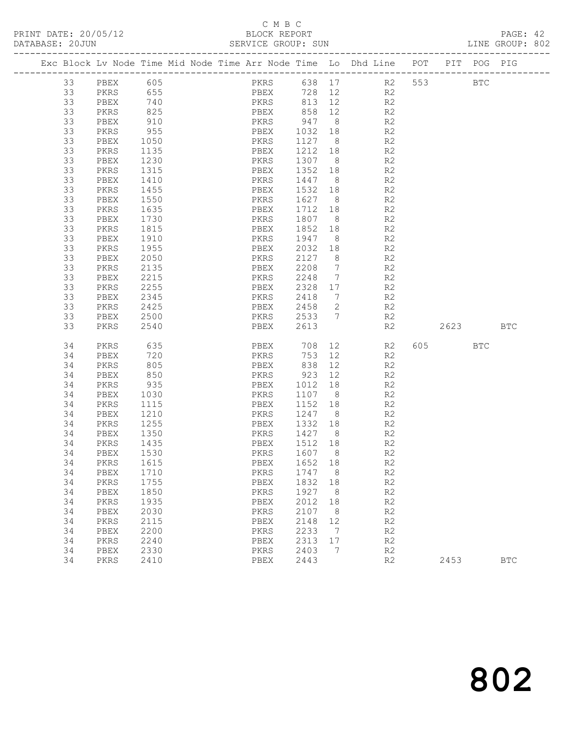# C M B C<br>BLOCK REPORT<br>SERVICE GROUP: SUN

|    |             |            |  | C M B C                                                                        |             |                 |                       |                |         |     | PAGE: 42<br>LINE GROUP: 802 |  |
|----|-------------|------------|--|--------------------------------------------------------------------------------|-------------|-----------------|-----------------------|----------------|---------|-----|-----------------------------|--|
|    |             |            |  | Exc Block Lv Node Time Mid Node Time Arr Node Time Lo Dhd Line POT PIT POG PIG |             |                 |                       |                |         |     |                             |  |
|    | 33 PBEX 605 |            |  | PKRS 638 17 R2 553                                                             |             |                 |                       |                |         | BTC |                             |  |
| 33 | PKRS        |            |  | 655 PBEX                                                                       |             |                 |                       | 728 12 R2      |         |     |                             |  |
| 33 | PBEX        | 740<br>825 |  | PKRS<br>PBEX                                                                   |             |                 |                       | 813  12  R2    |         |     |                             |  |
| 33 | PKRS        |            |  |                                                                                |             | 858 12          |                       | R2             |         |     |                             |  |
| 33 | PBEX        | 910        |  | PKRS 947 8 R2                                                                  |             |                 |                       |                |         |     |                             |  |
| 33 | PKRS        | 955        |  | PBEX                                                                           | 1032 18 R2  |                 |                       |                |         |     |                             |  |
| 33 | PBEX        | 1050       |  | PKRS                                                                           | 1127 8 R2   |                 |                       |                |         |     |                             |  |
| 33 | PKRS        | 1135       |  | PBEX                                                                           | 1212 18     |                 |                       | R2             |         |     |                             |  |
| 33 | PBEX        | 1230       |  | PKRS                                                                           | $1307$ 8 R2 |                 |                       |                |         |     |                             |  |
| 33 | PKRS        | 1315       |  | PBEX                                                                           | 1352 18 R2  |                 |                       |                |         |     |                             |  |
| 33 | PBEX        | 1410       |  | PKRS                                                                           | 1447 8 R2   |                 |                       |                |         |     |                             |  |
| 33 | PKRS        | 1455       |  | PBEX                                                                           | 1532 18     |                 |                       |                |         |     |                             |  |
| 33 | PBEX        | 1550       |  | PKRS                                                                           | 1627 8      |                 |                       | R2<br>R2       |         |     |                             |  |
| 33 | PKRS        | 1635       |  | PBEX                                                                           | 1712 18 R2  |                 |                       |                |         |     |                             |  |
| 33 | PBEX        | 1730       |  | PKRS                                                                           | 1807        |                 |                       | 8 R2           |         |     |                             |  |
| 33 | PKRS        | 1815       |  | PBEX                                                                           | 1852 18     |                 |                       |                |         |     |                             |  |
| 33 | PBEX        | 1910       |  | PKRS                                                                           | 1947        | 8               |                       | R2<br>R2       |         |     |                             |  |
| 33 | PKRS        | 1955       |  | PBEX                                                                           | 2032        |                 |                       | 18 R2          |         |     |                             |  |
| 33 | PBEX        | 2050       |  | PKRS                                                                           | 2127        |                 |                       | 8 R2           |         |     |                             |  |
| 33 | PKRS        | 2135       |  | PBEX                                                                           | 2208        | $7\overline{ }$ |                       |                |         |     |                             |  |
| 33 | PBEX        | 2215       |  | PKRS                                                                           | 2248        | $7\overline{ }$ |                       | R2<br>R2       |         |     |                             |  |
| 33 | PKRS        | 2255       |  | PBEX                                                                           | 2328        |                 |                       | 17 R2          |         |     |                             |  |
| 33 | PBEX        | 2345       |  | PKRS                                                                           | 2418        |                 |                       | 7 R2           |         |     |                             |  |
| 33 | PKRS        | 2425       |  | PBEX                                                                           | 2458        |                 |                       | 2 $R2$         |         |     |                             |  |
| 33 | PBEX        | 2500       |  | PKRS                                                                           | 2533 7      |                 |                       | R <sub>2</sub> |         |     |                             |  |
| 33 | PKRS        | 2540       |  | PBEX                                                                           | 2613        |                 |                       | R2             | 2623    |     | <b>BTC</b>                  |  |
| 34 | PKRS        | 635        |  | PBEX                                                                           | 708         |                 |                       | 12 R2          | 605 BTC |     |                             |  |
| 34 | PBEX        | 720        |  | PKRS                                                                           | 753         | 12              |                       | R <sub>2</sub> |         |     |                             |  |
| 34 | PKRS        | 805        |  | PBEX                                                                           | 838         |                 | 12                    | R2             |         |     |                             |  |
| 34 | PBEX        | 850        |  | PKRS                                                                           | 923         |                 | 12 and $\overline{a}$ | R2             |         |     |                             |  |
| 34 | PKRS        | 935        |  | PBEX                                                                           | 1012 18 R2  |                 |                       |                |         |     |                             |  |
| 34 | PBEX        | 1030       |  | PKRS                                                                           | 1107 8      |                 |                       | R2             |         |     |                             |  |
| 34 | PKRS        | 1115       |  | PBEX                                                                           | 1152 18     |                 |                       | R2             |         |     |                             |  |
| 34 | PBEX        | 1210       |  | PKRS                                                                           | 1247        | 8 <sup>8</sup>  |                       | R2             |         |     |                             |  |
| 34 | PKRS        | 1255       |  | PBEX                                                                           | 1332        | 18              |                       | R <sub>2</sub> |         |     |                             |  |
| 34 | PBEX        | 1350       |  | PKRS                                                                           | 1427        | $\,8\,$         |                       | R2             |         |     |                             |  |
| 34 | PKRS        | 1435       |  | PBEX                                                                           | 1512        | 18              |                       | R2             |         |     |                             |  |
| 34 | PBEX        | 1530       |  | PKRS                                                                           | 1607        | 8               |                       | $\mathbb{R}2$  |         |     |                             |  |
| 34 | PKRS        | 1615       |  | PBEX                                                                           | 1652        | 18              |                       | $\mathbb{R}2$  |         |     |                             |  |
| 34 | PBEX        | 1710       |  | PKRS                                                                           | 1747        | 8               |                       | $\mathbb{R}2$  |         |     |                             |  |
| 34 | PKRS        | 1755       |  | PBEX                                                                           | 1832        | 18              |                       | $\mathbb{R}2$  |         |     |                             |  |
| 34 | PBEX        | 1850       |  | PKRS                                                                           | 1927        | 8               |                       | R2             |         |     |                             |  |
| 34 | PKRS        | 1935       |  | PBEX                                                                           | 2012        | 18              |                       | R2             |         |     |                             |  |
| 34 | PBEX        | 2030       |  | PKRS                                                                           | 2107        | 8               |                       | $\mathbb{R}2$  |         |     |                             |  |
| 34 | PKRS        | 2115       |  | PBEX                                                                           | 2148        | 12              |                       | $\mathbb{R}2$  |         |     |                             |  |
| 34 | PBEX        | 2200       |  | PKRS                                                                           | 2233        | 7               |                       | $\mathbb{R}2$  |         |     |                             |  |
| 34 | PKRS        | 2240       |  | PBEX                                                                           | 2313        | 17              |                       | $\mathbb{R}2$  |         |     |                             |  |
| 34 | PBEX        | 2330       |  | PKRS                                                                           | 2403        | 7               |                       | $\mathbb{R}2$  |         |     |                             |  |
| 34 | PKRS        | 2410       |  | PBEX                                                                           | 2443        |                 |                       | R2             | 2453    |     | $_{\rm BTC}$                |  |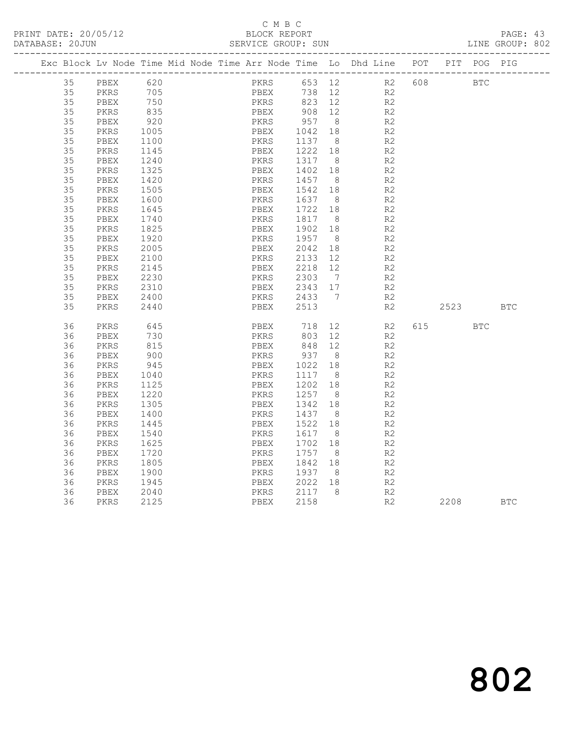#### C M B C<br>BLOCK REPORT SERVICE GROUP: SUN

|  |          | Exc Block Lv Node Time Mid Node Time Arr Node Time Lo Dhd Line POT |              |  |              |                  |                |        |                |     |            | PIT POG PIG |            |
|--|----------|--------------------------------------------------------------------|--------------|--|--------------|------------------|----------------|--------|----------------|-----|------------|-------------|------------|
|  |          |                                                                    |              |  |              |                  |                |        |                |     |            |             |            |
|  | 35       | PBEX                                                               | 620          |  | PKRS         |                  |                | 653 12 | R2             | 608 | <b>BTC</b> |             |            |
|  | 35       | PKRS                                                               | 705          |  | PBEX         | 738 12           |                |        | R2             |     |            |             |            |
|  | 35<br>35 | PBEX                                                               | 750<br>835   |  | PKRS         | 823 12<br>908 12 |                |        | R2<br>R2       |     |            |             |            |
|  | 35       | PKRS                                                               | 920          |  | PBEX<br>PKRS | 957 8            |                |        | R2             |     |            |             |            |
|  | 35       | PBEX<br>PKRS                                                       |              |  | PBEX         |                  | 18             |        | R2             |     |            |             |            |
|  | 35       | PBEX                                                               | 1005<br>1100 |  | PKRS         | 1042<br>1137 8   |                |        | R2             |     |            |             |            |
|  | 35       | PKRS                                                               | 1145         |  | PBEX         | 1222             | 18             |        | R2             |     |            |             |            |
|  | 35       | PBEX                                                               | 1240         |  | PKRS         | 1317 8           |                |        | R <sub>2</sub> |     |            |             |            |
|  | 35       | PKRS                                                               | 1325         |  | PBEX         | 1402 18          |                |        | R <sub>2</sub> |     |            |             |            |
|  | 35       | PBEX                                                               | 1420         |  | PKRS         | 1457             | 8 <sup>8</sup> |        | R <sub>2</sub> |     |            |             |            |
|  | 35       | PKRS                                                               | 1505         |  | PBEX         | 1542             | 18             |        | R <sub>2</sub> |     |            |             |            |
|  | 35       | PBEX                                                               | 1600         |  | PKRS         | 1637             | 8              |        | R2             |     |            |             |            |
|  | 35       | PKRS                                                               | 1645         |  | PBEX         | 1722 18          |                |        | R2             |     |            |             |            |
|  | 35       | PBEX                                                               | 1740         |  | PKRS         | 1817             | 8              |        | R2             |     |            |             |            |
|  | 35       | PKRS                                                               | 1825         |  | PBEX         | 1902 18          |                |        | R <sub>2</sub> |     |            |             |            |
|  | 35       | PBEX                                                               | 1920         |  | PKRS         | 1957             | 8 <sup>8</sup> |        | R <sub>2</sub> |     |            |             |            |
|  | 35       | PKRS                                                               | 2005         |  | PBEX         | 2042             | 18             |        | R <sub>2</sub> |     |            |             |            |
|  | 35       | PBEX                                                               | 2100         |  | PKRS         | 2133             | 12             |        | R2             |     |            |             |            |
|  | 35       | PKRS                                                               | 2145         |  | PBEX         | 2218 12          |                |        | R <sub>2</sub> |     |            |             |            |
|  | 35       | PBEX                                                               | 2230         |  | PKRS         | 2303             | $\overline{7}$ |        | R <sub>2</sub> |     |            |             |            |
|  | 35       | PKRS                                                               | 2310         |  | PBEX         | 2343 17          |                |        | R2             |     |            |             |            |
|  | 35       | PBEX                                                               | 2400         |  |              | PKRS 2433 7      |                |        | R2             |     |            |             |            |
|  | 35       | PKRS                                                               | 2440         |  | PBEX         | 2513             |                |        | R2             |     | 2523 BTC   |             |            |
|  | 36       | PKRS                                                               | 645          |  | PBEX         | 718              | 12             |        | R2             |     | 615 — 10   | <b>BTC</b>  |            |
|  | 36       | PBEX                                                               | 730          |  | PKRS         | 803 12           |                |        | R2             |     |            |             |            |
|  | 36       | PKRS                                                               | 815          |  | PBEX         | 848 12           |                |        | R2             |     |            |             |            |
|  | 36       | PBEX                                                               | 900          |  | PKRS         | 937 8            |                |        | R2             |     |            |             |            |
|  | 36       | PKRS                                                               | 945          |  | PBEX         | 1022             | 18             |        | R2             |     |            |             |            |
|  | 36       | PBEX                                                               | 1040         |  | PKRS         | 1117 8           |                |        | R <sub>2</sub> |     |            |             |            |
|  | 36       | PKRS                                                               | 1125         |  | PBEX         | 1202             | 18             |        | R <sub>2</sub> |     |            |             |            |
|  | 36       | PBEX                                                               | 1220         |  | PKRS         | 1257 8           |                |        | R2             |     |            |             |            |
|  | 36       | PKRS                                                               | 1305         |  | PBEX         | 1342             | 18             |        | R <sub>2</sub> |     |            |             |            |
|  | 36       | PBEX                                                               | 1400         |  | PKRS         | 1437             | 8 <sup>8</sup> |        | R2             |     |            |             |            |
|  | 36       | PKRS                                                               | 1445         |  | PBEX         | 1522             | 18             |        | R2             |     |            |             |            |
|  | 36       | PBEX                                                               | 1540         |  | PKRS         | 1617             | 8              |        | R2             |     |            |             |            |
|  | 36       | PKRS                                                               | 1625         |  | PBEX         | 1702             | 18             |        | R <sub>2</sub> |     |            |             |            |
|  | 36       | PBEX                                                               | 1720         |  | PKRS         | 1757             | 8 <sup>8</sup> |        | R <sub>2</sub> |     |            |             |            |
|  | 36       | PKRS                                                               | 1805         |  | PBEX         | 1842 18          |                |        | R <sub>2</sub> |     |            |             |            |
|  | 36       | PBEX                                                               | 1900         |  | PKRS         | 1937             | 8 <sup>8</sup> |        | R <sub>2</sub> |     |            |             |            |
|  | 36       | PKRS                                                               | 1945         |  | PBEX         | 2022             | 18             |        | R2             |     |            |             |            |
|  | 36       | PBEX                                                               | 2040         |  | PKRS         | 2117 8           |                |        | R2             |     |            |             |            |
|  | 36       | PKRS                                                               | 2125         |  | PBEX         | 2158             |                |        | R2             |     | 2208       |             | <b>BTC</b> |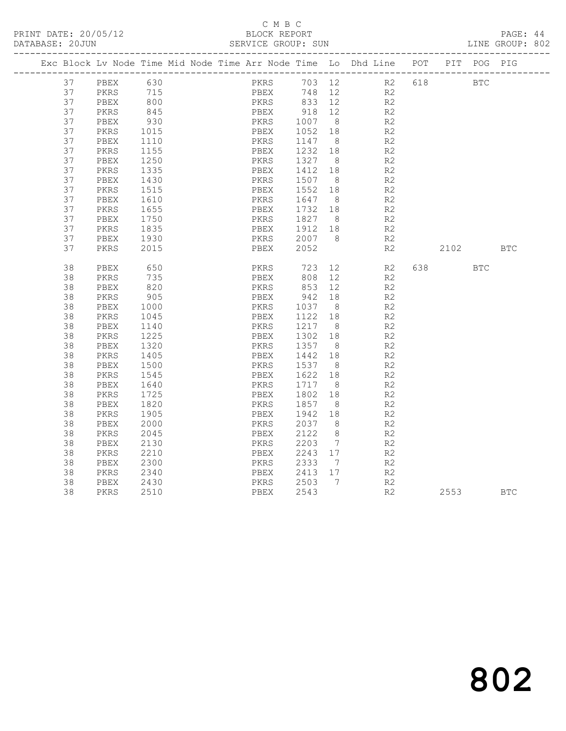#### C M B C<br>BLOCK REPORT

PAGE: 44<br>LINE GROUP: 802

| Exc Block Lv Node Time Mid Node Time Arr Node Time Lo Dhd Line POT |      |      |  |      |      |         |                |           |                |     |            | PIT POG PIG |            |
|--------------------------------------------------------------------|------|------|--|------|------|---------|----------------|-----------|----------------|-----|------------|-------------|------------|
| 37                                                                 | PBEX | 630  |  |      | PKRS |         |                | 703 12 R2 |                | 618 | <b>BTC</b> |             |            |
| 37                                                                 | PKRS | 715  |  |      | PBEX | 748     | 12             |           | R2             |     |            |             |            |
| 37                                                                 | PBEX | 800  |  |      | PKRS | 833 12  |                |           | R2             |     |            |             |            |
| 37                                                                 | PKRS | 845  |  | PBEX |      | 918 12  |                |           | R2             |     |            |             |            |
| 37                                                                 | PBEX | 930  |  | PKRS |      | 1007 8  |                |           | R2             |     |            |             |            |
| 37                                                                 | PKRS | 1015 |  | PBEX |      | 1052 18 |                |           | R2             |     |            |             |            |
| 37                                                                 | PBEX | 1110 |  | PKRS |      | 1147    | 8 <sup>8</sup> |           | R <sub>2</sub> |     |            |             |            |
| 37                                                                 | PKRS | 1155 |  | PBEX |      | 1232 18 |                |           | R2             |     |            |             |            |
| 37                                                                 | PBEX | 1250 |  | PKRS |      | 1327    | 8              |           | R2             |     |            |             |            |
| 37                                                                 | PKRS | 1335 |  | PBEX |      | 1412 18 |                |           | R <sub>2</sub> |     |            |             |            |
| 37                                                                 | PBEX | 1430 |  | PKRS |      | 1507 8  |                |           | R2             |     |            |             |            |
| 37                                                                 | PKRS | 1515 |  | PBEX |      | 1552    | 18             |           | R2             |     |            |             |            |
| 37                                                                 | PBEX | 1610 |  | PKRS |      | 1647 8  |                |           | R2             |     |            |             |            |
| 37                                                                 | PKRS | 1655 |  | PBEX |      | 1732 18 |                |           | R2             |     |            |             |            |
| 37                                                                 | PBEX | 1750 |  | PKRS |      | 1827 8  |                |           | R2             |     |            |             |            |
| 37                                                                 | PKRS | 1835 |  | PBEX |      | 1912 18 |                |           | R2             |     |            |             |            |
| 37                                                                 | PBEX | 1930 |  | PKRS |      | 2007 8  |                |           | R2             |     |            |             |            |
| 37                                                                 | PKRS | 2015 |  | PBEX |      | 2052    |                |           | R <sub>2</sub> |     | 2102       |             | <b>BTC</b> |
| 38                                                                 | PBEX | 650  |  | PKRS |      | 723     | 12             |           | R2             |     |            | <b>BTC</b>  |            |
| 38                                                                 | PKRS | 735  |  | PBEX |      | 808     | 12             |           | R2             |     |            |             |            |
| 38                                                                 | PBEX | 820  |  | PKRS |      | 853     | 12             |           | R2             |     |            |             |            |
| 38                                                                 | PKRS | 905  |  | PBEX |      | 942     | 18             |           | R <sub>2</sub> |     |            |             |            |
| 38                                                                 | PBEX | 1000 |  | PKRS |      | 1037    | 8 <sup>8</sup> |           | R <sub>2</sub> |     |            |             |            |
| 38                                                                 | PKRS | 1045 |  | PBEX |      | 1122    | 18             |           | R <sub>2</sub> |     |            |             |            |
| 38                                                                 | PBEX | 1140 |  | PKRS |      | 1217 8  |                |           | R2             |     |            |             |            |
| 38                                                                 | PKRS | 1225 |  | PBEX |      | 1302    | 18             |           | R <sub>2</sub> |     |            |             |            |
| 38                                                                 | PBEX | 1320 |  | PKRS |      | 1357    | 8              |           | R2             |     |            |             |            |
| 38                                                                 | PKRS | 1405 |  | PBEX |      | 1442    | 18             |           | R2             |     |            |             |            |
| 38                                                                 | PBEX | 1500 |  | PKRS |      | 1537    | 8              |           | R2             |     |            |             |            |
| 38                                                                 | PKRS | 1545 |  | PBEX |      | 1622 18 |                |           | R2             |     |            |             |            |
| 38                                                                 | PBEX | 1640 |  | PKRS |      | 1717    | 8              |           | R <sub>2</sub> |     |            |             |            |
| 38                                                                 | PKRS | 1725 |  | PBEX |      | 1802 18 |                |           | R2             |     |            |             |            |
| 38                                                                 | PBEX | 1820 |  | PKRS |      | 1857    | 8 <sup>8</sup> |           | R2             |     |            |             |            |
| 38                                                                 | PKRS | 1905 |  | PBEX |      | 1942    | 18             |           | R2             |     |            |             |            |
| 38                                                                 | PBEX | 2000 |  | PKRS |      | 2037 8  |                |           | R2             |     |            |             |            |
| 38                                                                 | PKRS | 2045 |  | PBEX |      | 2122    | 8 <sup>8</sup> |           | R <sub>2</sub> |     |            |             |            |
| 38                                                                 | PBEX | 2130 |  | PKRS |      | 2203    | $\overline{7}$ |           | R <sub>2</sub> |     |            |             |            |
| 38                                                                 | PKRS | 2210 |  | PBEX |      | 2243 17 |                |           | R2             |     |            |             |            |
| 38                                                                 | PBEX | 2300 |  | PKRS |      | 2333    | $\overline{7}$ |           | R <sub>2</sub> |     |            |             |            |
| 38                                                                 | PKRS | 2340 |  | PBEX |      | 2413 17 |                |           | R2             |     |            |             |            |
| 38                                                                 | PBEX | 2430 |  | PKRS |      | 2503 7  |                |           | R2             |     |            |             |            |
| 38                                                                 | PKRS | 2510 |  | PBEX |      | 2543    |                |           | R <sub>2</sub> |     | 2553       |             | <b>BTC</b> |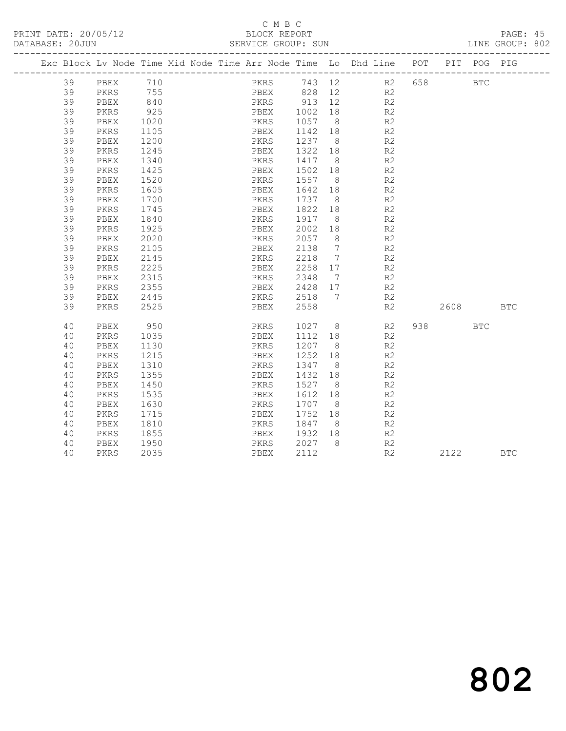#### C M B C<br>BLOCK REPORT SERVICE GROUP: SUN

|    |      |            |  |                            |         |                | Exc Block Lv Node Time Mid Node Time Arr Node Time Lo Dhd Line POT |        | PIT POG PIG |            |
|----|------|------------|--|----------------------------|---------|----------------|--------------------------------------------------------------------|--------|-------------|------------|
| 39 | PBEX | 710        |  |                            |         |                | PKRS 743 12 R2                                                     | 658 8  | <b>BTC</b>  |            |
| 39 | PKRS | 755<br>840 |  | PBEX 828 12<br>PKRS 913 12 |         |                | R2                                                                 |        |             |            |
| 39 | PBEX |            |  |                            |         |                | R2                                                                 |        |             |            |
| 39 | PKRS | 925        |  | PBEX 1002 18               |         |                | R2                                                                 |        |             |            |
| 39 | PBEX | 1020       |  | PKRS                       | 1057 8  |                | R2                                                                 |        |             |            |
| 39 | PKRS | 1105       |  | PBEX                       | 1142 18 |                | R <sub>2</sub>                                                     |        |             |            |
| 39 | PBEX | 1200       |  | PKRS                       | 1237 8  |                | R2                                                                 |        |             |            |
| 39 | PKRS | 1245       |  | PBEX                       | 1322    | 18             | R <sub>2</sub>                                                     |        |             |            |
| 39 | PBEX | 1340       |  | PKRS                       | 1417 8  |                | R <sub>2</sub>                                                     |        |             |            |
| 39 | PKRS | 1425       |  | PBEX                       | 1502    | 18             | R2                                                                 |        |             |            |
| 39 | PBEX | 1520       |  | PKRS                       | 1557 8  |                | R2                                                                 |        |             |            |
| 39 | PKRS | 1605       |  | PBEX                       | 1642 18 |                | R2                                                                 |        |             |            |
| 39 | PBEX | 1700       |  | PKRS                       | 1737 8  |                | R <sub>2</sub>                                                     |        |             |            |
| 39 | PKRS | 1745       |  | PBEX                       | 1822    | 18             | R <sub>2</sub>                                                     |        |             |            |
| 39 | PBEX | 1840       |  | PKRS                       | 1917    | - 8            | R2                                                                 |        |             |            |
| 39 | PKRS | 1925       |  | PBEX                       | 2002    | 18             | R2                                                                 |        |             |            |
| 39 | PBEX | 2020       |  | PKRS                       | 2057    | 8 <sup>8</sup> | R <sub>2</sub>                                                     |        |             |            |
| 39 | PKRS | 2105       |  | PBEX                       | 2138    | $\overline{7}$ | R2                                                                 |        |             |            |
| 39 | PBEX | 2145       |  | PKRS                       | 2218 7  |                | R <sub>2</sub>                                                     |        |             |            |
| 39 | PKRS | 2225       |  | PBEX                       | 2258 17 |                | R <sub>2</sub>                                                     |        |             |            |
| 39 | PBEX | 2315       |  | PKRS                       | 2348 7  |                | R2                                                                 |        |             |            |
| 39 | PKRS | 2355       |  | PBEX                       | 2428 17 |                | R <sub>2</sub>                                                     |        |             |            |
| 39 | PBEX | 2445       |  | PKRS                       | 2518 7  |                | R2                                                                 |        |             |            |
| 39 | PKRS | 2525       |  | PBEX                       | 2558    |                | R2                                                                 | 2608 7 |             | <b>BTC</b> |
| 40 | PBEX | 950        |  | PKRS                       |         |                | 1027 8<br>R2                                                       |        | BTC         |            |
| 40 | PKRS | 1035       |  | PBEX                       | 1112 18 |                | R2                                                                 |        |             |            |
| 40 | PBEX | 1130       |  | PKRS                       | 1207 8  |                | R2                                                                 |        |             |            |
| 40 | PKRS | 1215       |  | PBEX                       | 1252    | 18             | R <sub>2</sub>                                                     |        |             |            |
| 40 | PBEX | 1310       |  | PKRS                       | 1347 8  |                | R <sub>2</sub>                                                     |        |             |            |
| 40 | PKRS | 1355       |  | PBEX                       | 1432    | 18             | R <sub>2</sub>                                                     |        |             |            |
| 40 | PBEX | 1450       |  | PKRS                       | 1527    | 8              | R <sub>2</sub>                                                     |        |             |            |
| 40 | PKRS | 1535       |  | PBEX                       | 1612    | 18             | R <sub>2</sub>                                                     |        |             |            |
| 40 | PBEX | 1630       |  | PKRS                       | 1707    | 8 <sup>8</sup> | R <sub>2</sub>                                                     |        |             |            |
| 40 | PKRS | 1715       |  | PBEX                       | 1752    | 18             | R <sub>2</sub>                                                     |        |             |            |
| 40 | PBEX | 1810       |  | PKRS                       | 1847    | 8 <sup>8</sup> | R2                                                                 |        |             |            |
| 40 | PKRS | 1855       |  | PBEX                       | 1932    | 18             | R <sub>2</sub>                                                     |        |             |            |
| 40 | PBEX | 1950       |  | PKRS                       | 2027 8  |                | R2                                                                 |        |             |            |
| 40 | PKRS | 2035       |  | PBEX                       | 2112    |                | R2                                                                 | 2122   |             | <b>BTC</b> |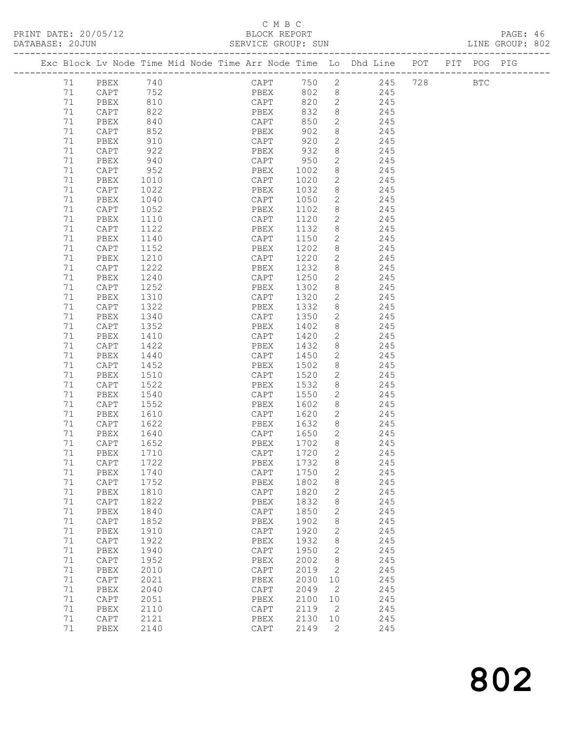#### C M B C<br>BLOCK REPORT

| PRINT DATE: 20/05/12 |  |  |  |  | BLOCK REPORT       |  |  |                                                                                |  | PAGE: 46        |  |
|----------------------|--|--|--|--|--------------------|--|--|--------------------------------------------------------------------------------|--|-----------------|--|
| DATABASE: 20JUN      |  |  |  |  | SERVICE GROUP: SUN |  |  |                                                                                |  | LINE GROUP: 802 |  |
|                      |  |  |  |  |                    |  |  | Exc Block Ly Node Time Mid Node Time Arr Node Time Lo Dhd Line POT PIT POG PIG |  |                 |  |

|          |                 |              |  |                                      |              |                            | Exc Block Lv Node Time Mid Node Time Arr Node Time Lo Dhd Line | POT | PIT POG PIG |  |
|----------|-----------------|--------------|--|--------------------------------------|--------------|----------------------------|----------------------------------------------------------------|-----|-------------|--|
| 71       | PBEX            |              |  |                                      | 750          | $\overline{2}$             | 245                                                            | 728 | <b>BTC</b>  |  |
| 71       | CAPT            | 740<br>752   |  | $\mathop{\rm CAPT}\nolimits$<br>PBEX | 802          | 8                          | 245                                                            |     |             |  |
| 71       | PBEX            | 810          |  | CAPT                                 | 820          | 2                          | 245                                                            |     |             |  |
| 71       | CAPT            | 822          |  | PBEX                                 | 832          | 8                          | 245                                                            |     |             |  |
| 71       | PBEX            | 840          |  | CAPT                                 | 850          | 2                          | 245                                                            |     |             |  |
| 71       | CAPT            | 852          |  | PBEX                                 | 902          | 8                          | 245                                                            |     |             |  |
| 71       | PBEX            | 910          |  | CAPT                                 | 920          | 2                          | 245                                                            |     |             |  |
| 71       | CAPT            | 922          |  | PBEX                                 | 932          | 8                          | 245                                                            |     |             |  |
| 71       | PBEX            | 940          |  | CAPT                                 | 950          | 2                          | 245                                                            |     |             |  |
| 71       | CAPT            | 952          |  | PBEX                                 | 1002         | 8                          | 245                                                            |     |             |  |
| 71       | PBEX            | 1010         |  | CAPT                                 | 1020         | 2                          | 245                                                            |     |             |  |
| 71       | CAPT            | 1022         |  | PBEX                                 | 1032         | 8                          | 245                                                            |     |             |  |
| 71       | PBEX            | 1040         |  | CAPT                                 | 1050         | 2                          | 245                                                            |     |             |  |
| 71       | CAPT            | 1052         |  | PBEX                                 | 1102         | 8                          | 245                                                            |     |             |  |
| 71       | PBEX            | 1110         |  | CAPT                                 | 1120         | 2                          | 245                                                            |     |             |  |
| 71       | CAPT            | 1122         |  | PBEX                                 | 1132         | 8                          | 245                                                            |     |             |  |
| 71       | PBEX            | 1140         |  | CAPT                                 | 1150         | 2                          | 245                                                            |     |             |  |
| 71       | CAPT            | 1152         |  | PBEX                                 | 1202         | $8\,$                      | 245                                                            |     |             |  |
| 71       | PBEX            | 1210         |  | CAPT                                 | 1220         | $\mathbf{2}$               | 245                                                            |     |             |  |
| 71       | CAPT            | 1222         |  | PBEX                                 | 1232         | 8                          | 245                                                            |     |             |  |
| 71       | PBEX            | 1240         |  | CAPT                                 | 1250         | 2                          | 245                                                            |     |             |  |
| 71       | CAPT            | 1252         |  | PBEX                                 | 1302         | 8                          | 245                                                            |     |             |  |
| 71       | PBEX            | 1310         |  | CAPT                                 | 1320         | 2                          | 245                                                            |     |             |  |
| 71       | CAPT            | 1322         |  | PBEX                                 | 1332         | 8                          | 245                                                            |     |             |  |
| 71       | PBEX            | 1340         |  | CAPT                                 | 1350         | 2                          | 245                                                            |     |             |  |
| 71       | $\texttt{CAPT}$ | 1352         |  | PBEX                                 | 1402         | 8                          | 245                                                            |     |             |  |
| 71       | PBEX            | 1410         |  | CAPT                                 | 1420         | 2                          | 245                                                            |     |             |  |
| 71       | CAPT            | 1422         |  | PBEX                                 | 1432         | 8                          | 245                                                            |     |             |  |
| 71       | PBEX            | 1440         |  | CAPT                                 | 1450         | 2                          | 245                                                            |     |             |  |
| 71       | CAPT            | 1452         |  | PBEX                                 | 1502         | 8                          | 245                                                            |     |             |  |
| 71       | PBEX            | 1510         |  | CAPT                                 | 1520         | 2                          | 245                                                            |     |             |  |
| 71       | $\texttt{CAPT}$ | 1522         |  | PBEX                                 | 1532         | 8                          | 245                                                            |     |             |  |
| 71       | PBEX            | 1540         |  | CAPT                                 | 1550         | 2                          | 245                                                            |     |             |  |
| 71       | CAPT            | 1552         |  | PBEX                                 | 1602         | 8                          | 245                                                            |     |             |  |
| 71       | PBEX            | 1610         |  | CAPT                                 | 1620         | 2                          | 245                                                            |     |             |  |
| 71       | CAPT            | 1622         |  | PBEX                                 | 1632         | 8                          | 245                                                            |     |             |  |
| 71       | PBEX            | 1640         |  | CAPT                                 | 1650         | 2                          | 245                                                            |     |             |  |
| 71       | CAPT            | 1652         |  | PBEX                                 | 1702         | 8                          | 245                                                            |     |             |  |
| 71       | PBEX            | 1710         |  | CAPT                                 | 1720         | 2                          | 245                                                            |     |             |  |
| 71       | CAPT            | 1722         |  | PBEX                                 | 1732         | 8                          | 245                                                            |     |             |  |
| 71       | PBEX 1740       |              |  | CAPT                                 | 1750 2       |                            | 245                                                            |     |             |  |
| 71       | CAPT            | 1752         |  | PBEX                                 | 1802         | 8                          | 245                                                            |     |             |  |
| 71       | PBEX            | 1810         |  | CAPT                                 | 1820         | 2                          | 245                                                            |     |             |  |
| 71<br>71 | CAPT            | 1822<br>1840 |  | PBEX                                 | 1832<br>1850 | 8<br>2                     | 245<br>245                                                     |     |             |  |
| 71       | PBEX            | 1852         |  | CAPT                                 | 1902         |                            | 245                                                            |     |             |  |
| 71       | CAPT<br>PBEX    | 1910         |  | PBEX<br>CAPT                         | 1920         | 8<br>2                     | 245                                                            |     |             |  |
| 71       | CAPT            | 1922         |  | PBEX                                 | 1932         | 8                          | 245                                                            |     |             |  |
| 71       | PBEX            | 1940         |  | CAPT                                 | 1950         | 2                          | 245                                                            |     |             |  |
| 71       | CAPT            | 1952         |  | PBEX                                 | 2002         | 8                          | 245                                                            |     |             |  |
| 71       | PBEX            | 2010         |  | CAPT                                 | 2019         | 2                          | 245                                                            |     |             |  |
| 71       | CAPT            | 2021         |  | PBEX                                 | 2030         | 10                         | 245                                                            |     |             |  |
| 71       | PBEX            | 2040         |  | CAPT                                 | 2049         | $\overline{\phantom{0}}^2$ | 245                                                            |     |             |  |
| 71       | CAPT            | 2051         |  | PBEX                                 | 2100         | 10                         | 245                                                            |     |             |  |
| 71       | PBEX            | 2110         |  | CAPT                                 | 2119         | $\overline{\phantom{0}}^2$ | 245                                                            |     |             |  |
| 71       | CAPT            | 2121         |  | PBEX                                 | 2130 10      |                            | 245                                                            |     |             |  |
| 71       | PBEX            | 2140         |  | CAPT                                 | 2149         | $\overline{2}$             | 245                                                            |     |             |  |
|          |                 |              |  |                                      |              |                            |                                                                |     |             |  |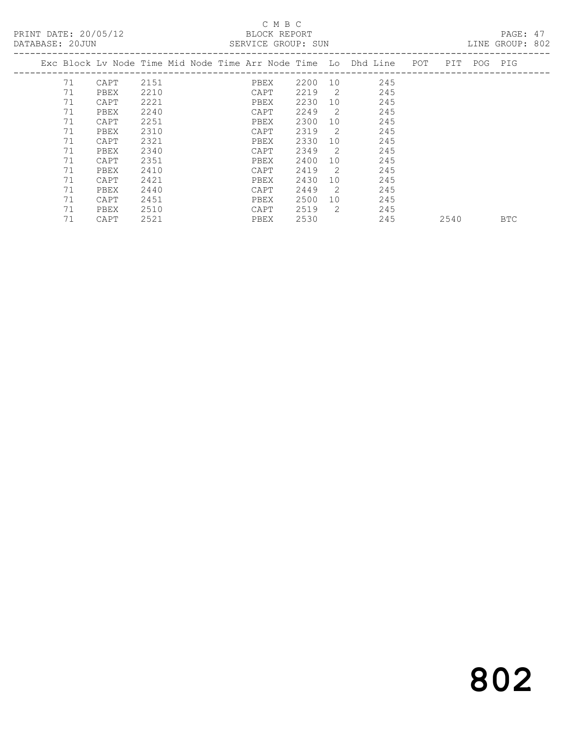#### C M B C

| DATABASE: 20JUN |    |                                                                     |      |  |      | SERVICE GROUP: SUN |                |     |     |      |             | LINE GROUP: 802 |  |
|-----------------|----|---------------------------------------------------------------------|------|--|------|--------------------|----------------|-----|-----|------|-------------|-----------------|--|
|                 |    | Exc Block Lv Node Time Mid Node Time Arr Node Time  Lo  Dhd Line  . |      |  |      |                    |                |     | POT |      | PIT POG PIG |                 |  |
|                 | 71 | CAPT                                                                | 2151 |  | PBEX | 2200               | 10             | 245 |     |      |             |                 |  |
|                 | 71 | PBEX                                                                | 2210 |  | CAPT | 2219               | $\overline{2}$ | 245 |     |      |             |                 |  |
|                 | 71 | CAPT                                                                | 2221 |  | PBEX | 2230               | 10             | 245 |     |      |             |                 |  |
|                 | 71 | PBEX                                                                | 2240 |  | CAPT | 2249               | -2             | 245 |     |      |             |                 |  |
|                 | 71 | CAPT                                                                | 2251 |  | PBEX | 2300               | 10             | 245 |     |      |             |                 |  |
|                 | 71 | PBEX                                                                | 2310 |  | CAPT | 2319               | 2              | 245 |     |      |             |                 |  |
|                 | 71 | CAPT                                                                | 2321 |  | PBEX | 2330               | 10             | 245 |     |      |             |                 |  |
|                 | 71 | PBEX                                                                | 2340 |  | CAPT | 2349               | 2              | 245 |     |      |             |                 |  |
|                 | 71 | CAPT                                                                | 2351 |  | PBEX | 2400               | 10             | 245 |     |      |             |                 |  |
|                 | 71 | PBEX                                                                | 2410 |  | CAPT | 2419               | -2             | 245 |     |      |             |                 |  |
|                 | 71 | CAPT                                                                | 2421 |  | PBEX | 2430               | 10             | 245 |     |      |             |                 |  |
|                 | 71 | PBEX                                                                | 2440 |  | CAPT | 2449               | 2              | 245 |     |      |             |                 |  |
|                 | 71 | CAPT                                                                | 2451 |  | PBEX | 2500               | 10             | 245 |     |      |             |                 |  |
|                 | 71 | PBEX                                                                | 2510 |  | CAPT | 2519               | 2              | 245 |     |      |             |                 |  |
|                 | 71 | CAPT                                                                | 2521 |  | PBEX | 2530               |                | 245 |     | 2540 |             | <b>BTC</b>      |  |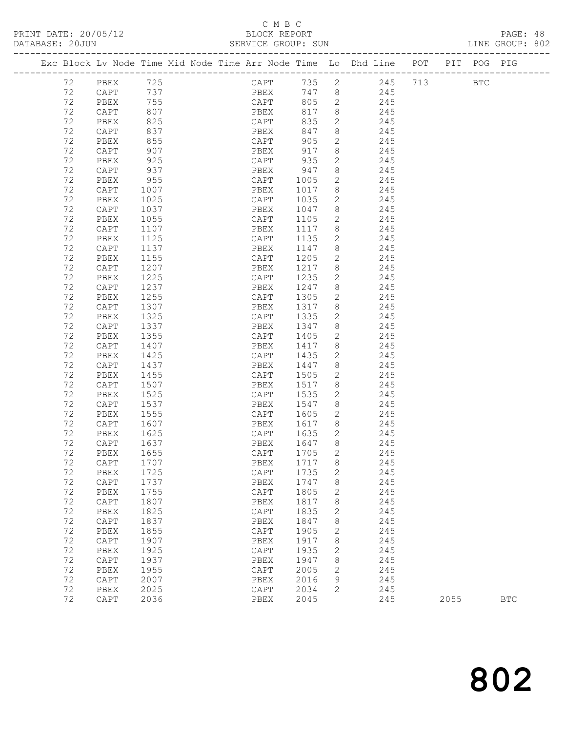#### C M B C SERVICE GROUP: SUN

|  |    |      |      |  |                 |       |              | Exc Block Lv Node Time Mid Node Time Arr Node Time Lo Dhd Line POT PIT POG PIG |         |            |  |
|--|----|------|------|--|-----------------|-------|--------------|--------------------------------------------------------------------------------|---------|------------|--|
|  | 72 | PBEX | 725  |  | CAPT            | 735 2 |              |                                                                                | 245 713 | <b>BTC</b> |  |
|  | 72 | CAPT | 737  |  | PBEX            | 747 8 |              | 245                                                                            |         |            |  |
|  | 72 | PBEX | 755  |  | CAPT            | 805   | 2            | 245                                                                            |         |            |  |
|  | 72 | CAPT | 807  |  | PBEX            | 817   | $8\,$        | 245                                                                            |         |            |  |
|  | 72 | PBEX | 825  |  | CAPT            | 835   | 2            | 245                                                                            |         |            |  |
|  | 72 | CAPT | 837  |  | PBEX            | 847   | $8\,$        | 245                                                                            |         |            |  |
|  | 72 | PBEX | 855  |  | CAPT            | 905   | $\mathbf{2}$ | 245                                                                            |         |            |  |
|  | 72 | CAPT | 907  |  | PBEX            | 917   | $\,8\,$      | 245                                                                            |         |            |  |
|  | 72 | PBEX | 925  |  | CAPT            | 935   | $\mathbf{2}$ | 245                                                                            |         |            |  |
|  | 72 | CAPT | 937  |  | PBEX            | 947   | 8            | 245                                                                            |         |            |  |
|  | 72 | PBEX | 955  |  | CAPT            | 1005  | $\mathbf{2}$ | 245                                                                            |         |            |  |
|  | 72 | CAPT | 1007 |  | PBEX            | 1017  | 8            | 245                                                                            |         |            |  |
|  | 72 | PBEX | 1025 |  | CAPT            | 1035  | $\mathbf{2}$ | 245                                                                            |         |            |  |
|  | 72 | CAPT | 1037 |  | PBEX            | 1047  | 8            | 245                                                                            |         |            |  |
|  | 72 | PBEX | 1055 |  | CAPT            | 1105  | $\mathbf{2}$ | 245                                                                            |         |            |  |
|  | 72 | CAPT | 1107 |  | PBEX            | 1117  | 8            | 245                                                                            |         |            |  |
|  | 72 | PBEX | 1125 |  | CAPT            | 1135  | $\sqrt{2}$   | 245                                                                            |         |            |  |
|  | 72 | CAPT | 1137 |  | PBEX            | 1147  | $\,8\,$      | 245                                                                            |         |            |  |
|  | 72 | PBEX | 1155 |  | CAPT            | 1205  | $\mathbf{2}$ | 245                                                                            |         |            |  |
|  | 72 | CAPT | 1207 |  | PBEX            | 1217  | 8            | 245                                                                            |         |            |  |
|  | 72 | PBEX | 1225 |  | CAPT            | 1235  | $\mathbf{2}$ | 245                                                                            |         |            |  |
|  | 72 | CAPT | 1237 |  | PBEX            | 1247  | 8            | 245                                                                            |         |            |  |
|  | 72 | PBEX | 1255 |  | ${\tt CAPT}$    | 1305  | $\mathbf{2}$ | 245                                                                            |         |            |  |
|  | 72 | CAPT | 1307 |  | PBEX            | 1317  | 8            | 245                                                                            |         |            |  |
|  | 72 | PBEX | 1325 |  | CAPT            | 1335  | $\mathbf{2}$ | 245                                                                            |         |            |  |
|  | 72 | CAPT | 1337 |  | PBEX            | 1347  | 8            | 245                                                                            |         |            |  |
|  | 72 | PBEX | 1355 |  | $\texttt{CAPT}$ | 1405  | $\mathbf{2}$ | 245                                                                            |         |            |  |
|  | 72 | CAPT | 1407 |  | PBEX            | 1417  | 8            | 245                                                                            |         |            |  |
|  | 72 | PBEX | 1425 |  | CAPT            | 1435  | $\mathbf{2}$ | 245                                                                            |         |            |  |
|  | 72 | CAPT | 1437 |  | PBEX            | 1447  | 8            | 245                                                                            |         |            |  |
|  | 72 | PBEX | 1455 |  | CAPT            | 1505  | $\mathbf{2}$ | 245                                                                            |         |            |  |
|  | 72 | CAPT | 1507 |  | PBEX            | 1517  | 8            | 245                                                                            |         |            |  |
|  | 72 | PBEX | 1525 |  | CAPT            | 1535  | 2            | 245                                                                            |         |            |  |
|  | 72 | CAPT | 1537 |  | PBEX            | 1547  | 8            | 245                                                                            |         |            |  |
|  | 72 | PBEX | 1555 |  | CAPT            | 1605  | $\mathbf{2}$ | 245                                                                            |         |            |  |
|  | 72 | CAPT | 1607 |  | PBEX            | 1617  | $8\,$        | 245                                                                            |         |            |  |
|  | 72 | PBEX | 1625 |  | CAPT            | 1635  | 2            | 245                                                                            |         |            |  |
|  | 72 | CAPT | 1637 |  | PBEX            | 1647  | 8            | 245                                                                            |         |            |  |
|  | 72 | PBEX | 1655 |  | CAPT            | 1705  | $\mathbf{2}$ | 245                                                                            |         |            |  |

 72 PBEX 1655 CAPT 1705 2 245 72 CAPT 1707 PBEX 1717 8 245 72 PBEX 1725 CAPT 1735 2 245 72 CAPT 1737 PBEX 1747 8 245 72 PBEX 1755 CAPT 1805 2 245 72 CAPT 1807 PBEX 1817 8 245 72 PBEX 1825 CAPT 1835 2 245 72 CAPT 1837 PBEX 1847 8 245 72 PBEX 1855 CAPT 1905 2 245 72 CAPT 1907 PBEX 1917 8 245 72 PBEX 1925 CAPT 1935 2 245 72 CAPT 1937 PBEX 1947 8 245 72 PBEX 1955 CAPT 2005 2 245 72 CAPT 2007 PBEX 2016 9 245

72 PBEX 2025 CAPT 2034 2 245

2055 BTC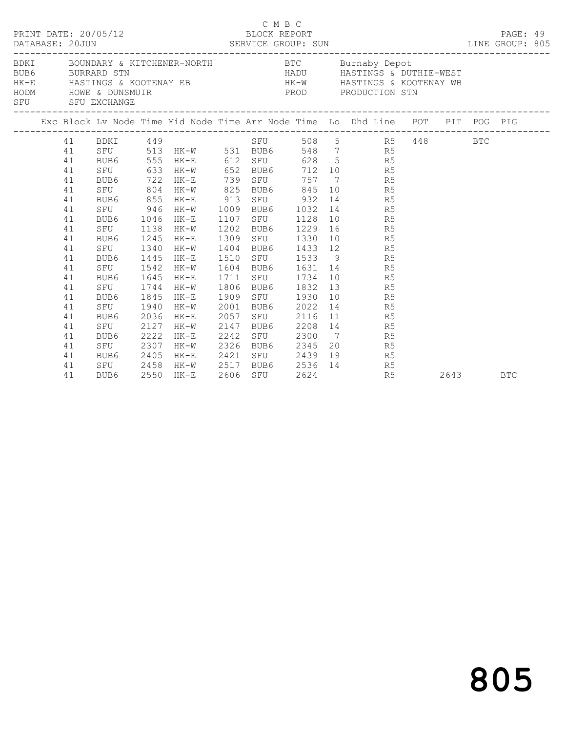|  | DATABASE: 20JUN | PRINT DATE: 20/05/12                                |      |                       | BLOCK REPORT |      | C M B C |                                       |                                  | LINE GROUP: 805                                                                                                                                                                                                                | PAGE: 49   |  |
|--|-----------------|-----------------------------------------------------|------|-----------------------|--------------|------|---------|---------------------------------------|----------------------------------|--------------------------------------------------------------------------------------------------------------------------------------------------------------------------------------------------------------------------------|------------|--|
|  |                 | SFU SFU EXCHANGE<br>------------------------------- |      |                       |              |      |         |                                       |                                  | BDKI BOUNDARY & KITCHENER-NORTH BTC Burnaby Depot<br>BUB6 BURRARD STN BURRARD STN HADU HASTINGS & DUTHIE-WEST<br>HK-E HASTINGS & KOOTENAY EB HK-W HASTINGS & KOOTENAY WB<br>HODM HOWE & DUTHING & ROOTENAY EREN PRODUCTION STN |            |  |
|  |                 |                                                     |      |                       |              |      |         |                                       |                                  | Exc Block Lv Node Time Mid Node Time Arr Node Time Lo Dhd Line POT PIT POG PIG                                                                                                                                                 |            |  |
|  |                 | 41 BDKI 449                                         |      |                       |              |      |         |                                       |                                  | BDKI 449<br>SFU 513 HK-W 531 BUB6 548 7 R5 448 BTC<br>RUB6 555 HK-F 612 OFII 600 5                                                                                                                                             |            |  |
|  | 41              |                                                     |      |                       |              |      |         |                                       |                                  |                                                                                                                                                                                                                                |            |  |
|  | 41              |                                                     |      | BUB6 555 HK-E 612 SFU |              |      |         |                                       | 628 5 R5                         |                                                                                                                                                                                                                                |            |  |
|  | 41              | SFU                                                 | 633  | HK-W 652              |              |      |         |                                       | BUB6 712 10 R5                   |                                                                                                                                                                                                                                |            |  |
|  | 41              | BUB6 722                                            |      | HK-E                  | 739          |      | SFU     | 757                                   | 7 R5                             |                                                                                                                                                                                                                                |            |  |
|  | 41              | SFU                                                 | 804  | $HK-W$                | 825          |      |         |                                       | BUB6 845 10 R5                   |                                                                                                                                                                                                                                |            |  |
|  | 41              | BUB6 855                                            |      | HK-E                  | 913          |      |         | SFU 932                               | 14 R5                            |                                                                                                                                                                                                                                |            |  |
|  | 41              | SFU                                                 | 946  | HK-W                  | 1009         |      |         | BUB6 1032                             | 14 R5                            |                                                                                                                                                                                                                                |            |  |
|  | 41              | BUB6 1046                                           |      | HK-E                  | 1107         |      |         | SFU 1128                              | 10 R5                            |                                                                                                                                                                                                                                |            |  |
|  | 41              | SFU 1138                                            |      | HK-W                  | 1202         |      |         | BUB6 1229                             | 16 R5                            |                                                                                                                                                                                                                                |            |  |
|  | 41              | BUB6                                                | 1245 | HK-E                  | 1309         |      |         | SFU 1330                              | 10 R5                            |                                                                                                                                                                                                                                |            |  |
|  | 41              | SFU 1340                                            |      | HK-W                  | 1404         |      |         |                                       | BUB6 1433 12 R5                  |                                                                                                                                                                                                                                |            |  |
|  | 41<br>41        | BUB6 1445                                           |      | HK-E                  | 1510         |      |         |                                       | SFU 1533 9 R5<br>BUB6 1631 14 R5 |                                                                                                                                                                                                                                |            |  |
|  | 41              | SFU 1542                                            |      | HK-W                  | 1604         |      |         |                                       | 10 R5                            |                                                                                                                                                                                                                                |            |  |
|  | 41              | BUB6<br>SFU 1744                                    | 1645 | HK-E<br>$HK-W$        | 1711<br>1806 |      |         | SFU 1734<br>BUB6 1832                 | 13 R5                            |                                                                                                                                                                                                                                |            |  |
|  | 41              | BUB6                                                | 1845 | HK-E                  | 1909         |      |         | SFU 1930                              | 10 R5                            |                                                                                                                                                                                                                                |            |  |
|  | 41              | SFU                                                 | 1940 | HK-W                  | 2001         |      |         | BUB6 2022                             | 14 R5                            |                                                                                                                                                                                                                                |            |  |
|  | 41              | BUB6                                                | 2036 | HK-E                  | 2057         |      | SFU     | 2116                                  | 11 R5                            |                                                                                                                                                                                                                                |            |  |
|  | 41              | SFU                                                 | 2127 | HK-W                  | 2147         | BUB6 |         |                                       | 2208 14 R5                       |                                                                                                                                                                                                                                |            |  |
|  | 41              | BUB6                                                | 2222 | $HK-E$                | 2242         |      |         |                                       | SFU 2300 7 R5                    |                                                                                                                                                                                                                                |            |  |
|  | 41              | SFU                                                 | 2307 | $HK-W$                | 2326         |      |         | BUB6 2345                             | 20 R5                            |                                                                                                                                                                                                                                |            |  |
|  | 41              | BUB6                                                | 2405 | HK-E                  |              |      |         |                                       | 19<br>R5                         |                                                                                                                                                                                                                                |            |  |
|  | 41              | SFU 2458                                            |      | HK-W                  |              |      |         |                                       | R5                               |                                                                                                                                                                                                                                |            |  |
|  | 41              | BUB6                                                |      | 2550 HK-E             |              |      | SFU     | 2421 SFU 2439 12<br>2517 BUB6 2536 14 | R5                               | 2643                                                                                                                                                                                                                           | <b>BTC</b> |  |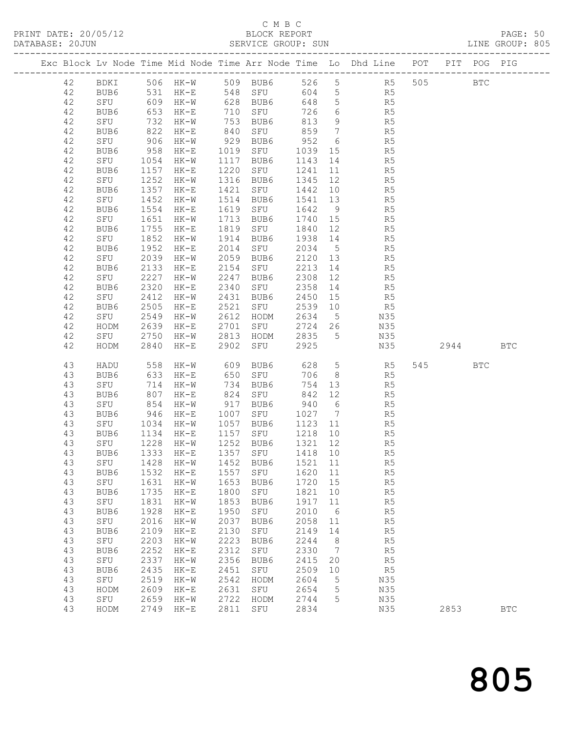#### C M B C

DATABASE: 20JUN SERVICE GROUP: SUN SERVICE GROUP: 805 ------------------------------------------------------------------------------------------------- Exc Block Lv Node Time Mid Node Time Arr Node Time Lo Dhd Line POT PIT POG PIG ------------------------------------------------------------------------------------------------- 42 BDKI 506 HK-W 509 BUB6 526 5 R5 505 BTC 42 BUB6 531 HK-E 548 SFU 604 5 R5 42 SFU 609 HK-W 628 BUB6 648 5 R5 42 BUB6 653 HK-E 710 SFU 726 6 R5

| 42 | SFU         | 732  | $HK-W$ | 753  | BUB6     | 813     | 9               | R5             |     |      |            |              |  |
|----|-------------|------|--------|------|----------|---------|-----------------|----------------|-----|------|------------|--------------|--|
| 42 | BUB6        | 822  | $HK-E$ | 840  | SFU      | 859     | 7               | R5             |     |      |            |              |  |
| 42 | SFU         | 906  | $HK-W$ | 929  | BUB6     | 952     | 6               | R5             |     |      |            |              |  |
| 42 | BUB6        | 958  | $HK-E$ | 1019 | SFU      | 1039    | 15              | R5             |     |      |            |              |  |
| 42 | SFU         | 1054 | $HK-W$ | 1117 | BUB6     | 1143    | 14              | R5             |     |      |            |              |  |
| 42 | BUB6        | 1157 | $HK-E$ | 1220 | SFU      | 1241    | 11              | R5             |     |      |            |              |  |
| 42 | SFU         | 1252 | $HK-W$ | 1316 | BUB6     | 1345    | 12              | R5             |     |      |            |              |  |
| 42 | BUB6        | 1357 | $HK-E$ | 1421 | SFU      | 1442    | 10              | R5             |     |      |            |              |  |
| 42 | SFU         | 1452 | $HK-W$ | 1514 | BUB6     | 1541    | 13              | R5             |     |      |            |              |  |
| 42 | BUB6        | 1554 | $HK-E$ | 1619 | SFU      | 1642    | $\overline{9}$  | R5             |     |      |            |              |  |
| 42 | SFU         | 1651 | $HK-W$ | 1713 | BUB6     | 1740    | 15              | R5             |     |      |            |              |  |
| 42 | BUB6        | 1755 | $HK-E$ | 1819 | SFU      | 1840    | 12              | R5             |     |      |            |              |  |
| 42 | SFU         | 1852 | $HK-W$ | 1914 | BUB6     | 1938    | 14              | R5             |     |      |            |              |  |
| 42 | BUB6        | 1952 | $HK-E$ | 2014 | SFU      | 2034    | $5\phantom{.0}$ | R5             |     |      |            |              |  |
| 42 | SFU         | 2039 | $HK-W$ | 2059 | BUB6     | 2120    | 13              | R5             |     |      |            |              |  |
| 42 | BUB6        | 2133 | $HK-E$ | 2154 | SFU      | 2213    | 14              | R5             |     |      |            |              |  |
| 42 | SFU         | 2227 | $HK-W$ | 2247 | BUB6     | 2308    | 12              | R5             |     |      |            |              |  |
| 42 | BUB6        | 2320 | $HK-E$ | 2340 | SFU      | 2358    | 14              | R5             |     |      |            |              |  |
| 42 | SFU         | 2412 | $HK-W$ | 2431 | BUB6     | 2450    | 15              | R5             |     |      |            |              |  |
| 42 | BUB6        | 2505 |        | 2521 |          | 2539    |                 | R5             |     |      |            |              |  |
|    |             |      | $HK-E$ |      | SFU      |         | 10              |                |     |      |            |              |  |
| 42 | SFU         | 2549 | $HK-W$ | 2612 | HODM     | 2634    | $\overline{5}$  | N35            |     |      |            |              |  |
| 42 | HODM        | 2639 | $HK-E$ | 2701 | SFU      | 2724    | 26              | N35            |     |      |            |              |  |
| 42 | SFU         | 2750 | $HK-W$ | 2813 | HODM     | 2835    | 5               | N35            |     |      |            |              |  |
| 42 | HODM        | 2840 | $HK-E$ | 2902 | SFU      | 2925    |                 | N35            |     | 2944 |            | $_{\rm BTC}$ |  |
|    |             |      |        |      |          |         |                 |                |     |      |            |              |  |
| 43 | HADU        | 558  | $HK-W$ | 609  | BUB6     | 628     | 5               | R5             | 545 |      | <b>BTC</b> |              |  |
| 43 | BUB6        | 633  | $HK-E$ | 650  | SFU      | 706     | 8               | R5             |     |      |            |              |  |
| 43 | SFU         | 714  | $HK-W$ | 734  | BUB6     | 754     | 13              | R5             |     |      |            |              |  |
| 43 | BUB6        | 807  | $HK-E$ | 824  | SFU      | 842     | 12              | R5             |     |      |            |              |  |
| 43 | SFU         | 854  | $HK-W$ | 917  | BUB6     | 940     | $6\,$           | R5             |     |      |            |              |  |
| 43 | BUB6        | 946  | $HK-E$ | 1007 | SFU      | 1027    | 7               | R5             |     |      |            |              |  |
| 43 | SFU         | 1034 | $HK-W$ | 1057 | BUB6     | 1123    | 11              | R5             |     |      |            |              |  |
| 43 | BUB6        | 1134 | $HK-E$ | 1157 | SFU      | 1218    | 10              | R5             |     |      |            |              |  |
| 43 | ${\tt SFU}$ | 1228 | $HK-W$ | 1252 | BUB6     | 1321    | 12              | R5             |     |      |            |              |  |
| 43 | BUB6        | 1333 | $HK-E$ | 1357 | SFU      | 1418    | 10              | R5             |     |      |            |              |  |
| 43 | SFU         | 1428 | $HK-W$ | 1452 | BUB6     | 1521    | 11              | R5             |     |      |            |              |  |
| 43 | BUB6        | 1532 | $HK-E$ | 1557 | SFU      | 1620    | 11              | R5             |     |      |            |              |  |
| 43 | SFU         | 1631 | $HK-W$ | 1653 | BUB6     | 1720    | 15              | R5             |     |      |            |              |  |
| 43 | BUB6        | 1735 | $HK-E$ | 1800 | SFU      | 1821    | 10              | R5             |     |      |            |              |  |
| 43 | SFU         | 1831 | $HK-W$ | 1853 | BUB6     | 1917    | 11              | R5             |     |      |            |              |  |
| 43 | BUB6        | 1928 | $HK-E$ | 1950 | SFU      | 2010    | $6\,$           | R5             |     |      |            |              |  |
| 43 | SFU         | 2016 | $HK-W$ | 2037 | BUB6     | 2058    | 11              | R5             |     |      |            |              |  |
| 43 | BUB6        | 2109 | $HK-E$ |      | 2130 SFU | 2149 14 |                 | R5             |     |      |            |              |  |
| 43 | SFU         | 2203 | HK-W   | 2223 | BUB6     | 2244    | 8               | R5             |     |      |            |              |  |
| 43 | BUB6        | 2252 | HK-E   | 2312 | SFU      | 2330    | $\overline{7}$  | R <sub>5</sub> |     |      |            |              |  |
| 43 | SFU         | 2337 | $HK-W$ | 2356 | BUB6     | 2415    | 20              | R5             |     |      |            |              |  |
| 43 | BUB6        | 2435 | $HK-E$ | 2451 | SFU      | 2509    | 10              | R5             |     |      |            |              |  |
| 43 | SFU         | 2519 | $HK-W$ | 2542 | HODM     | 2604    | 5               | N35            |     |      |            |              |  |
| 43 | HODM        | 2609 | $HK-E$ | 2631 | SFU      | 2654    | 5               | N35            |     |      |            |              |  |
| 43 | SFU         | 2659 | $HK-W$ | 2722 | HODM     | 2744    | 5               | N35            |     |      |            |              |  |
| 43 | HODM        | 2749 | $HK-E$ | 2811 | SFU      | 2834    |                 | N35            |     | 2853 |            | <b>BTC</b>   |  |
|    |             |      |        |      |          |         |                 |                |     |      |            |              |  |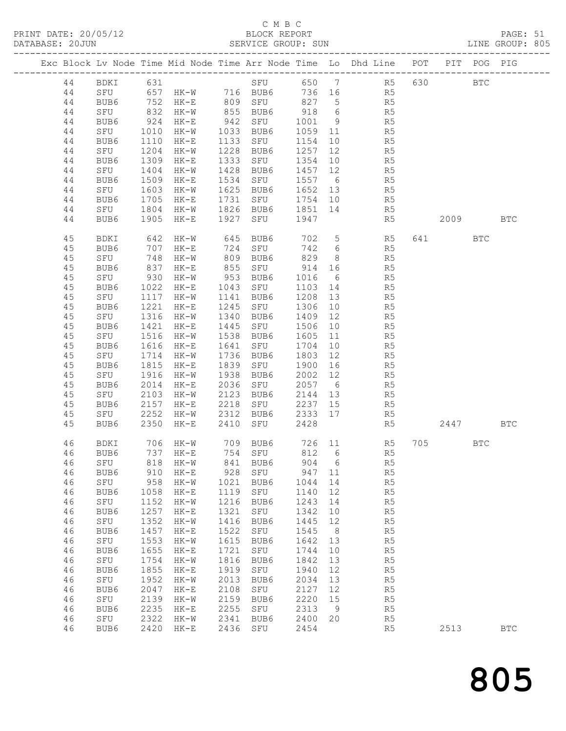### C M B C

| PRINT DATE: 20/05/12<br>BLOCK REPORT BLOCK PERT<br>DATABASE: 20JUN SERVICE GROUP: SUN LINE GROUP: 805    |                                                                                                                                      |                                                                                                                                         |                                                                                                                                                                                  |                                                                                                                                          |                                                                                                                                             |                                                                                                                                          |                                                                                                      |                                                                                                                                                                                                                                                                                                                                                                                                                                                                                                               |     |          |            |            |  |
|----------------------------------------------------------------------------------------------------------|--------------------------------------------------------------------------------------------------------------------------------------|-----------------------------------------------------------------------------------------------------------------------------------------|----------------------------------------------------------------------------------------------------------------------------------------------------------------------------------|------------------------------------------------------------------------------------------------------------------------------------------|---------------------------------------------------------------------------------------------------------------------------------------------|------------------------------------------------------------------------------------------------------------------------------------------|------------------------------------------------------------------------------------------------------|---------------------------------------------------------------------------------------------------------------------------------------------------------------------------------------------------------------------------------------------------------------------------------------------------------------------------------------------------------------------------------------------------------------------------------------------------------------------------------------------------------------|-----|----------|------------|------------|--|
|                                                                                                          |                                                                                                                                      |                                                                                                                                         |                                                                                                                                                                                  |                                                                                                                                          |                                                                                                                                             |                                                                                                                                          |                                                                                                      | Exc Block Lv Node Time Mid Node Time Arr Node Time Lo Dhd Line POT PIT POG PIG                                                                                                                                                                                                                                                                                                                                                                                                                                |     |          |            |            |  |
| 44<br>44<br>44                                                                                           | SFU 657 HK-W 716 BUB6 736 16 R5<br>BUB6 752 HK-E 809 SFU 827 5 R5<br>SFU 832 HK-W 855 BUB6 918 6 R5                                  |                                                                                                                                         |                                                                                                                                                                                  |                                                                                                                                          |                                                                                                                                             |                                                                                                                                          |                                                                                                      | 44 BDKI 631 SFU 650 7 R5 630                                                                                                                                                                                                                                                                                                                                                                                                                                                                                  |     |          | <b>BTC</b> |            |  |
| 44<br>44<br>44<br>44                                                                                     | SFU<br>BUB6<br>SFU                                                                                                                   | 1010<br>1110<br>1204                                                                                                                    | HK-E<br>$HK-W$                                                                                                                                                                   |                                                                                                                                          | HK-W 1033 BUB6<br>1133 SFU<br>1228 BUB6                                                                                                     | 1154<br>1257                                                                                                                             |                                                                                                      | BUB6 924 HK-E 942 SFU 1001 9 R5<br>1059 11 R5<br>$\begin{array}{ccc} 10 & \quad & \quad \text{R5} \\ 12 & \quad & \quad \text{R5} \end{array}$                                                                                                                                                                                                                                                                                                                                                                |     |          |            |            |  |
| 44<br>44<br>44<br>44                                                                                     | BUB6<br>SFU<br>BUB6 1509<br>SFU 1603                                                                                                 | 1309<br>1404                                                                                                                            | HK-E<br>$HK-W$<br>$HK-E$<br>$HK-W$                                                                                                                                               | 1333                                                                                                                                     | SFU 1354<br>1428 BUB6<br>1625 BUB6                                                                                                          | 1457 12                                                                                                                                  |                                                                                                      | 10 R5<br>R <sub>5</sub><br>1534 SFU 1557 6 R5<br>1625 BUB6 1652 13 R5                                                                                                                                                                                                                                                                                                                                                                                                                                         |     |          |            |            |  |
| 44<br>44<br>44                                                                                           | BUB6<br>SFU<br>BUB6                                                                                                                  | 1705<br>1804<br>1905                                                                                                                    | $HK-E$<br>$HK-W$<br>$HK-E$                                                                                                                                                       | 1731                                                                                                                                     | 1927 SFU                                                                                                                                    | 1947                                                                                                                                     |                                                                                                      | SFU 1754 10 R5<br>1826 BUB6 1851 14 R5<br>R5                                                                                                                                                                                                                                                                                                                                                                                                                                                                  |     | 2009 BTC |            |            |  |
| 45<br>45<br>45<br>45<br>45                                                                               | BDKI<br>BUB6<br>SFU 748 HK-W<br>BUB6 837 HK-E<br>SFU 930 HK-W                                                                        |                                                                                                                                         | 642 HK-W<br>707 HK-E<br>HK-W 953 BUB6                                                                                                                                            | 809                                                                                                                                      | 645 BUB6<br>724 SFU<br>BUB6                                                                                                                 | 829                                                                                                                                      |                                                                                                      | 702 5 R5<br>742 6<br>R5<br>$\begin{array}{ccc} & 8 & & \phantom{0} & \phantom{0} & \phantom{0} & \phantom{0} & \phantom{0} & \phantom{0} & \phantom{0} & \phantom{0} & \phantom{0} & \phantom{0} & \phantom{0} & \phantom{0} & \phantom{0} & \phantom{0} & \phantom{0} & \phantom{0} & \phantom{0} & \phantom{0} & \phantom{0} & \phantom{0} & \phantom{0} & \phantom{0} & \phantom{0} & \phantom{0} & \phantom{0} & \phantom{0} & \phantom{0} & \phantom{0} & \phantom{0} & \phantom{0$<br>$\frac{18}{6}$ R5 |     | 641 BTC  |            |            |  |
| 45<br>45<br>45<br>45<br>45                                                                               | BUB6<br>SFU<br>BUB6<br>SFU<br>BUB6                                                                                                   | 1117<br>1221<br>1316<br>1421                                                                                                            | 1022 HK-E<br>$HK-W$<br>$HK-E$<br>$HK-W$<br>$HK-E$                                                                                                                                | 1141<br>1340<br>1445                                                                                                                     | 1043 SFU<br>BUB6<br>1245 SFU<br>BUB6<br>SFU 1506                                                                                            | 1103 14<br>1208<br>1306<br>1409                                                                                                          | 13<br>10<br>12<br>10                                                                                 | R <sub>5</sub><br>R <sub>5</sub><br>R5<br>R5<br>R <sub>5</sub>                                                                                                                                                                                                                                                                                                                                                                                                                                                |     |          |            |            |  |
| 45<br>45<br>45<br>45                                                                                     | SFU<br>BUB6<br>BUB6<br>SFU<br>BUB6                                                                                                   | 1516<br>1616<br>1815                                                                                                                    | $HK-W$<br>$HK-E$<br>1714 HK-W<br>HK-E                                                                                                                                            | 1538<br>1641<br>1736<br>1839                                                                                                             | BUB6<br>SFU<br>BUB6<br>SFU 1900                                                                                                             | 1605<br>1704<br>1803                                                                                                                     | 11<br>16                                                                                             | R5<br>$\begin{array}{ccc}\n11 \\ 10 \\ \hline\n15\n\end{array}$<br>R5                                                                                                                                                                                                                                                                                                                                                                                                                                         |     |          |            |            |  |
| 45<br>45<br>45<br>45                                                                                     | SFU<br>BUB6<br>SFU<br>BUB6                                                                                                           | 1916<br>2014<br>2103<br>2157                                                                                                            | HK-W<br>$HK-E$<br>$HK-W$<br>$HK-E$                                                                                                                                               | 1938<br>2036<br>2123<br>2218                                                                                                             | BUB6<br>SFU<br>BUB6<br>SFU 2237 15                                                                                                          | 2002<br>2057 6<br>2144 13                                                                                                                | 12                                                                                                   | R5<br>R5<br>R5<br>R <sub>5</sub>                                                                                                                                                                                                                                                                                                                                                                                                                                                                              |     |          |            |            |  |
| 45<br>45                                                                                                 | SFU 2252<br>BUB6                                                                                                                     | 2350                                                                                                                                    | HK-E                                                                                                                                                                             |                                                                                                                                          | 2410 SFU                                                                                                                                    | 2428                                                                                                                                     |                                                                                                      | HK-W 2312 BUB6 2333 17 R5<br>R5                                                                                                                                                                                                                                                                                                                                                                                                                                                                               |     | 2447     |            | <b>BTC</b> |  |
| 46<br>46<br>46<br>46<br>46<br>46<br>46<br>46<br>46<br>46<br>46<br>46<br>46<br>46<br>46<br>46<br>46<br>46 | BDKI<br>BUB6<br>SFU<br>BUB6<br>SFU<br>BUB6<br>SFU<br>BUB6<br>SFU<br>BUB6<br>SFU<br>BUB6<br>SFU<br>BUB6<br>SFU<br>BUB6<br>SFU<br>BUB6 | 706<br>737<br>818<br>910<br>958<br>1058<br>1152<br>1257<br>1352<br>1457<br>1553<br>1655<br>1754<br>1855<br>1952<br>2047<br>2139<br>2235 | $HK-W$<br>$HK-E$<br>$HK-W$<br>$HK-E$<br>$HK-W$<br>$HK-E$<br>$HK-W$<br>$HK-E$<br>$HK-W$<br>$HK-E$<br>$HK-W$<br>$HK-E$<br>$HK-W$<br>$HK-E$<br>$HK-W$<br>$HK-E$<br>$HK-W$<br>$HK-E$ | 709<br>754<br>841<br>928<br>1021<br>1119<br>1216<br>1321<br>1416<br>1522<br>1615<br>1721<br>1816<br>1919<br>2013<br>2108<br>2159<br>2255 | BUB6<br>SFU<br>BUB6<br>SFU<br>BUB6<br>SFU<br>BUB6<br>SFU<br>BUB6<br>SFU<br>BUB6<br>SFU<br>BUB6<br>SFU<br>BUB6<br>${\tt SFU}$<br>BUB6<br>SFU | 726<br>812<br>904<br>947<br>1044<br>1140<br>1243<br>1342<br>1445<br>1545<br>1642<br>1744<br>1842<br>1940<br>2034<br>2127<br>2220<br>2313 | 11<br>6<br>6<br>11<br>14<br>12<br>14<br>10<br>12<br>8<br>13<br>10<br>13<br>12<br>13<br>12<br>15<br>9 | R5<br>R5<br>R5<br>R5<br>R5<br>R <sub>5</sub><br>R5<br>R5<br>R5<br>R5<br>R5<br>R5<br>R5<br>R <sub>5</sub><br>R5<br>R5<br>R5<br>R5                                                                                                                                                                                                                                                                                                                                                                              | 705 |          | <b>BTC</b> |            |  |
| 46<br>46                                                                                                 | SFU<br>BUB6                                                                                                                          | 2322<br>2420                                                                                                                            | $\texttt{HK-W}{}$<br>$\rm{HK\!-\!E}$                                                                                                                                             | 2341<br>2436                                                                                                                             | BUB6<br>SFU                                                                                                                                 | 2400<br>2454                                                                                                                             | 20                                                                                                   | R5<br>R5                                                                                                                                                                                                                                                                                                                                                                                                                                                                                                      |     | 2513     |            | <b>BTC</b> |  |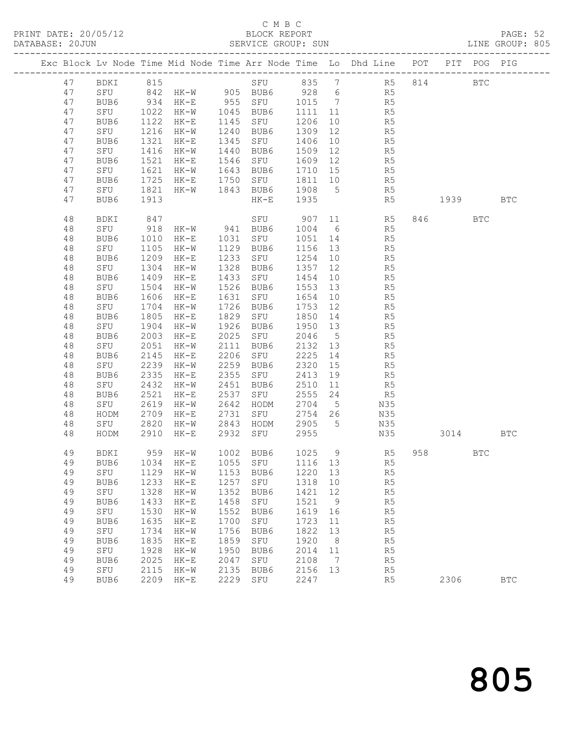### C M B C<br>BLOCK REPORT

| DATABASE: 20JUN |              |             |              |                                |              | SERVICE GROUP: SUN                                                                                 |                    |                 |                                                                                |      |        |            | LINE GROUP: 805 |  |
|-----------------|--------------|-------------|--------------|--------------------------------|--------------|----------------------------------------------------------------------------------------------------|--------------------|-----------------|--------------------------------------------------------------------------------|------|--------|------------|-----------------|--|
|                 |              |             |              |                                |              |                                                                                                    |                    |                 | Exc Block Lv Node Time Mid Node Time Arr Node Time Lo Dhd Line POT PIT POG PIG |      |        |            |                 |  |
|                 | 47           |             |              |                                |              |                                                                                                    |                    |                 | BDKI 815 SFU 835 7 R5 814 BTC                                                  |      |        |            |                 |  |
|                 | 47           |             |              |                                |              |                                                                                                    |                    |                 | SFU 842 HK-W 905 BUB6 928 6 R5                                                 |      |        |            |                 |  |
|                 | 47           | BUB6        |              |                                |              | BUB6 934 HK-E 955 SFU 1015 7<br>SFU 1022 HK-W 1045 BUB6 1111 11<br>BUB6 1122 HK-E 1145 SFU 1206 10 |                    |                 | R5                                                                             |      |        |            |                 |  |
|                 | 47           |             |              |                                |              |                                                                                                    |                    |                 | R5                                                                             |      |        |            |                 |  |
|                 | 47           |             |              |                                |              | 1145 SFU                                                                                           |                    |                 | R5                                                                             |      |        |            |                 |  |
|                 | 47           | SFU         | 1216         | $HK-W$                         |              | 1240 BUB6                                                                                          | 1309               | 12              | R <sub>5</sub>                                                                 |      |        |            |                 |  |
|                 | 47           | BUB6        | 1321         | $HK-E$                         |              | 1345 SFU                                                                                           | 1406               | 10              | R5                                                                             |      |        |            |                 |  |
|                 | 47           | SFU         | 1416         | HK-W                           |              | 1440 BUB6                                                                                          | 1509 12            |                 | R5<br>R5                                                                       |      |        |            |                 |  |
|                 | 47           | BUB6        | 1521         | $HK-E$                         |              | 1546 SFU                                                                                           | 1609 12            |                 |                                                                                |      |        |            |                 |  |
|                 | 47           | SFU         | 1621         | $HK-W$                         |              | 1643 BUB6                                                                                          | 1710 15            |                 | R <sub>5</sub>                                                                 |      |        |            |                 |  |
|                 | 47           | BUB6        | 1725         | $HK-E$                         |              | 1750 SFU                                                                                           | 1811 10            |                 | R5                                                                             |      |        |            |                 |  |
|                 | 47           | SFU         | 1821         | HK-W 1843 BUB6                 |              |                                                                                                    | 1908 5<br>1935     |                 | R5                                                                             |      |        |            |                 |  |
|                 | 47           | BUB6        | 1913         |                                |              | $HK-E$                                                                                             |                    |                 | R5                                                                             | 1939 |        |            | <b>BTC</b>      |  |
|                 | 48           | BDKI        | 847          |                                |              |                                                                                                    |                    |                 | SFU 907 11 R5                                                                  |      | 846 12 | <b>BTC</b> |                 |  |
|                 | 48           | SFU         | $-918$       | HK-W 941 BUB6<br>HK-E 1031 SFU |              |                                                                                                    | 1004 6             |                 | R5                                                                             |      |        |            |                 |  |
|                 | 48           | BUB6        |              |                                |              |                                                                                                    | 1051 14            |                 | R5                                                                             |      |        |            |                 |  |
|                 | 48           | SFU         | 1105         | HK-W 1129                      |              | BUB6                                                                                               | 1156 13            |                 | R5                                                                             |      |        |            |                 |  |
|                 | 48           | BUB6        | 1209         | $HK-E$                         |              | 1233 SFU                                                                                           | 1254               | 10              | R5                                                                             |      |        |            |                 |  |
|                 | 48           | SFU         | 1304<br>1409 | HK-W                           | 1328         | BUB6<br>1433 SFU                                                                                   | 1357 12            |                 | R5                                                                             |      |        |            |                 |  |
|                 | $4\,8$<br>48 | BUB6        | 1504         | $HK-E$                         |              | 1526 BUB6                                                                                          | 1454 10<br>1553 13 |                 | R5<br>R5                                                                       |      |        |            |                 |  |
|                 | 48           | SFU<br>BUB6 | 1606         | HK-W<br>$HK-E$                 |              | 1631 SFU                                                                                           | 1654               | 10              | R <sub>5</sub>                                                                 |      |        |            |                 |  |
|                 | 48           | SFU         | 1704         | $HK-W$                         |              | 1726 BUB6                                                                                          | 1753 12            |                 | R5                                                                             |      |        |            |                 |  |
|                 | 48           | BUB6        | 1805         | $HK-E$                         | 1829         | SFU                                                                                                | 1850 14            |                 | R5                                                                             |      |        |            |                 |  |
|                 | 48           | SFU         | 1904         | HK-W                           | 1926         | BUB6                                                                                               | 1950 13            |                 | R5                                                                             |      |        |            |                 |  |
|                 | 48           | BUB6        | 2003         | $HK-E$                         | 2025         | SFU                                                                                                | 2046               | $5\overline{)}$ | R <sub>5</sub>                                                                 |      |        |            |                 |  |
|                 | 48           | SFU         | 2051         | HK-W                           | 2111         | BUB6                                                                                               | 2132 13            |                 | R5                                                                             |      |        |            |                 |  |
|                 | 48           | BUB6        | 2145         | $HK-E$                         | 2206         | SFU                                                                                                | 2225               | 14              | R5                                                                             |      |        |            |                 |  |
|                 | 48           | SFU         | 2239         | $HK-W$                         |              | 2259 BUB6                                                                                          | 2320               | 15              | R5                                                                             |      |        |            |                 |  |
|                 | 48           | BUB6        | 2335         | HK-E                           | 2355         | SFU                                                                                                | 2413               | 19              | R <sub>5</sub>                                                                 |      |        |            |                 |  |
|                 | 48           | SFU         | 2432         | HK-W                           | 2451         | BUB6                                                                                               | 2510               | 11              | R <sub>5</sub>                                                                 |      |        |            |                 |  |
|                 | 48           | BUB6        | 2521         | HK-E                           | 2537         | SFU                                                                                                | 2555 24            |                 | R5                                                                             |      |        |            |                 |  |
|                 | 48           | SFU         | 2619         | $HK-W$                         | 2642         | HODM                                                                                               | 2704 5             |                 | N35                                                                            |      |        |            |                 |  |
|                 | 48           | HODM        | 2709         | $HK-E$                         | 2731         | SFU                                                                                                | 2754 26            |                 | N35                                                                            |      |        |            |                 |  |
|                 | 48           | SFU         | 2820         |                                |              | HK-W 2843 HODM                                                                                     | 2905 5             |                 | N35                                                                            |      |        |            |                 |  |
|                 | 48           | HODM        | 2910         | HK-E                           |              | 2932 SFU                                                                                           | 2955               |                 | N35                                                                            | 3014 |        |            | BTC             |  |
|                 | 49           | BDKI        |              |                                |              |                                                                                                    |                    |                 | 959 HK-W 1002 BUB6 1025 9 R5                                                   | 958  |        | BTC        |                 |  |
|                 | 49           | BUB6        | 1034         | HK-E                           | 1055         | SFU                                                                                                | 1116               | 13              | R5                                                                             |      |        |            |                 |  |
|                 | 49           | SFU         | 1129         | HK-W                           | 1153         | BUB6                                                                                               | 1220 13            |                 | R5                                                                             |      |        |            |                 |  |
|                 | 49           | BUB6        | 1233         | $HK-E$                         | 1257         | SFU                                                                                                | 1318               | 10              | R5                                                                             |      |        |            |                 |  |
|                 | 49           | SFU         | 1328         | HK-W                           | 1352         | BUB6                                                                                               | 1421               | 12              | R5                                                                             |      |        |            |                 |  |
|                 | 49           | BUB6        | 1433         | $HK-E$                         | 1458         | SFU                                                                                                | 1521               | 9               | R5                                                                             |      |        |            |                 |  |
|                 | 49<br>49     | SFU<br>BUB6 | 1530<br>1635 | $HK-W$                         | 1552<br>1700 | BUB6<br>SFU                                                                                        | 1619 16<br>1723    |                 | R5<br>R5                                                                       |      |        |            |                 |  |
|                 | 49           | SFU         | 1734         | $HK-E$<br>$HK-W$               | 1756         | BUB6                                                                                               | 1822               | 11<br>13        | R5                                                                             |      |        |            |                 |  |
|                 | 49           | BUB6        | 1835         | $HK-E$                         | 1859         | SFU                                                                                                | 1920               | 8 <sup>8</sup>  | R5                                                                             |      |        |            |                 |  |
|                 | 49           | SFU         | 1928         | $HK-W$                         | 1950         | BUB6                                                                                               | 2014 11            |                 | R5                                                                             |      |        |            |                 |  |
|                 | 49           | BUB6        | 2025         | $HK-E$                         | 2047         | SFU                                                                                                | 2108               | $\overline{7}$  | R <sub>5</sub>                                                                 |      |        |            |                 |  |
|                 | 49           | SFU         | 2115         | HK-W                           | 2135         | BUB6                                                                                               | 2156               | 13              | R5                                                                             |      |        |            |                 |  |
|                 | 49           | BUB6        | 2209         | $HK-E$                         | 2229         | SFU                                                                                                | 2247               |                 | R5                                                                             |      | 2306   |            | <b>BTC</b>      |  |
|                 |              |             |              |                                |              |                                                                                                    |                    |                 |                                                                                |      |        |            |                 |  |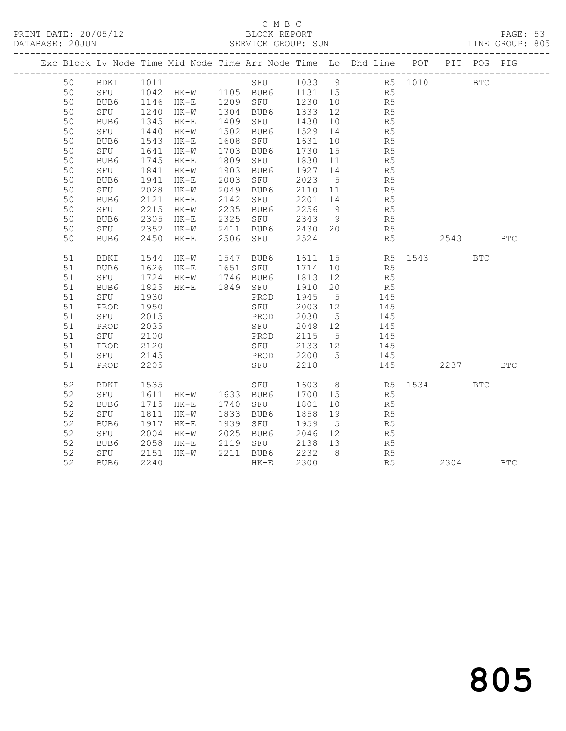#### C M B C

| DATABASE: 20JUN |           |              |                       |      |               |         |                 |                                                                                                     |      |            | LINE GROUP: 805 |
|-----------------|-----------|--------------|-----------------------|------|---------------|---------|-----------------|-----------------------------------------------------------------------------------------------------|------|------------|-----------------|
|                 |           |              |                       |      |               |         |                 | Exc Block Lv Node Time Mid Node Time Arr Node Time Lo Dhd Line POT PIT POG PIG                      |      |            |                 |
| 50              | BDKI 1011 |              |                       |      |               |         |                 | SFU 1033 9 R5 1010 BTC                                                                              |      |            |                 |
| 50              |           |              |                       |      |               |         |                 | BDKI 1011 SFU 1033 9 R5<br>SFU 1042 HK-W 1105 BUB6 1131 15 R5<br>BUB6 1146 HK-E 1209 SFU 1230 10 R5 |      |            |                 |
| 50              |           |              |                       |      |               |         |                 |                                                                                                     |      |            |                 |
| 50              | SFU       | 1240         | HK-W 1304 BUB6        |      |               | 1333 12 |                 | R <sub>5</sub>                                                                                      |      |            |                 |
| 50              | BUB6      | 1345         | HK-E                  |      | 1409 SFU      | 1430    | 10              | R5                                                                                                  |      |            |                 |
| 50              | SFU       | 1440         | HK-W                  |      | 1502 BUB6     | 1529 14 |                 | R5                                                                                                  |      |            |                 |
| 50              | BUB6      | 1543         | $HK-E$                | 1608 | SFU           | 1631    | 10              | R5                                                                                                  |      |            |                 |
| 50              | SFU       | 1641         | $HK-W$                | 1703 | BUB6          | 1730    | 15              | R5                                                                                                  |      |            |                 |
| 50              | BUB6      | 1745<br>1841 | $HK-E$                | 1809 | SFU           | 1830    |                 | $\begin{array}{ccc} 11 & \quad & \quad \text{R5} \\ 14 & \quad & \quad \text{R5} \end{array}$       |      |            |                 |
| 50              | SFU       |              | $HK-W$                | 1903 | BUB6          | 1927    |                 |                                                                                                     |      |            |                 |
| 50              | BUB6      | 1941         | HK-E                  |      | 2003 SFU 2023 |         | $5\overline{)}$ | R <sub>5</sub>                                                                                      |      |            |                 |
| 50              | SFU       | 2028         | $HK-W$                | 2049 | BUB6          | 2110 11 |                 | R <sub>5</sub>                                                                                      |      |            |                 |
| 50              | BUB6      | 2121         | HK-E                  |      | 2142 SFU      | 2201 14 |                 | R5                                                                                                  |      |            |                 |
| 50              | SFU       | 2215         | HK-W                  | 2235 | BUB6          |         |                 | 2256 9 R5                                                                                           |      |            |                 |
| 50              | BUB6      | 2305         | HK-E                  | 2325 | SFU           | 2343    | - 9             | R5                                                                                                  |      |            |                 |
| 50              | SFU       | 2352         | HK-W                  |      | 2411 BUB6     | 2430 20 |                 | R <sub>5</sub>                                                                                      |      |            |                 |
| 50              | BUB6      | 2450         | $HK-E$                |      | 2506 SFU      | 2524    |                 | R5                                                                                                  | 2543 |            | <b>BTC</b>      |
| 51              | BDKI      | 1544         | HK-W                  |      | 1547 BUB6     | 1611    |                 | 15 R5 1543<br>10 R5                                                                                 |      | <b>BTC</b> |                 |
| 51              | BUB6      |              | 1626 HK-E             |      | 1651 SFU      | 1714    |                 |                                                                                                     |      |            |                 |
| 51              | SFU       | 1724         | HK-W 1746 BUB6        |      |               | 1813    | 12              | R <sub>5</sub>                                                                                      |      |            |                 |
| 51              | BUB6      | 1825         | $HK-E$                |      | 1849 SFU      | 1910    | 20              | R5                                                                                                  |      |            |                 |
| 51              | SFU       | 1930         |                       |      | PROD          | 1945    | $5^{\circ}$     | 145                                                                                                 |      |            |                 |
| 51              | PROD      | 1950         |                       |      | SFU           | 2003 12 |                 | 145                                                                                                 |      |            |                 |
| 51              | SFU       | 2015         |                       |      | PROD          | 2030    | $5\overline{)}$ | 145                                                                                                 |      |            |                 |
| 51              | PROD      | 2035         |                       |      | SFU           | 2048 12 |                 | 145                                                                                                 |      |            |                 |
| 51              | SFU       | 2100         |                       |      | PROD          | 2115    | 5 <sup>5</sup>  | 145                                                                                                 |      |            |                 |
| 51              | PROD      | 2120         |                       |      | SFU 2133 12   |         |                 | 145                                                                                                 |      |            |                 |
| 51              | SFU       | 2145         |                       |      | PROD          | 2200    | $5^{\circ}$     | 145                                                                                                 |      |            |                 |
| 51              | PROD      | 2205         |                       |      | SFU           | 2218    |                 | 145                                                                                                 | 2237 |            | <b>BTC</b>      |
| 52              | BDKI      | 1535         | SFU<br>HK-W 1633 BUB6 |      |               | 1603    |                 | 8 R5 1534                                                                                           |      | <b>BTC</b> |                 |
| 52              | SFU       | 1611         |                       |      |               | 1700 15 |                 | R <sub>5</sub>                                                                                      |      |            |                 |
| 52              | BUB6      | 1715         | $HK-E$                | 1740 | SFU           | 1801    | 10              | R5                                                                                                  |      |            |                 |
| 52              | SFU       | 1811         | $HK-W$                | 1833 | BUB6          | 1858    | 19              | R5                                                                                                  |      |            |                 |
| 52              | BUB6      | 1917         | $HK-E$                |      | 1939 SFU      | 1959    | $5\overline{)}$ | R5                                                                                                  |      |            |                 |
| 52              | SFU       | 2004         | HK-W                  |      | 2025 BUB6     | 2046 12 |                 | R5                                                                                                  |      |            |                 |
| 52              | BUB6      | 2058         | HK-E                  |      | 2119 SFU      | 2138 13 |                 | R <sub>5</sub>                                                                                      |      |            |                 |
| 52              | SFU       | 2151         | HK-W                  |      | 2211 BUB6     | 2232    | 8               | R5                                                                                                  |      |            |                 |
| 52              | BUB6      | 2240         |                       |      | $HK-E$        | 2300    |                 | R5                                                                                                  | 2304 |            | <b>BTC</b>      |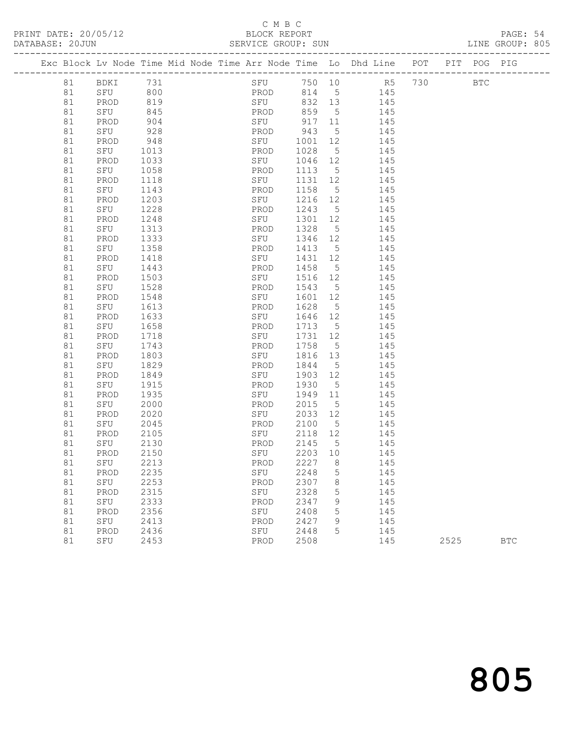#### C M B C<br>BLOCK REPORT

PRINT DATE: 20/05/12 BLOCK REPORT BATABASE: 20JUN

PAGE: 54<br>LINE GROUP: 805

|    |         |      |  | Exc Block Lv Node Time Mid Node Time Arr Node Time Lo Dhd Line POT PIT POG PIG |         |                 |                |     |     |            |            |
|----|---------|------|--|--------------------------------------------------------------------------------|---------|-----------------|----------------|-----|-----|------------|------------|
| 81 | BDKI    | 731  |  | SFU 750 10                                                                     |         |                 | R <sub>5</sub> |     | 730 | <b>BTC</b> |            |
| 81 | SFU 800 |      |  | PROD                                                                           |         |                 | 814 5 145      |     |     |            |            |
| 81 | PROD    | 819  |  | SFU                                                                            | 832 13  |                 | 145            |     |     |            |            |
| 81 | SFU     | 845  |  | PROD                                                                           | 859     | $5\overline{)}$ | 145            |     |     |            |            |
| 81 | PROD    | 904  |  | SFU                                                                            | 917 11  |                 | 145            |     |     |            |            |
| 81 | SFU     | 928  |  | PROD                                                                           | 943     | $5\overline{)}$ | 145            |     |     |            |            |
| 81 | PROD    | 948  |  | SFU                                                                            | 1001 12 |                 |                | 145 |     |            |            |
| 81 | SFU     | 1013 |  | PROD                                                                           | 1028    | $5^{\circ}$     |                | 145 |     |            |            |
| 81 | PROD    | 1033 |  | SFU                                                                            | 1046 12 |                 | 145            |     |     |            |            |
| 81 | SFU     | 1058 |  | PROD                                                                           | 1113    | $5\overline{)}$ |                | 145 |     |            |            |
| 81 | PROD    | 1118 |  | SFU                                                                            | 1131 12 |                 |                | 145 |     |            |            |
| 81 | SFU     | 1143 |  | PROD                                                                           | 1158    | $5^{\circ}$     |                | 145 |     |            |            |
| 81 | PROD    | 1203 |  | SFU                                                                            | 1216 12 |                 |                | 145 |     |            |            |
| 81 | SFU     | 1228 |  | PROD                                                                           | 1243    | $5\overline{)}$ |                | 145 |     |            |            |
| 81 | PROD    | 1248 |  | SFU                                                                            | 1301    | 12              |                | 145 |     |            |            |
| 81 | SFU     | 1313 |  | PROD                                                                           | 1328    | $5\overline{)}$ |                | 145 |     |            |            |
| 81 | PROD    | 1333 |  | SFU                                                                            | 1346    | 12              |                | 145 |     |            |            |
| 81 | SFU     | 1358 |  | PROD                                                                           | 1413    | $5\overline{)}$ |                | 145 |     |            |            |
| 81 | PROD    | 1418 |  | SFU                                                                            | 1431 12 |                 |                | 145 |     |            |            |
| 81 | SFU     | 1443 |  | PROD                                                                           | 1458    | $5\overline{)}$ |                | 145 |     |            |            |
| 81 | PROD    | 1503 |  | SFU                                                                            | 1516    | 12              |                | 145 |     |            |            |
| 81 | SFU     | 1528 |  | PROD                                                                           | 1543    | $5^{\circ}$     |                | 145 |     |            |            |
| 81 | PROD    | 1548 |  | SFU                                                                            | 1601    | 12              |                | 145 |     |            |            |
| 81 | SFU     | 1613 |  | PROD                                                                           | 1628    | $5\overline{)}$ |                | 145 |     |            |            |
| 81 | PROD    | 1633 |  | SFU                                                                            | 1646    | 12              |                | 145 |     |            |            |
| 81 | SFU     | 1658 |  | PROD                                                                           | 1713    | $5\overline{)}$ | 145            |     |     |            |            |
| 81 | PROD    | 1718 |  | SFU                                                                            | 1731 12 |                 |                | 145 |     |            |            |
| 81 | SFU     | 1743 |  | PROD                                                                           | 1758    | $5^{\circ}$     |                | 145 |     |            |            |
| 81 | PROD    | 1803 |  | SFU                                                                            | 1816    | 13              |                | 145 |     |            |            |
| 81 | SFU     | 1829 |  | PROD                                                                           | 1844    | $5^{\circ}$     |                | 145 |     |            |            |
| 81 | PROD    | 1849 |  | SFU                                                                            | 1903 12 |                 |                | 145 |     |            |            |
| 81 | SFU     | 1915 |  | PROD                                                                           | 1930    | $5^{\circ}$     |                | 145 |     |            |            |
| 81 | PROD    | 1935 |  | SFU                                                                            | 1949    | 11              |                | 145 |     |            |            |
| 81 | SFU     | 2000 |  | PROD                                                                           | 2015    | 5 <sup>5</sup>  |                | 145 |     |            |            |
| 81 | PROD    | 2020 |  | SFU                                                                            | 2033 12 |                 |                | 145 |     |            |            |
| 81 | SFU     | 2045 |  | PROD                                                                           | 2100    | $5\overline{)}$ |                | 145 |     |            |            |
| 81 | PROD    | 2105 |  | SFU                                                                            | 2118 12 |                 |                | 145 |     |            |            |
| 81 | SFU     | 2130 |  | PROD                                                                           | 2145    | $5^{\circ}$     | 145            |     |     |            |            |
| 81 | PROD    | 2150 |  | SFU                                                                            | 2203 10 |                 | 145            |     |     |            |            |
| 81 | SFU     | 2213 |  | PROD 2227 8                                                                    |         |                 | 145            |     |     |            |            |
| 81 | PROD    | 2235 |  | SFU                                                                            | 2248    | 5               |                | 145 |     |            |            |
| 81 | SFU     | 2253 |  | PROD                                                                           | 2307    | 8               |                | 145 |     |            |            |
| 81 | PROD    | 2315 |  | SFU                                                                            | 2328    | 5               |                | 145 |     |            |            |
| 81 | SFU     | 2333 |  | PROD                                                                           | 2347    | 9               |                | 145 |     |            |            |
| 81 | PROD    | 2356 |  | SFU                                                                            | 2408    | 5               |                | 145 |     |            |            |
| 81 | SFU     | 2413 |  | PROD                                                                           | 2427    | 9               |                | 145 |     |            |            |
| 81 | PROD    | 2436 |  | SFU                                                                            | 2448    | 5               |                | 145 |     |            |            |
| 81 | SFU     | 2453 |  | PROD                                                                           | 2508    |                 |                | 145 |     | 2525       | <b>BTC</b> |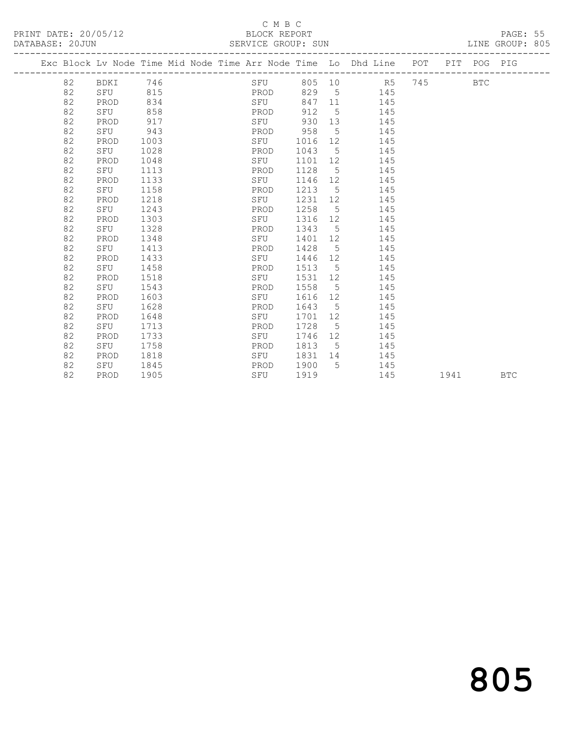#### C M B C<br>BLOCK REPORT

| PRINT DATE: 20/05/12 | BLOCK REPORT       | PAGE: 55        |
|----------------------|--------------------|-----------------|
| DATABASE: 20JUN      | SERVICE GROUP: SUN | LINE GROUP: 805 |
|                      |                    |                 |

|  |    |      |      |  |      |        |                 | Exc Block Lv Node Time Mid Node Time Arr Node Time Lo Dhd Line | POT |      | PIT POG PIG |            |
|--|----|------|------|--|------|--------|-----------------|----------------------------------------------------------------|-----|------|-------------|------------|
|  | 82 | BDKI | 746  |  | SFU  | 805 10 |                 | R5                                                             | 745 |      | <b>BTC</b>  |            |
|  | 82 | SFU  | 815  |  | PROD | 829    | 5               | 145                                                            |     |      |             |            |
|  | 82 | PROD | 834  |  | SFU  | 847    | 11              | 145                                                            |     |      |             |            |
|  | 82 | SFU  | 858  |  | PROD | 912    | 5               | 145                                                            |     |      |             |            |
|  | 82 | PROD | 917  |  | SFU  | 930    | 13              | 145                                                            |     |      |             |            |
|  | 82 | SFU  | 943  |  | PROD | 958    | $5\overline{)}$ | 145                                                            |     |      |             |            |
|  | 82 | PROD | 1003 |  | SFU  | 1016   | 12              | 145                                                            |     |      |             |            |
|  | 82 | SFU  | 1028 |  | PROD | 1043   | 5               | 145                                                            |     |      |             |            |
|  | 82 | PROD | 1048 |  | SFU  | 1101   | 12              | 145                                                            |     |      |             |            |
|  | 82 | SFU  | 1113 |  | PROD | 1128   | 5               | 145                                                            |     |      |             |            |
|  | 82 | PROD | 1133 |  | SFU  | 1146   | 12              | 145                                                            |     |      |             |            |
|  | 82 | SFU  | 1158 |  | PROD | 1213   | 5               | 145                                                            |     |      |             |            |
|  | 82 | PROD | 1218 |  | SFU  | 1231   | 12              | 145                                                            |     |      |             |            |
|  | 82 | SFU  | 1243 |  | PROD | 1258   | - 5             | 145                                                            |     |      |             |            |
|  | 82 | PROD | 1303 |  | SFU  | 1316   | 12              | 145                                                            |     |      |             |            |
|  | 82 | SFU  | 1328 |  | PROD | 1343   | 5               | 145                                                            |     |      |             |            |
|  | 82 | PROD | 1348 |  | SFU  | 1401   | 12              | 145                                                            |     |      |             |            |
|  | 82 | SFU  | 1413 |  | PROD | 1428   | $5\phantom{.0}$ | 145                                                            |     |      |             |            |
|  | 82 | PROD | 1433 |  | SFU  | 1446   | 12              | 145                                                            |     |      |             |            |
|  | 82 | SFU  | 1458 |  | PROD | 1513   | 5               | 145                                                            |     |      |             |            |
|  | 82 | PROD | 1518 |  | SFU  | 1531   | 12              | 145                                                            |     |      |             |            |
|  | 82 | SFU  | 1543 |  | PROD | 1558   | 5               | 145                                                            |     |      |             |            |
|  | 82 | PROD | 1603 |  | SFU  | 1616   | 12              | 145                                                            |     |      |             |            |
|  | 82 | SFU  | 1628 |  | PROD | 1643   | 5               | 145                                                            |     |      |             |            |
|  | 82 | PROD | 1648 |  | SFU  | 1701   | 12              | 145                                                            |     |      |             |            |
|  | 82 | SFU  | 1713 |  | PROD | 1728   | 5               | 145                                                            |     |      |             |            |
|  | 82 | PROD | 1733 |  | SFU  | 1746   | 12              | 145                                                            |     |      |             |            |
|  | 82 | SFU  | 1758 |  | PROD | 1813   | 5               | 145                                                            |     |      |             |            |
|  | 82 | PROD | 1818 |  | SFU  | 1831   | 14              | 145                                                            |     |      |             |            |
|  | 82 | SFU  | 1845 |  | PROD | 1900   | 5               | 145                                                            |     |      |             |            |
|  | 82 | PROD | 1905 |  | SFU  | 1919   |                 | 145                                                            |     | 1941 |             | <b>BTC</b> |